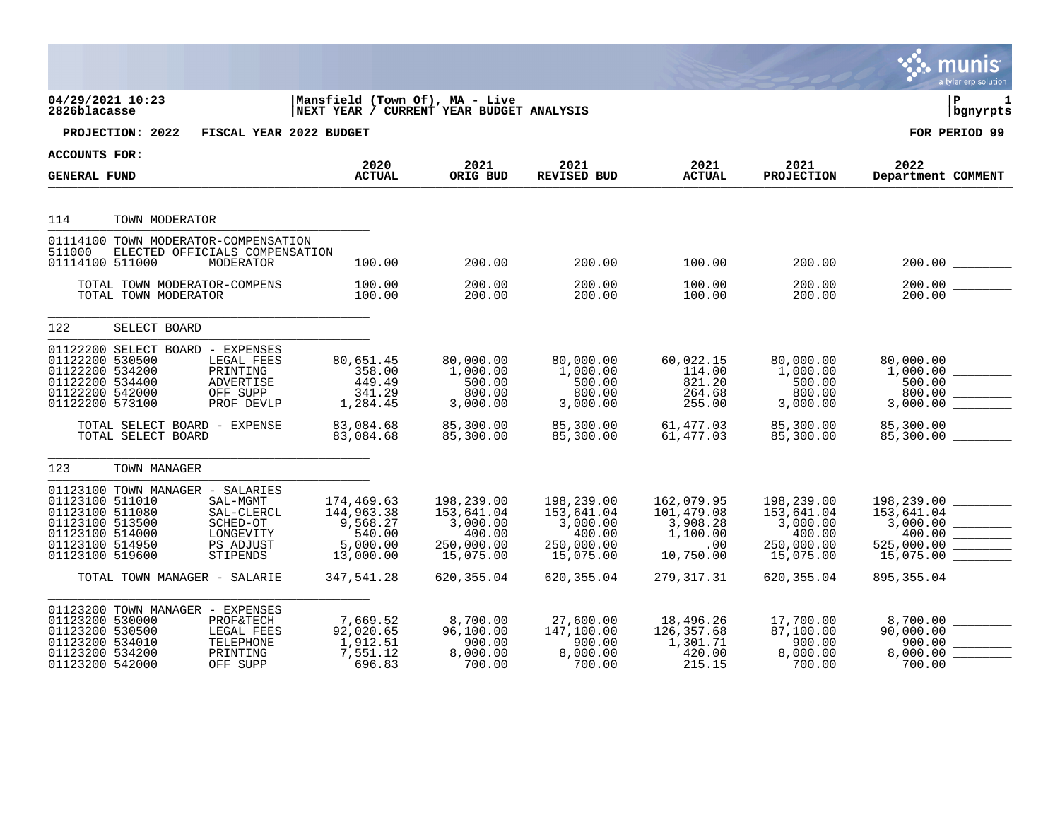|                                                                                                                |                                                      |                                                                          |                                                                            |                                                                           |                                                                           |                                                                      |                                                                           | <b>DO HULLED</b><br>a tyler erp solution                                                                       |
|----------------------------------------------------------------------------------------------------------------|------------------------------------------------------|--------------------------------------------------------------------------|----------------------------------------------------------------------------|---------------------------------------------------------------------------|---------------------------------------------------------------------------|----------------------------------------------------------------------|---------------------------------------------------------------------------|----------------------------------------------------------------------------------------------------------------|
| 04/29/2021 10:23<br>2826blacasse                                                                               |                                                      |                                                                          | Mansfield (Town Of), MA - Live<br>NEXT YEAR / CURRENT YEAR BUDGET ANALYSIS |                                                                           |                                                                           |                                                                      |                                                                           | l P<br>1<br>bgnyrpts                                                                                           |
|                                                                                                                | PROJECTION: 2022                                     | FISCAL YEAR 2022 BUDGET                                                  |                                                                            |                                                                           |                                                                           |                                                                      |                                                                           | FOR PERIOD 99                                                                                                  |
| ACCOUNTS FOR:                                                                                                  |                                                      |                                                                          | 2020                                                                       | 2021                                                                      | 2021                                                                      | 2021                                                                 | 2021                                                                      | 2022                                                                                                           |
| <b>GENERAL FUND</b>                                                                                            |                                                      |                                                                          | <b>ACTUAL</b>                                                              | ORIG BUD                                                                  | <b>REVISED BUD</b>                                                        | <b>ACTUAL</b>                                                        | <b>PROJECTION</b>                                                         | Department COMMENT                                                                                             |
| 114                                                                                                            | TOWN MODERATOR                                       |                                                                          |                                                                            |                                                                           |                                                                           |                                                                      |                                                                           |                                                                                                                |
| 511000<br>01114100 511000                                                                                      | 01114100 TOWN MODERATOR-COMPENSATION                 | ELECTED OFFICIALS COMPENSATION<br>MODERATOR                              | 100.00                                                                     | 200.00                                                                    | 200.00                                                                    | 100.00                                                               | 200.00                                                                    | 200.00                                                                                                         |
|                                                                                                                | TOTAL TOWN MODERATOR-COMPENS<br>TOTAL TOWN MODERATOR |                                                                          | 100.00<br>100.00                                                           | 200.00<br>200.00                                                          | 200.00<br>200.00                                                          | 100.00<br>100.00                                                     | 200.00<br>200.00                                                          | 200.00<br>200.00                                                                                               |
| 122                                                                                                            | SELECT BOARD                                         |                                                                          |                                                                            |                                                                           |                                                                           |                                                                      |                                                                           |                                                                                                                |
| 01122200 530500<br>01122200 534200<br>01122200 534400<br>01122200 542000<br>01122200 573100                    | 01122200 SELECT BOARD - EXPENSES                     | LEGAL FEES<br>PRINTING<br>ADVERTISE<br>OFF SUPP<br>PROF DEVLP            | 80,651.45<br>358.00<br>449.49<br>341.29<br>1,284.45                        | 80,000.00<br>1,000.00<br>500.00<br>800.00<br>3,000.00                     | 80,000.00<br>1,000.00<br>500.00<br>800.00<br>3,000.00                     | 60,022.15<br>114.00<br>821.20<br>264.68<br>255.00                    | 80,000.00<br>1,000.00<br>500.00<br>800.00<br>3,000.00                     | 80,000.00<br>500.00<br>800.00<br>3,000.00                                                                      |
|                                                                                                                | TOTAL SELECT BOARD - EXPENSE<br>TOTAL SELECT BOARD   |                                                                          | 83,084.68<br>83,084.68                                                     | 85,300.00<br>85,300.00                                                    | 85,300.00<br>85,300.00                                                    | 61,477.03<br>61,477.03                                               | 85,300.00<br>85,300.00                                                    | 85,300.00<br>85,300.00 ________<br>85,300.00 ________                                                          |
| 123                                                                                                            | TOWN MANAGER                                         |                                                                          |                                                                            |                                                                           |                                                                           |                                                                      |                                                                           |                                                                                                                |
| 01123100 511010<br>01123100 511080<br>01123100 513500<br>01123100 514000<br>01123100 514950<br>01123100 519600 | 01123100 TOWN MANAGER - SALARIES                     | SAL-MGMT<br>SAL-CLERCL<br>SCHED-OT<br>LONGEVITY<br>PS ADJUST<br>STIPENDS | 174,469.63<br>144,963.38<br>9,568.27<br>540.00<br>5,000.00<br>13,000.00    | 198,239.00<br>153,641.04<br>3,000.00<br>400.00<br>250,000.00<br>15,075.00 | 198,239.00<br>153,641.04<br>3,000.00<br>400.00<br>250,000.00<br>15,075.00 | 162,079.95<br>101,479.08<br>3,908.28<br>1,100.00<br>.00<br>10,750.00 | 198,239.00<br>153,641.04<br>3,000.00<br>400.00<br>250,000.00<br>15,075.00 | 198,239.00<br>153,641.04<br><b>Contract Contract Contract</b><br>3,000.00<br>400.00<br>525,000.00<br>15,075.00 |
|                                                                                                                | TOTAL TOWN MANAGER - SALARIE                         |                                                                          | 347,541.28                                                                 | 620, 355.04                                                               | 620, 355.04                                                               | 279, 317. 31                                                         | 620, 355.04                                                               | 895, 355.04                                                                                                    |
| 01123200 530000<br>01123200 530500<br>01123200 534010<br>01123200 534200<br>01123200 542000                    | 01123200 TOWN MANAGER - EXPENSES                     | PROF&TECH<br>LEGAL FEES<br>TELEPHONE<br>PRINTING<br>OFF SUPP             | 7,669.52<br>92,020.65<br>1,912.51<br>7,551.12<br>696.83                    | 8,700.00<br>96,100.00<br>900.00<br>8,000.00<br>700.00                     | 27,600.00<br>147,100.00<br>900.00<br>8,000.00<br>700.00                   | 18,496.26<br>126,357.68<br>1,301.71<br>420.00<br>215.15              | 17,700.00<br>87,100.00<br>900.00<br>8,000.00<br>700.00                    | 8,700.00 ________<br>90,000.00<br>900.00<br>8,000.00<br>700.00                                                 |

nunio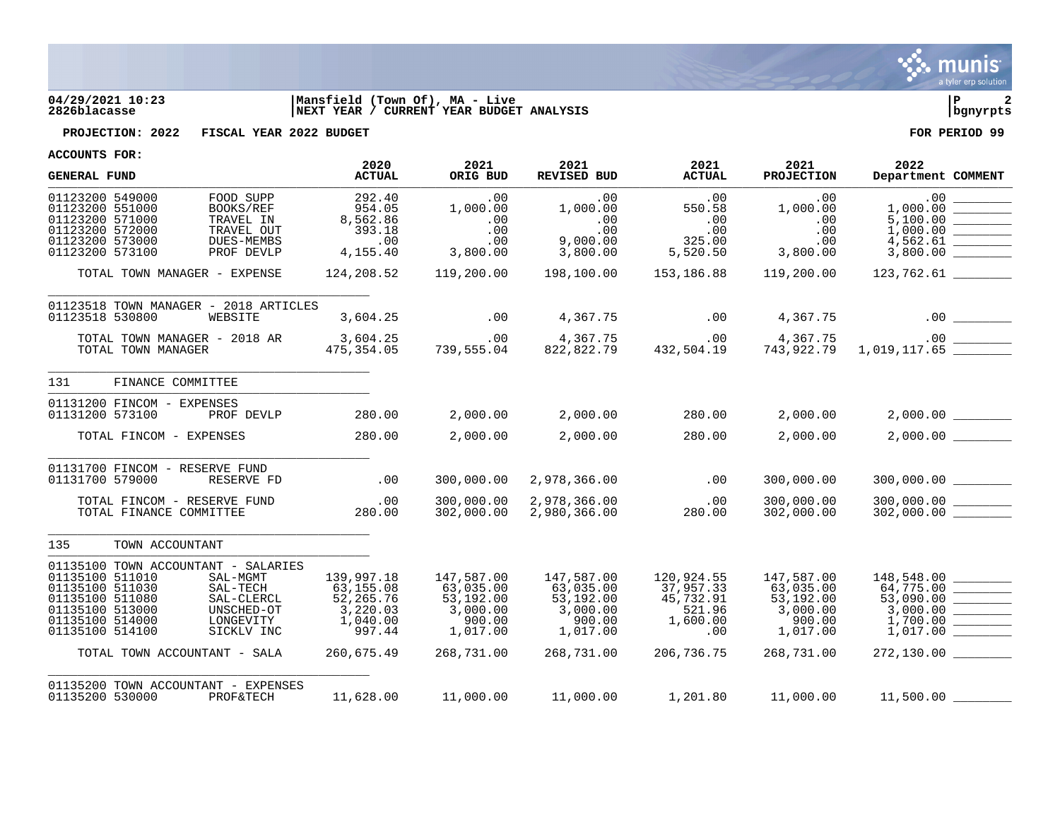

## **04/29/2021 10:23 |Mansfield (Town Of), MA - Live |P 2 2826blacasse |NEXT YEAR / CURRENT YEAR BUDGET ANALYSIS |bgnyrpts**



**PROJECTION: 2022 FISCAL YEAR 2022 BUDGET FOR PERIOD 99**

| ACCOUNIS FUR:                                                                                                                                                                                                                                                        | 2020                                                                                 | 2021                                                                                 | 2021                                                                                 | 2021                                                                            | 2021                                                                                 | 2022                                                                                                                                                                                                                                                                                                                                                                        |
|----------------------------------------------------------------------------------------------------------------------------------------------------------------------------------------------------------------------------------------------------------------------|--------------------------------------------------------------------------------------|--------------------------------------------------------------------------------------|--------------------------------------------------------------------------------------|---------------------------------------------------------------------------------|--------------------------------------------------------------------------------------|-----------------------------------------------------------------------------------------------------------------------------------------------------------------------------------------------------------------------------------------------------------------------------------------------------------------------------------------------------------------------------|
| <b>GENERAL FUND</b>                                                                                                                                                                                                                                                  | <b>ACTUAL</b>                                                                        | ORIG BUD                                                                             | REVISED BUD                                                                          | <b>ACTUAL</b>                                                                   | <b>PROJECTION</b>                                                                    | Department COMMENT                                                                                                                                                                                                                                                                                                                                                          |
| 01123200 549000<br>FOOD SUPP<br>01123200 551000<br>BOOKS/REF<br>01123200 571000<br>TRAVEL IN<br>01123200 572000<br>TRAVEL OUT<br>01123200 573000<br>DUES-MEMBS<br>01123200 573100<br>PROF DEVLP                                                                      | 292.40<br>954.05<br>8,562.86<br>393.18<br>.00<br>4,155.40                            | .00<br>1,000.00<br>.00<br>.00<br>.00<br>3,800.00                                     | .00<br>1,000.00<br>.00<br>.00<br>9,000.00<br>3,800.00                                | .00<br>550.58<br>.00<br>.00<br>325.00<br>5,520.50                               | .00<br>1,000.00<br>.00<br>.00<br>.00<br>3,800.00                                     | .00<br>1,000.00<br><u> Tanzania (h. 1878).</u><br>Naskiĝoj<br>5,100.00<br>1,000.00<br>3,800.00                                                                                                                                                                                                                                                                              |
| TOTAL TOWN MANAGER - EXPENSE                                                                                                                                                                                                                                         | 124,208.52                                                                           | 119,200.00                                                                           | 198,100.00                                                                           | 153,186.88                                                                      | 119,200.00                                                                           | 123,762.61                                                                                                                                                                                                                                                                                                                                                                  |
| 01123518 TOWN MANAGER - 2018 ARTICLES<br>01123518 530800<br>WEBSITE                                                                                                                                                                                                  | 3,604.25                                                                             | .00                                                                                  | 4,367.75                                                                             | .00                                                                             | 4,367.75                                                                             |                                                                                                                                                                                                                                                                                                                                                                             |
| TOTAL TOWN MANAGER - 2018 AR<br>TOTAL TOWN MANAGER                                                                                                                                                                                                                   | 3,604.25<br>475,354.05                                                               | .00<br>739,555.04                                                                    |                                                                                      |                                                                                 |                                                                                      | 4,367.75 00 4,367.75 00 4,367.75<br>822,822.79 432,504.19 743,922.79 1,019,117.65                                                                                                                                                                                                                                                                                           |
| 131<br>FINANCE COMMITTEE                                                                                                                                                                                                                                             |                                                                                      |                                                                                      |                                                                                      |                                                                                 |                                                                                      |                                                                                                                                                                                                                                                                                                                                                                             |
| 01131200 FINCOM - EXPENSES<br>01131200 573100<br>PROF DEVLP                                                                                                                                                                                                          | 280.00                                                                               | 2,000.00                                                                             | 2,000.00                                                                             | 280.00                                                                          |                                                                                      | $2,000.00$ $2,000.00$ $2,000.00$                                                                                                                                                                                                                                                                                                                                            |
| TOTAL FINCOM - EXPENSES                                                                                                                                                                                                                                              | 280.00                                                                               | 2,000.00                                                                             | 2,000.00                                                                             | 280.00                                                                          | 2,000.00                                                                             | $2,000.00$ ________                                                                                                                                                                                                                                                                                                                                                         |
| 01131700 FINCOM - RESERVE FUND<br>01131700 579000<br>RESERVE FD                                                                                                                                                                                                      | .00                                                                                  | 300,000.00                                                                           | 2,978,366.00                                                                         | .00                                                                             | 300,000.00                                                                           | 300,000.00 ________                                                                                                                                                                                                                                                                                                                                                         |
| TOTAL FINCOM - RESERVE FUND<br>TOTAL FINANCE COMMITTEE                                                                                                                                                                                                               | .00<br>280.00                                                                        | 300,000.00<br>302,000.00                                                             | 2,978,366.00<br>2,980,366.00                                                         | .00<br>280.00                                                                   | 300,000.00<br>302,000.00                                                             |                                                                                                                                                                                                                                                                                                                                                                             |
| 135<br>TOWN ACCOUNTANT                                                                                                                                                                                                                                               |                                                                                      |                                                                                      |                                                                                      |                                                                                 |                                                                                      |                                                                                                                                                                                                                                                                                                                                                                             |
| 01135100 TOWN ACCOUNTANT - SALARIES<br>01135100 511010<br>SAL-MGMT<br>01135100 511030<br>SAL-TECH<br>01135100 511080<br>SAL-CLERCL<br>01135100 513000<br>UNSCHED-OT<br>01135100 514000<br>LONGEVITY<br>01135100 514100<br>SICKLV INC<br>TOTAL TOWN ACCOUNTANT - SALA | 139,997.18<br>63,155.08<br>52,265.76<br>3,220.03<br>1,040.00<br>997.44<br>260,675.49 | 147,587.00<br>63,035.00<br>53,192.00<br>3,000.00<br>900.00<br>1,017.00<br>268,731.00 | 147,587.00<br>63,035.00<br>53,192.00<br>3,000.00<br>900.00<br>1,017.00<br>268,731.00 | 120,924.55<br>37,957.33<br>45,732.91<br>521.96<br>1,600.00<br>.00<br>206,736.75 | 147,587.00<br>63,035.00<br>53,192.00<br>3,000.00<br>900.00<br>1,017.00<br>268,731.00 | 148,548.00<br>53,090.00<br>$\begin{tabular}{ c c c c } \hline \quad \quad & \quad \quad & \quad \quad \\ \hline \quad \quad & \quad \quad & \quad \quad \\ \hline \quad \quad & \quad \quad & \quad \quad \\ \hline \quad \quad & \quad \quad & \quad \quad \\ \hline \end{tabular}$<br>3,000.00<br>1,700.00<br><b>Contract Contract Contract</b><br>1,017.00<br>272,130.00 |
| 01135200 TOWN ACCOUNTANT - EXPENSES<br>01135200 530000 PROF&TECH                                                                                                                                                                                                     |                                                                                      |                                                                                      |                                                                                      |                                                                                 |                                                                                      | $11,628.00$ $11,000.00$ $11,000.00$ $1,201.80$ $11,000.00$ $11,500.00$                                                                                                                                                                                                                                                                                                      |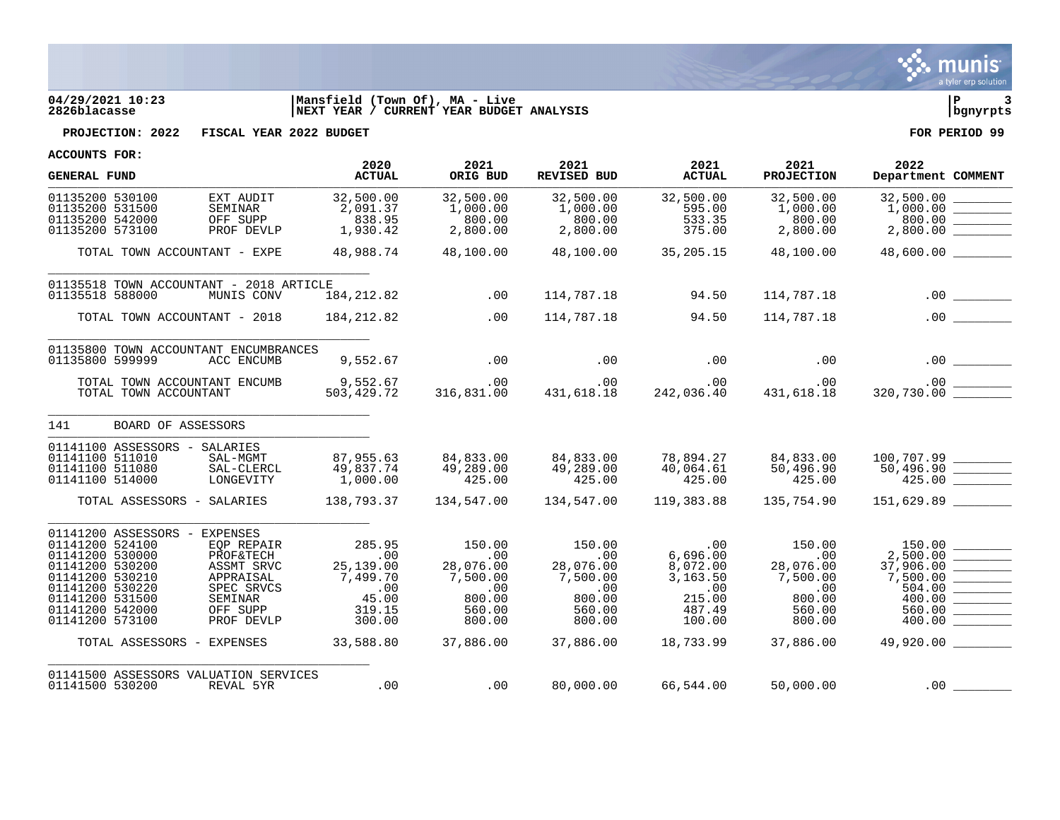

## **04/29/2021 10:23 |Mansfield (Town Of), MA - Live |P 3 2826blacasse |NEXT YEAR / CURRENT YEAR BUDGET ANALYSIS |bgnyrpts**



**PROJECTION: 2022 FISCAL YEAR 2022 BUDGET FOR PERIOD 99**

| <b>GENERAL FUND</b>                                                                                                                                                                                                                                                                                                                               | 2020<br><b>ACTUAL</b>                                                                                            | 2021<br>ORIG BUD                                                                                                  | 2021<br>REVISED BUD                                                                      | 2021<br><b>ACTUAL</b>                                                                     | 2021<br><b>PROJECTION</b>                                                                | 2022<br>Department COMMENT                                                                                                                                                                                                                                                                                                                                                                                                                                                           |
|---------------------------------------------------------------------------------------------------------------------------------------------------------------------------------------------------------------------------------------------------------------------------------------------------------------------------------------------------|------------------------------------------------------------------------------------------------------------------|-------------------------------------------------------------------------------------------------------------------|------------------------------------------------------------------------------------------|-------------------------------------------------------------------------------------------|------------------------------------------------------------------------------------------|--------------------------------------------------------------------------------------------------------------------------------------------------------------------------------------------------------------------------------------------------------------------------------------------------------------------------------------------------------------------------------------------------------------------------------------------------------------------------------------|
| 01135200 530100<br>EXT AUDIT<br>01135200 531500<br>SEMINAR<br>01135200 542000<br>OFF SUPP<br>01135200 573100<br>PROF DEVLP                                                                                                                                                                                                                        | 32,500.00<br>2,091.37<br>838.95<br>1,930.42                                                                      | 32,500.00<br>1,000.00<br>800.00<br>2,800.00                                                                       | 32,500.00<br>1,000.00<br>800.00<br>2,800.00                                              | 32,500.00<br>595.00<br>533.35<br>375.00                                                   | 32,500.00<br>1,000.00<br>800.00<br>2,800.00                                              | $\begin{array}{c} 32,500.00 \\ 1,000.00 \end{array} \begin{array}{c} \begin{array}{c} \begin{array}{c} \begin{array}{c} \begin{array}{c} \end{array} \end{array} \\ \begin{array}{c} \end{array} \end{array} \\ \begin{array}{c} \end{array} \end{array} \end{array}$<br>800.00                                                                                                                                                                                                      |
| TOTAL TOWN ACCOUNTANT - EXPE                                                                                                                                                                                                                                                                                                                      | 48,988.74                                                                                                        | 48,100.00                                                                                                         | 48,100.00                                                                                | 35,205.15                                                                                 | 48,100.00                                                                                | 48,600.00                                                                                                                                                                                                                                                                                                                                                                                                                                                                            |
| 01135518 TOWN ACCOUNTANT - 2018 ARTICLE<br>01135518 588000<br>MUNIS CONV                                                                                                                                                                                                                                                                          | 184, 212.82                                                                                                      | .00                                                                                                               | 114,787.18                                                                               | 94.50                                                                                     | 114,787.18                                                                               |                                                                                                                                                                                                                                                                                                                                                                                                                                                                                      |
| TOTAL TOWN ACCOUNTANT - 2018                                                                                                                                                                                                                                                                                                                      | 184,212.82                                                                                                       | .00                                                                                                               | 114,787.18                                                                               | 94.50                                                                                     | 114,787.18                                                                               | .00                                                                                                                                                                                                                                                                                                                                                                                                                                                                                  |
| 01135800 TOWN ACCOUNTANT ENCUMBRANCES<br>01135800 599999<br>ACC ENCUMB                                                                                                                                                                                                                                                                            | 9,552.67                                                                                                         | .00                                                                                                               | .00                                                                                      | .00                                                                                       | .00                                                                                      |                                                                                                                                                                                                                                                                                                                                                                                                                                                                                      |
| TOTAL TOWN ACCOUNTANT ENCUMB<br>TOTAL TOWN ACCOUNTANT                                                                                                                                                                                                                                                                                             | 9,552.67<br>503,429.72                                                                                           | .00<br>316,831.00                                                                                                 | .00<br>431,618.18                                                                        | .00<br>$\frac{1}{2}$ , $\frac{1}{2}$<br>242,036.40                                        | .00<br>431,618.18                                                                        |                                                                                                                                                                                                                                                                                                                                                                                                                                                                                      |
| 141<br>BOARD OF ASSESSORS                                                                                                                                                                                                                                                                                                                         |                                                                                                                  |                                                                                                                   |                                                                                          |                                                                                           |                                                                                          |                                                                                                                                                                                                                                                                                                                                                                                                                                                                                      |
| 01141100 ASSESSORS - SALARIES<br>01141100 511010<br>SAL-MGMT<br>01141100 511080<br>SAL-CLERCL<br>01141100 514000<br>LONGEVITY                                                                                                                                                                                                                     | 87,955.63<br>49,837.74<br>1,000.00                                                                               | 84,833.00<br>49,289.00<br>425.00                                                                                  | 84,833.00<br>49,289.00<br>425.00                                                         | 78,894.27<br>40,064.61<br>425.00                                                          | 84,833.00<br>50,496.90<br>425.00                                                         | $100, 707.99$ ________<br>50,496.90 ________<br>425.00                                                                                                                                                                                                                                                                                                                                                                                                                               |
| TOTAL ASSESSORS - SALARIES                                                                                                                                                                                                                                                                                                                        | 138,793.37                                                                                                       | 134,547.00                                                                                                        | 134,547.00                                                                               | 119,383.88                                                                                | 135,754.90                                                                               | 151,629.89                                                                                                                                                                                                                                                                                                                                                                                                                                                                           |
| 01141200 ASSESSORS -<br><b>EXPENSES</b><br>01141200 524100<br>EOP REPAIR<br>01141200 530000<br><b>PROF&amp;TECH</b><br>01141200 530200<br>ASSMT SRVC<br>01141200 530210<br>APPRAISAL<br>01141200 530220<br>SPEC SRVCS<br>01141200 531500<br>SEMINAR<br>01141200 542000<br>OFF SUPP<br>01141200 573100<br>PROF DEVLP<br>TOTAL ASSESSORS - EXPENSES | 285.95<br>.00<br>25,139.00<br>7,499.70<br>$\overline{\phantom{0}}$ .00<br>45.00<br>319.15<br>300.00<br>33,588.80 | 150.00<br>.00<br>28,076.00<br>7,500.00<br>$\overline{\phantom{0}}$ .00<br>800.00<br>560.00<br>800.00<br>37,886.00 | 150.00<br>.00<br>28,076.00<br>7,500.00<br>.00<br>800.00<br>560.00<br>800.00<br>37,886.00 | .00<br>6,696.00<br>8,072.00<br>3,163.50<br>.00<br>215.00<br>487.49<br>100.00<br>18,733.99 | 150.00<br>.00<br>28,076.00<br>7,500.00<br>.00<br>800.00<br>560.00<br>800.00<br>37,886.00 | 150.00<br>37,906.00<br>7,500.00<br>504.00<br>$\frac{1}{2} \left( \frac{1}{2} \frac{1}{2} \frac{1}{2} \frac{1}{2} \frac{1}{2} \frac{1}{2} \frac{1}{2} \frac{1}{2} \frac{1}{2} \frac{1}{2} \frac{1}{2} \frac{1}{2} \frac{1}{2} \frac{1}{2} \frac{1}{2} \frac{1}{2} \frac{1}{2} \frac{1}{2} \frac{1}{2} \frac{1}{2} \frac{1}{2} \frac{1}{2} \frac{1}{2} \frac{1}{2} \frac{1}{2} \frac{1}{2} \frac{1}{2} \frac{1}{2} \frac{1}{2} \frac{1}{2}$<br>400.00<br>560.00<br>400.00<br>49,920.00 |
| 01141500 ASSESSORS VALUATION SERVICES<br>01141500 530200<br>REVAL 5YR                                                                                                                                                                                                                                                                             | .00                                                                                                              | .00                                                                                                               | 80,000.00                                                                                | 66,544.00                                                                                 | 50,000.00                                                                                | .00                                                                                                                                                                                                                                                                                                                                                                                                                                                                                  |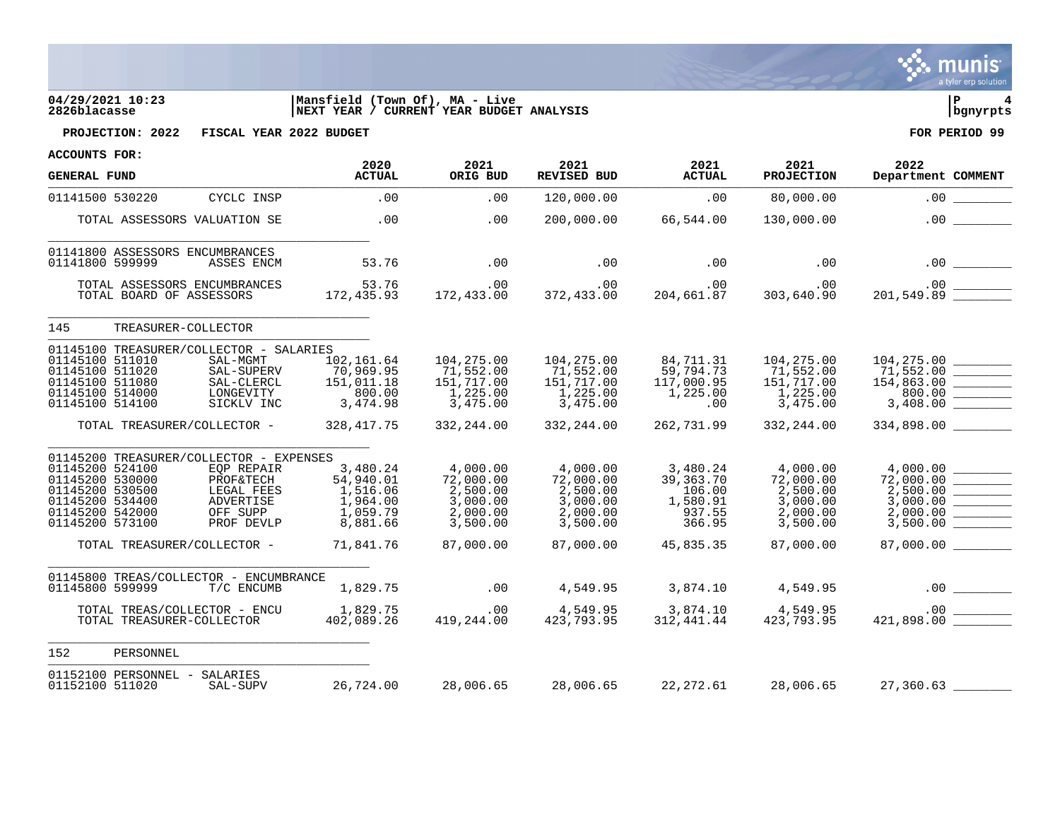

# **04/29/2021 10:23 |Mansfield (Town Of), MA - Live |P 4 2826blacasse |NEXT YEAR / CURRENT YEAR BUDGET ANALYSIS |bgnyrpts**



**PROJECTION: 2022 FISCAL YEAR 2022 BUDGET FOR PERIOD 99**

| <b>GENERAL FUND</b>                                                                                            |                          |                                                                                                                                                        | 2020<br><b>ACTUAL</b>                                                              | 2021<br>ORIG BUD                                                                   | 2021<br><b>REVISED BUD</b>                                                         | 2021<br><b>ACTUAL</b>                                                        | 2021<br><b>PROJECTION</b>                                                          | 2022<br>Department COMMENT                                                                                                                                                                                                                                                                                                                                                                                                                                                                                                                                                                   |
|----------------------------------------------------------------------------------------------------------------|--------------------------|--------------------------------------------------------------------------------------------------------------------------------------------------------|------------------------------------------------------------------------------------|------------------------------------------------------------------------------------|------------------------------------------------------------------------------------|------------------------------------------------------------------------------|------------------------------------------------------------------------------------|----------------------------------------------------------------------------------------------------------------------------------------------------------------------------------------------------------------------------------------------------------------------------------------------------------------------------------------------------------------------------------------------------------------------------------------------------------------------------------------------------------------------------------------------------------------------------------------------|
| 01141500 530220                                                                                                |                          | CYCLC INSP                                                                                                                                             | .00                                                                                | .00                                                                                | 120,000.00                                                                         | .00                                                                          | 80,000.00                                                                          | .00                                                                                                                                                                                                                                                                                                                                                                                                                                                                                                                                                                                          |
|                                                                                                                |                          | TOTAL ASSESSORS VALUATION SE                                                                                                                           | .00                                                                                | .00                                                                                | 200,000.00                                                                         | 66,544.00                                                                    | 130,000.00                                                                         | .00                                                                                                                                                                                                                                                                                                                                                                                                                                                                                                                                                                                          |
| 01141800 599999                                                                                                |                          | 01141800 ASSESSORS ENCUMBRANCES<br>ASSES ENCM                                                                                                          | 53.76                                                                              | .00                                                                                | .00                                                                                | .00                                                                          | .00                                                                                |                                                                                                                                                                                                                                                                                                                                                                                                                                                                                                                                                                                              |
|                                                                                                                | TOTAL BOARD OF ASSESSORS | TOTAL ASSESSORS ENCUMBRANCES                                                                                                                           | 53.76<br>172,435.93                                                                | .00<br>172,433.00                                                                  | .00<br>372,433.00                                                                  | .00<br>204,661.87                                                            | .00<br>303,640.90                                                                  |                                                                                                                                                                                                                                                                                                                                                                                                                                                                                                                                                                                              |
| 145                                                                                                            |                          | TREASURER-COLLECTOR                                                                                                                                    |                                                                                    |                                                                                    |                                                                                    |                                                                              |                                                                                    |                                                                                                                                                                                                                                                                                                                                                                                                                                                                                                                                                                                              |
| 01145100 511010<br>01145100 511020<br>01145100 511080<br>01145100 514000<br>01145100 514100                    |                          | 01145100 TREASURER/COLLECTOR - SALARIES<br>SAL-MGMT<br>SAL-SUPERV<br>SAL-CLERCL<br>LONGEVITY<br>SICKLV INC                                             | 102,161.64<br>70,969.95<br>151,011.18<br>800.00<br>3, 474.98                       | 104,275.00<br>71,552.00<br>151,717.00<br>1,225.00<br>3,475.00                      | 104,275.00<br>71,552.00<br>151,717.00<br>1,225.00<br>3,475.00                      | 84,711.31<br>59,794.73<br>117,000.95<br>1,225.00<br>$.00 \,$                 | 104,275.00<br>71,552.00<br>151,717.00<br>1,225.00<br>3,475.00                      | 104,275.00<br>71,552.00<br>154,863.00<br>800.00<br>$\begin{tabular}{ll} \multicolumn{3}{c} {\textbf{1}} & \multicolumn{3}{c} {\textbf{1}} & \multicolumn{3}{c} {\textbf{1}} \\ \multicolumn{3}{c} {\textbf{2}} & \multicolumn{3}{c} {\textbf{3}} & \multicolumn{3}{c} {\textbf{4}} \\ \multicolumn{3}{c} {\textbf{4}} & \multicolumn{3}{c} {\textbf{5}} & \multicolumn{3}{c} {\textbf{6}} \\ \multicolumn{3}{c} {\textbf{5}} & \multicolumn{3}{c} {\textbf{6}} & \multicolumn{3}{c} {\textbf{6}} \\ \multicolumn{3}{c} {\textbf{6}} & \multicolumn$<br>$3,408.00$ $\overline{\phantom{277}}$ |
|                                                                                                                |                          | TOTAL TREASURER/COLLECTOR -                                                                                                                            | 328, 417.75                                                                        | 332,244.00                                                                         | 332,244.00                                                                         | 262,731.99                                                                   | 332,244.00                                                                         | 334,898.00                                                                                                                                                                                                                                                                                                                                                                                                                                                                                                                                                                                   |
| 01145200 524100<br>01145200 530000<br>01145200 530500<br>01145200 534400<br>01145200 542000<br>01145200 573100 |                          | 01145200 TREASURER/COLLECTOR - EXPENSES<br>EOP REPAIR<br>PROF&TECH<br>LEGAL FEES<br>ADVERTISE<br>OFF SUPP<br>PROF DEVLP<br>TOTAL TREASURER/COLLECTOR - | 3,480.24<br>54,940.01<br>1,516.06<br>1,964.00<br>1,059.79<br>8,881.66<br>71,841.76 | 4,000.00<br>72,000.00<br>2,500.00<br>3,000.00<br>2,000.00<br>3,500.00<br>87,000.00 | 4,000.00<br>72,000.00<br>2,500.00<br>3,000.00<br>2,000.00<br>3,500.00<br>87,000.00 | 3,480.24<br>39,363.70<br>106.00<br>1,580.91<br>937.55<br>366.95<br>45,835.35 | 4,000.00<br>72,000.00<br>2,500.00<br>3,000.00<br>2,000.00<br>3,500.00<br>87,000.00 | 4,000.00<br>72,000.00<br>2,500.00<br>3,000.00<br>2,000.00<br>3,500.00<br>87,000.00                                                                                                                                                                                                                                                                                                                                                                                                                                                                                                           |
| 01145800 599999                                                                                                |                          | 01145800 TREAS/COLLECTOR - ENCUMBRANCE<br>T/C ENCUMB                                                                                                   | 1,829.75                                                                           | .00                                                                                | 4,549.95                                                                           | 3,874.10                                                                     | 4,549.95                                                                           |                                                                                                                                                                                                                                                                                                                                                                                                                                                                                                                                                                                              |
|                                                                                                                |                          | TOTAL TREAS/COLLECTOR - ENCU<br>TOTAL TREASURER-COLLECTOR                                                                                              | 1,829.75<br>402,089.26                                                             | .00<br>419,244.00                                                                  | 4,549.95<br>423,793.95                                                             | 3,874.10<br>312,441.44                                                       | 4,549.95<br>423,793.95                                                             |                                                                                                                                                                                                                                                                                                                                                                                                                                                                                                                                                                                              |
| 152                                                                                                            | PERSONNEL                |                                                                                                                                                        |                                                                                    |                                                                                    |                                                                                    |                                                                              |                                                                                    |                                                                                                                                                                                                                                                                                                                                                                                                                                                                                                                                                                                              |
| 01152100 511020                                                                                                |                          | 01152100 PERSONNEL - SALARIES<br>SAL-SUPV                                                                                                              | 26,724.00                                                                          | 28,006.65                                                                          | 28,006.65                                                                          | 22,272.61                                                                    | 28,006.65                                                                          | 27,360.63                                                                                                                                                                                                                                                                                                                                                                                                                                                                                                                                                                                    |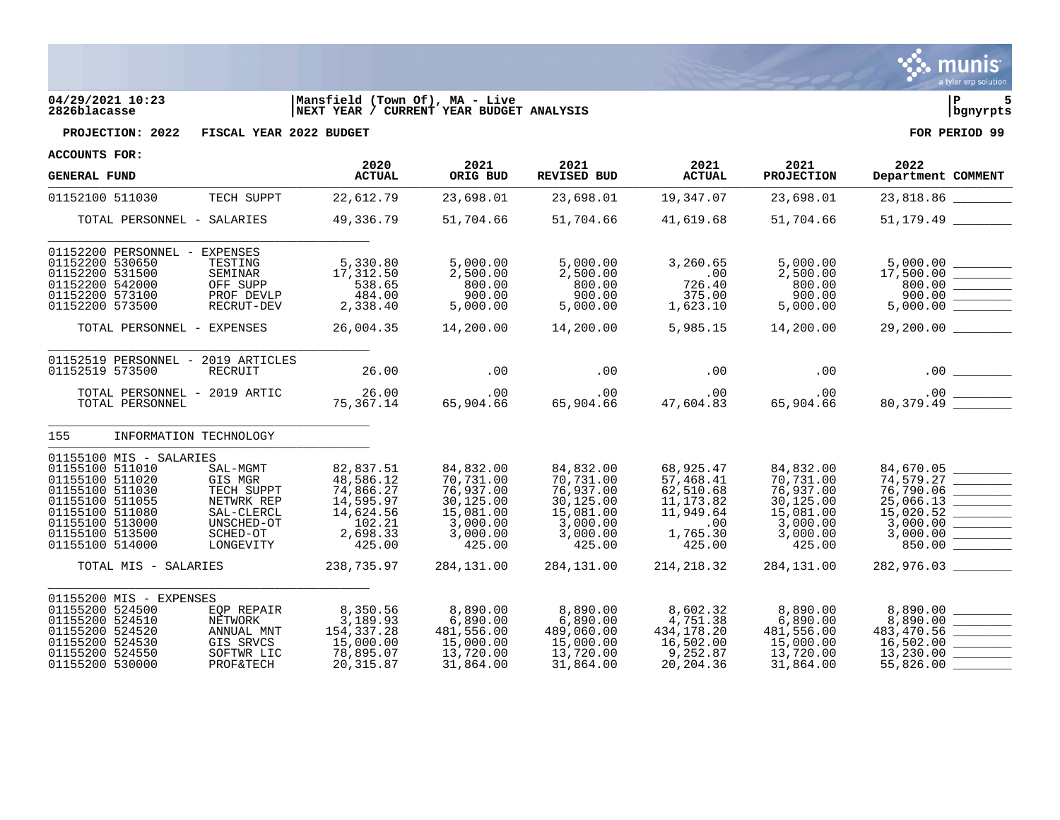

## **04/29/2021 10:23 |Mansfield (Town Of), MA - Live |P 5 2826blacasse |NEXT YEAR / CURRENT YEAR BUDGET ANALYSIS |bgnyrpts**



**PROJECTION: 2022 FISCAL YEAR 2022 BUDGET FOR PERIOD 99**

| <b>GENERAL FUND</b>                                                                                                                                                             |                                                                                                      | 2020<br><b>ACTUAL</b>                                                                         | 2021<br>ORIG BUD                                                                                | 2021<br>REVISED BUD                                                                             | 2021<br><b>ACTUAL</b>                                                                       | 2021<br><b>PROJECTION</b>                                                                       | 2022<br>Department COMMENT                                                                      |
|---------------------------------------------------------------------------------------------------------------------------------------------------------------------------------|------------------------------------------------------------------------------------------------------|-----------------------------------------------------------------------------------------------|-------------------------------------------------------------------------------------------------|-------------------------------------------------------------------------------------------------|---------------------------------------------------------------------------------------------|-------------------------------------------------------------------------------------------------|-------------------------------------------------------------------------------------------------|
| 01152100 511030                                                                                                                                                                 | TECH SUPPT                                                                                           | 22,612.79                                                                                     | 23,698.01                                                                                       | 23,698.01                                                                                       | 19,347.07                                                                                   | 23,698.01                                                                                       | 23,818.86                                                                                       |
| TOTAL PERSONNEL - SALARIES                                                                                                                                                      |                                                                                                      | 49,336.79                                                                                     | 51,704.66                                                                                       | 51,704.66                                                                                       | 41,619.68                                                                                   | 51,704.66                                                                                       | 51,179.49                                                                                       |
| 01152200 PERSONNEL -<br>01152200 530650<br>01152200 531500<br>01152200 542000<br>01152200 573100<br>01152200 573500                                                             | EXPENSES<br>TESTING<br>SEMINAR<br>OFF SUPP<br>PROF DEVLP<br>RECRUT-DEV                               | 5,330.80<br>17,312.50<br>538.65<br>484.00<br>2,338.40                                         | 5,000.00<br>2,500.00<br>800.00<br>900.00<br>5,000.00                                            | 5,000.00<br>2,500.00<br>800.00<br>900.00<br>5,000.00                                            | 3,260.65<br>.00<br>726.40<br>375.00<br>1,623.10                                             | 5,000.00<br>2,500.00<br>800.00<br>900.00<br>5,000.00                                            | 5,000.00<br>$\frac{5,000.00}{17,500.00}$ __________<br>800.00<br>900.00<br>5,000.00             |
| TOTAL PERSONNEL - EXPENSES                                                                                                                                                      |                                                                                                      | 26,004.35                                                                                     | 14,200.00                                                                                       | 14,200.00                                                                                       | 5,985.15                                                                                    | 14,200.00                                                                                       | 29,200.00                                                                                       |
| 01152519 PERSONNEL - 2019 ARTICLES<br>01152519 573500<br>TOTAL PERSONNEL - 2019 ARTIC<br>TOTAL PERSONNEL                                                                        | RECRUIT                                                                                              | 26.00<br>26.00<br>75,367.14                                                                   | .00<br>.00<br>65,904.66                                                                         | .00<br>.00<br>65,904.66                                                                         | .00<br>.00<br>47,604.83                                                                     | .00<br>.00<br>65,904.66                                                                         | .00                                                                                             |
| 155                                                                                                                                                                             | INFORMATION TECHNOLOGY                                                                               |                                                                                               |                                                                                                 |                                                                                                 |                                                                                             |                                                                                                 |                                                                                                 |
| 01155100 MIS - SALARIES<br>01155100 511010<br>01155100 511020<br>01155100 511030<br>01155100 511055<br>01155100 511080<br>01155100 513000<br>01155100 513500<br>01155100 514000 | SAL-MGMT<br>GIS MGR<br>TECH SUPPT<br>NETWRK REP<br>SAL-CLERCL<br>UNSCHED-OT<br>SCHED-OT<br>LONGEVITY | 82,837.51<br>48,586.12<br>74,866.27<br>14,595.97<br>14,624.56<br>102.21<br>2,698.33<br>425.00 | 84,832.00<br>70,731.00<br>76,937.00<br>30,125.00<br>15,081.00<br>3,000.00<br>3,000.00<br>425.00 | 84,832.00<br>70,731.00<br>76,937.00<br>30,125.00<br>15,081.00<br>3,000.00<br>3,000.00<br>425.00 | 68,925.47<br>57,468.41<br>62,510.68<br>11, 173.82<br>11,949.64<br>.00<br>1,765.30<br>425.00 | 84,832.00<br>70,731.00<br>76,937.00<br>30,125.00<br>15,081.00<br>3,000.00<br>3,000.00<br>425.00 | 84,670.05<br>74,579.27<br>76,790.06<br>25,066.13<br>15,020.52<br>3,000.00<br>3,000.00<br>850.00 |
| TOTAL MIS - SALARIES                                                                                                                                                            |                                                                                                      | 238,735.97                                                                                    | 284,131.00                                                                                      | 284, 131.00                                                                                     | 214, 218.32                                                                                 | 284,131.00                                                                                      | 282,976.03                                                                                      |
| 01155200 MIS - EXPENSES<br>01155200 524500<br>01155200 524510<br>01155200 524520<br>01155200 524530<br>01155200 524550<br>01155200 530000                                       | EOP REPAIR<br>NETWORK<br>ANNUAL MNT<br>GIS SRVCS<br>SOFTWR LIC<br><b>PROF&amp;TECH</b>               | 8,350.56<br>3,189.93<br>154, 337. 28<br>15,000.00<br>78,895.07<br>20, 315.87                  | 8,890.00<br>6,890.00<br>481,556.00<br>15,000.00<br>13,720.00<br>31,864.00                       | 8,890.00<br>6,890.00<br>489,060.00<br>15,000.00<br>13,720.00<br>31,864.00                       | 8,602.32<br>4,751.38<br>434,178.20<br>16,502.00<br>9,252.87<br>20,204.36                    | 8,890.00<br>6,890.00<br>481,556.00<br>15,000.00<br>13,720.00<br>31,864.00                       | 8,890.00<br>8,890.00<br>483,470.56<br>16,502.00<br>13,230.00<br>55,826.00                       |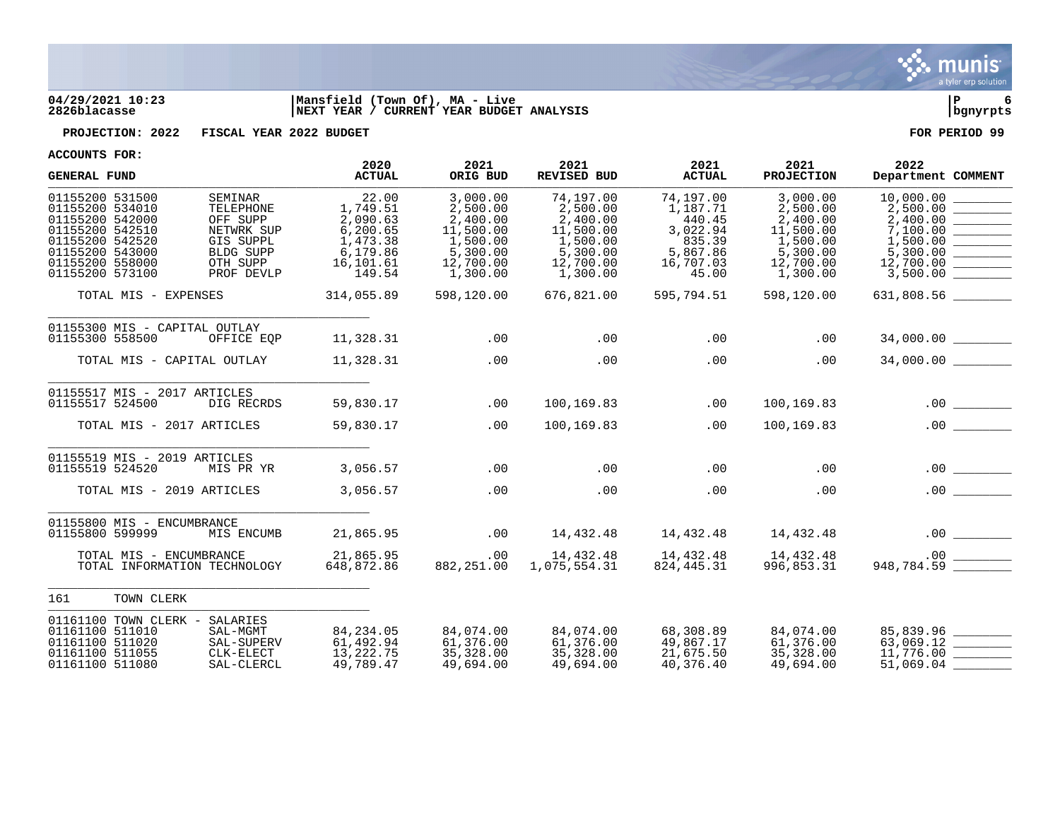

## **04/29/2021 10:23 |Mansfield (Town Of), MA - Live |P 6 2826blacasse |NEXT YEAR / CURRENT YEAR BUDGET ANALYSIS |bgnyrpts**

**PROJECTION: 2022 FISCAL YEAR 2022 BUDGET FOR PERIOD 99**

| ACCOUNTS LOK:                                                                                                                                        |                                                                                                    | 2020                                                                                     | 2021                                                                                           | 2021                                                                                            | 2021                                                                                    | 2021                                                                                           | 2022                                                                                                                                                                                                                                                                                                                                                        |
|------------------------------------------------------------------------------------------------------------------------------------------------------|----------------------------------------------------------------------------------------------------|------------------------------------------------------------------------------------------|------------------------------------------------------------------------------------------------|-------------------------------------------------------------------------------------------------|-----------------------------------------------------------------------------------------|------------------------------------------------------------------------------------------------|-------------------------------------------------------------------------------------------------------------------------------------------------------------------------------------------------------------------------------------------------------------------------------------------------------------------------------------------------------------|
| <b>GENERAL FUND</b>                                                                                                                                  |                                                                                                    | <b>ACTUAL</b>                                                                            | ORIG BUD                                                                                       | REVISED BUD                                                                                     | <b>ACTUAL</b>                                                                           | <b>PROJECTION</b>                                                                              | Department COMMENT                                                                                                                                                                                                                                                                                                                                          |
| 01155200 531500<br>01155200 534010<br>01155200 542000<br>01155200 542510<br>01155200 542520<br>01155200 543000<br>01155200 558000<br>01155200 573100 | SEMINAR<br>TELEPHONE<br>OFF SUPP<br>NETWRK SUP<br>GIS SUPPL<br>BLDG SUPP<br>OTH SUPP<br>PROF DEVLP | 22.00<br>1,749.51<br>2,090.63<br>6,200.65<br>1,473.38<br>6,179.86<br>16,101.61<br>149.54 | 3,000.00<br>2,500.00<br>2,400.00<br>11,500.00<br>1,500.00<br>5,300.00<br>12,700.00<br>1,300.00 | 74,197.00<br>2,500.00<br>2,400.00<br>11,500.00<br>1,500.00<br>5,300.00<br>12,700.00<br>1,300.00 | 74,197.00<br>1,187.71<br>440.45<br>3,022.94<br>835.39<br>5,867.86<br>16,707.03<br>45.00 | 3,000.00<br>2,500.00<br>2,400.00<br>11,500.00<br>1,500.00<br>5,300.00<br>12,700.00<br>1,300.00 | 10,000.00<br>2,500.00<br>2,400.00<br>$\begin{tabular}{ c c c c } \hline \quad \quad & \quad \quad & \quad \quad \\ \hline \quad \quad & \quad \quad & \quad \quad \\ \hline \quad \quad & \quad \quad & \quad \quad \\ \hline \quad \quad & \quad \quad & \quad \quad \\ \hline \end{tabular}$<br>7,100.00<br>1,500.00<br>5,300.00<br>12,700.00<br>3,500.00 |
| TOTAL MIS - EXPENSES                                                                                                                                 |                                                                                                    | 314,055.89                                                                               | 598,120.00                                                                                     | 676,821.00                                                                                      | 595,794.51                                                                              | 598,120.00                                                                                     | 631,808.56 ________                                                                                                                                                                                                                                                                                                                                         |
| 01155300 MIS - CAPITAL OUTLAY<br>01155300 558500                                                                                                     | OFFICE EOP                                                                                         | 11,328.31                                                                                | .00                                                                                            | .00                                                                                             | .00                                                                                     | .00                                                                                            |                                                                                                                                                                                                                                                                                                                                                             |
| TOTAL MIS - CAPITAL OUTLAY                                                                                                                           |                                                                                                    | 11,328.31                                                                                | .00                                                                                            | .00                                                                                             | .00                                                                                     | .00                                                                                            | 34,000.00                                                                                                                                                                                                                                                                                                                                                   |
| 01155517 MIS - 2017 ARTICLES<br>01155517 524500                                                                                                      | DIG RECRDS                                                                                         | 59,830.17                                                                                | .00                                                                                            | 100,169.83                                                                                      | .00                                                                                     | 100,169.83                                                                                     |                                                                                                                                                                                                                                                                                                                                                             |
| TOTAL MIS - 2017 ARTICLES                                                                                                                            |                                                                                                    | 59,830.17                                                                                | .00                                                                                            | 100,169.83                                                                                      | .00                                                                                     | 100,169.83                                                                                     | .00<br>$\mathcal{L}^{\text{max}}$ and $\mathcal{L}^{\text{max}}$                                                                                                                                                                                                                                                                                            |
| 01155519 MIS - 2019 ARTICLES<br>01155519 524520                                                                                                      | MIS PR YR                                                                                          | 3,056.57                                                                                 | .00                                                                                            | .00                                                                                             | .00                                                                                     | .00                                                                                            | .00<br>$\mathcal{L} = \{1,2,3,4,5\}$ .                                                                                                                                                                                                                                                                                                                      |
| TOTAL MIS - 2019 ARTICLES                                                                                                                            |                                                                                                    | 3,056.57                                                                                 | .00                                                                                            | .00                                                                                             | .00                                                                                     | .00                                                                                            | .00                                                                                                                                                                                                                                                                                                                                                         |
| 01155800 MIS - ENCUMBRANCE<br>01155800 599999                                                                                                        | MIS ENCUMB                                                                                         | 21,865.95                                                                                | .00                                                                                            | 14,432.48                                                                                       | 14,432.48                                                                               | 14,432.48                                                                                      | .00                                                                                                                                                                                                                                                                                                                                                         |
| TOTAL MIS - ENCUMBRANCE<br>TOTAL INFORMATION TECHNOLOGY                                                                                              |                                                                                                    | 21,865.95<br>648,872.86                                                                  | .00<br>882,251.00                                                                              | 14,432.48<br>1,075,554.31                                                                       | 14,432.48<br>824, 445.31                                                                | 14,432.48<br>996,853.31                                                                        |                                                                                                                                                                                                                                                                                                                                                             |
| TOWN CLERK<br>161                                                                                                                                    |                                                                                                    |                                                                                          |                                                                                                |                                                                                                 |                                                                                         |                                                                                                |                                                                                                                                                                                                                                                                                                                                                             |
| 01161100 TOWN CLERK -<br>01161100 511010<br>01161100 511020<br>01161100 511055<br>01161100 511080                                                    | SALARIES<br>SAL-MGMT<br>SAL-SUPERV<br>CLK-ELECT<br>SAL-CLERCL                                      | 84,234.05<br>61,492.94<br>13,222.75<br>49,789.47                                         | 84,074.00<br>61,376.00<br>35,328.00<br>49,694.00                                               | 84,074.00<br>61,376.00<br>35,328.00<br>49,694.00                                                | 68,308.89<br>49,867.17<br>21,675.50<br>40,376.40                                        | 84,074.00<br>61,376.00<br>35,328.00<br>49,694.00                                               | 85,839.96<br>11,776.00<br>51,069.04                                                                                                                                                                                                                                                                                                                         |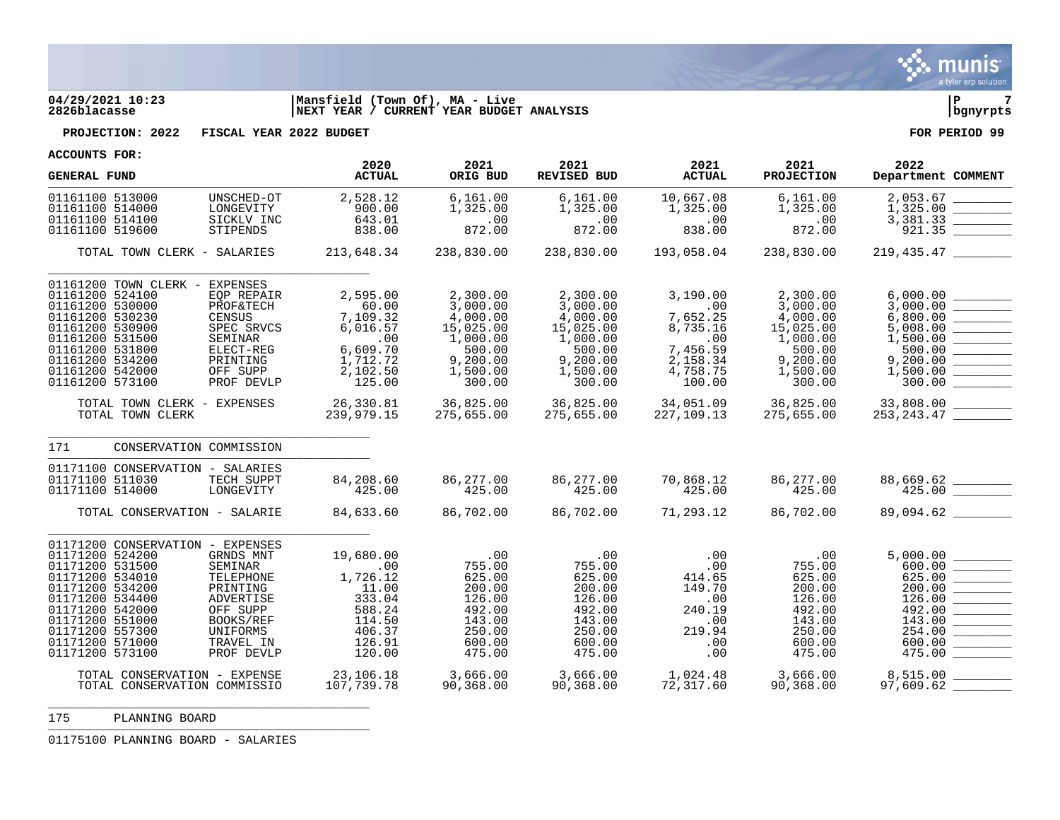

# **04/29/2021 10:23 |Mansfield (Town Of), MA - Live |P 7 2826blacasse |NEXT YEAR / CURRENT YEAR BUDGET ANALYSIS |bgnyrpts**

**PROJECTION: 2022 FISCAL YEAR 2022 BUDGET FOR PERIOD 99**

**ACCOUNTS FOR:**

| <b>GENERAL FUND</b>                                                                                                                                                                                                                                                                                                                                          | 2020<br><b>ACTUAL</b>                                                                             | 2021<br>ORIG BUD                                                                                      | 2021<br>REVISED BUD                                                                                   | 2021<br><b>ACTUAL</b>                                                                        | 2021<br><b>PROJECTION</b>                                                                             | 2022<br>Department COMMENT                                                                           |
|--------------------------------------------------------------------------------------------------------------------------------------------------------------------------------------------------------------------------------------------------------------------------------------------------------------------------------------------------------------|---------------------------------------------------------------------------------------------------|-------------------------------------------------------------------------------------------------------|-------------------------------------------------------------------------------------------------------|----------------------------------------------------------------------------------------------|-------------------------------------------------------------------------------------------------------|------------------------------------------------------------------------------------------------------|
| 01161100 513000<br>UNSCHED-OT<br>01161100 514000<br>LONGEVITY<br>01161100 514100<br>SICKLV INC<br>01161100 519600<br>STIPENDS                                                                                                                                                                                                                                | 2,528.12<br>900.00<br>643.01<br>838.00                                                            | 6, 161.00<br>1,325.00<br>.00<br>872.00                                                                | 6,161.00<br>1,325.00<br>.00<br>872.00                                                                 | 10,667.08<br>1,325.00<br>.00<br>838.00                                                       | 6,161.00<br>1,325.00<br>.00<br>872.00                                                                 | 2,053.67<br>1,325.00<br>3,381.33<br>921.35                                                           |
| TOTAL TOWN CLERK - SALARIES                                                                                                                                                                                                                                                                                                                                  | 213,648.34                                                                                        | 238,830.00                                                                                            | 238,830.00                                                                                            | 193,058.04                                                                                   | 238,830.00                                                                                            |                                                                                                      |
| 01161200 TOWN CLERK -<br>EXPENSES<br>01161200 524100<br>EQP REPAIR<br>01161200 530000<br><b>PROF&amp;TECH</b><br>01161200 530230<br><b>CENSUS</b><br>01161200 530900<br>SPEC SRVCS<br>01161200 531500<br>SEMINAR<br>01161200 531800<br>ELECT-REG<br>01161200 534200<br>PRINTING<br>01161200 542000<br>OFF SUPP<br>01161200 573100<br>PROF DEVLP              | 2,595.00<br>60.00<br>7,109.32<br>6,016.57<br>.00<br>6,609.70<br>1,712.72<br>2,102.50<br>125.00    | 2,300.00<br>3,000.00<br>4,000.00<br>15,025.00<br>1,000.00<br>500.00<br>9,200.00<br>1,500.00<br>300.00 | 2,300.00<br>3,000.00<br>4,000.00<br>15,025.00<br>1,000.00<br>500.00<br>9,200.00<br>1,500.00<br>300.00 | 3,190.00<br>.00<br>7,652.25<br>8,735.16<br>.00<br>7,456.59<br>2,158.34<br>4,758.75<br>100.00 | 2,300.00<br>3,000.00<br>4,000.00<br>15,025.00<br>1,000.00<br>500.00<br>9,200.00<br>1,500.00<br>300.00 | 6,000.00<br>3,000.00<br>6,800.00<br>5,008.00<br>1,500.00<br>500.00<br>9,200.00<br>1,500.00<br>300.00 |
| TOTAL TOWN CLERK - EXPENSES<br>TOTAL TOWN CLERK                                                                                                                                                                                                                                                                                                              | 26,330.81<br>239,979.15                                                                           | 36,825.00<br>275,655.00                                                                               | 36,825.00<br>275,655.00                                                                               | 34,051.09<br>227,109.13<br>227,109.13                                                        | 36,825.00<br>275 Fre                                                                                  | 33,808.00<br>253, 243. 47                                                                            |
| CONSERVATION COMMISSION<br>171                                                                                                                                                                                                                                                                                                                               |                                                                                                   |                                                                                                       |                                                                                                       |                                                                                              |                                                                                                       |                                                                                                      |
| 01171100 CONSERVATION - SALARIES<br>01171100 511030<br>TECH SUPPT<br>01171100 514000<br>LONGEVITY                                                                                                                                                                                                                                                            | 84,208.60<br>425.00                                                                               | 86,277.00<br>425.00                                                                                   | 86,277.00<br>425.00                                                                                   | 70,868.12<br>425.00                                                                          | 86,277.00<br>425.00                                                                                   | $88,669.62$<br>425.00                                                                                |
| TOTAL CONSERVATION - SALARIE                                                                                                                                                                                                                                                                                                                                 | 84,633.60                                                                                         | 86,702.00                                                                                             | 86,702.00                                                                                             | 71,293.12                                                                                    | 86,702.00                                                                                             | 89,094.62                                                                                            |
| 01171200 CONSERVATION - EXPENSES<br>01171200 524200<br>GRNDS MNT<br>01171200 531500<br>SEMINAR<br>01171200 534010<br>TELEPHONE<br>01171200 534200<br>PRINTING<br>01171200 534400<br>ADVERTISE<br>01171200 542000<br>OFF SUPP<br>01171200 551000<br>BOOKS/REF<br>01171200 557300<br>UNIFORMS<br>01171200 571000<br>TRAVEL IN<br>01171200 573100<br>PROF DEVLP | 19,680.00<br>.00<br>1,726.12<br>11.00<br>333.04<br>588.24<br>114.50<br>406.37<br>126.91<br>120.00 | .00<br>755.00<br>625.00<br>200.00<br>126.00<br>492.00<br>143.00<br>250.00<br>600.00<br>475.00         | .00<br>755.00<br>625.00<br>200.00<br>126.00<br>492.00<br>143.00<br>250.00<br>600.00<br>475.00         | .00<br>.00<br>414.65<br>149.70<br>.00<br>240.19<br>.00<br>219.94<br>.00<br>.00               | .00<br>755.00<br>625.00<br>200.00<br>126.00<br>492.00<br>143.00<br>250.00<br>600.00<br>475.00         | 5,000.00<br>600.00<br>625.00<br>200.00<br>126.00<br>492.00<br>143.00<br>254.00<br>600.00<br>475.00   |
| TOTAL CONSERVATION - EXPENSE<br>TOTAL CONSERVATION COMMISSIO                                                                                                                                                                                                                                                                                                 | 23,106.18<br>107 739 79<br>107,739.78                                                             | 3,666.00<br>90,368.00                                                                                 | 3,666.00<br>90.368.00<br>90,368.00                                                                    | 1,024.48<br>72,317.60                                                                        | 3,666.00<br>90,368.00                                                                                 | 8,515.00<br>97,609.62                                                                                |

 PLANNING BOARD \_\_\_\_\_\_\_\_\_\_\_\_\_\_\_\_\_\_\_\_\_\_\_\_\_\_\_\_\_\_\_\_\_\_\_\_\_\_\_\_\_\_\_\_

PLANNING BOARD - SALARIES

\_\_\_\_\_\_\_\_\_\_\_\_\_\_\_\_\_\_\_\_\_\_\_\_\_\_\_\_\_\_\_\_\_\_\_\_\_\_\_\_\_\_\_\_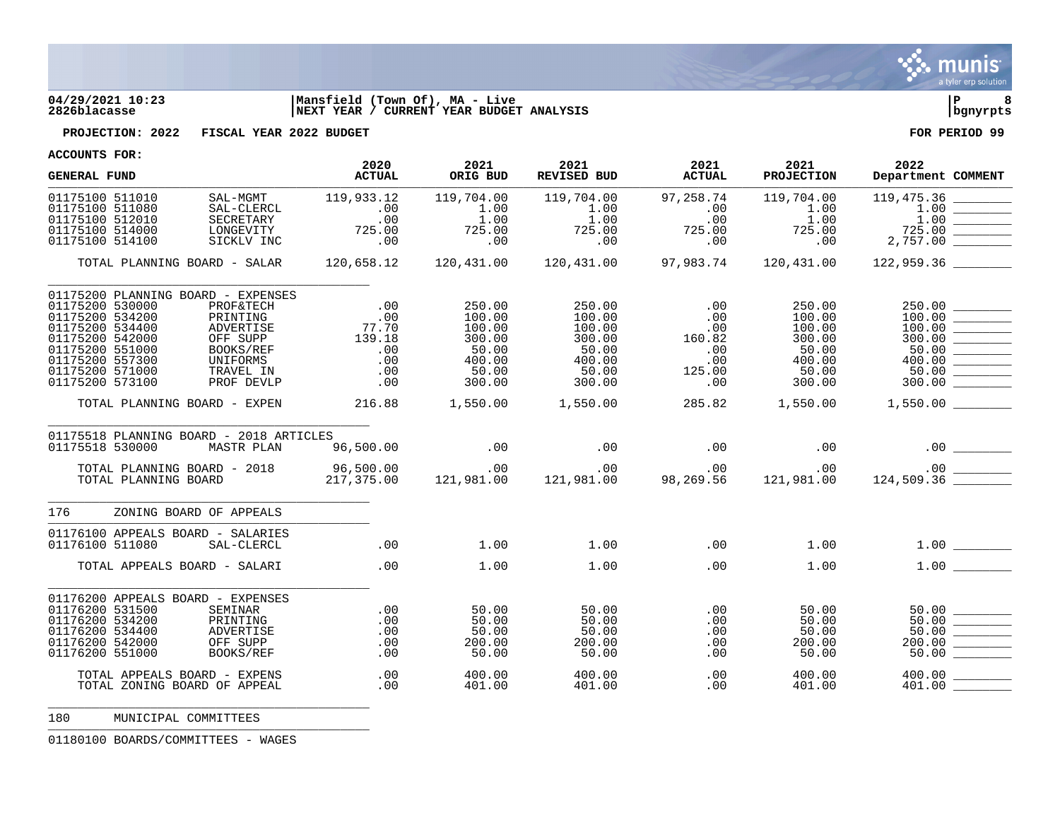

## **04/29/2021 10:23 |Mansfield (Town Of), MA - Live |P 8 2826blacasse |NEXT YEAR / CURRENT YEAR BUDGET ANALYSIS |bgnyrpts**



**PROJECTION: 2022 FISCAL YEAR 2022 BUDGET FOR PERIOD 99**

**ACCOUNTS FOR:**

| . הטכעטות המ<br><b>GENERAL FUND</b>                                                                                                                                                                                                                                                                                                         | 2020<br><b>ACTUAL</b>                                                                  | 2021<br>ORIG BUD                                                           | 2021<br>REVISED BUD                                                        | 2021<br><b>ACTUAL</b>                                      | 2021<br><b>PROJECTION</b>                                                  | 2022<br>Department COMMENT                                                                                                                                                                                                                                                               |
|---------------------------------------------------------------------------------------------------------------------------------------------------------------------------------------------------------------------------------------------------------------------------------------------------------------------------------------------|----------------------------------------------------------------------------------------|----------------------------------------------------------------------------|----------------------------------------------------------------------------|------------------------------------------------------------|----------------------------------------------------------------------------|------------------------------------------------------------------------------------------------------------------------------------------------------------------------------------------------------------------------------------------------------------------------------------------|
| 01175100 511010<br>SAL-MGMT<br>01175100 511080<br>SAL-CLERCL<br>01175100 512010<br>SECRETARY<br>01175100 514000<br>LONGEVITY<br>01175100 514100<br>SICKLV INC                                                                                                                                                                               | 119,933.12<br>$\begin{array}{c} \cdot & 00 \\ \cdot & 00 \end{array}$<br>725.00<br>.00 | 119,704.00<br>1.00<br>1.00<br>725.00<br>.00                                | 119,704.00<br>1.00<br>1.00<br>725.00                                       | 97,258.74<br>.00<br>.00<br>725.00<br>.00                   | 119,704.00<br>1.00<br>1.00<br>725.00<br>.00                                | 119,475.36<br>1.00<br>1.00<br><u> De Carlos de Carlos de Carlos de Carlos de Carlos de Carlos de Carlos de Carlos de Carlos de Carlos de Carlos de Carlos de Carlos de Carlos de Carlos de Carlos de Carlos de Carlos de Carlos de Carlos de Carlos de Carlos </u><br>725.00<br>2,757.00 |
| TOTAL PLANNING BOARD - SALAR                                                                                                                                                                                                                                                                                                                |                                                                                        |                                                                            |                                                                            |                                                            |                                                                            | $120,431.00$ $97,983.74$ $120,431.00$ $122,959.36$                                                                                                                                                                                                                                       |
| 01175200 PLANNING BOARD - EXPENSES<br>01175200 530000<br><b>PROF&amp;TECH</b><br>01175200 534200<br>PRINTING<br>01175200 534400<br>ADVERTISE<br>01175200 542000<br>OFF SUPP<br>01175200 551000<br>BOOKS/REF<br>01175200 557300<br>UNIFORMS<br>01175200 571000<br>TRAVEL IN<br>01175200 573100<br>PROF DEVLP<br>TOTAL PLANNING BOARD - EXPEN | 77.70<br>139.18<br>.00<br>.00<br>.00<br>.00<br>216.88                                  | 250.00<br>100.00<br>100.00<br>300.00<br>50.00<br>400.00<br>50.00<br>300.00 | 250.00<br>100.00<br>100.00<br>300.00<br>50.00<br>400.00<br>50.00<br>300.00 | .00<br>.00<br>.00<br>160.82<br>.00<br>.00<br>125.00<br>.00 | 250.00<br>100.00<br>100.00<br>300.00<br>50.00<br>400.00<br>50.00<br>300.00 | 250.00<br>100.00<br>$\begin{array}{ c c } \hline 100.00 & \hline \hline 300.00 & \hline \end{array}$<br>$\begin{array}{ c c c } \hline 400.00 & \hline \end{array}$<br>50.00<br>300.00<br>$1,550.00$ $1,550.00$ $285.82$ $1,550.00$ $1,550.00$ $1,550.00$                                |
| 01175518 PLANNING BOARD - 2018 ARTICLES<br>01175518 530000<br>MASTR PLAN                                                                                                                                                                                                                                                                    | 96,500.00                                                                              | .00                                                                        | $\sim$ 00                                                                  | $\sim$ 00                                                  | .00                                                                        | $.00 \,$                                                                                                                                                                                                                                                                                 |
| TOTAL PLANNING BOARD - 2018<br>TOTAL PLANNING BOARD                                                                                                                                                                                                                                                                                         |                                                                                        |                                                                            |                                                                            |                                                            |                                                                            |                                                                                                                                                                                                                                                                                          |
| 176<br>ZONING BOARD OF APPEALS                                                                                                                                                                                                                                                                                                              |                                                                                        |                                                                            |                                                                            |                                                            |                                                                            |                                                                                                                                                                                                                                                                                          |
| 01176100 APPEALS BOARD - SALARIES<br>01176100 511080<br>SAL-CLERCL                                                                                                                                                                                                                                                                          | .00                                                                                    | 1.00                                                                       | 1.00                                                                       | $\sim$ 00                                                  | 1.00                                                                       |                                                                                                                                                                                                                                                                                          |
| TOTAL APPEALS BOARD - SALARI                                                                                                                                                                                                                                                                                                                | .00                                                                                    | 1.00                                                                       | 1.00                                                                       | .00                                                        | 1.00                                                                       | 1.00                                                                                                                                                                                                                                                                                     |
| 01176200 APPEALS BOARD - EXPENSES<br>01176200 531500<br>SEMINAR<br>01176200 534200<br>PRINTING<br>01176200 534400<br>ADVERTISE<br>01176200 542000<br>OFF SUPP<br>01176200 551000<br>BOOKS/REF                                                                                                                                               | .00<br>$.00 \,$<br>$.00 \,$<br>$.00 \,$<br>.00                                         | 50.00<br>50.00<br>50.00<br>200.00<br>50.00                                 | 50.00<br>50.00<br>50.00<br>200.00<br>50.00                                 | .00<br>.00<br>$.00 \,$<br>.00<br>.00                       | 50.00<br>50.00<br>50.00<br>200.00<br>50.00                                 | 50.00<br>50.00<br>200.00<br>50.00                                                                                                                                                                                                                                                        |
| TOTAL APPEALS BOARD - EXPENS<br>TOTAL ZONING BOARD OF APPEAL                                                                                                                                                                                                                                                                                | .00<br>.00                                                                             | 400.00<br>401.00                                                           | 400.00<br>401.00                                                           | .00<br>.00                                                 | 400.00<br>401.00                                                           | 400.00<br><u> 1989 - Jan Jawa Barat, p</u><br>401.00                                                                                                                                                                                                                                     |

180 MUNICIPAL COMMITTEES

01180100 BOARDS/COMMITTEES - WAGES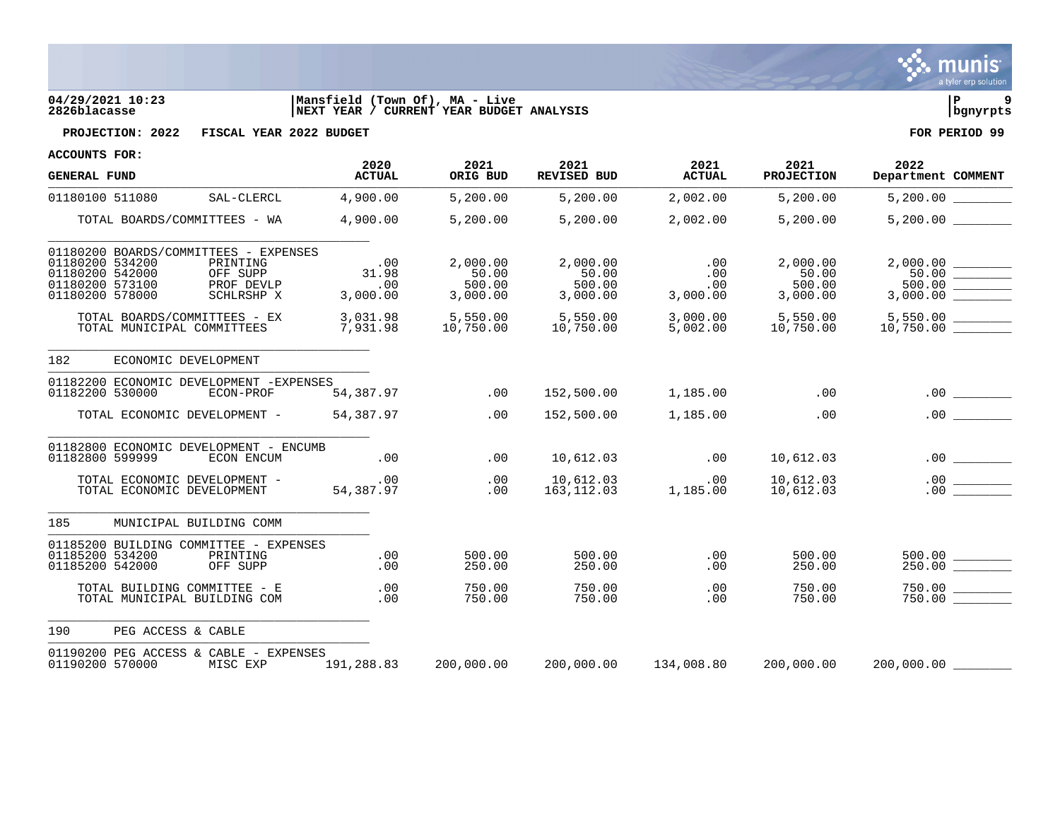

## **04/29/2021 10:23 |Mansfield (Town Of), MA - Live |P 9 2826blacasse |NEXT YEAR / CURRENT YEAR BUDGET ANALYSIS |bgnyrpts**



**PROJECTION: 2022 FISCAL YEAR 2022 BUDGET FOR PERIOD 99**

| <b>GENERAL FUND</b>                                                                                                                                                   | 2020<br><b>ACTUAL</b>           | 2021<br>ORIG BUD                        | 2021<br><b>REVISED BUD</b>              | 2021<br><b>ACTUAL</b>         | 2021<br><b>PROJECTION</b>               | 2022<br>Department COMMENT                  |
|-----------------------------------------------------------------------------------------------------------------------------------------------------------------------|---------------------------------|-----------------------------------------|-----------------------------------------|-------------------------------|-----------------------------------------|---------------------------------------------|
| 01180100 511080<br>SAL-CLERCL                                                                                                                                         | 4,900.00                        | 5,200.00                                | 5,200.00                                | 2,002.00                      | 5,200.00                                | 5,200.00                                    |
| TOTAL BOARDS/COMMITTEES - WA                                                                                                                                          | 4,900.00                        | 5,200.00                                | 5,200.00                                | 2,002.00                      | 5,200.00                                | 5,200.00                                    |
| 01180200 BOARDS/COMMITTEES - EXPENSES<br>01180200 534200<br>PRINTING<br>01180200 542000<br>OFF SUPP<br>01180200 573100<br>PROF DEVLP<br>01180200 578000<br>SCHLRSHP X | .00<br>31.98<br>.00<br>3,000.00 | 2,000.00<br>50.00<br>500.00<br>3,000.00 | 2,000.00<br>50.00<br>500.00<br>3,000.00 | .00<br>.00<br>.00<br>3,000.00 | 2,000.00<br>50.00<br>500.00<br>3,000.00 | 500.00                                      |
| TOTAL BOARDS/COMMITTEES - EX<br>TOTAL MUNICIPAL COMMITTEES                                                                                                            | 3,031.98<br>7,931.98            | 5,550.00<br>10,750.00                   | 5,550.00<br>10,750.00                   | 3,000.00<br>5,002.00          | $5,550.00$<br>10.750.00                 | $5,550.00$ _________<br>10,750.00 _________ |
| 182<br>ECONOMIC DEVELOPMENT                                                                                                                                           |                                 |                                         |                                         |                               |                                         |                                             |
| 01182200 ECONOMIC DEVELOPMENT -EXPENSES<br>01182200 530000<br>ECON-PROF                                                                                               | 54,387.97                       | .00                                     | 152,500.00                              | 1,185.00                      | .00                                     |                                             |
| TOTAL ECONOMIC DEVELOPMENT -                                                                                                                                          | 54,387.97                       | .00                                     | 152,500.00                              | 1,185.00                      | .00                                     | .00                                         |
| 01182800 ECONOMIC DEVELOPMENT - ENCUMB<br>01182800 599999<br>ECON ENCUM                                                                                               | .00                             | .00                                     | 10,612.03                               | .00                           | 10,612.03                               |                                             |
| TOTAL ECONOMIC DEVELOPMENT -<br>TOTAL ECONOMIC DEVELOPMENT                                                                                                            | .00<br>54,387.97                | .00<br>.00                              | 10,612.03<br>163,112.03                 | $\overline{00}$<br>1,185.00   | 10,612.03<br>10,612.03                  | $\frac{1}{1}$<br>.00<br>.00                 |
| 185<br>MUNICIPAL BUILDING COMM                                                                                                                                        |                                 |                                         |                                         |                               |                                         |                                             |
| 01185200 BUILDING COMMITTEE - EXPENSES<br>01185200 534200<br>PRINTING<br>01185200 542000<br>OFF SUPP                                                                  | .00<br>.00                      | 500.00<br>250.00                        | 500.00<br>250.00                        | .00<br>.00                    | 500.00<br>250.00                        | $\frac{500.00}{250.00}$                     |
| TOTAL BUILDING COMMITTEE - E<br>TOTAL MUNICIPAL BUILDING COM                                                                                                          | .00<br>.00                      | 750.00<br>750.00                        | 750.00<br>750.00                        | .00<br>.00                    | 750.00<br>750.00                        |                                             |
| PEG ACCESS & CABLE<br>190                                                                                                                                             |                                 |                                         |                                         |                               |                                         |                                             |
| 01190200 PEG ACCESS & CABLE - EXPENSES<br>01190200 570000<br>MISC EXP                                                                                                 | 191,288.83                      | 200,000.00                              | 200,000.00                              | 134,008.80                    | 200,000.00                              | 200,000.00                                  |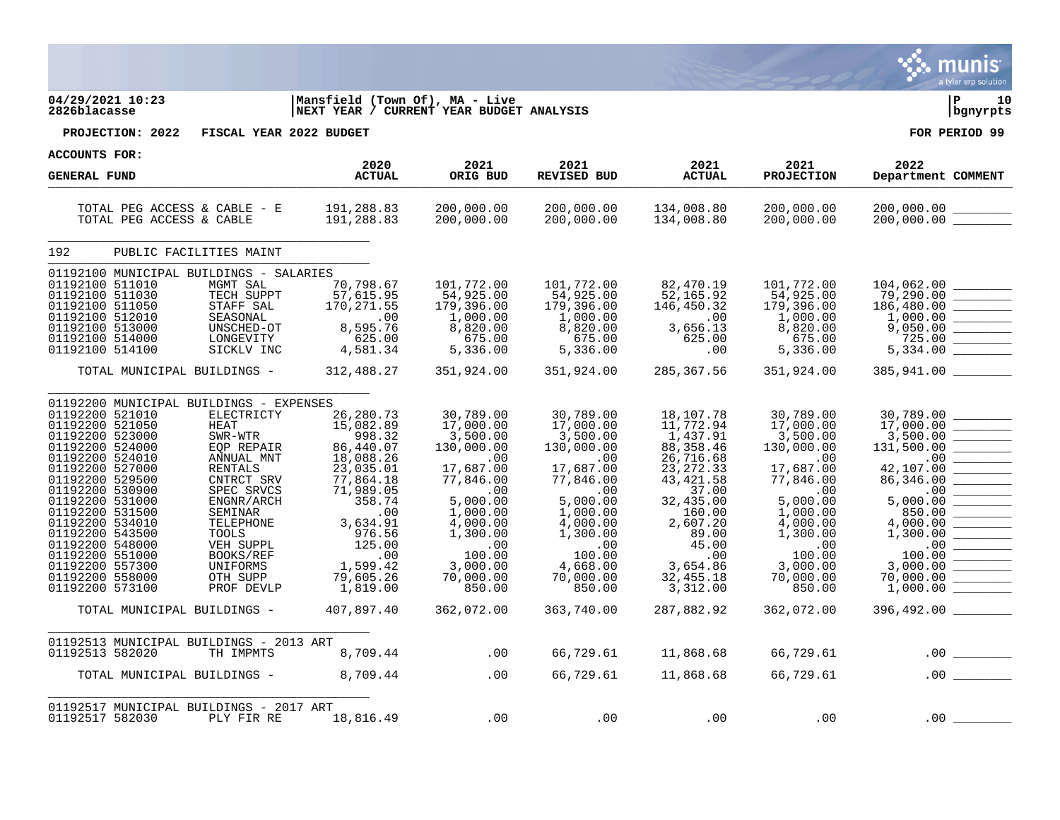|                                                                                                                                                                                                                                                                                                                                                                                                                                                                                                                                                                                                      |                                                                                                                                                                                                            |                                                                                                                                                                                                         |                                                                                                                                                                                                                                                     |                                                                                                                                                                                                           |                                                                                                                                                                                                   | a tyler erp solution                                                                                                                                                                         |
|------------------------------------------------------------------------------------------------------------------------------------------------------------------------------------------------------------------------------------------------------------------------------------------------------------------------------------------------------------------------------------------------------------------------------------------------------------------------------------------------------------------------------------------------------------------------------------------------------|------------------------------------------------------------------------------------------------------------------------------------------------------------------------------------------------------------|---------------------------------------------------------------------------------------------------------------------------------------------------------------------------------------------------------|-----------------------------------------------------------------------------------------------------------------------------------------------------------------------------------------------------------------------------------------------------|-----------------------------------------------------------------------------------------------------------------------------------------------------------------------------------------------------------|---------------------------------------------------------------------------------------------------------------------------------------------------------------------------------------------------|----------------------------------------------------------------------------------------------------------------------------------------------------------------------------------------------|
| 04/29/2021 10:23<br>2826blacasse                                                                                                                                                                                                                                                                                                                                                                                                                                                                                                                                                                     | Mansfield (Town Of), MA - Live<br>NEXT YEAR / CURRENT YEAR BUDGET ANALYSIS                                                                                                                                 |                                                                                                                                                                                                         |                                                                                                                                                                                                                                                     |                                                                                                                                                                                                           |                                                                                                                                                                                                   | l P<br>10<br>  bgnyrpts                                                                                                                                                                      |
| PROJECTION: 2022<br>FISCAL YEAR 2022 BUDGET                                                                                                                                                                                                                                                                                                                                                                                                                                                                                                                                                          |                                                                                                                                                                                                            |                                                                                                                                                                                                         |                                                                                                                                                                                                                                                     |                                                                                                                                                                                                           |                                                                                                                                                                                                   | FOR PERIOD 99                                                                                                                                                                                |
| <b>ACCOUNTS FOR:</b>                                                                                                                                                                                                                                                                                                                                                                                                                                                                                                                                                                                 | 2020                                                                                                                                                                                                       | 2021                                                                                                                                                                                                    | 2021                                                                                                                                                                                                                                                | 2021                                                                                                                                                                                                      | 2021                                                                                                                                                                                              | 2022                                                                                                                                                                                         |
| <b>GENERAL FUND</b>                                                                                                                                                                                                                                                                                                                                                                                                                                                                                                                                                                                  | <b>ACTUAL</b>                                                                                                                                                                                              | ORIG BUD                                                                                                                                                                                                | REVISED BUD                                                                                                                                                                                                                                         | <b>ACTUAL</b>                                                                                                                                                                                             | <b>PROJECTION</b>                                                                                                                                                                                 | Department COMMENT                                                                                                                                                                           |
| TOTAL PEG ACCESS & CABLE - E<br>TOTAL PEG ACCESS & CABLE                                                                                                                                                                                                                                                                                                                                                                                                                                                                                                                                             | 191,288.83<br>191,288.83                                                                                                                                                                                   | 200,000.00<br>200,000.00                                                                                                                                                                                | 200,000.00<br>200,000.00                                                                                                                                                                                                                            | 134,008.80<br>134,008.80                                                                                                                                                                                  | 200,000.00<br>200,000.00                                                                                                                                                                          | 200,000.00                                                                                                                                                                                   |
| 192<br>PUBLIC FACILITIES MAINT                                                                                                                                                                                                                                                                                                                                                                                                                                                                                                                                                                       |                                                                                                                                                                                                            |                                                                                                                                                                                                         |                                                                                                                                                                                                                                                     |                                                                                                                                                                                                           |                                                                                                                                                                                                   |                                                                                                                                                                                              |
| 01192100 MUNICIPAL BUILDINGS - SALARIES<br>01192100 511010<br>MGMT SAL<br>01192100 511030<br>TECH SUPPT<br>STAFF SAL<br>01192100 511050<br>01192100 512010<br>SEASONAL<br>01192100 513000<br>UNSCHED-OT<br>01192100 514000<br>LONGEVITY<br>01192100 514100<br>SICKLV INC                                                                                                                                                                                                                                                                                                                             | 70,798.67<br>57,615.95<br>170,271.55<br>$\overline{00}$<br>8,595.76<br>8,595.76<br>625.00<br>4,581.34                                                                                                      | 101,772.00<br>54,925.00<br>179,396.00<br>1,000.00<br>8,820.00<br>675.00<br>5,336.00<br>5,336.00                                                                                                         | 101,772.00<br>54,925.00<br>179,396.00<br>1,000.00<br>8,820.00<br>5, 275<br>5, 336.00<br>5,336.00                                                                                                                                                    | 82,470.19<br>52,165.92<br>146,450.32<br>$\overline{00}$<br>3,656.13<br>625.00<br>.00                                                                                                                      | 101,772.00<br>54,925.00<br>179,396.00<br>1,000.00<br>8,820.00<br>675.00<br>5,336.00                                                                                                               | 104,062.00<br>79,290.00<br>186,480.00<br>1,000.00<br>9,050.00<br>725.00<br>5,334.00                                                                                                          |
| TOTAL MUNICIPAL BUILDINGS -                                                                                                                                                                                                                                                                                                                                                                                                                                                                                                                                                                          | 312,488.27                                                                                                                                                                                                 | 351,924.00                                                                                                                                                                                              | 351,924.00                                                                                                                                                                                                                                          | 285,367.56                                                                                                                                                                                                | 351,924.00                                                                                                                                                                                        | 385,941.00                                                                                                                                                                                   |
| 01192200 MUNICIPAL BUILDINGS - EXPENSES<br>01192200 521010<br>ELECTRICTY<br>01192200 521050<br><b>HEAT</b><br>01192200 523000<br>SWR-WTR<br>01192200 524000<br>EQP REPAIR<br>01192200 524010<br>ANNUAL MNT<br>01192200 527000<br>RENTALS<br>01192200 529500<br>CNTRCT SRV<br>01192200 530900<br>SPEC SRVCS<br>01192200 531000<br>ENGNR/ARCH<br>01192200 531500<br>SEMINAR<br>01192200 534010<br>TELEPHONE<br>01192200 543500<br>TOOLS<br>01192200 548000<br>VEH SUPPL<br>01192200 551000<br>BOOKS/REF<br>01192200 557300<br>UNIFORMS<br>01192200 558000<br>OTH SUPP<br>01192200 573100<br>PROF DEVLP | 26,280.73<br>15,082.89<br>998.32<br>86,440.07<br>18,088.26<br>23,035.01<br>77,864.18<br>71,989.05<br>358.74<br>.00<br>3,634.91<br>976.56<br>125.00<br>$\overline{00}$<br>1,599.42<br>79,605.26<br>1,819.00 | 30,789.00<br>17,000.00<br>3,500.00<br>130,000.00<br>$\sim 00$<br>17,687.00<br>77,846.00<br>$\ldots$<br>5,000.00<br>1,000.00<br>4,000.00<br>1,300.00<br>.00<br>100.00<br>3,000.00<br>70,000.00<br>850.00 | 30,789.00<br>17,000.00<br>3,500.00<br>130,000.00<br>$\overline{\phantom{0}}$ .00<br>17,687.00<br>77,846.00<br>$\overline{\phantom{0}}$ .00<br>5,000.00<br>1,000.00<br>4,000.00<br>1,300.00<br>$\ldots$<br>100.00<br>4,668.00<br>70,000.00<br>850.00 | 18,107.78<br>11,772.94<br>1,437.91<br>88, 358.46<br>26, 716.68<br>23, 272.33<br>43, 421.58<br>37.00<br>32,435.00<br>160.00<br>2,607.20<br>89.00<br>45.00<br>$\ldots$<br>3,654.86<br>32,455.18<br>3,312.00 | 30,789.00<br>17,000.00<br>3,500.00<br>130,000.00<br>.00<br>17,687.00<br>77,846.00<br>$\ldots$<br>5,000.00<br>1,000.00<br>4,000.00<br>1,300.00<br>.00<br>100.00<br>3,000.00<br>70,000.00<br>850.00 | 30,789.00<br>17,000.00<br>3,500.00<br>131,500.00<br>.00<br>42,107.00<br>86,346.00<br>.00<br>5,000.00<br>850.00<br>4,000.00<br>1,300.00<br>.00<br>100.00<br>3,000.00<br>70,000.00<br>1,000.00 |
| TOTAL MUNICIPAL BUILDINGS -                                                                                                                                                                                                                                                                                                                                                                                                                                                                                                                                                                          | 407,897.40                                                                                                                                                                                                 | 362,072.00                                                                                                                                                                                              | 363,740.00                                                                                                                                                                                                                                          | 287,882.92                                                                                                                                                                                                | 362,072.00                                                                                                                                                                                        | 396,492.00                                                                                                                                                                                   |
| 01192513 MUNICIPAL BUILDINGS - 2013 ART<br>01192513 582020<br>TH IMPMTS                                                                                                                                                                                                                                                                                                                                                                                                                                                                                                                              | 8,709.44                                                                                                                                                                                                   | .00                                                                                                                                                                                                     | 66,729.61                                                                                                                                                                                                                                           | 11,868.68                                                                                                                                                                                                 | 66,729.61                                                                                                                                                                                         | .00                                                                                                                                                                                          |
| TOTAL MUNICIPAL BUILDINGS -                                                                                                                                                                                                                                                                                                                                                                                                                                                                                                                                                                          | 8,709.44                                                                                                                                                                                                   | .00                                                                                                                                                                                                     | 66,729.61                                                                                                                                                                                                                                           | 11,868.68                                                                                                                                                                                                 | 66,729.61                                                                                                                                                                                         | .00                                                                                                                                                                                          |
| 01192517 MUNICIPAL BUILDINGS - 2017 ART<br>01192517 582030<br>PLY FIR RE                                                                                                                                                                                                                                                                                                                                                                                                                                                                                                                             | 18,816.49                                                                                                                                                                                                  | .00                                                                                                                                                                                                     | .00                                                                                                                                                                                                                                                 | .00                                                                                                                                                                                                       | .00                                                                                                                                                                                               | .00                                                                                                                                                                                          |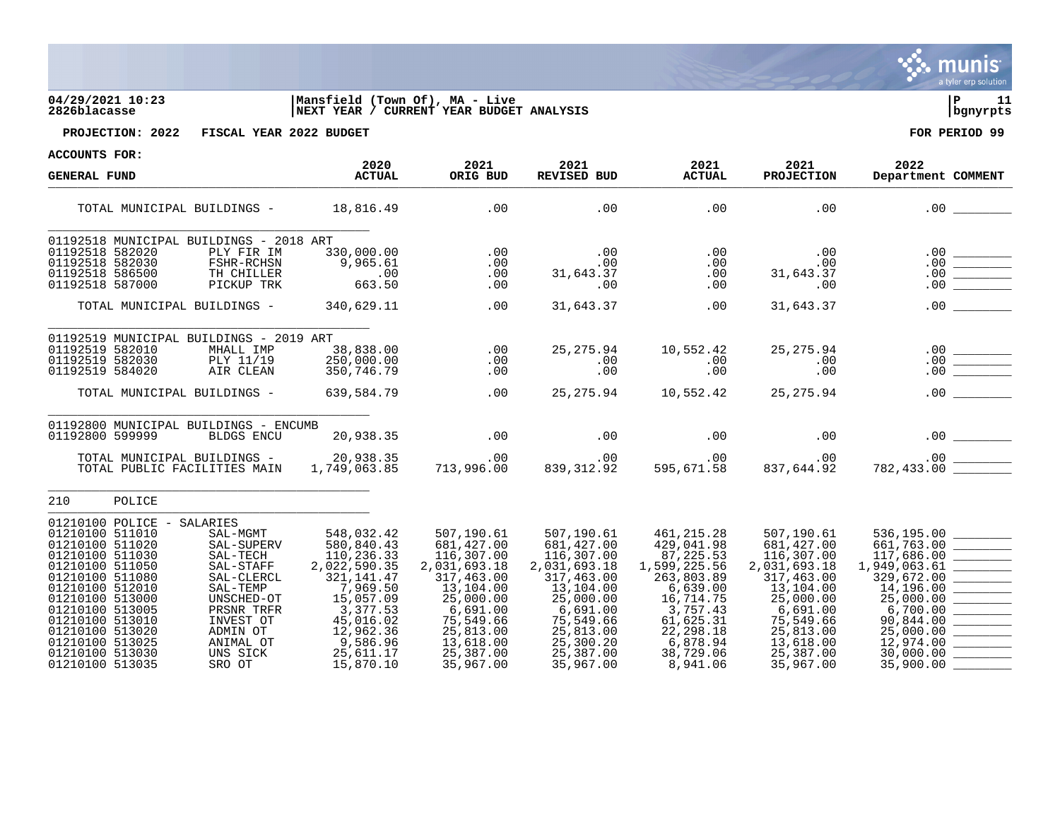| <b>ACCOUNTS FOR:</b><br>2020<br>2021<br>2021<br>2021<br>2021<br>2022<br><b>ACTUAL</b><br>ORIG BUD<br>REVISED BUD<br><b>ACTUAL</b><br><b>PROJECTION</b><br><b>GENERAL FUND</b><br>.00<br>.00<br>.00<br>18,816.49<br>.00<br>.00<br>TOTAL MUNICIPAL BUILDINGS -<br>01192518 MUNICIPAL BUILDINGS - 2018 ART<br>01192518 582020<br>PLY FIR IM<br>330,000.00<br>.00<br>.00<br>.00<br>.00<br>$.00 \,$<br>$\begin{tabular}{ c c c c } \hline \quad \quad & \quad \quad & \quad \quad \\ \hline \quad \quad & \quad \quad & \quad \quad \\ \hline \quad \quad & \quad \quad & \quad \quad \\ \hline \quad \quad & \quad \quad & \quad \quad \\ \hline \quad \quad & \quad \quad & \quad \quad \\ \hline \quad \quad & \quad \quad & \quad \quad \\ \hline \quad \quad & \quad \quad & \quad \quad \\ \hline \end{tabular}$<br>01192518 582030<br>FSHR-RCHSN<br>9,965.61<br>.00<br>.00<br>.00<br>.00<br>$.00\,$<br>.00<br>01192518 586500<br>31,643.37<br>TH CHILLER<br>.00<br>.00<br>31,643.37<br>.00<br>01192518 587000<br>PICKUP TRK<br>663.50<br>.00<br>.00<br>.00<br>.00<br>.00<br>.00<br>.00<br>340,629.11<br>31,643.37<br>.00<br>31,643.37<br>TOTAL MUNICIPAL BUILDINGS -<br>01192519 MUNICIPAL BUILDINGS - 2019 ART<br>25, 275.94<br>01192519 582010<br>10,552.42<br>25, 275.94<br>MHALL IMP<br>38,838.00<br>.00<br>01192519 582030<br>PLY 11/19<br>250,000.00<br>.00<br>.00<br>.00<br>$.00 \,$<br>01192519 584020<br>AIR CLEAN<br>350,746.79<br>.00<br>.00<br>.00<br>.00<br>.00<br>25,275.94<br>.00<br>639,584.79<br>25, 275.94 10, 552.42<br>TOTAL MUNICIPAL BUILDINGS -<br>01192800 MUNICIPAL BUILDINGS - ENCUMB<br>.00<br>01192800 599999<br>20,938.35<br>.00<br>.00<br>.00<br><b>BLDGS ENCU</b><br>TOTAL MUNICIPAL BUILDINGS - 20,938.35<br>.00<br>.00<br>839,312.92<br>00.<br>595,671.58<br>.00<br>837,644.92<br>1,749,063.85<br>713,996.00<br>TOTAL PUBLIC FACILITIES MAIN<br>210<br>POLICE<br>01210100 POLICE -<br>SALARIES<br>01210100 511010<br>SAL-MGMT<br>548,032.42<br>507,190.61<br>507,190.61<br>461, 215.28<br>507,190.61<br>536,195.00<br>$\begin{tabular}{ c c c c } \hline \quad \quad & \quad \quad & \quad \quad \\ \hline \quad \quad & \quad \quad & \quad \quad \\ \hline \quad \quad & \quad \quad & \quad \quad \\ \hline \quad \quad & \quad \quad & \quad \quad \\ \hline \end{tabular}$<br>01210100 511020<br>580,840.43<br>429,041.98<br>681, 427.00<br>661,763.00<br>681,427.00<br>681, 427.00<br>SAL-SUPERV<br>116,307.00<br>117,686.00<br>01210100 511030<br>110,236.33<br>116,307.00<br>116,307.00<br>87, 225. 53<br>SAL-TECH<br>01210100 511050<br>2,022,590.35<br>2,031,693.18<br>1,949,063.61<br>2,031,693.18<br>1,599,225.56<br>2,031,693.18<br>SAL-STAFF<br>01210100 511080<br>317,463.00<br>329,672.00<br>SAL-CLERCL<br>321, 141. 47<br>317,463.00<br>263,803.89<br>317,463.00<br>01210100 512010<br>7,969.50<br>14,196.00<br>13,104.00<br>13,104.00<br>6,639.00<br>13,104.00<br>SAL-TEMP<br>15,057.09<br>25,000.00<br>01210100 513000<br>25,000.00<br>25,000.00<br>16,714.75<br>25,000.00<br>UNSCHED-OT<br>3,377.53<br>6,700.00<br>01210100 513005<br>6,691.00<br>3,757.43<br>PRSNR TRFR<br>6,691.00<br>6,691.00<br>01210100 513010<br>45,016.02<br>75,549.66<br>75,549.66<br>61,625.31<br>90,844.00<br>INVEST OT<br>75,549.66<br>22, 298.18<br>01210100 513020<br>ADMIN OT<br>12,962.36<br>25,813.00<br>25,813.00<br>25,813.00<br>25,000.00 |                              |          |           |           |          |           |                                   |
|-------------------------------------------------------------------------------------------------------------------------------------------------------------------------------------------------------------------------------------------------------------------------------------------------------------------------------------------------------------------------------------------------------------------------------------------------------------------------------------------------------------------------------------------------------------------------------------------------------------------------------------------------------------------------------------------------------------------------------------------------------------------------------------------------------------------------------------------------------------------------------------------------------------------------------------------------------------------------------------------------------------------------------------------------------------------------------------------------------------------------------------------------------------------------------------------------------------------------------------------------------------------------------------------------------------------------------------------------------------------------------------------------------------------------------------------------------------------------------------------------------------------------------------------------------------------------------------------------------------------------------------------------------------------------------------------------------------------------------------------------------------------------------------------------------------------------------------------------------------------------------------------------------------------------------------------------------------------------------------------------------------------------------------------------------------------------------------------------------------------------------------------------------------------------------------------------------------------------------------------------------------------------------------------------------------------------------------------------------------------------------------------------------------------------------------------------------------------------------------------------------------------------------------------------------------------------------------------------------------------------------------------------------------------------------------------------------------------------------------------------------------------------------------------------------------------------------------------------------------------------------------------------------------------------------------------------------------------------------------------------------------------------------------------------------------------------------------------------------------------------------------------------------------------------------------------------------------------------------------------------------------------------------------------------------------------------------------------------------------------------------------|------------------------------|----------|-----------|-----------|----------|-----------|-----------------------------------|
|                                                                                                                                                                                                                                                                                                                                                                                                                                                                                                                                                                                                                                                                                                                                                                                                                                                                                                                                                                                                                                                                                                                                                                                                                                                                                                                                                                                                                                                                                                                                                                                                                                                                                                                                                                                                                                                                                                                                                                                                                                                                                                                                                                                                                                                                                                                                                                                                                                                                                                                                                                                                                                                                                                                                                                                                                                                                                                                                                                                                                                                                                                                                                                                                                                                                                                                                                                                     |                              |          |           |           |          |           |                                   |
|                                                                                                                                                                                                                                                                                                                                                                                                                                                                                                                                                                                                                                                                                                                                                                                                                                                                                                                                                                                                                                                                                                                                                                                                                                                                                                                                                                                                                                                                                                                                                                                                                                                                                                                                                                                                                                                                                                                                                                                                                                                                                                                                                                                                                                                                                                                                                                                                                                                                                                                                                                                                                                                                                                                                                                                                                                                                                                                                                                                                                                                                                                                                                                                                                                                                                                                                                                                     |                              |          |           |           |          |           | Department COMMENT                |
|                                                                                                                                                                                                                                                                                                                                                                                                                                                                                                                                                                                                                                                                                                                                                                                                                                                                                                                                                                                                                                                                                                                                                                                                                                                                                                                                                                                                                                                                                                                                                                                                                                                                                                                                                                                                                                                                                                                                                                                                                                                                                                                                                                                                                                                                                                                                                                                                                                                                                                                                                                                                                                                                                                                                                                                                                                                                                                                                                                                                                                                                                                                                                                                                                                                                                                                                                                                     |                              |          |           |           |          |           |                                   |
|                                                                                                                                                                                                                                                                                                                                                                                                                                                                                                                                                                                                                                                                                                                                                                                                                                                                                                                                                                                                                                                                                                                                                                                                                                                                                                                                                                                                                                                                                                                                                                                                                                                                                                                                                                                                                                                                                                                                                                                                                                                                                                                                                                                                                                                                                                                                                                                                                                                                                                                                                                                                                                                                                                                                                                                                                                                                                                                                                                                                                                                                                                                                                                                                                                                                                                                                                                                     |                              |          |           |           |          |           |                                   |
|                                                                                                                                                                                                                                                                                                                                                                                                                                                                                                                                                                                                                                                                                                                                                                                                                                                                                                                                                                                                                                                                                                                                                                                                                                                                                                                                                                                                                                                                                                                                                                                                                                                                                                                                                                                                                                                                                                                                                                                                                                                                                                                                                                                                                                                                                                                                                                                                                                                                                                                                                                                                                                                                                                                                                                                                                                                                                                                                                                                                                                                                                                                                                                                                                                                                                                                                                                                     |                              |          |           |           |          |           |                                   |
|                                                                                                                                                                                                                                                                                                                                                                                                                                                                                                                                                                                                                                                                                                                                                                                                                                                                                                                                                                                                                                                                                                                                                                                                                                                                                                                                                                                                                                                                                                                                                                                                                                                                                                                                                                                                                                                                                                                                                                                                                                                                                                                                                                                                                                                                                                                                                                                                                                                                                                                                                                                                                                                                                                                                                                                                                                                                                                                                                                                                                                                                                                                                                                                                                                                                                                                                                                                     |                              |          |           |           |          |           |                                   |
|                                                                                                                                                                                                                                                                                                                                                                                                                                                                                                                                                                                                                                                                                                                                                                                                                                                                                                                                                                                                                                                                                                                                                                                                                                                                                                                                                                                                                                                                                                                                                                                                                                                                                                                                                                                                                                                                                                                                                                                                                                                                                                                                                                                                                                                                                                                                                                                                                                                                                                                                                                                                                                                                                                                                                                                                                                                                                                                                                                                                                                                                                                                                                                                                                                                                                                                                                                                     |                              |          |           |           |          |           |                                   |
|                                                                                                                                                                                                                                                                                                                                                                                                                                                                                                                                                                                                                                                                                                                                                                                                                                                                                                                                                                                                                                                                                                                                                                                                                                                                                                                                                                                                                                                                                                                                                                                                                                                                                                                                                                                                                                                                                                                                                                                                                                                                                                                                                                                                                                                                                                                                                                                                                                                                                                                                                                                                                                                                                                                                                                                                                                                                                                                                                                                                                                                                                                                                                                                                                                                                                                                                                                                     |                              |          |           |           |          |           |                                   |
|                                                                                                                                                                                                                                                                                                                                                                                                                                                                                                                                                                                                                                                                                                                                                                                                                                                                                                                                                                                                                                                                                                                                                                                                                                                                                                                                                                                                                                                                                                                                                                                                                                                                                                                                                                                                                                                                                                                                                                                                                                                                                                                                                                                                                                                                                                                                                                                                                                                                                                                                                                                                                                                                                                                                                                                                                                                                                                                                                                                                                                                                                                                                                                                                                                                                                                                                                                                     |                              |          |           |           |          |           |                                   |
|                                                                                                                                                                                                                                                                                                                                                                                                                                                                                                                                                                                                                                                                                                                                                                                                                                                                                                                                                                                                                                                                                                                                                                                                                                                                                                                                                                                                                                                                                                                                                                                                                                                                                                                                                                                                                                                                                                                                                                                                                                                                                                                                                                                                                                                                                                                                                                                                                                                                                                                                                                                                                                                                                                                                                                                                                                                                                                                                                                                                                                                                                                                                                                                                                                                                                                                                                                                     |                              |          |           |           |          |           |                                   |
|                                                                                                                                                                                                                                                                                                                                                                                                                                                                                                                                                                                                                                                                                                                                                                                                                                                                                                                                                                                                                                                                                                                                                                                                                                                                                                                                                                                                                                                                                                                                                                                                                                                                                                                                                                                                                                                                                                                                                                                                                                                                                                                                                                                                                                                                                                                                                                                                                                                                                                                                                                                                                                                                                                                                                                                                                                                                                                                                                                                                                                                                                                                                                                                                                                                                                                                                                                                     |                              |          |           |           |          |           |                                   |
|                                                                                                                                                                                                                                                                                                                                                                                                                                                                                                                                                                                                                                                                                                                                                                                                                                                                                                                                                                                                                                                                                                                                                                                                                                                                                                                                                                                                                                                                                                                                                                                                                                                                                                                                                                                                                                                                                                                                                                                                                                                                                                                                                                                                                                                                                                                                                                                                                                                                                                                                                                                                                                                                                                                                                                                                                                                                                                                                                                                                                                                                                                                                                                                                                                                                                                                                                                                     |                              |          |           |           |          |           |                                   |
|                                                                                                                                                                                                                                                                                                                                                                                                                                                                                                                                                                                                                                                                                                                                                                                                                                                                                                                                                                                                                                                                                                                                                                                                                                                                                                                                                                                                                                                                                                                                                                                                                                                                                                                                                                                                                                                                                                                                                                                                                                                                                                                                                                                                                                                                                                                                                                                                                                                                                                                                                                                                                                                                                                                                                                                                                                                                                                                                                                                                                                                                                                                                                                                                                                                                                                                                                                                     |                              |          |           |           |          |           |                                   |
|                                                                                                                                                                                                                                                                                                                                                                                                                                                                                                                                                                                                                                                                                                                                                                                                                                                                                                                                                                                                                                                                                                                                                                                                                                                                                                                                                                                                                                                                                                                                                                                                                                                                                                                                                                                                                                                                                                                                                                                                                                                                                                                                                                                                                                                                                                                                                                                                                                                                                                                                                                                                                                                                                                                                                                                                                                                                                                                                                                                                                                                                                                                                                                                                                                                                                                                                                                                     |                              |          |           |           |          |           |                                   |
|                                                                                                                                                                                                                                                                                                                                                                                                                                                                                                                                                                                                                                                                                                                                                                                                                                                                                                                                                                                                                                                                                                                                                                                                                                                                                                                                                                                                                                                                                                                                                                                                                                                                                                                                                                                                                                                                                                                                                                                                                                                                                                                                                                                                                                                                                                                                                                                                                                                                                                                                                                                                                                                                                                                                                                                                                                                                                                                                                                                                                                                                                                                                                                                                                                                                                                                                                                                     |                              |          |           |           |          |           |                                   |
|                                                                                                                                                                                                                                                                                                                                                                                                                                                                                                                                                                                                                                                                                                                                                                                                                                                                                                                                                                                                                                                                                                                                                                                                                                                                                                                                                                                                                                                                                                                                                                                                                                                                                                                                                                                                                                                                                                                                                                                                                                                                                                                                                                                                                                                                                                                                                                                                                                                                                                                                                                                                                                                                                                                                                                                                                                                                                                                                                                                                                                                                                                                                                                                                                                                                                                                                                                                     |                              |          |           |           |          |           |                                   |
|                                                                                                                                                                                                                                                                                                                                                                                                                                                                                                                                                                                                                                                                                                                                                                                                                                                                                                                                                                                                                                                                                                                                                                                                                                                                                                                                                                                                                                                                                                                                                                                                                                                                                                                                                                                                                                                                                                                                                                                                                                                                                                                                                                                                                                                                                                                                                                                                                                                                                                                                                                                                                                                                                                                                                                                                                                                                                                                                                                                                                                                                                                                                                                                                                                                                                                                                                                                     |                              |          |           |           |          |           |                                   |
|                                                                                                                                                                                                                                                                                                                                                                                                                                                                                                                                                                                                                                                                                                                                                                                                                                                                                                                                                                                                                                                                                                                                                                                                                                                                                                                                                                                                                                                                                                                                                                                                                                                                                                                                                                                                                                                                                                                                                                                                                                                                                                                                                                                                                                                                                                                                                                                                                                                                                                                                                                                                                                                                                                                                                                                                                                                                                                                                                                                                                                                                                                                                                                                                                                                                                                                                                                                     |                              |          |           |           |          |           |                                   |
|                                                                                                                                                                                                                                                                                                                                                                                                                                                                                                                                                                                                                                                                                                                                                                                                                                                                                                                                                                                                                                                                                                                                                                                                                                                                                                                                                                                                                                                                                                                                                                                                                                                                                                                                                                                                                                                                                                                                                                                                                                                                                                                                                                                                                                                                                                                                                                                                                                                                                                                                                                                                                                                                                                                                                                                                                                                                                                                                                                                                                                                                                                                                                                                                                                                                                                                                                                                     |                              |          |           |           |          |           |                                   |
|                                                                                                                                                                                                                                                                                                                                                                                                                                                                                                                                                                                                                                                                                                                                                                                                                                                                                                                                                                                                                                                                                                                                                                                                                                                                                                                                                                                                                                                                                                                                                                                                                                                                                                                                                                                                                                                                                                                                                                                                                                                                                                                                                                                                                                                                                                                                                                                                                                                                                                                                                                                                                                                                                                                                                                                                                                                                                                                                                                                                                                                                                                                                                                                                                                                                                                                                                                                     |                              |          |           |           |          |           |                                   |
|                                                                                                                                                                                                                                                                                                                                                                                                                                                                                                                                                                                                                                                                                                                                                                                                                                                                                                                                                                                                                                                                                                                                                                                                                                                                                                                                                                                                                                                                                                                                                                                                                                                                                                                                                                                                                                                                                                                                                                                                                                                                                                                                                                                                                                                                                                                                                                                                                                                                                                                                                                                                                                                                                                                                                                                                                                                                                                                                                                                                                                                                                                                                                                                                                                                                                                                                                                                     |                              |          |           |           |          |           |                                   |
|                                                                                                                                                                                                                                                                                                                                                                                                                                                                                                                                                                                                                                                                                                                                                                                                                                                                                                                                                                                                                                                                                                                                                                                                                                                                                                                                                                                                                                                                                                                                                                                                                                                                                                                                                                                                                                                                                                                                                                                                                                                                                                                                                                                                                                                                                                                                                                                                                                                                                                                                                                                                                                                                                                                                                                                                                                                                                                                                                                                                                                                                                                                                                                                                                                                                                                                                                                                     |                              |          |           |           |          |           |                                   |
|                                                                                                                                                                                                                                                                                                                                                                                                                                                                                                                                                                                                                                                                                                                                                                                                                                                                                                                                                                                                                                                                                                                                                                                                                                                                                                                                                                                                                                                                                                                                                                                                                                                                                                                                                                                                                                                                                                                                                                                                                                                                                                                                                                                                                                                                                                                                                                                                                                                                                                                                                                                                                                                                                                                                                                                                                                                                                                                                                                                                                                                                                                                                                                                                                                                                                                                                                                                     |                              |          |           |           |          |           | <b>Contract Contract Contract</b> |
|                                                                                                                                                                                                                                                                                                                                                                                                                                                                                                                                                                                                                                                                                                                                                                                                                                                                                                                                                                                                                                                                                                                                                                                                                                                                                                                                                                                                                                                                                                                                                                                                                                                                                                                                                                                                                                                                                                                                                                                                                                                                                                                                                                                                                                                                                                                                                                                                                                                                                                                                                                                                                                                                                                                                                                                                                                                                                                                                                                                                                                                                                                                                                                                                                                                                                                                                                                                     |                              |          |           |           |          |           |                                   |
|                                                                                                                                                                                                                                                                                                                                                                                                                                                                                                                                                                                                                                                                                                                                                                                                                                                                                                                                                                                                                                                                                                                                                                                                                                                                                                                                                                                                                                                                                                                                                                                                                                                                                                                                                                                                                                                                                                                                                                                                                                                                                                                                                                                                                                                                                                                                                                                                                                                                                                                                                                                                                                                                                                                                                                                                                                                                                                                                                                                                                                                                                                                                                                                                                                                                                                                                                                                     |                              |          |           |           |          |           |                                   |
|                                                                                                                                                                                                                                                                                                                                                                                                                                                                                                                                                                                                                                                                                                                                                                                                                                                                                                                                                                                                                                                                                                                                                                                                                                                                                                                                                                                                                                                                                                                                                                                                                                                                                                                                                                                                                                                                                                                                                                                                                                                                                                                                                                                                                                                                                                                                                                                                                                                                                                                                                                                                                                                                                                                                                                                                                                                                                                                                                                                                                                                                                                                                                                                                                                                                                                                                                                                     |                              |          |           |           |          |           |                                   |
|                                                                                                                                                                                                                                                                                                                                                                                                                                                                                                                                                                                                                                                                                                                                                                                                                                                                                                                                                                                                                                                                                                                                                                                                                                                                                                                                                                                                                                                                                                                                                                                                                                                                                                                                                                                                                                                                                                                                                                                                                                                                                                                                                                                                                                                                                                                                                                                                                                                                                                                                                                                                                                                                                                                                                                                                                                                                                                                                                                                                                                                                                                                                                                                                                                                                                                                                                                                     |                              |          |           |           |          |           |                                   |
|                                                                                                                                                                                                                                                                                                                                                                                                                                                                                                                                                                                                                                                                                                                                                                                                                                                                                                                                                                                                                                                                                                                                                                                                                                                                                                                                                                                                                                                                                                                                                                                                                                                                                                                                                                                                                                                                                                                                                                                                                                                                                                                                                                                                                                                                                                                                                                                                                                                                                                                                                                                                                                                                                                                                                                                                                                                                                                                                                                                                                                                                                                                                                                                                                                                                                                                                                                                     | 01210100 513025<br>ANIMAL OT | 9,586.96 | 13,618.00 | 25,300.20 | 6,878.94 | 13,618.00 | 12,974.00                         |
| 25,611.17<br>25,387.00<br>25,387.00<br>38,729.06<br>25,387.00<br>30,000.00<br>01210100 513030<br>UNS SICK                                                                                                                                                                                                                                                                                                                                                                                                                                                                                                                                                                                                                                                                                                                                                                                                                                                                                                                                                                                                                                                                                                                                                                                                                                                                                                                                                                                                                                                                                                                                                                                                                                                                                                                                                                                                                                                                                                                                                                                                                                                                                                                                                                                                                                                                                                                                                                                                                                                                                                                                                                                                                                                                                                                                                                                                                                                                                                                                                                                                                                                                                                                                                                                                                                                                           |                              |          |           |           |          |           |                                   |

01210100 513035 SRO OT 15,870.10 35,967.00 35,967.00 8,941.06 35,967.00 35,900.00 \_\_\_\_\_\_\_\_

**PROJECTION: 2022 FISCAL YEAR 2022 BUDGET FOR PERIOD 99**

**04/29/2021 10:23 |Mansfield (Town Of), MA - Live |P 11 2826blacasse |NEXT YEAR / CURRENT YEAR BUDGET ANALYSIS |bgnyrpts**



a tyler erp solution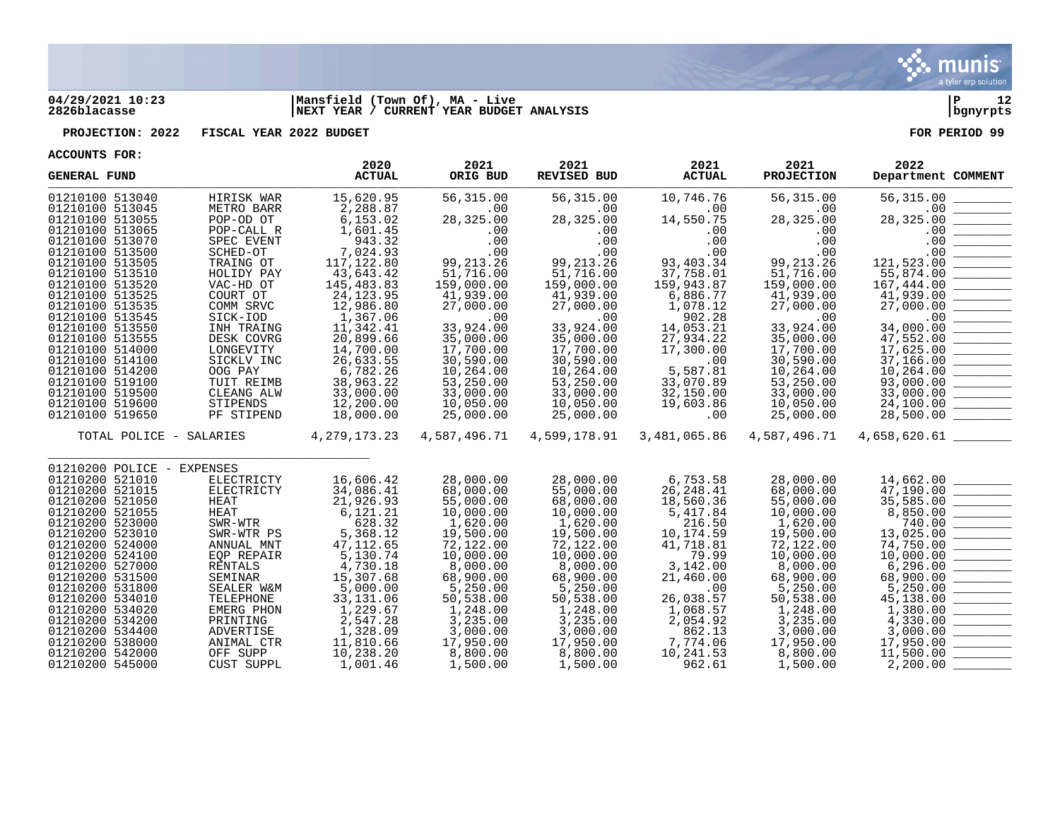

## **04/29/2021 10:23 |Mansfield (Town Of), MA - Live |P 12 2826blacasse |NEXT YEAR / CURRENT YEAR BUDGET ANALYSIS |bgnyrpts**

**PROJECTION: 2022 FISCAL YEAR 2022 BUDGET FOR PERIOD 99**

| <b>GENERAL FUND</b>                |                               | 2020<br><b>ACTUAL</b>  | 2021<br>ORIG BUD      | 2021<br><b>REVISED BUD</b> | 2021<br><b>ACTUAL</b> | 2021<br><b>PROJECTION</b> | 2022<br>Department COMMENT                                                                                                        |
|------------------------------------|-------------------------------|------------------------|-----------------------|----------------------------|-----------------------|---------------------------|-----------------------------------------------------------------------------------------------------------------------------------|
| 01210100 513040                    | HIRISK WAR                    | 15,620.95              | 56,315.00             | 56,315.00                  | 10,746.76             | 56, 315.00                | 56,315.00                                                                                                                         |
| 01210100 513045                    | METRO BARR                    | 2,288.87               | .00                   | .00                        | .00                   | .00                       | .00                                                                                                                               |
| 01210100 513055                    | POP-OD OT                     | 6,153.02               | 28,325.00             | 28,325.00                  | 14,550.75             | 28,325.00                 | 28,325.00                                                                                                                         |
| 01210100 513065                    | POP-CALL R                    | 1,601.45               | .00                   | .00                        | .00                   | .00                       | .00                                                                                                                               |
| 01210100 513070                    | SPEC EVENT                    | 943.32                 | .00                   | .00                        | .00                   | .00                       | .00                                                                                                                               |
| 01210100 513500                    | SCHED-OT                      | 7,024.93               | .00                   | .00                        | .00                   | .00                       | .00                                                                                                                               |
| 01210100 513505                    | TRAING OT                     | 117,122.80             | 99, 213. 26           | 99, 213. 26                | 93,403.34             | 99, 213. 26               | 121,523.00                                                                                                                        |
| 01210100 513510                    | HOLIDY PAY                    | 43,643.42              | 51,716.00             | 51,716.00                  | 37,758.01             | 51,716.00                 | 55,874.00                                                                                                                         |
| 01210100 513520                    | VAC-HD OT                     | 145,483.83             | 159,000.00            | 159,000.00                 | 159,943.87            | 159,000.00                | 167,444.00                                                                                                                        |
| 01210100 513525                    | COURT OT                      | 24, 123.95             | 41,939.00             | 41,939.00                  | 6,886.77              | 41,939.00                 | 41,939.00                                                                                                                         |
| 01210100 513535                    | COMM SRVC                     | 12,986.80              | 27,000.00             | 27,000.00                  | 1,078.12              | 27,000.00                 | 27,000.00                                                                                                                         |
| 01210100 513545                    | SICK-IOD                      | 1,367.06               | .00                   | .00                        | 902.28                | $.00 \,$                  | .00                                                                                                                               |
| 01210100 513550                    | INH TRAING                    | 11,342.41              | 33,924.00             | 33,924.00                  | 14,053.21             | 33,924.00                 | 34,000.00                                                                                                                         |
| 01210100 513555                    | DESK COVRG                    | 20,899.66              | 35,000.00             | 35,000.00                  | 27,934.22             | 35,000.00                 | 47,552.00                                                                                                                         |
| 01210100 514000                    | LONGEVITY                     | 14,700.00              | 17,700.00             | 17,700.00                  | 17,300.00             | 17,700.00                 | 17,625.00                                                                                                                         |
| 01210100 514100                    | SICKLV INC                    | 26,633.55              | 30,590.00             | 30,590.00                  | .00                   | 30,590.00                 | 37,166.00                                                                                                                         |
| 01210100 514200                    | OOG PAY                       | 6,782.26               | 10,264.00             | 10,264.00                  | 5,587.81              | 10,264.00                 | 10,264.00                                                                                                                         |
| 01210100 519100                    | TUIT REIMB                    | 38,963.22              | 53,250.00             | 53,250.00                  | 33,070.89             | 53,250.00                 | 93,000.00<br>$\frac{1}{2}$                                                                                                        |
| 01210100 519500                    | CLEANG ALW                    | 33,000.00              | 33,000.00             | 33,000.00                  | 32,150.00             | 33,000.00                 | 33,000.00                                                                                                                         |
| 01210100 519600                    | STIPENDS                      | 12,200.00              | 10,050.00             | 10,050.00                  | 19,603.86             | 10,050.00                 | 24,100.00                                                                                                                         |
| 01210100 519650                    | PF STIPEND                    | 18,000.00              | 25,000.00             | 25,000.00                  | .00                   | 25,000.00                 | 28,500.00                                                                                                                         |
| TOTAL POLICE - SALARIES            |                               | 4, 279, 173. 23        | 4,587,496.71          | 4,599,178.91               | 3,481,065.86          | 4,587,496.71              | 4,658,620.61                                                                                                                      |
|                                    |                               |                        |                       |                            |                       |                           |                                                                                                                                   |
| 01210200 POLICE - EXPENSES         |                               |                        |                       |                            |                       |                           |                                                                                                                                   |
| 01210200 521010                    | ELECTRICTY                    | 16,606.42              | 28,000.00             | 28,000.00                  | 6,753.58              | 28,000.00                 | 14,662.00                                                                                                                         |
| 01210200 521015                    | ELECTRICTY                    | 34,086.41              | 68,000.00             | 55,000.00                  | 26, 248.41            | 68,000.00                 | 47,190.00                                                                                                                         |
| 01210200 521050                    | <b>HEAT</b>                   | 21,926.93              | 55,000.00             | 68,000.00                  | 18,560.36             | 55,000.00                 | 35,585.00                                                                                                                         |
| 01210200 521055                    | HEAT                          | 6,121.21               | 10,000.00             | 10,000.00                  | 5,417.84              | 10,000.00                 | 8,850.00                                                                                                                          |
| 01210200 523000                    | SWR-WTR                       | 628.32                 | 1,620.00              | 1,620.00                   | 216.50                | 1,620.00                  | 740.00                                                                                                                            |
| 01210200 523010                    | SWR-WTR PS                    | 5,368.12               | 19,500.00             | 19,500.00                  | 10,174.59             | 19,500.00                 | 13,025.00                                                                                                                         |
| 01210200 524000                    | ANNUAL MNT                    | 47, 112.65             | 72,122.00             | 72,122.00                  | 41,718.81             | 72,122.00                 | 74,750.00                                                                                                                         |
| 01210200 524100                    | EQP REPAIR                    | 5,130.74               | 10,000.00             | 10,000.00                  | 79.99                 | 10,000.00                 | 10,000.00                                                                                                                         |
| 01210200 527000                    | <b>RENTALS</b>                | 4,730.18               | 8,000.00              | 8,000.00                   | 3,142.00              | 8,000.00                  | 6, 296.00                                                                                                                         |
| 01210200 531500                    | SEMINAR                       | 15,307.68              | 68,900.00             | 68,900.00                  | 21,460.00             | 68,900.00                 | 68,900.00                                                                                                                         |
| 01210200 531800                    | SEALER W&M                    | 5,000.00               | 5,250.00              | 5,250.00                   | .00                   | 5,250.00                  | 5,250.00                                                                                                                          |
| 01210200 534010                    | TELEPHONE                     | 33, 131.06             | 50,538.00             | 50,538.00                  | 26,038.57             | 50,538.00                 | 45,138.00                                                                                                                         |
| 01210200 534020                    | EMERG PHON                    | 1,229.67               | 1,248.00              | 1,248.00                   | 1,068.57              | 1,248.00                  | 1,380.00                                                                                                                          |
| 01210200 534200                    | PRINTING                      | 2,547.28               | 3,235.00              | 3,235.00                   | 2,054.92              | 3,235.00                  | <u> Tanzania esperantista en la propia de la propia de la propia de la propia de la propia de la propia de la pro</u><br>4,330.00 |
| 01210200 534400                    | ADVERTISE                     | 1,328.09               | 3,000.00              | 3,000.00                   | 862.13                | 3,000.00                  | 3,000.00<br>17,950.00                                                                                                             |
| 01210200 538000<br>01210200 542000 | ANIMAL CTR                    | 11,810.66<br>10,238.20 | 17,950.00<br>8,800.00 | 17,950.00<br>8,800.00      | 7,774.06<br>10,241.53 | 17,950.00<br>8,800.00     | 11,500.00                                                                                                                         |
| 01210200 545000                    | OFF SUPP<br><b>CUST SUPPL</b> | 1,001.46               |                       | 1,500.00                   |                       | 1,500.00                  | 2,200.00                                                                                                                          |
|                                    |                               |                        | 1,500.00              |                            | 962.61                |                           |                                                                                                                                   |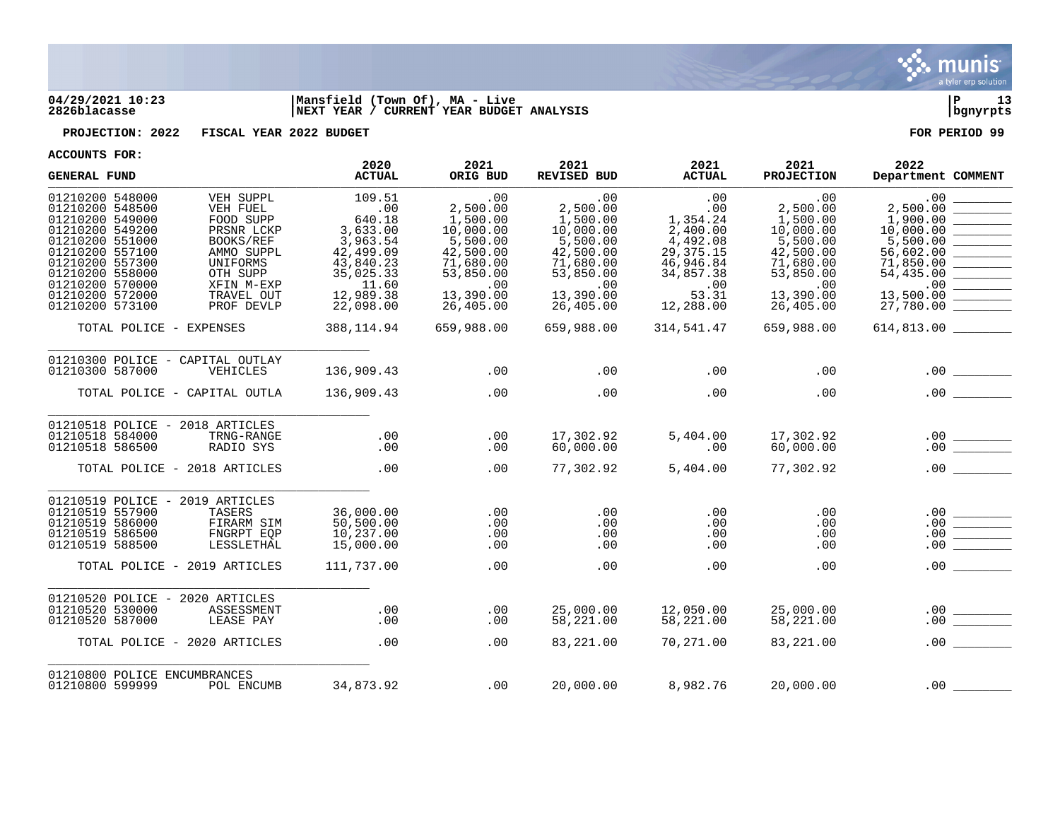

## **04/29/2021 10:23 |Mansfield (Town Of), MA - Live |P 13 2826blacasse |NEXT YEAR / CURRENT YEAR BUDGET ANALYSIS |bgnyrpts**

**PROJECTION: 2022 FISCAL YEAR 2022 BUDGET FOR PERIOD 99**

| <b>GENERAL FUND</b>                                                                                                                                                                                                                                                                                                                                            | 2020<br><b>ACTUAL</b>                                                                                                     | 2021<br>ORIG BUD                                                                                                             | 2021<br>REVISED BUD                                                                                                          | 2021<br><b>ACTUAL</b>                                                                                                | 2021<br><b>PROJECTION</b>                                                                                                    | 2022<br>Department COMMENT                                                                                                   |
|----------------------------------------------------------------------------------------------------------------------------------------------------------------------------------------------------------------------------------------------------------------------------------------------------------------------------------------------------------------|---------------------------------------------------------------------------------------------------------------------------|------------------------------------------------------------------------------------------------------------------------------|------------------------------------------------------------------------------------------------------------------------------|----------------------------------------------------------------------------------------------------------------------|------------------------------------------------------------------------------------------------------------------------------|------------------------------------------------------------------------------------------------------------------------------|
| 01210200 548000<br>VEH SUPPL<br>01210200 548500<br>VEH FUEL<br>01210200 549000<br>FOOD SUPP<br>01210200 549200<br>PRSNR LCKP<br>01210200 551000<br>BOOKS/REF<br>01210200 557100<br>AMMO SUPPL<br>01210200 557300<br>UNIFORMS<br>01210200 558000<br>OTH SUPP<br>01210200 570000<br>XFIN M-EXP<br>01210200 572000<br>TRAVEL OUT<br>01210200 573100<br>PROF DEVLP | 109.51<br>.00<br>640.18<br>3,633.00<br>3,963.54<br>42,499.09<br>43,840.23<br>35,025.33<br>11.60<br>12,989.38<br>22,098.00 | .00<br>2,500.00<br>1,500.00<br>10,000.00<br>5,500.00<br>42,500.00<br>71,680.00<br>53,850.00<br>.00<br>13,390.00<br>26,405.00 | .00<br>2,500.00<br>1,500.00<br>10,000.00<br>5,500.00<br>42,500.00<br>71,680.00<br>53,850.00<br>.00<br>13,390.00<br>26,405.00 | .00<br>.00<br>1,354.24<br>2,400.00<br>4,492.08<br>29, 375. 15<br>46,946.84<br>34,857.38<br>.00<br>53.31<br>12,288.00 | .00<br>2,500.00<br>1,500.00<br>10,000.00<br>5,500.00<br>42,500.00<br>71,680.00<br>53,850.00<br>.00<br>13,390.00<br>26,405.00 | .00<br>2,500.00<br>1,900.00<br>10,000.00<br>5,500.00<br>56,602.00<br>71,850.00<br>54,435.00<br>.00<br>13,500.00<br>27,780.00 |
| TOTAL POLICE - EXPENSES                                                                                                                                                                                                                                                                                                                                        | 388,114.94                                                                                                                | 659,988.00                                                                                                                   | 659,988.00                                                                                                                   | 314,541.47                                                                                                           | 659,988.00                                                                                                                   |                                                                                                                              |
| 01210300 POLICE - CAPITAL OUTLAY<br>01210300 587000<br>VEHICLES                                                                                                                                                                                                                                                                                                | 136,909.43                                                                                                                | .00                                                                                                                          | .00                                                                                                                          | .00                                                                                                                  | .00                                                                                                                          | .00                                                                                                                          |
| TOTAL POLICE - CAPITAL OUTLA                                                                                                                                                                                                                                                                                                                                   | 136,909.43                                                                                                                | .00                                                                                                                          | .00                                                                                                                          | .00                                                                                                                  | .00                                                                                                                          | .00                                                                                                                          |
| 01210518 POLICE - 2018 ARTICLES<br>01210518 584000<br>TRNG-RANGE<br>RADIO SYS<br>01210518 586500                                                                                                                                                                                                                                                               | .00<br>.00                                                                                                                | .00<br>.00                                                                                                                   | 17,302.92<br>60,000.00                                                                                                       | 5,404.00<br>.00                                                                                                      | 17,302.92<br>60,000.00                                                                                                       | .00<br>.00                                                                                                                   |
| TOTAL POLICE - 2018 ARTICLES                                                                                                                                                                                                                                                                                                                                   | .00                                                                                                                       | .00                                                                                                                          | 77,302.92                                                                                                                    | 5,404.00                                                                                                             | 77,302.92                                                                                                                    | .00                                                                                                                          |
| 01210519 POLICE -<br>2019 ARTICLES<br>01210519 557900<br>TASERS<br>01210519 586000<br>FIRARM SIM<br>01210519 586500<br>FNGRPT EQP<br>01210519 588500<br>LESSLETHAL                                                                                                                                                                                             | 36,000.00<br>50,500.00<br>10,237.00<br>15,000.00                                                                          | .00<br>.00<br>.00<br>.00                                                                                                     | .00<br>.00<br>.00<br>.00                                                                                                     | .00<br>.00<br>.00<br>.00                                                                                             | .00<br>.00<br>.00<br>.00                                                                                                     | .00<br>.00<br>.00<br>.00                                                                                                     |
| TOTAL POLICE - 2019 ARTICLES                                                                                                                                                                                                                                                                                                                                   | 111,737.00                                                                                                                | .00                                                                                                                          | .00                                                                                                                          | .00                                                                                                                  | .00                                                                                                                          | .00                                                                                                                          |
| 01210520 POLICE - 2020 ARTICLES<br>01210520 530000<br>ASSESSMENT<br>01210520 587000<br>LEASE PAY                                                                                                                                                                                                                                                               | .00<br>.00                                                                                                                | .00<br>.00                                                                                                                   | 25,000.00<br>58,221.00                                                                                                       | 12,050.00<br>58,221.00                                                                                               | 25,000.00<br>58,221.00                                                                                                       | .00<br>.00                                                                                                                   |
| TOTAL POLICE - 2020 ARTICLES                                                                                                                                                                                                                                                                                                                                   | .00                                                                                                                       | .00                                                                                                                          | 83,221.00                                                                                                                    | 70,271.00                                                                                                            | 83,221.00                                                                                                                    | .00<br><u> 1999 - Jan Ja</u>                                                                                                 |
| 01210800 POLICE ENCUMBRANCES<br>01210800 599999<br>POL ENCUMB                                                                                                                                                                                                                                                                                                  | 34,873.92                                                                                                                 | .00                                                                                                                          | 20,000.00                                                                                                                    | 8,982.76                                                                                                             | 20,000.00                                                                                                                    | .00                                                                                                                          |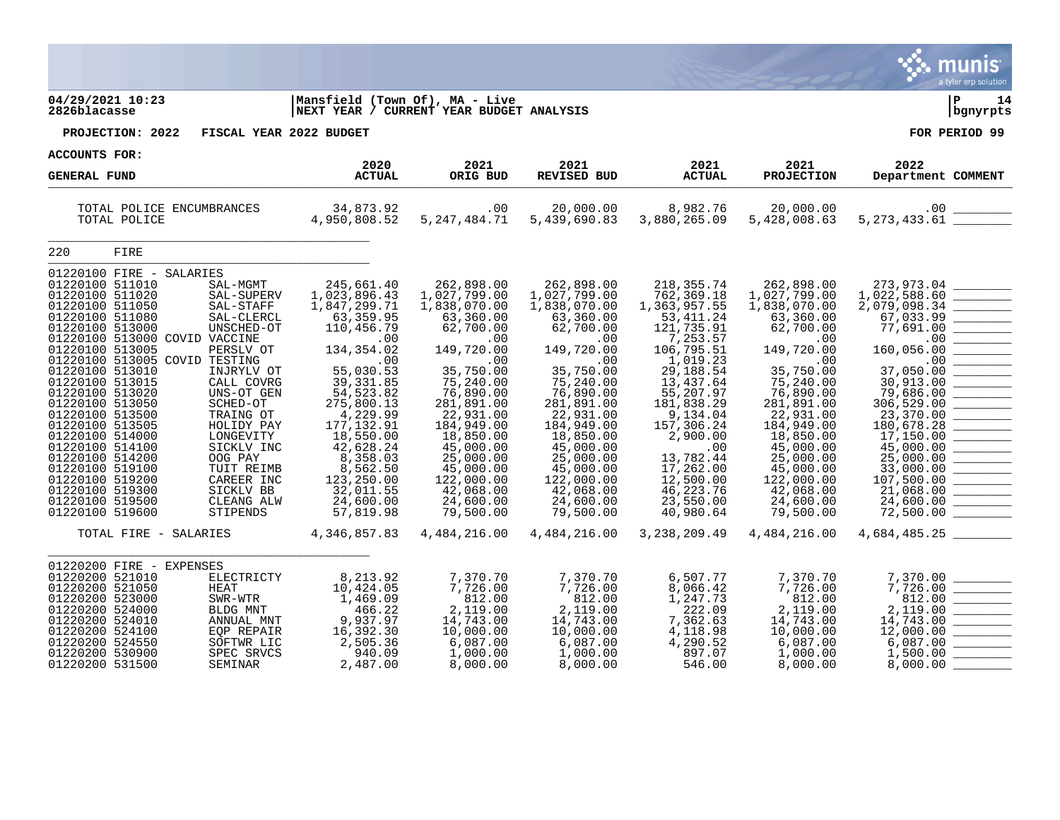|                                                                                                                                                                                                                                                                                                                                                                                                                                                                                                                                                                                                                                                                                                                                                                                           |                                                                                                                                                                                                                                                                                                              |                                                                                                                                                                                                                                                                                                           |                                                                                                                                                                                                                                                                                                             |                                                                                                                                                                                                                                                                                                                   |                                                                                                                                                                                                                                                                                                           | <b>nis</b><br>a tyler erp solution                                                                                                                                                                                                                                                                         |
|-------------------------------------------------------------------------------------------------------------------------------------------------------------------------------------------------------------------------------------------------------------------------------------------------------------------------------------------------------------------------------------------------------------------------------------------------------------------------------------------------------------------------------------------------------------------------------------------------------------------------------------------------------------------------------------------------------------------------------------------------------------------------------------------|--------------------------------------------------------------------------------------------------------------------------------------------------------------------------------------------------------------------------------------------------------------------------------------------------------------|-----------------------------------------------------------------------------------------------------------------------------------------------------------------------------------------------------------------------------------------------------------------------------------------------------------|-------------------------------------------------------------------------------------------------------------------------------------------------------------------------------------------------------------------------------------------------------------------------------------------------------------|-------------------------------------------------------------------------------------------------------------------------------------------------------------------------------------------------------------------------------------------------------------------------------------------------------------------|-----------------------------------------------------------------------------------------------------------------------------------------------------------------------------------------------------------------------------------------------------------------------------------------------------------|------------------------------------------------------------------------------------------------------------------------------------------------------------------------------------------------------------------------------------------------------------------------------------------------------------|
| 04/29/2021 10:23<br>2826blacasse                                                                                                                                                                                                                                                                                                                                                                                                                                                                                                                                                                                                                                                                                                                                                          | Mansfield (Town Of), MA - Live<br>NEXT YEAR / CURRENT YEAR BUDGET ANALYSIS                                                                                                                                                                                                                                   |                                                                                                                                                                                                                                                                                                           |                                                                                                                                                                                                                                                                                                             |                                                                                                                                                                                                                                                                                                                   |                                                                                                                                                                                                                                                                                                           | P<br>14<br>bgnyrpts                                                                                                                                                                                                                                                                                        |
| PROJECTION: 2022                                                                                                                                                                                                                                                                                                                                                                                                                                                                                                                                                                                                                                                                                                                                                                          | FISCAL YEAR 2022 BUDGET                                                                                                                                                                                                                                                                                      |                                                                                                                                                                                                                                                                                                           |                                                                                                                                                                                                                                                                                                             |                                                                                                                                                                                                                                                                                                                   |                                                                                                                                                                                                                                                                                                           | FOR PERIOD 99                                                                                                                                                                                                                                                                                              |
| ACCOUNTS FOR:                                                                                                                                                                                                                                                                                                                                                                                                                                                                                                                                                                                                                                                                                                                                                                             | 2020                                                                                                                                                                                                                                                                                                         | 2021                                                                                                                                                                                                                                                                                                      | 2021                                                                                                                                                                                                                                                                                                        | 2021                                                                                                                                                                                                                                                                                                              | 2021                                                                                                                                                                                                                                                                                                      | 2022                                                                                                                                                                                                                                                                                                       |
| <b>GENERAL FUND</b>                                                                                                                                                                                                                                                                                                                                                                                                                                                                                                                                                                                                                                                                                                                                                                       | <b>ACTUAL</b>                                                                                                                                                                                                                                                                                                | ORIG BUD                                                                                                                                                                                                                                                                                                  | <b>REVISED BUD</b>                                                                                                                                                                                                                                                                                          | <b>ACTUAL</b>                                                                                                                                                                                                                                                                                                     | <b>PROJECTION</b>                                                                                                                                                                                                                                                                                         | Department COMMENT                                                                                                                                                                                                                                                                                         |
| TOTAL POLICE ENCUMBRANCES<br>TOTAL POLICE                                                                                                                                                                                                                                                                                                                                                                                                                                                                                                                                                                                                                                                                                                                                                 | 34,873.92<br>4,950,808.52                                                                                                                                                                                                                                                                                    | .00<br>5, 247, 484. 71                                                                                                                                                                                                                                                                                    | 20,000.00<br>5,439,690.83                                                                                                                                                                                                                                                                                   | 8,982.76<br>3,880,265.09                                                                                                                                                                                                                                                                                          | 20,000.00<br>5,428,008.63                                                                                                                                                                                                                                                                                 |                                                                                                                                                                                                                                                                                                            |
| 220<br>FIRE                                                                                                                                                                                                                                                                                                                                                                                                                                                                                                                                                                                                                                                                                                                                                                               |                                                                                                                                                                                                                                                                                                              |                                                                                                                                                                                                                                                                                                           |                                                                                                                                                                                                                                                                                                             |                                                                                                                                                                                                                                                                                                                   |                                                                                                                                                                                                                                                                                                           |                                                                                                                                                                                                                                                                                                            |
| 01220100 FIRE - SALARIES<br>01220100 511010<br>SAL-MGMT<br>01220100 511020<br>SAL-SUPERV<br>01220100 511050<br>SAL-STAFF<br>01220100 511080<br>SAL-CLERCL<br>01220100 513000<br>UNSCHED-OT<br>01220100 513000 COVID VACCINE<br>01220100 513005<br>PERSLV OT<br>01220100 513005 COVID TESTING<br>01220100 513010<br>INJRYLV OT<br>01220100 513015<br>CALL COVRG<br>01220100 513020<br>UNS-OT GEN<br>01220100 513050<br>SCHED-OT<br>01220100 513500<br>TRAING OT<br>01220100 513505<br>HOLIDY PAY<br>01220100 514000<br>LONGEVITY<br>01220100 514100<br>SICKLV INC<br>01220100 514200<br>OOG PAY<br>01220100 519100<br>TUIT REIMB<br>01220100 519200<br>CAREER INC<br>01220100 519300<br>SICKLV BB<br>01220100 519500<br>CLEANG ALW<br>01220100 519600<br>STIPENDS<br>TOTAL FIRE - SALARIES | 245,661.40<br>1,023,896.43<br>1,847,299.71<br>63, 359.95<br>110,456.79<br>.00<br>134, 354.02<br>.00<br>55,030.53<br>39, 331.85<br>54, 523.82<br>275,800.13<br>4,229.99<br>177, 132.91<br>18,550.00<br>42,628.24<br>8,358.03<br>8,562.50<br>123,250.00<br>32,011.55<br>24,600.00<br>57,819.98<br>4,346,857.83 | 262,898.00<br>1,027,799.00<br>1,838,070.00<br>63,360.00<br>62,700.00<br>.00<br>149,720.00<br>.00<br>35,750.00<br>75,240.00<br>76,890.00<br>281,891.00<br>22,931.00<br>184,949.00<br>18,850.00<br>45,000.00<br>25,000.00<br>45,000.00<br>122,000.00<br>42,068.00<br>24,600.00<br>79,500.00<br>4,484,216.00 | 262,898.00<br>1,027,799.00<br>1,838,070.00<br>63,360.00<br>62,700.00<br>.00<br>149,720.00<br>.00<br>35,750.00<br>75,240.00<br>76,890.00<br>281,891.00<br>22,931.00<br>184,949.00<br>18,850.00<br>45,000.00<br>25,000.00<br>45,000.00<br>122,000.00<br>42,068.00<br>24,600.00<br>79,500.00<br>4, 484, 216.00 | 218, 355. 74<br>762,369.18<br>1,363,957.55<br>53, 411.24<br>121,735.91<br>7,253.57<br>106,795.51<br>1,019.23<br>29,188.54<br>13,437.64<br>55,207.97<br>181,838.29<br>9,134.04<br>157,306.24<br>2,900.00<br>.00<br>13,782.44<br>17,262.00<br>12,500.00<br>46, 223. 76<br>23,550.00<br>40,980.64<br>3, 238, 209. 49 | 262,898.00<br>1,027,799.00<br>1,838,070.00<br>63,360.00<br>62,700.00<br>.00<br>149,720.00<br>.00<br>35,750.00<br>75,240.00<br>76,890.00<br>281,891.00<br>22,931.00<br>184,949.00<br>18,850.00<br>45,000.00<br>25,000.00<br>45,000.00<br>122,000.00<br>42,068.00<br>24,600.00<br>79,500.00<br>4,484,216.00 | 273,973.04<br>1,022,588.60<br>2,079,098.34<br>67,033.99<br>77,691.00<br>.00<br>160,056.00<br>.00<br>37,050.00<br>30,913.00<br>79,686.00<br>306, 529.00<br>23,370.00<br>180,678.28<br>17,150.00<br>45,000.00<br>25,000.00<br>33,000.00<br>107,500.00<br>21,068.00<br>24,600.00<br>72,500.00<br>4,684,485.25 |
|                                                                                                                                                                                                                                                                                                                                                                                                                                                                                                                                                                                                                                                                                                                                                                                           |                                                                                                                                                                                                                                                                                                              |                                                                                                                                                                                                                                                                                                           |                                                                                                                                                                                                                                                                                                             |                                                                                                                                                                                                                                                                                                                   |                                                                                                                                                                                                                                                                                                           |                                                                                                                                                                                                                                                                                                            |
| 01220200 FIRE - EXPENSES<br>01220200 521010<br>ELECTRICTY<br>01220200 521050<br><b>HEAT</b><br>01220200 523000<br>SWR-WTR<br>01220200 524000<br>BLDG MNT<br>01220200 524010<br>ANNUAL MNT<br>01220200 524100<br>EQP REPAIR<br>01220200 524550<br>SOFTWR LIC<br>01220200 530900<br>SPEC SRVCS<br>01220200 531500<br>SEMINAR                                                                                                                                                                                                                                                                                                                                                                                                                                                                | 8,213.92<br>10,424.05<br>1,469.09<br>466.22<br>9,937.97<br>16,392.30<br>2,505.36<br>940.09<br>2,487.00                                                                                                                                                                                                       | 7,370.70<br>7,726.00<br>812.00<br>2,119.00<br>14,743.00<br>10,000.00<br>6,087.00<br>1,000.00<br>8,000.00                                                                                                                                                                                                  | 7,370.70<br>7,726.00<br>812.00<br>2,119.00<br>14,743.00<br>10,000.00<br>6,087.00<br>1,000.00<br>8,000.00                                                                                                                                                                                                    | 6,507.77<br>8,066.42<br>1,247.73<br>222.09<br>7,362.63<br>4,118.98<br>4,290.52<br>897.07<br>546.00                                                                                                                                                                                                                | 7,370.70<br>7,726.00<br>812.00<br>2,119.00<br>14,743.00<br>10,000.00<br>6,087.00<br>1,000.00<br>8,000.00                                                                                                                                                                                                  | 7,370.00<br>7,726.00<br>812.00<br>2,119.00<br>14,743.00<br>12,000.00<br>6,087.00<br>1,500.00<br>8,000.00                                                                                                                                                                                                   |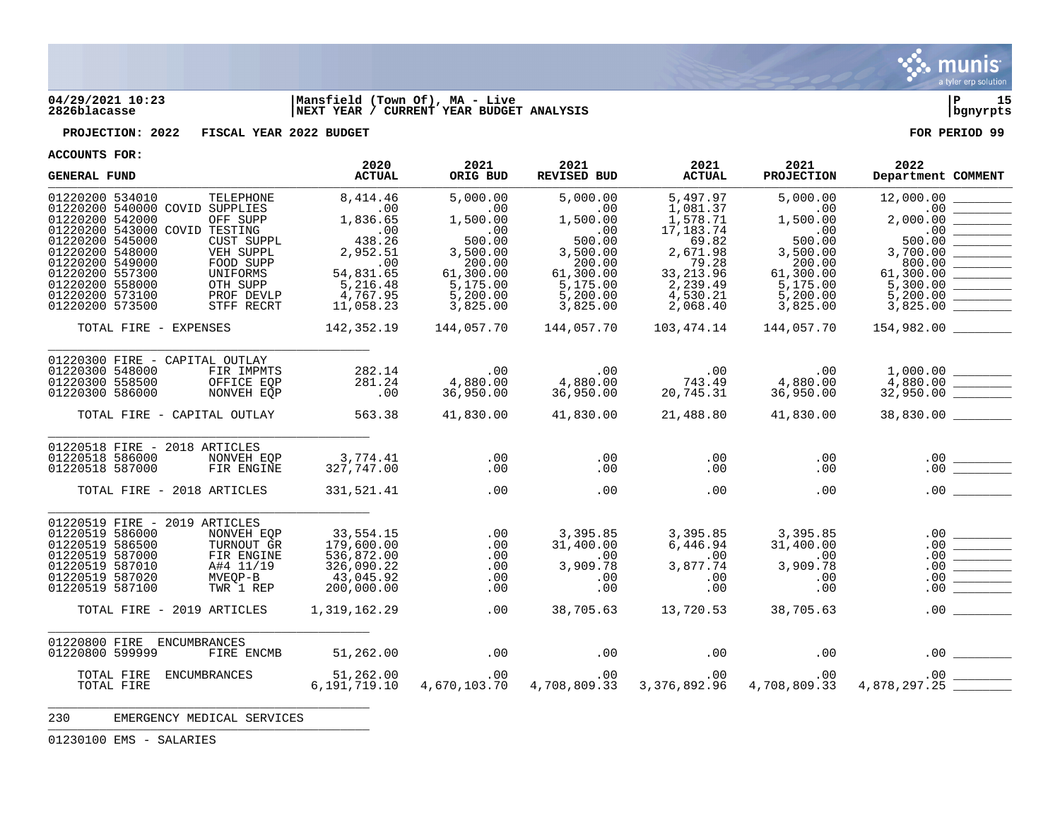

## **04/29/2021 10:23 |Mansfield (Town Of), MA - Live |P 15 2826blacasse |NEXT YEAR / CURRENT YEAR BUDGET ANALYSIS |bgnyrpts**

**PROJECTION: 2022 FISCAL YEAR 2022 BUDGET FOR PERIOD 99**

**ACCOUNTS FOR:**

| <b>GENERAL FUND</b>                                                                                                                                                                                                                                                                                                                                             | 2020<br><b>ACTUAL</b>                                                                                             | 2021<br>ORIG BUD                                                                                                    | 2021<br><b>REVISED BUD</b>                                                                                          | 2021<br><b>ACTUAL</b>                                                                                                         | 2021<br><b>PROJECTION</b>                                                                                           | 2022<br>Department COMMENT                                                                                   |
|-----------------------------------------------------------------------------------------------------------------------------------------------------------------------------------------------------------------------------------------------------------------------------------------------------------------------------------------------------------------|-------------------------------------------------------------------------------------------------------------------|---------------------------------------------------------------------------------------------------------------------|---------------------------------------------------------------------------------------------------------------------|-------------------------------------------------------------------------------------------------------------------------------|---------------------------------------------------------------------------------------------------------------------|--------------------------------------------------------------------------------------------------------------|
| 01220200 534010<br>TELEPHONE<br>01220200 540000 COVID SUPPLIES<br>01220200 542000<br>OFF SUPP<br>01220200 543000 COVID TESTING<br>01220200 545000<br>CUST SUPPL<br>01220200 548000<br>VEH SUPPL<br>01220200 549000<br>FOOD SUPP<br>01220200 557300<br>UNIFORMS<br>01220200 558000<br>OTH SUPP<br>01220200 573100<br>PROF DEVLP<br>01220200 573500<br>STFF RECRT | 8,414.46<br>.00<br>1,836.65<br>.00<br>438.26<br>2,952.51<br>.00<br>54,831.65<br>5,216.48<br>4,767.95<br>11,058.23 | 5,000.00<br>.00<br>1,500.00<br>.00<br>500.00<br>3,500.00<br>200.00<br>61,300.00<br>5,175.00<br>5,200.00<br>3,825.00 | 5,000.00<br>.00<br>1,500.00<br>.00<br>500.00<br>3,500.00<br>200.00<br>61,300.00<br>5,175.00<br>5,200.00<br>3,825.00 | 5,497.97<br>1,081.37<br>1,578.71<br>17,183.74<br>69.82<br>2,671.98<br>79.28<br>33, 213.96<br>2,239.49<br>4,530.21<br>2,068.40 | 5,000.00<br>.00<br>1,500.00<br>.00<br>500.00<br>3,500.00<br>200.00<br>61,300.00<br>5,175.00<br>5,200.00<br>3,825.00 | 12,000.00<br>.00<br>2,000.00<br>.00<br>500.00<br>3,700.00<br>800.00<br>61,300.00<br>5,300.00<br>5,200.00     |
| TOTAL FIRE - EXPENSES                                                                                                                                                                                                                                                                                                                                           | 142,352.19                                                                                                        | 144,057.70                                                                                                          | 144,057.70                                                                                                          | 103,474.14                                                                                                                    | 144,057.70                                                                                                          | 154,982.00                                                                                                   |
| 01220300 FIRE - CAPITAL OUTLAY<br>01220300 548000<br>FIR IMPMTS<br>01220300 558500<br>OFFICE EQP<br>01220300 586000<br>NONVEH EOP                                                                                                                                                                                                                               | 282.14<br>281.24<br>.00                                                                                           | .00<br>4,880.00<br>36,950.00                                                                                        | .00<br>4,880.00<br>36,950.00                                                                                        | .00<br>743.49<br>20,745.31                                                                                                    | $.00 \,$<br>4,880.00<br>36,950.00                                                                                   |                                                                                                              |
| TOTAL FIRE - CAPITAL OUTLAY                                                                                                                                                                                                                                                                                                                                     | 563.38                                                                                                            | 41,830.00                                                                                                           | 41,830.00                                                                                                           | 21,488.80                                                                                                                     | 41,830.00                                                                                                           | 38,830.00 ________                                                                                           |
| 01220518 FIRE - 2018 ARTICLES<br>01220518 586000<br>NONVEH EOP<br>01220518 587000<br>FIR ENGINE                                                                                                                                                                                                                                                                 | 3,774.41<br>327,747.00                                                                                            | .00<br>.00                                                                                                          | .00<br>.00                                                                                                          | .00<br>.00                                                                                                                    | .00<br>.00                                                                                                          | .00<br>$\frac{1}{\sqrt{1-\frac{1}{2}}\left(1-\frac{1}{2}\right)}\left(\frac{1}{2}-\frac{1}{2}\right)$<br>.00 |
| TOTAL FIRE - 2018 ARTICLES                                                                                                                                                                                                                                                                                                                                      | 331,521.41                                                                                                        | .00                                                                                                                 | .00                                                                                                                 | .00                                                                                                                           | .00                                                                                                                 | .00<br>$\mathcal{L}^{\text{max}}$ , where $\mathcal{L}^{\text{max}}$                                         |
| 01220519 FIRE - 2019 ARTICLES<br>01220519 586000<br>NONVEH EQP<br>01220519 586500<br>TURNOUT GR<br>01220519 587000<br>FIR ENGINE<br>01220519 587010<br>A#4 11/19<br>01220519 587020<br>MVEQP-B<br>01220519 587100<br>TWR 1 REP                                                                                                                                  | 33,554.15<br>179,600.00<br>536,872.00<br>326,090.22<br>43,045.92<br>200,000.00                                    | .00<br>.00<br>.00<br>.00<br>.00<br>.00                                                                              | 3,395.85<br>31,400.00<br>.00<br>3,909.78<br>.00<br>.00                                                              | 3,395.85<br>6,446.94<br>.00<br>3,877.74<br>.00<br>.00                                                                         | 3,395.85<br>31,400.00<br>$.00 \,$<br>3,909.78<br>.00<br>.00                                                         | .00<br>.00<br>.00<br>.00<br>.00<br>.00                                                                       |
| TOTAL FIRE - 2019 ARTICLES                                                                                                                                                                                                                                                                                                                                      | 1,319,162.29                                                                                                      | .00                                                                                                                 | 38,705.63                                                                                                           | 13,720.53                                                                                                                     | 38,705.63                                                                                                           | .00                                                                                                          |
| 01220800 FIRE<br>ENCUMBRANCES<br>01220800 599999<br>FIRE ENCMB                                                                                                                                                                                                                                                                                                  | 51,262.00                                                                                                         | .00                                                                                                                 | .00                                                                                                                 | .00                                                                                                                           | .00                                                                                                                 |                                                                                                              |
| TOTAL FIRE<br>ENCUMBRANCES<br>TOTAL FIRE                                                                                                                                                                                                                                                                                                                        | 51,262.00<br>6,191,719.10                                                                                         | $.00 \,$<br>4,670,103.70                                                                                            | $.00 \,$<br>4,708,809.33                                                                                            | .00<br>3,376,892.96                                                                                                           | $.00\,$<br>4,708,809.33                                                                                             | .00<br>4,878,297.25                                                                                          |

230 EMERGENCY MEDICAL SERVICES

\_\_\_\_\_\_\_\_\_\_\_\_\_\_\_\_\_\_\_\_\_\_\_\_\_\_\_\_\_\_\_\_\_\_\_\_\_\_\_\_\_\_\_\_

EMS - SALARIES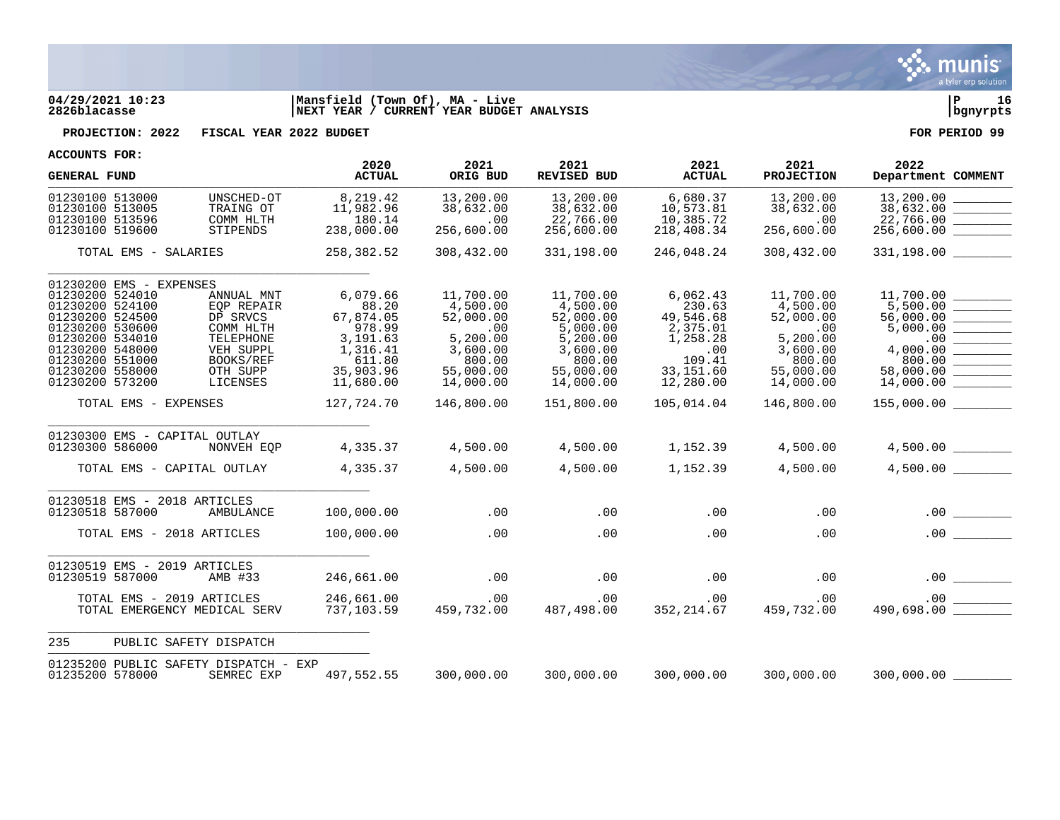

## **04/29/2021 10:23 |Mansfield (Town Of), MA - Live |P 16 2826blacasse |NEXT YEAR / CURRENT YEAR BUDGET ANALYSIS |bgnyrpts**

**PROJECTION: 2022 FISCAL YEAR 2022 BUDGET FOR PERIOD 99**

| ACCOUNTS LOK:                                                                                                                                                           |                                                 |                                                                                                                         |                                                                                                                    |                                                                                                                     |                                                                                                                          |                                                                                                                  |                                                                                                                     | 2022                                                                                                                                                                                                                                                                                                                                                                                                                         |
|-------------------------------------------------------------------------------------------------------------------------------------------------------------------------|-------------------------------------------------|-------------------------------------------------------------------------------------------------------------------------|--------------------------------------------------------------------------------------------------------------------|---------------------------------------------------------------------------------------------------------------------|--------------------------------------------------------------------------------------------------------------------------|------------------------------------------------------------------------------------------------------------------|---------------------------------------------------------------------------------------------------------------------|------------------------------------------------------------------------------------------------------------------------------------------------------------------------------------------------------------------------------------------------------------------------------------------------------------------------------------------------------------------------------------------------------------------------------|
| <b>GENERAL FUND</b>                                                                                                                                                     |                                                 |                                                                                                                         | 2020<br><b>ACTUAL</b>                                                                                              | 2021<br>ORIG BUD                                                                                                    | 2021<br><b>REVISED BUD</b>                                                                                               | 2021<br><b>ACTUAL</b>                                                                                            | 2021<br><b>PROJECTION</b>                                                                                           | Department COMMENT                                                                                                                                                                                                                                                                                                                                                                                                           |
| 01230100 513000<br>01230100 513005<br>01230100 513596<br>01230100 519600                                                                                                |                                                 | UNSCHED-OT<br>TRAING OT<br>COMM HLTH<br>STIPENDS                                                                        | 8,219.42<br>11,982.96<br>180.14<br>238,000.00                                                                      | 13,200.00<br>38,632.00<br>.00<br>256,600.00                                                                         | 13,200.00<br>38,632.00<br>22,766.00<br>256,600.00                                                                        | 6,680.37<br>10,573.81<br>10,385.72<br>218,408.34                                                                 | 13,200.00<br>38,632.00<br>.00<br>256,600.00                                                                         | 13,200.00<br>38,632.00<br>22,766.00<br>256,600.00                                                                                                                                                                                                                                                                                                                                                                            |
|                                                                                                                                                                         | TOTAL EMS - SALARIES                            |                                                                                                                         | 258,382.52                                                                                                         | 308,432.00                                                                                                          | 331,198.00                                                                                                               | 246,048.24                                                                                                       | 308,432.00                                                                                                          | 331,198.00                                                                                                                                                                                                                                                                                                                                                                                                                   |
| 01230200 524010<br>01230200 524100<br>01230200 524500<br>01230200 530600<br>01230200 534010<br>01230200 548000<br>01230200 551000<br>01230200 558000<br>01230200 573200 | 01230200 EMS - EXPENSES<br>TOTAL EMS - EXPENSES | ANNUAL MNT<br><b>EOP REPAIR</b><br>DP SRVCS<br>COMM HLTH<br>TELEPHONE<br>VEH SUPPL<br>BOOKS/REF<br>OTH SUPP<br>LICENSES | 6,079.66<br>88.20<br>67,874.05<br>978.99<br>3,191.63<br>1,316.41<br>611.80<br>35,903.96<br>11,680.00<br>127,724.70 | 11,700.00<br>4,500.00<br>52,000.00<br>.00<br>5,200.00<br>3,600.00<br>800.00<br>55,000.00<br>14,000.00<br>146,800.00 | 11,700.00<br>4,500.00<br>52,000.00<br>5,000.00<br>5,200.00<br>3,600.00<br>800.00<br>55,000.00<br>14,000.00<br>151,800.00 | 6,062.43<br>230.63<br>49,546.68<br>2,375.01<br>1,258.28<br>.00<br>109.41<br>33,151.60<br>12,280.00<br>105,014.04 | 11,700.00<br>4,500.00<br>52,000.00<br>.00<br>5,200.00<br>3,600.00<br>800.00<br>55,000.00<br>14,000.00<br>146,800.00 | 11,700.00<br>5.500.00<br>56,000.00<br>.00<br>4,000.00<br>800.00<br>$\begin{tabular}{ c c c c } \hline \quad \quad & \quad \quad & \quad \quad & \quad \quad \\ \hline \quad \quad & \quad \quad & \quad \quad & \quad \quad \\ \hline \quad \quad & \quad \quad & \quad \quad & \quad \quad \\ \hline \quad \quad & \quad \quad & \quad \quad & \quad \quad \\ \hline \end{tabular}$<br>58,000.00<br>14,000.00<br>155,000.00 |
|                                                                                                                                                                         | 01230300 EMS - CAPITAL OUTLAY                   |                                                                                                                         |                                                                                                                    |                                                                                                                     |                                                                                                                          |                                                                                                                  |                                                                                                                     |                                                                                                                                                                                                                                                                                                                                                                                                                              |
| 01230300 586000                                                                                                                                                         |                                                 | NONVEH EOP                                                                                                              | 4,335.37                                                                                                           | 4,500.00                                                                                                            | 4,500.00                                                                                                                 |                                                                                                                  | 1,152.39 4,500.00                                                                                                   | 4,500.00                                                                                                                                                                                                                                                                                                                                                                                                                     |
|                                                                                                                                                                         | TOTAL EMS - CAPITAL OUTLAY                      |                                                                                                                         | 4,335.37                                                                                                           | 4,500.00                                                                                                            | 4,500.00                                                                                                                 |                                                                                                                  | 1,152.39 4,500.00                                                                                                   |                                                                                                                                                                                                                                                                                                                                                                                                                              |
| 01230518 587000                                                                                                                                                         | 01230518 EMS - 2018 ARTICLES                    | AMBULANCE                                                                                                               | 100,000.00                                                                                                         | .00                                                                                                                 | .00                                                                                                                      | .00                                                                                                              | .00                                                                                                                 |                                                                                                                                                                                                                                                                                                                                                                                                                              |
|                                                                                                                                                                         | TOTAL EMS - 2018 ARTICLES                       |                                                                                                                         | 100,000.00                                                                                                         | .00                                                                                                                 | .00                                                                                                                      | .00                                                                                                              | .00                                                                                                                 | .00                                                                                                                                                                                                                                                                                                                                                                                                                          |
| 01230519 587000                                                                                                                                                         | 01230519 EMS - 2019 ARTICLES                    | AMB #33                                                                                                                 | 246,661.00                                                                                                         | .00                                                                                                                 | .00                                                                                                                      | .00                                                                                                              | .00                                                                                                                 |                                                                                                                                                                                                                                                                                                                                                                                                                              |
|                                                                                                                                                                         | TOTAL EMS - 2019 ARTICLES                       | TOTAL EMERGENCY MEDICAL SERV                                                                                            | 246,661.00<br>737,103.59                                                                                           | .00<br>459,732.00                                                                                                   | .00<br>487,498.00                                                                                                        | .00<br>352,214.67                                                                                                | $.00 \,$<br>459,732.00                                                                                              |                                                                                                                                                                                                                                                                                                                                                                                                                              |
| 235                                                                                                                                                                     |                                                 | PUBLIC SAFETY DISPATCH                                                                                                  |                                                                                                                    |                                                                                                                     |                                                                                                                          |                                                                                                                  |                                                                                                                     |                                                                                                                                                                                                                                                                                                                                                                                                                              |
| 01235200 578000                                                                                                                                                         |                                                 | 01235200 PUBLIC SAFETY DISPATCH - EXP<br>SEMREC EXP                                                                     | 497,552.55                                                                                                         | 300,000.00                                                                                                          | 300,000.00                                                                                                               | 300,000.00                                                                                                       | 300,000.00                                                                                                          |                                                                                                                                                                                                                                                                                                                                                                                                                              |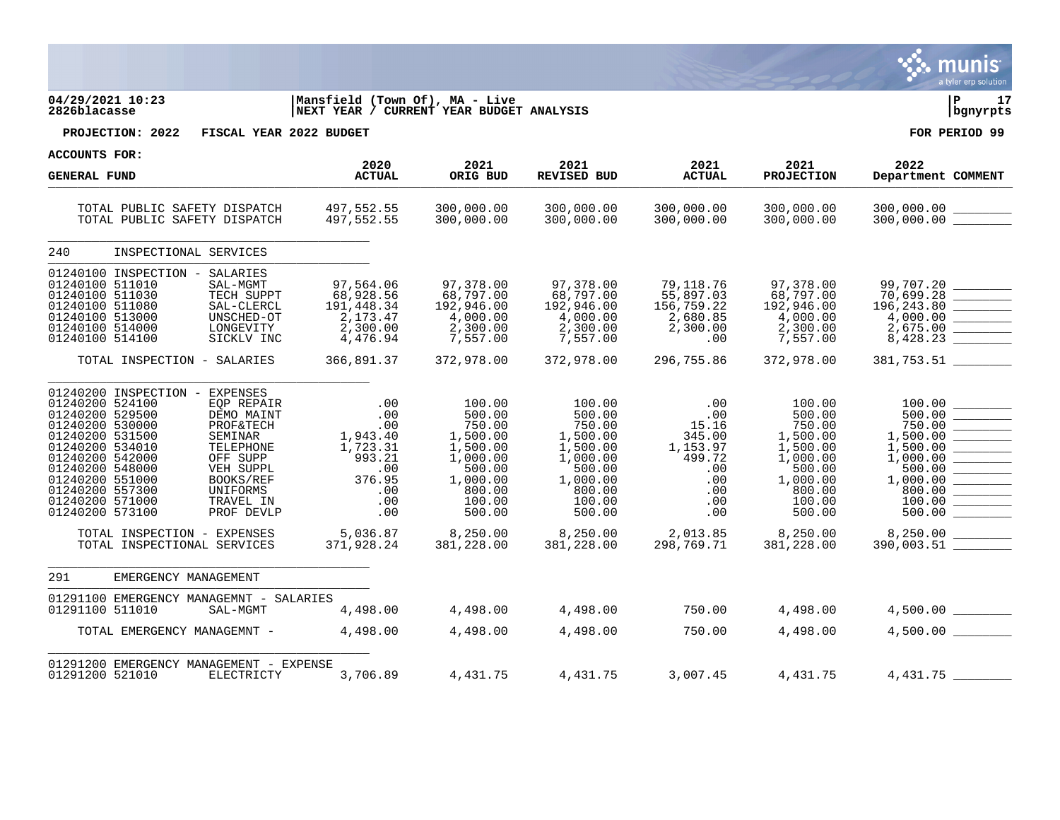|                                                                                                                                                                                                                                                                                                                                                                                                  |                                                                                           |                                                                                                                    |                                                                                                                    |                                                                                        |                                                                                                                    | a tyler erp solution                                                                                                                                                                                                                                                                                                                                                                                                                                                                                                                                                                                                                                                                                        |
|--------------------------------------------------------------------------------------------------------------------------------------------------------------------------------------------------------------------------------------------------------------------------------------------------------------------------------------------------------------------------------------------------|-------------------------------------------------------------------------------------------|--------------------------------------------------------------------------------------------------------------------|--------------------------------------------------------------------------------------------------------------------|----------------------------------------------------------------------------------------|--------------------------------------------------------------------------------------------------------------------|-------------------------------------------------------------------------------------------------------------------------------------------------------------------------------------------------------------------------------------------------------------------------------------------------------------------------------------------------------------------------------------------------------------------------------------------------------------------------------------------------------------------------------------------------------------------------------------------------------------------------------------------------------------------------------------------------------------|
| 04/29/2021 10:23<br>2826blacasse                                                                                                                                                                                                                                                                                                                                                                 | Mansfield (Town Of), MA - Live<br>NEXT YEAR / CURRENT YEAR BUDGET ANALYSIS                |                                                                                                                    |                                                                                                                    |                                                                                        |                                                                                                                    | l P<br>17<br>bgnyrpts                                                                                                                                                                                                                                                                                                                                                                                                                                                                                                                                                                                                                                                                                       |
| PROJECTION: 2022<br>FISCAL YEAR 2022 BUDGET                                                                                                                                                                                                                                                                                                                                                      |                                                                                           |                                                                                                                    |                                                                                                                    |                                                                                        |                                                                                                                    | FOR PERIOD 99                                                                                                                                                                                                                                                                                                                                                                                                                                                                                                                                                                                                                                                                                               |
| <b>ACCOUNTS FOR:</b>                                                                                                                                                                                                                                                                                                                                                                             | 2020                                                                                      | 2021                                                                                                               | 2021                                                                                                               | 2021                                                                                   | 2021                                                                                                               | 2022                                                                                                                                                                                                                                                                                                                                                                                                                                                                                                                                                                                                                                                                                                        |
| <b>GENERAL FUND</b>                                                                                                                                                                                                                                                                                                                                                                              | <b>ACTUAL</b>                                                                             | ORIG BUD                                                                                                           | <b>REVISED BUD</b>                                                                                                 | <b>ACTUAL</b>                                                                          | <b>PROJECTION</b>                                                                                                  | Department COMMENT                                                                                                                                                                                                                                                                                                                                                                                                                                                                                                                                                                                                                                                                                          |
| TOTAL PUBLIC SAFETY DISPATCH<br>TOTAL PUBLIC SAFETY DISPATCH                                                                                                                                                                                                                                                                                                                                     | 497,552.55<br>دد.∠לל ,497<br>497 ,552 .55                                                 | 300,000.00<br>300,000.00                                                                                           | 300,000.00<br>300,000.00                                                                                           | 300,000.00<br>300,000.00                                                               | 300,000.00<br>300,000.00                                                                                           | 300,000.00 _________<br>300,000.00                                                                                                                                                                                                                                                                                                                                                                                                                                                                                                                                                                                                                                                                          |
| 240<br>INSPECTIONAL SERVICES                                                                                                                                                                                                                                                                                                                                                                     |                                                                                           |                                                                                                                    |                                                                                                                    |                                                                                        |                                                                                                                    |                                                                                                                                                                                                                                                                                                                                                                                                                                                                                                                                                                                                                                                                                                             |
| 01240100 INSPECTION - SALARIES<br>01240100 511010<br>SAL-MGMT<br>01240100 511030<br>TECH SUPPT<br>01240100 511080<br>SAL-CLERCL<br>01240100 513000<br>UNSCHED-OT<br>01240100 514000<br>LONGEVITY<br>01240100 514100<br>SICKLV INC                                                                                                                                                                | 97,564.06<br>68,928.56<br>191,448.34<br>2,173.47<br>2,300.00<br>4,476.94                  | 97,378.00<br>68,797.00<br>192,946.00<br>4,000.00<br>2,300.00<br>7,557.00                                           | 97,378.00<br>68,797.00<br>192,946.00<br>4,000.00<br>2,300.00<br>7,557.00                                           | 79,118.76<br>55,897.03<br>156,759.22<br>2,680.85<br>2,300.00<br>.00                    | 97,378.00<br>68,797.00<br>192,946.00<br>4,000.00<br>2,300.00<br>7,557.00                                           | 99,707.20<br>196,243.80<br>4,000.00<br>————<br>————<br>2,675.00<br>8,428.23                                                                                                                                                                                                                                                                                                                                                                                                                                                                                                                                                                                                                                 |
| TOTAL INSPECTION - SALARIES                                                                                                                                                                                                                                                                                                                                                                      | 366,891.37                                                                                | 372,978.00                                                                                                         | 372,978.00                                                                                                         | 296,755.86                                                                             | 372,978.00                                                                                                         | 381,753.51                                                                                                                                                                                                                                                                                                                                                                                                                                                                                                                                                                                                                                                                                                  |
| 01240200 INSPECTION -<br>EXPENSES<br>01240200 524100<br>EQP REPAIR<br>01240200 529500<br>DEMO MAINT<br>01240200 530000<br>PROF&TECH<br>01240200 531500<br>SEMINAR<br>01240200 534010<br>TELEPHONE<br>01240200 542000<br>OFF SUPP<br>01240200 548000<br>VEH SUPPL<br>01240200 551000<br>BOOKS/REF<br>01240200 557300<br>UNIFORMS<br>01240200 571000<br>TRAVEL IN<br>01240200 573100<br>PROF DEVLP | .00<br>.00<br>.00<br>1,943.40<br>1,723.31<br>993.21<br>.00<br>376.95<br>.00<br>.00<br>.00 | 100.00<br>500.00<br>750.00<br>1,500.00<br>1,500.00<br>1,000.00<br>500.00<br>1,000.00<br>800.00<br>100.00<br>500.00 | 100.00<br>500.00<br>750.00<br>1,500.00<br>1,500.00<br>1,000.00<br>500.00<br>1,000.00<br>800.00<br>100.00<br>500.00 | .00<br>.00<br>15.16<br>345.00<br>1,153.97<br>499.72<br>.00<br>.00<br>.00<br>.00<br>.00 | 100.00<br>500.00<br>750.00<br>1,500.00<br>1,500.00<br>1,000.00<br>500.00<br>1,000.00<br>800.00<br>100.00<br>500.00 | $\frac{100.00}{500.00}$<br>750.00<br>$\overline{\phantom{a}}$ . The contract of $\overline{\phantom{a}}$<br>1,500.00<br>1,500.00<br>1,000.00<br>$\frac{1}{2} \left( \frac{1}{2} \right) \left( \frac{1}{2} \right) \left( \frac{1}{2} \right) \left( \frac{1}{2} \right) \left( \frac{1}{2} \right) \left( \frac{1}{2} \right) \left( \frac{1}{2} \right) \left( \frac{1}{2} \right) \left( \frac{1}{2} \right) \left( \frac{1}{2} \right) \left( \frac{1}{2} \right) \left( \frac{1}{2} \right) \left( \frac{1}{2} \right) \left( \frac{1}{2} \right) \left( \frac{1}{2} \right) \left( \frac{1}{2} \right) \left( \frac$<br>500.00<br>800.00<br>100.00<br>$\frac{500.00}{\frac{1000.00}{\frac{1}{200}}}}$ |
| TOTAL INSPECTION - EXPENSES<br>TOTAL INSPECTIONAL SERVICES                                                                                                                                                                                                                                                                                                                                       | 5,036.87<br>371,928.24                                                                    | 8,250.00<br>381,228.00                                                                                             | 8,250.00<br>381,228.00                                                                                             | 2,013.85<br>298.769.71                                                                 | 8,250.00<br>381,228.00                                                                                             | $8,250.00$ _________<br>390,003.51                                                                                                                                                                                                                                                                                                                                                                                                                                                                                                                                                                                                                                                                          |
| 291<br>EMERGENCY MANAGEMENT                                                                                                                                                                                                                                                                                                                                                                      |                                                                                           |                                                                                                                    |                                                                                                                    |                                                                                        |                                                                                                                    |                                                                                                                                                                                                                                                                                                                                                                                                                                                                                                                                                                                                                                                                                                             |
| 01291100 EMERGENCY MANAGEMNT - SALARIES<br>01291100 511010<br>SAL-MGMT                                                                                                                                                                                                                                                                                                                           | 4,498.00                                                                                  | 4,498.00                                                                                                           | 4,498.00                                                                                                           | 750.00                                                                                 | 4,498.00                                                                                                           | $4,500.00$ __________                                                                                                                                                                                                                                                                                                                                                                                                                                                                                                                                                                                                                                                                                       |
| TOTAL EMERGENCY MANAGEMNT -                                                                                                                                                                                                                                                                                                                                                                      | 4,498.00                                                                                  | 4,498.00                                                                                                           | 4,498.00                                                                                                           | 750.00                                                                                 | 4,498.00                                                                                                           | 4,500.00                                                                                                                                                                                                                                                                                                                                                                                                                                                                                                                                                                                                                                                                                                    |
| 01291200 EMERGENCY MANAGEMENT - EXPENSE<br>01291200 521010<br>ELECTRICTY                                                                                                                                                                                                                                                                                                                         | 3,706.89                                                                                  | 4,431.75                                                                                                           | 4,431.75                                                                                                           | 3,007.45                                                                               | 4,431.75                                                                                                           | 4,431.75                                                                                                                                                                                                                                                                                                                                                                                                                                                                                                                                                                                                                                                                                                    |

 $\ddot{\mathbf{w}}$  munis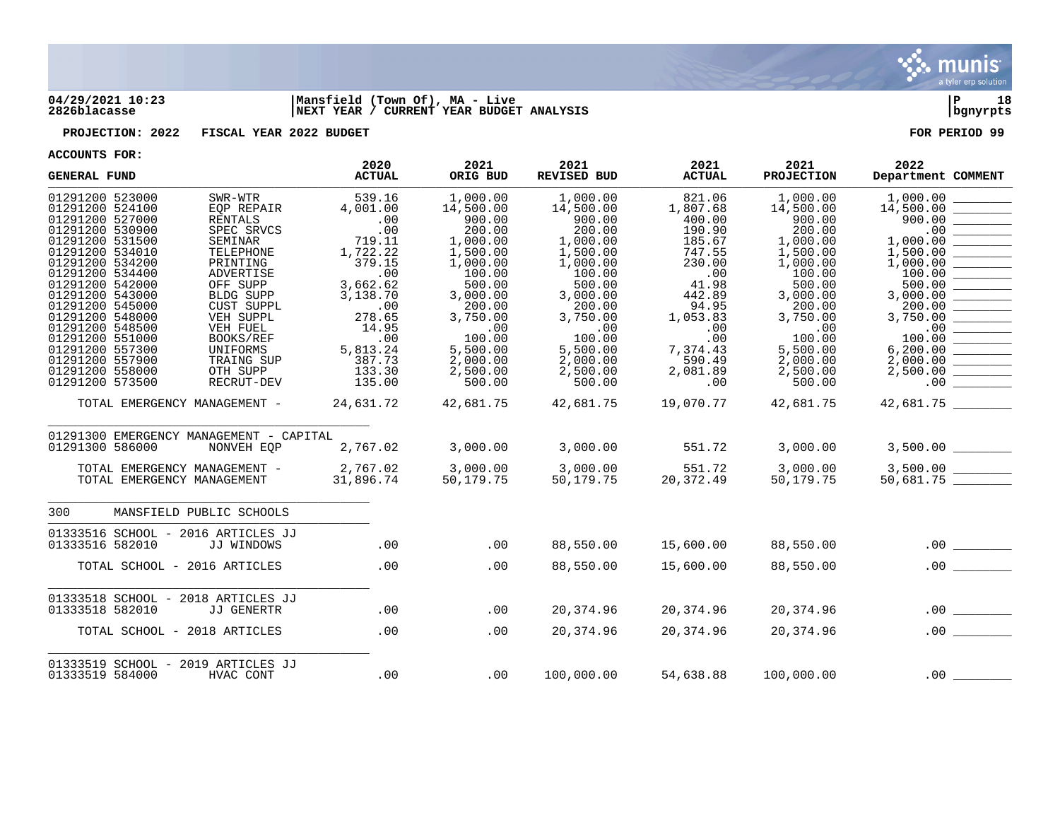

## **04/29/2021 10:23 |Mansfield (Town Of), MA - Live |P 18 2826blacasse |NEXT YEAR / CURRENT YEAR BUDGET ANALYSIS |bgnyrpts**

**PROJECTION: 2022 FISCAL YEAR 2022 BUDGET FOR PERIOD 99**

| <b>GENERAL FUND</b>                                                                                                                                                                                                                                                                                          |                                                                                                                                                                                                                      | 2020<br><b>ACTUAL</b>                                                                                                                                  | 2021<br>ORIG BUD                                                                                                                                                             | 2021<br><b>REVISED BUD</b>                                                                                                                                                   | 2021<br><b>ACTUAL</b>                                                                                                                                   | 2021<br><b>PROJECTION</b>                                                                                                                                                    | 2022<br>Department COMMENT                                                                                                                                                 |
|--------------------------------------------------------------------------------------------------------------------------------------------------------------------------------------------------------------------------------------------------------------------------------------------------------------|----------------------------------------------------------------------------------------------------------------------------------------------------------------------------------------------------------------------|--------------------------------------------------------------------------------------------------------------------------------------------------------|------------------------------------------------------------------------------------------------------------------------------------------------------------------------------|------------------------------------------------------------------------------------------------------------------------------------------------------------------------------|---------------------------------------------------------------------------------------------------------------------------------------------------------|------------------------------------------------------------------------------------------------------------------------------------------------------------------------------|----------------------------------------------------------------------------------------------------------------------------------------------------------------------------|
| 01291200 523000<br>01291200 524100<br>01291200 527000<br>01291200 530900<br>01291200 531500<br>01291200 534010<br>01291200 534200<br>01291200 534400<br>01291200 542000<br>01291200 543000<br>01291200 545000<br>01291200 548000<br>01291200 548500<br>01291200 551000<br>01291200 557300<br>01291200 557900 | SWR-WTR<br>EQP REPAIR<br><b>RENTALS</b><br>SPEC SRVCS<br>SEMINAR<br>TELEPHONE<br>PRINTING<br>ADVERTISE<br>OFF SUPP<br>BLDG SUPP<br>CUST SUPPL<br>VEH SUPPL<br>VEH FUEL<br><b>BOOKS/REF</b><br>UNIFORMS<br>TRAING SUP | 539.16<br>4,001.00<br>.00<br>.00<br>719.11<br>1,722.22<br>379.15<br>.00<br>3,662.62<br>3,138.70<br>.00<br>278.65<br>14.95<br>.00<br>5,813.24<br>387.73 | 1,000.00<br>14,500.00<br>900.00<br>200.00<br>1,000.00<br>1,500.00<br>1,000.00<br>100.00<br>500.00<br>3,000.00<br>200.00<br>3,750.00<br>.00<br>100.00<br>5,500.00<br>2,000.00 | 1,000.00<br>14,500.00<br>900.00<br>200.00<br>1,000.00<br>1,500.00<br>1,000.00<br>100.00<br>500.00<br>3,000.00<br>200.00<br>3,750.00<br>.00<br>100.00<br>5,500.00<br>2,000.00 | 821.06<br>1,807.68<br>400.00<br>190.90<br>185.67<br>747.55<br>230.00<br>.00<br>41.98<br>442.89<br>94.95<br>1,053.83<br>.00<br>.00<br>7,374.43<br>590.49 | 1,000.00<br>14,500.00<br>900.00<br>200.00<br>1,000.00<br>1,500.00<br>1,000.00<br>100.00<br>500.00<br>3,000.00<br>200.00<br>3,750.00<br>.00<br>100.00<br>5,500.00<br>2,000.00 | 1,000.00<br>14,500.00<br>900.00<br>.00<br>1,000.00<br>1,500.00<br>1,000.00<br>100.00<br>500.00<br>3,000.00<br>200.00<br>3,750.00<br>.00<br>100.00<br>6, 200.00<br>2,000.00 |
| 01291200 558000<br>01291200 573500                                                                                                                                                                                                                                                                           | OTH SUPP<br>RECRUT-DEV                                                                                                                                                                                               | 133.30<br>135.00                                                                                                                                       | 2,500.00<br>500.00                                                                                                                                                           | 2,500.00<br>500.00                                                                                                                                                           | 2,081.89<br>.00                                                                                                                                         | 2,500.00<br>500.00                                                                                                                                                           | 2,500.00<br>.00                                                                                                                                                            |
| TOTAL EMERGENCY MANAGEMENT -<br>01291300 EMERGENCY MANAGEMENT - CAPITAL<br>01291300 586000<br>TOTAL EMERGENCY MANAGEMENT -<br>TOTAL EMERGENCY MANAGEMENT                                                                                                                                                     | NONVEH EOP                                                                                                                                                                                                           | 24,631.72<br>2,767.02<br>2,767.02<br>31,896.74                                                                                                         | 42,681.75<br>3,000.00<br>3,000.00<br>50,179.75                                                                                                                               | 42,681.75<br>3,000.00<br>3,000.00<br>50,179.75                                                                                                                               | 19,070.77<br>551.72<br>551.72<br>20,372.49                                                                                                              | 42,681.75<br>3,000.00<br>3,000.00<br>50,179.75                                                                                                                               | 42,681.75<br>3,500.00<br>3,500.00<br>$3,500.00$<br>50,681.75                                                                                                               |
| 300                                                                                                                                                                                                                                                                                                          | MANSFIELD PUBLIC SCHOOLS                                                                                                                                                                                             |                                                                                                                                                        |                                                                                                                                                                              |                                                                                                                                                                              |                                                                                                                                                         |                                                                                                                                                                              |                                                                                                                                                                            |
| 01333516 SCHOOL - 2016 ARTICLES JJ<br>01333516 582010                                                                                                                                                                                                                                                        | JJ WINDOWS                                                                                                                                                                                                           | .00                                                                                                                                                    | .00                                                                                                                                                                          | 88,550.00                                                                                                                                                                    | 15,600.00                                                                                                                                               | 88,550.00                                                                                                                                                                    | .00                                                                                                                                                                        |
| TOTAL SCHOOL - 2016 ARTICLES                                                                                                                                                                                                                                                                                 |                                                                                                                                                                                                                      | .00                                                                                                                                                    | .00                                                                                                                                                                          | 88,550.00                                                                                                                                                                    | 15,600.00                                                                                                                                               | 88,550.00                                                                                                                                                                    | .00                                                                                                                                                                        |
| 01333518 SCHOOL - 2018 ARTICLES JJ<br>01333518 582010                                                                                                                                                                                                                                                        | JJ GENERTR                                                                                                                                                                                                           | .00                                                                                                                                                    | .00                                                                                                                                                                          | 20,374.96                                                                                                                                                                    | 20,374.96                                                                                                                                               | 20,374.96                                                                                                                                                                    | .00<br><u>Contractor and the contractor</u>                                                                                                                                |
| TOTAL SCHOOL - 2018 ARTICLES                                                                                                                                                                                                                                                                                 |                                                                                                                                                                                                                      | .00                                                                                                                                                    | .00                                                                                                                                                                          | 20,374.96                                                                                                                                                                    | 20,374.96                                                                                                                                               | 20,374.96                                                                                                                                                                    | .00                                                                                                                                                                        |
| 01333519 SCHOOL - 2019 ARTICLES JJ<br>01333519 584000                                                                                                                                                                                                                                                        | HVAC CONT                                                                                                                                                                                                            | .00                                                                                                                                                    | .00                                                                                                                                                                          | 100,000.00                                                                                                                                                                   | 54,638.88                                                                                                                                               | 100,000.00                                                                                                                                                                   |                                                                                                                                                                            |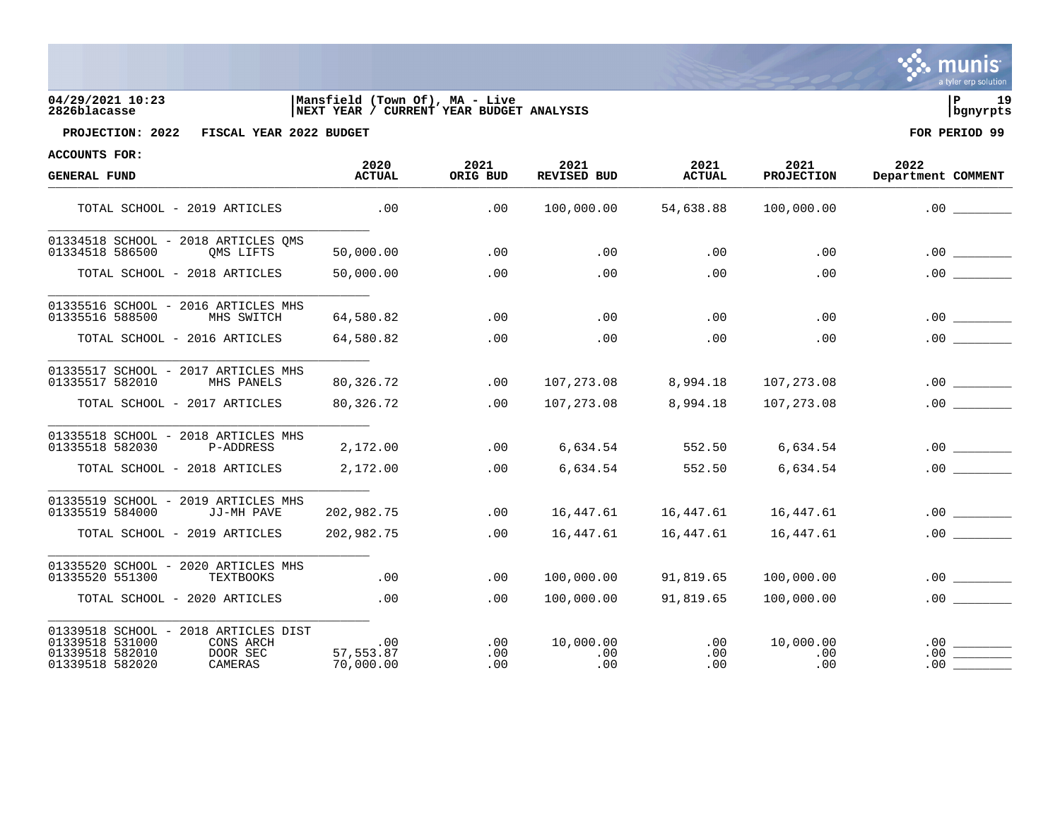| $\sim$ munis $^{\prime}$ |
|--------------------------|
| a tyler erp solution     |

## **04/29/2021 10:23 |Mansfield (Town Of), MA - Live |P 19 2826blacasse |NEXT YEAR / CURRENT YEAR BUDGET ANALYSIS |bgnyrpts**



**PROJECTION: 2022 FISCAL YEAR 2022 BUDGET FOR PERIOD 99**

| ACCOUNTS FOR:<br><b>GENERAL FUND</b>                                                                                              | 2020<br><b>ACTUAL</b>             | 2021<br>ORIG BUD  | 2021<br><b>REVISED BUD</b> | 2021<br><b>ACTUAL</b> | 2021<br><b>PROJECTION</b>    | 2022<br>Department COMMENT |
|-----------------------------------------------------------------------------------------------------------------------------------|-----------------------------------|-------------------|----------------------------|-----------------------|------------------------------|----------------------------|
| TOTAL SCHOOL - 2019 ARTICLES                                                                                                      | .00                               | .00               | 100,000.00                 | 54,638.88             | 100,000.00                   | .00                        |
| 01334518 SCHOOL - 2018 ARTICLES OMS<br>01334518 586500<br>OMS LIFTS                                                               | 50,000.00                         | .00               | .00                        | .00                   | .00                          | .00                        |
| TOTAL SCHOOL - 2018 ARTICLES                                                                                                      | 50,000.00                         | .00               | .00                        | .00                   | .00                          | .00                        |
| 01335516 SCHOOL - 2016 ARTICLES MHS<br>01335516 588500<br>MHS SWITCH                                                              | 64,580.82                         | $.00 \,$          | .00                        | .00                   | .00                          | .00                        |
| TOTAL SCHOOL - 2016 ARTICLES                                                                                                      | 64,580.82                         | .00               | .00                        | .00                   | .00                          | .00                        |
| 01335517 SCHOOL - 2017 ARTICLES MHS<br>01335517 582010<br>MHS PANELS                                                              | 80,326.72                         | .00               | 107,273.08                 | 8,994.18              | 107,273.08                   | .00                        |
| TOTAL SCHOOL - 2017 ARTICLES                                                                                                      | 80,326.72                         | .00               | 107,273.08                 | 8,994.18              | 107,273.08                   | .00                        |
| 01335518 SCHOOL - 2018 ARTICLES MHS<br>01335518 582030<br>P-ADDRESS                                                               | 2,172.00                          | $.00\,$           | 6,634.54                   | 552.50                | 6,634.54                     | .00                        |
| TOTAL SCHOOL - 2018 ARTICLES                                                                                                      | 2,172.00                          | .00               | 6,634.54                   | 552.50                | 6,634.54                     | .00                        |
| 01335519 SCHOOL - 2019 ARTICLES MHS<br>01335519 584000<br>JJ-MH PAVE                                                              | 202,982.75                        | .00               |                            |                       | 16,447.61                    | .00                        |
| TOTAL SCHOOL - 2019 ARTICLES                                                                                                      | 202,982.75                        | .00               | 16,447.61                  | 16,447.61             | 16,447.61                    | .00                        |
| 01335520 SCHOOL - 2020 ARTICLES MHS<br>01335520 551300<br>TEXTBOOKS                                                               | .00                               | .00               | 100,000.00                 | 91,819.65             | 100,000.00                   | .00                        |
| TOTAL SCHOOL - 2020 ARTICLES                                                                                                      | .00                               | .00               | 100,000.00                 | 91,819.65             | 100,000.00                   | .00                        |
| 01339518 SCHOOL - 2018 ARTICLES DIST<br>01339518 531000<br>CONS ARCH<br>01339518 582010<br>DOOR SEC<br>01339518 582020<br>CAMERAS | $.00\,$<br>57,553.87<br>70,000.00 | .00<br>.00<br>.00 | 10,000.00<br>.00<br>.00    | .00<br>.00<br>.00     | 10,000.00<br>$.00 \,$<br>.00 | .00<br>.00<br>.00          |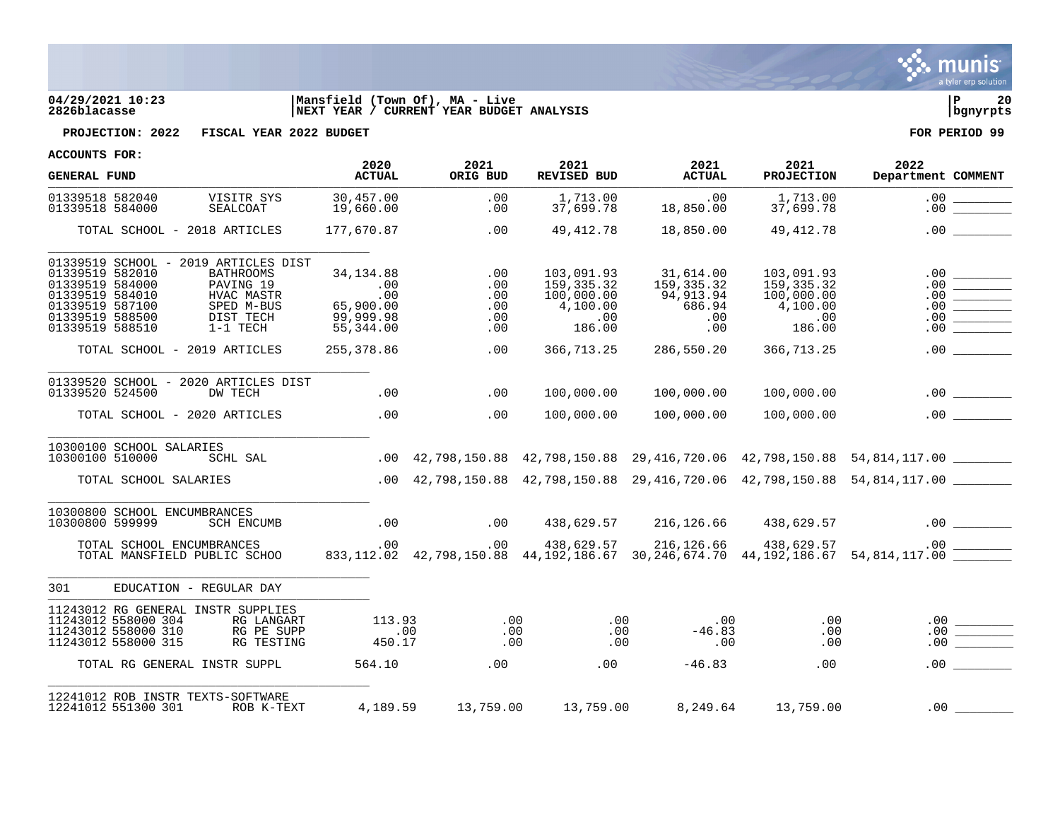

# **04/29/2021 10:23 |Mansfield (Town Of), MA - Live |P 20 2826blacasse |NEXT YEAR / CURRENT YEAR BUDGET ANALYSIS |bgnyrpts**



**PROJECTION: 2022 FISCAL YEAR 2022 BUDGET FOR PERIOD 99**

| <b>GENERAL FUND</b>                                                                                                                                                                                                                          | 2020<br><b>ACTUAL</b>                                               | 2021<br>ORIG BUD                       | 2021<br><b>REVISED BUD</b>                                            | 2021<br><b>ACTUAL</b>                                        | 2021<br><b>PROJECTION</b>                                                   | 2022<br>Department COMMENT                                                                   |
|----------------------------------------------------------------------------------------------------------------------------------------------------------------------------------------------------------------------------------------------|---------------------------------------------------------------------|----------------------------------------|-----------------------------------------------------------------------|--------------------------------------------------------------|-----------------------------------------------------------------------------|----------------------------------------------------------------------------------------------|
| 01339518 582040<br>VISITR SYS<br>01339518 584000<br>SEALCOAT                                                                                                                                                                                 | 30,457.00<br>19,660.00                                              | .00<br>.00                             | 1,713.00<br>37,699.78                                                 | .00<br>18,850.00                                             | 1,713.00<br>37,699.78                                                       |                                                                                              |
| TOTAL SCHOOL - 2018 ARTICLES                                                                                                                                                                                                                 | 177,670.87                                                          | .00                                    | 49, 412.78                                                            | 18,850.00                                                    | 49,412.78                                                                   | $.00$ $\qquad \qquad$                                                                        |
| 01339519 SCHOOL - 2019 ARTICLES DIST<br>01339519 582010<br><b>BATHROOMS</b><br>01339519 584000<br>PAVING 19<br>01339519 584010<br>HVAC MASTR<br>01339519 587100<br>SPED M-BUS<br>01339519 588500<br>DIST TECH<br>01339519 588510<br>1-1 TECH | 34,134.88<br>.00<br>$.00 \,$<br>65,900.00<br>99,999.98<br>55,344.00 | .00<br>.00<br>.00<br>.00<br>.00<br>.00 | 103,091.93<br>159, 335. 32<br>100,000.00<br>4,100.00<br>.00<br>186.00 | 31,614.00<br>159,335.32<br>94,913.94<br>686.94<br>.00<br>.00 | 103,091.93<br>159,335.32<br>100,000.00<br>4,100.00<br>$.00 \ \rm$<br>186.00 | .00<br>.00<br>.00<br>.00<br>.00<br>.00                                                       |
| TOTAL SCHOOL - 2019 ARTICLES                                                                                                                                                                                                                 | 255,378.86                                                          | .00                                    | 366,713.25                                                            | 286,550.20                                                   | 366,713.25                                                                  | .00                                                                                          |
| 01339520 SCHOOL - 2020 ARTICLES DIST<br>01339520 524500<br>DW TECH<br>TOTAL SCHOOL - 2020 ARTICLES                                                                                                                                           | .00<br>$\sim$ 00                                                    | .00<br>.00                             | 100,000.00<br>100,000.00                                              | 100,000.00<br>100,000.00                                     | 100,000.00<br>100,000.00                                                    | .00                                                                                          |
| 10300100 SCHOOL SALARIES<br>SCHL SAL<br>10300100 510000                                                                                                                                                                                      |                                                                     |                                        |                                                                       |                                                              |                                                                             | .00 42,798,150.88 42,798,150.88 29,416,720.06 42,798,150.88 54,814,117.00 _______            |
| TOTAL SCHOOL SALARIES                                                                                                                                                                                                                        |                                                                     |                                        |                                                                       |                                                              |                                                                             | .00 42,798,150.88 42,798,150.88 29,416,720.06 42,798,150.88 54,814,117.00                    |
| 10300800 SCHOOL ENCUMBRANCES<br>10300800 599999<br>SCH ENCUMB                                                                                                                                                                                | .00                                                                 | .00                                    |                                                                       | 438,629.57 216,126.66 438,629.57                             |                                                                             |                                                                                              |
| TOTAL SCHOOL ENCUMBRANCES<br>TOTAL MANSFIELD PUBLIC SCHOO                                                                                                                                                                                    | $\sim$ 00                                                           |                                        | $100 \qquad 438,629.57 \qquad 216,126.66 \qquad 438,629.57$           |                                                              |                                                                             | $833,112.02$ $42,798,150.88$ $44,192,186.67$ $30,246,674.70$ $44,192,186.67$ $54,814,117.00$ |
| EDUCATION - REGULAR DAY<br>301                                                                                                                                                                                                               |                                                                     |                                        |                                                                       |                                                              |                                                                             |                                                                                              |
| 11243012 RG GENERAL INSTR SUPPLIES<br>11243012 558000 304<br>RG LANGART<br>11243012 558000 310<br>RG PE SUPP<br>11243012 558000 315<br>RG TESTING                                                                                            | 113.93<br>.00<br>450.17                                             | .00<br>.00                             | .00<br>$.00 \,$<br>.00<br>.00                                         | .00<br>$-46.83$<br>.00                                       | .00<br>.00<br>.00                                                           | $.00 \,$<br>.00<br>.00                                                                       |
| TOTAL RG GENERAL INSTR SUPPL                                                                                                                                                                                                                 | 564.10                                                              | .00                                    | .00                                                                   |                                                              | $-46.83$<br>.00                                                             | .00                                                                                          |
| 12241012 ROB INSTR TEXTS-SOFTWARE<br>12241012 551300 301<br>ROB K-TEXT                                                                                                                                                                       | 4,189.59                                                            | 13,759.00                              | 13,759.00                                                             | 8,249.64                                                     | 13,759.00                                                                   | .00                                                                                          |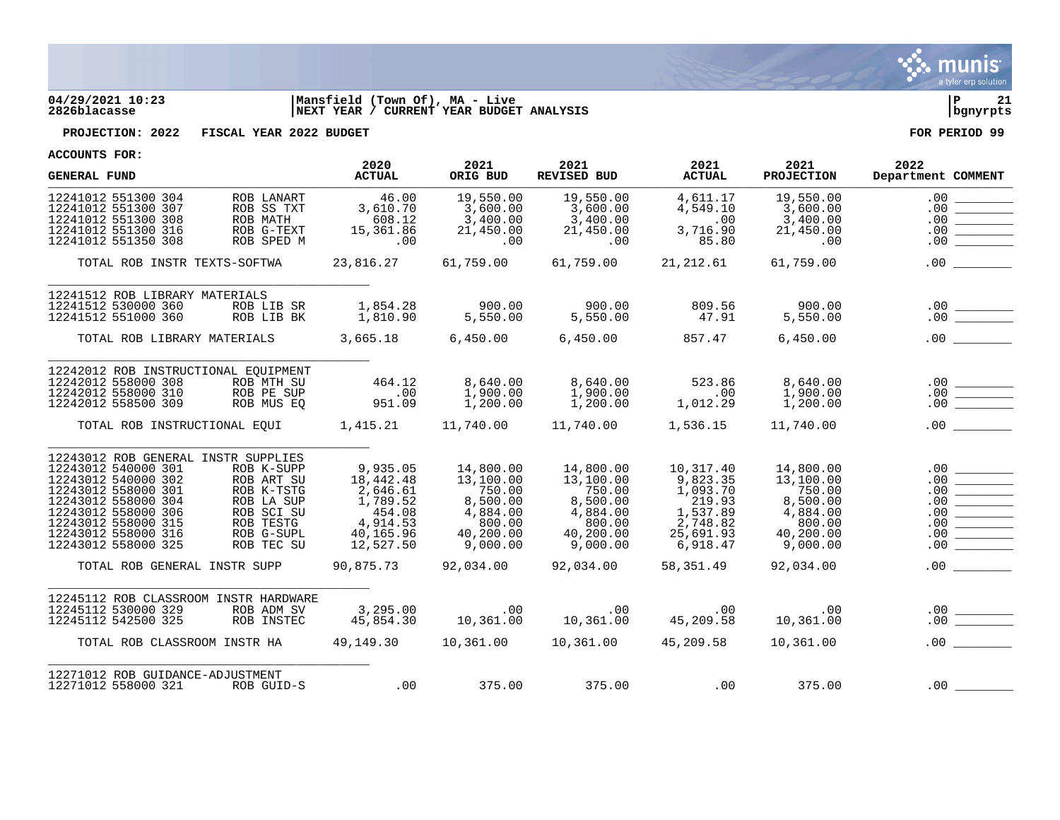

## **04/29/2021 10:23 |Mansfield (Town Of), MA - Live |P 21 2826blacasse |NEXT YEAR / CURRENT YEAR BUDGET ANALYSIS |bgnyrpts**

**PROJECTION: 2022 FISCAL YEAR 2022 BUDGET FOR PERIOD 99**

| ACCOUNTS FOR.<br><b>GENERAL FUND</b>                                                                                                                                                                                        |                                                                                                             | 2020<br><b>ACTUAL</b>                                                                         | 2021<br>ORIG BUD                                                                            | 2021<br>REVISED BUD                                                                         | 2021<br><b>ACTUAL</b>                                                                        | 2021<br><b>PROJECTION</b>                                                                   | 2022<br>Department COMMENT                                                                                                                                                                                                                                                                                                                                                                                                    |
|-----------------------------------------------------------------------------------------------------------------------------------------------------------------------------------------------------------------------------|-------------------------------------------------------------------------------------------------------------|-----------------------------------------------------------------------------------------------|---------------------------------------------------------------------------------------------|---------------------------------------------------------------------------------------------|----------------------------------------------------------------------------------------------|---------------------------------------------------------------------------------------------|-------------------------------------------------------------------------------------------------------------------------------------------------------------------------------------------------------------------------------------------------------------------------------------------------------------------------------------------------------------------------------------------------------------------------------|
| 12241012 551300 304<br>12241012 551300 307<br>12241012 551300 308<br>12241012 551300 316<br>12241012 551350 308                                                                                                             | ROB LANART<br>ROB SS TXT<br>ROB MATH<br>ROB G-TEXT<br>ROB SPED M                                            | 46.00<br>3,610.70<br>608.12<br>15,361.86<br>.00                                               | 19,550.00<br>3,600.00<br>3,400.00<br>21,450.00<br>.00                                       | 19,550.00<br>3,600.00<br>3,400.00<br>21,450.00<br>.00                                       | 4,611.17<br>4,549.10<br>.00<br>3,716.90<br>85.80                                             | 19,550.00<br>3,600.00<br>3,400.00<br>21,450.00<br>.00                                       | .00<br>.00<br>.00<br>.00<br>.00                                                                                                                                                                                                                                                                                                                                                                                               |
| TOTAL ROB INSTR TEXTS-SOFTWA 23,816.27 61,759.00                                                                                                                                                                            |                                                                                                             |                                                                                               |                                                                                             | 61,759.00                                                                                   | 21,212.61                                                                                    | 61,759.00                                                                                   | $\begin{tabular}{ccccc} \multicolumn{2}{c }{\textbf{1} & \textbf{2} & \textbf{3} & \textbf{4} & \textbf{5} & \textbf{5} & \textbf{6} & \textbf{6} & \textbf{7} & \textbf{8} & \textbf{8} & \textbf{9} & \textbf{10} & \textbf{10} & \textbf{10} & \textbf{10} & \textbf{10} & \textbf{10} & \textbf{10} & \textbf{10} & \textbf{10} & \textbf{10} & \textbf{10} & \textbf{10} & \textbf{10} & \textbf{10} & \textbf{1$<br>.00 |
| 12241512 ROB LIBRARY MATERIALS<br>12241512 530000 360<br>12241512 551000 360<br>TOTAL ROB LIBRARY MATERIALS 3,665.18 6,450.00 6,450.00 857.47                                                                               | ROB LIB SR<br>ROB LIB BK                                                                                    | 1,854.28<br>1,810.90                                                                          | 900.00<br>5,550.00                                                                          | 900.00<br>5,550.00                                                                          | 809.56<br>47.91                                                                              | 900.00<br>5,550.00<br>6,450.00                                                              | $\begin{array}{c}\n 0.00 \\  \hline\n 0.00\n \end{array}$<br>$.00$ $\qquad \qquad$                                                                                                                                                                                                                                                                                                                                            |
| 12242012 ROB INSTRUCTIONAL EOUIPMENT<br>12242012 558000 308<br>12242012 558000 310<br>12242012 558500 309                                                                                                                   | ROB MTH SU<br>ROB PE SUP<br>ROB MUS EQ                                                                      | 464.12<br>.00<br>951.09                                                                       | 8,640.00<br>1,900.00<br>1,200.00                                                            | 8,640.00<br>1,900.00<br>1,200.00                                                            | 523.86<br>$\sim$ 00<br>1,012.29                                                              | 8,640.00<br>1,900.00<br>1,200.00                                                            |                                                                                                                                                                                                                                                                                                                                                                                                                               |
| TOTAL ROB INSTRUCTIONAL EQUI 1,415.21 11,740.00 11,740.00                                                                                                                                                                   |                                                                                                             |                                                                                               |                                                                                             |                                                                                             | 1,536.15                                                                                     | 11,740.00                                                                                   | $.00$ $\qquad \qquad$                                                                                                                                                                                                                                                                                                                                                                                                         |
| 12243012 ROB GENERAL INSTR SUPPLIES<br>12243012 540000 301<br>12243012 540000 302<br>12243012 558000 301<br>12243012 558000 304<br>12243012 558000 306<br>12243012 558000 315<br>12243012 558000 316<br>12243012 558000 325 | ROB K-SUPP<br>ROB ART SU<br>ROB K-TSTG<br>ROB LA SUP<br>ROB SCI SU<br>ROB TESTG<br>ROB G-SUPL<br>ROB TEC SU | 9,935.05<br>18,442.48<br>2,646.61<br>1,789.52<br>454.08<br>4,914.53<br>40,165.96<br>12,527.50 | 14,800.00<br>13,100.00<br>750.00<br>8,500.00<br>4,884.00<br>800.00<br>40,200.00<br>9,000.00 | 14,800.00<br>13,100.00<br>750.00<br>8,500.00<br>4,884.00<br>800.00<br>40,200.00<br>9,000.00 | 10,317.40<br>9,823.35<br>1,093.70<br>219.93<br>1,537.89<br>2,748.82<br>25,691.93<br>6,918.47 | 14,800.00<br>13,100.00<br>750.00<br>8,500.00<br>4,884.00<br>800.00<br>40,200.00<br>9,000.00 | .00<br>.00<br>.00<br>.00<br>.00<br>.00<br>.00<br>.00                                                                                                                                                                                                                                                                                                                                                                          |
| TOTAL ROB GENERAL INSTR SUPP                                                                                                                                                                                                |                                                                                                             |                                                                                               |                                                                                             |                                                                                             | 58,351.49                                                                                    | 92,034.00                                                                                   | .00                                                                                                                                                                                                                                                                                                                                                                                                                           |
| 12245112 ROB CLASSROOM INSTR HARDWARE<br>12245112 530000 329<br>12245112 542500 325                                                                                                                                         | ROB ADM SV<br>ROB INSTEC                                                                                    | 3,295.00<br>45.854.30<br>45,854.30                                                            |                                                                                             | 00. 00<br>10,361.00    10,361.00    10,361.00                                               |                                                                                              | .00<br>10,361.00                                                                            | $\begin{array}{c c} .00 & \underline{\hspace{15em}} \\ .00 & \underline{\hspace{15em}} \end{array}$                                                                                                                                                                                                                                                                                                                           |
| TOTAL ROB CLASSROOM INSTR HA                                                                                                                                                                                                |                                                                                                             |                                                                                               |                                                                                             |                                                                                             | 45,209.58                                                                                    | 10,361.00                                                                                   |                                                                                                                                                                                                                                                                                                                                                                                                                               |
| 12271012 ROB GUIDANCE-ADJUSTMENT<br>12271012 558000 321                                                                                                                                                                     | ROB GUID-S                                                                                                  | .00                                                                                           | 375.00                                                                                      | 375.00                                                                                      |                                                                                              | .00<br>375.00                                                                               | .00                                                                                                                                                                                                                                                                                                                                                                                                                           |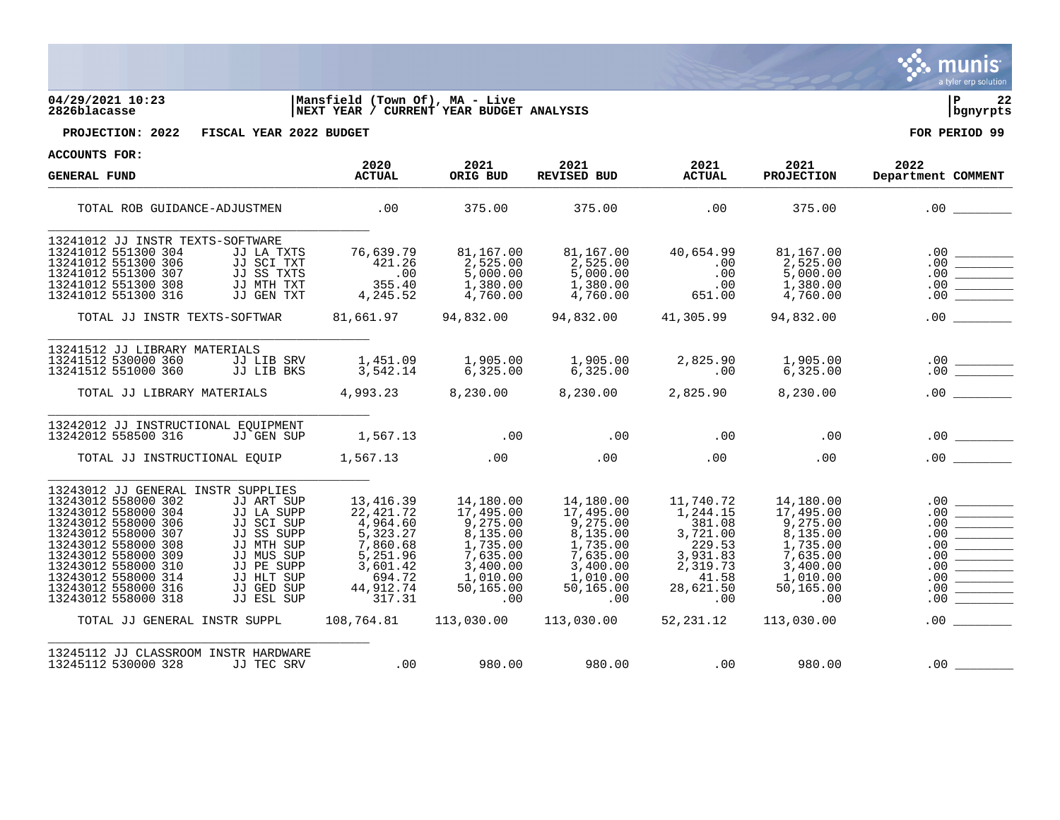| 04/29/2021 10:23<br>2826blacasse                                                                                                                                                                                                                                                                                                                                                                                                                     | Mansfield (Town Of), MA - Live<br>NEXT YEAR / CURRENT YEAR BUDGET ANALYSIS                                                        |                                                                                                                                       |                                                                                                                                  |                                                                                                                         |                                                                                                                                       | P<br>22<br>bgnyrpts                                                                                                                                                                                                                             |
|------------------------------------------------------------------------------------------------------------------------------------------------------------------------------------------------------------------------------------------------------------------------------------------------------------------------------------------------------------------------------------------------------------------------------------------------------|-----------------------------------------------------------------------------------------------------------------------------------|---------------------------------------------------------------------------------------------------------------------------------------|----------------------------------------------------------------------------------------------------------------------------------|-------------------------------------------------------------------------------------------------------------------------|---------------------------------------------------------------------------------------------------------------------------------------|-------------------------------------------------------------------------------------------------------------------------------------------------------------------------------------------------------------------------------------------------|
| PROJECTION: 2022<br>FISCAL YEAR 2022 BUDGET                                                                                                                                                                                                                                                                                                                                                                                                          |                                                                                                                                   |                                                                                                                                       |                                                                                                                                  |                                                                                                                         |                                                                                                                                       | FOR PERIOD 99                                                                                                                                                                                                                                   |
| ACCOUNTS FOR:                                                                                                                                                                                                                                                                                                                                                                                                                                        |                                                                                                                                   |                                                                                                                                       |                                                                                                                                  |                                                                                                                         |                                                                                                                                       |                                                                                                                                                                                                                                                 |
| <b>GENERAL FUND</b>                                                                                                                                                                                                                                                                                                                                                                                                                                  | 2020<br><b>ACTUAL</b>                                                                                                             | 2021<br>ORIG BUD                                                                                                                      | 2021<br>REVISED BUD                                                                                                              | 2021<br><b>ACTUAL</b>                                                                                                   | 2021<br><b>PROJECTION</b>                                                                                                             | 2022<br>Department COMMENT                                                                                                                                                                                                                      |
| TOTAL ROB GUIDANCE-ADJUSTMEN                                                                                                                                                                                                                                                                                                                                                                                                                         | .00                                                                                                                               | 375.00                                                                                                                                | 375.00                                                                                                                           | .00                                                                                                                     | 375.00                                                                                                                                | .00                                                                                                                                                                                                                                             |
| 13241012 JJ INSTR TEXTS-SOFTWARE<br>13241012 551300 304<br>JJ LA TXTS<br>13241012 551300 306<br>JJ SCI TXT<br>JJ SS TXTS<br>13241012 551300 307<br>JJ MTH TXT<br>13241012 551300 308<br>13241012 551300 316<br>JJ GEN TXT<br>TOTAL JJ INSTR TEXTS-SOFTWAR                                                                                                                                                                                            | 76,639.79<br>421.26<br>.00<br>355.40<br>4,245.52<br>81,661.97                                                                     | 81,167.00<br>2,525.00<br>5,000.00<br>1,380.00<br>4,760.00<br>94,832.00                                                                | 81,167.00<br>2,525.00<br>5,000.00<br>1,380.00<br>4,760.00<br>94,832.00 41,305.99                                                 | 40,654.99<br>.00<br>.00<br>.00<br>651.00                                                                                | 81,167.00<br>2,525.00<br>5,000.00<br>1,380.00<br>4,760.00<br>94,832.00                                                                | .00<br>$\begin{array}{ c c } \hline . & 0 & 0 & \hline \hline . & 0 & 0 & \hline \hline . & 0 & 0 & \hline \hline . & 0 & 0 & \hline \hline . & 0 & 0 & \hline \end{array}$<br>.00                                                              |
| 13241512 JJ LIBRARY MATERIALS<br>13241512 530000 360<br>JJ LIB SRV<br>13241512 551000 360<br>JJ LIB BKS<br>TOTAL JJ LIBRARY MATERIALS                                                                                                                                                                                                                                                                                                                | 1,451.09<br>3,542.14<br>4,993.23                                                                                                  | 1,905.00<br>6,325.00<br>8,230.00                                                                                                      | 1,905.00<br>6,325.00<br>8,230.00                                                                                                 | 2,825.90<br>$\sim 00$<br>2,825.90                                                                                       | 1,905.00<br>6,325.00<br>8,230.00                                                                                                      | $\begin{array}{c}\n 0.00 \\  \hline\n 0.00\n \end{array}$<br>.00                                                                                                                                                                                |
| 13242012 JJ INSTRUCTIONAL EOUIPMENT<br>13242012 558500 316<br>JJ GEN SUP<br>TOTAL JJ INSTRUCTIONAL EOUIP 1,567.13 00 00 00                                                                                                                                                                                                                                                                                                                           | 1,567.13                                                                                                                          | $.00$ . $.00$                                                                                                                         |                                                                                                                                  | .00<br>.00                                                                                                              | .00<br>.00                                                                                                                            | .00                                                                                                                                                                                                                                             |
| 13243012 JJ GENERAL INSTR SUPPLIES<br>13243012 558000 302<br>JJ ART SUP<br>13243012 558000 304<br>JJ LA SUPP<br>13243012 558000 306<br>JJ SCI SUP<br>13243012 558000 307<br>JJ SS SUPP<br>13243012 558000 308<br>JJ MTH SUP<br>13243012 558000 309<br>JJ MUS SUP<br>13243012 558000 310<br>JJ PE SUPP<br>13243012 558000 314<br>JJ HLT SUP<br>13243012 558000 316<br>JJ GED SUP<br>13243012 558000 318<br>JJ ESL SUP<br>TOTAL JJ GENERAL INSTR SUPPL | 13,416.39<br>22,421.72<br>4,964.60<br>5,323.27<br>7,860.68<br>5,251.96<br>3,601.42<br>694.72<br>44,912.74<br>317.31<br>108,764.81 | 14,180.00<br>17,495.00<br>9,275.00<br>8,135.00<br>1,735.00<br>7.635.00<br>3,400.00<br>1,010.00<br>50,165.00<br>$.00 \,$<br>113,030.00 | 14,180.00<br>17,495.00<br>9,275.00<br>8,135.00<br>1,735.00<br>7,635.00<br>3,400.00<br>1,010.00<br>50,165.00<br>.00<br>113,030.00 | 11,740.72<br>1,244.15<br>381.08<br>3,721.00<br>229.53<br>3,931.83<br>2,319.73<br>41.58<br>28,621.50<br>.00<br>52,231.12 | 14,180.00<br>17,495.00<br>9,275.00<br>8,135.00<br>1,735.00<br>7,635.00<br>3,400.00<br>1,010.00<br>50,165.00<br>$.00 \,$<br>113,030.00 | .00<br>$\begin{array}{ c c } \hline 0 & 0 & 0 & 0 \ \hline 0 & 0 & 0 & 0 \ \hline 0 & 0 & 0 & 0 \ \hline 0 & 0 & 0 & 0 \ \hline 0 & 0 & 0 & 0 \ \hline 0 & 0 & 0 & 0 \ \hline 0 & 0 & 0 & 0 \ \hline 0 & 0 & 0 & 0 \ \hline \end{array}$<br>.00 |
| 13245112 JJ CLASSROOM INSTR HARDWARE                                                                                                                                                                                                                                                                                                                                                                                                                 |                                                                                                                                   |                                                                                                                                       |                                                                                                                                  |                                                                                                                         |                                                                                                                                       |                                                                                                                                                                                                                                                 |

S. munis

a tyler erp solutio

13245112 530000 328 JJ TEC SRV .00 980.00 980.00 .00 980.00 .00 \_\_\_\_\_\_\_\_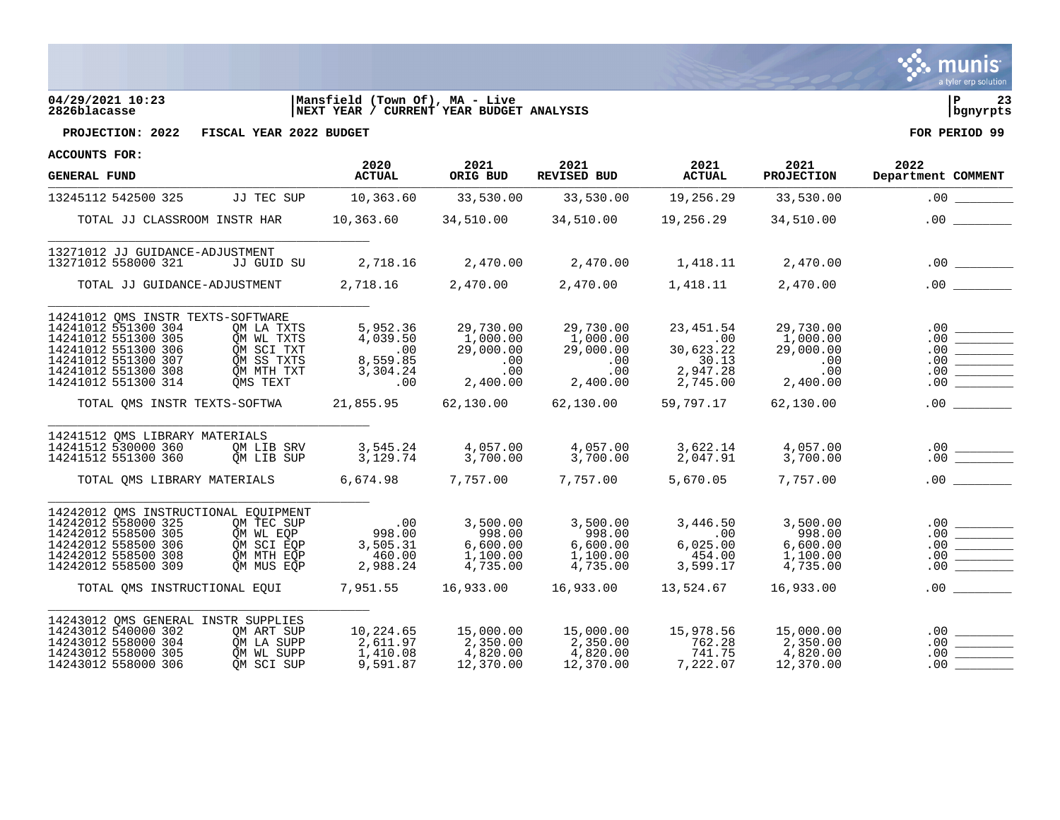

# **04/29/2021 10:23 |Mansfield (Town Of), MA - Live |P 23 2826blacasse |NEXT YEAR / CURRENT YEAR BUDGET ANALYSIS |bgnyrpts**



**PROJECTION: 2022 FISCAL YEAR 2022 BUDGET FOR PERIOD 99**

| <b>GENERAL FUND</b>                                                                                                                                                         |                                                                                | 2020<br><b>ACTUAL</b>                                            | 2021<br>ORIG BUD                                             | 2021<br><b>REVISED BUD</b>                                   | 2021<br><b>ACTUAL</b>                                           | 2021<br><b>PROJECTION</b>                                    | 2022<br>Department COMMENT             |
|-----------------------------------------------------------------------------------------------------------------------------------------------------------------------------|--------------------------------------------------------------------------------|------------------------------------------------------------------|--------------------------------------------------------------|--------------------------------------------------------------|-----------------------------------------------------------------|--------------------------------------------------------------|----------------------------------------|
| 13245112 542500 325                                                                                                                                                         | JJ TEC SUP                                                                     | 10,363.60                                                        | 33,530.00                                                    | 33,530.00                                                    | 19,256.29                                                       | 33,530.00                                                    | .00                                    |
| TOTAL JJ CLASSROOM INSTR HAR                                                                                                                                                |                                                                                |                                                                  |                                                              | $10,363.60$ $34,510.00$ $34,510.00$ $19,256.29$              |                                                                 | 34,510.00                                                    |                                        |
| 13271012 JJ GUIDANCE-ADJUSTMENT<br>13271012 558000 321                                                                                                                      | JJ GUID SU                                                                     | 2,718.16                                                         | 2,470.00                                                     | 2,470.00                                                     | 1,418.11 2,470.00                                               |                                                              |                                        |
| TOTAL JJ GUIDANCE-ADJUSTMENT                                                                                                                                                |                                                                                | 2,718.16 2,470.00                                                |                                                              | 2,470.00                                                     | 1,418.11                                                        | 2,470.00                                                     | .00                                    |
| 14241012 OMS INSTR TEXTS-SOFTWARE<br>14241012 551300 304<br>14241012 551300 305<br>14241012 551300 306<br>14241012 551300 307<br>14241012 551300 308<br>14241012 551300 314 | OM LA TXTS<br>OM WL TXTS<br>OM SCI TXT<br>OM SS TXTS<br>QM MTH TXT<br>OMS TEXT | 5,952.36<br>4,039.50<br>$\sim 00$<br>8,559.85<br>3,304.24<br>.00 | 29,730.00<br>1,000.00<br>29,000.00<br>.00<br>.00<br>2,400.00 | 29,730.00<br>1,000.00<br>29,000.00<br>.00<br>.00<br>2,400.00 | 23, 451.54<br>.00<br>30,623.22<br>30.13<br>2,947.28<br>2,745.00 | 29,730.00<br>1,000.00<br>29,000.00<br>.00<br>.00<br>2,400.00 | .00<br>.00<br>.00<br>.00<br>.00<br>.00 |
| TOTAL OMS INSTR TEXTS-SOFTWA                                                                                                                                                |                                                                                | 21,855.95                                                        | 62,130.00                                                    | 62,130.00                                                    | 59,797.17                                                       | 62,130.00                                                    | .00                                    |
| 14241512 QMS LIBRARY MATERIALS<br>14241512 530000 360<br>14241512 551300 360<br>TOTAL OMS LIBRARY MATERIALS 6,674.98 7,757.00                                               | QM LIB SRV<br>OM LIB SUP                                                       | $3, 54$<br>3, 129.74                                             | 4,057.00<br>3,700.00                                         | 4,057.00<br>3,700.00<br>7,757.00                             | 3,622.14<br>2,047.91<br>5,670.05                                | 4,057.00<br>3,700.00<br>7,757.00                             | .00<br>$.00$ $\qquad \qquad$           |
|                                                                                                                                                                             |                                                                                |                                                                  |                                                              |                                                              |                                                                 |                                                              |                                        |
| 14242012 QMS INSTRUCTIONAL EQUIPMENT<br>14242012 558000 325<br>14242012 558500 305<br>14242012 558500 306<br>14242012 558500 308<br>14242012 558500 309                     | OM TEC SUP<br>OM WL EOP<br>OM SCI EOP<br>OM MTH EOP<br>QM MUS EQP              | .00<br>998.00<br>3,505.31<br>460.00<br>2,988.24                  | 3,500.00<br>998.00<br>6,600.00<br>1,100.00<br>4,735.00       | 3,500.00<br>998.00<br>6,600.00<br>1,100.00<br>4,735.00       | 3,446.50<br>.00<br>6,025.00<br>454.00<br>3,599.17               | 3,500.00<br>998.00<br>6,600.00<br>1,100.00<br>4,735.00       | .00<br>.00<br>.00<br>.00<br>.00        |
| TOTAL OMS INSTRUCTIONAL EOUI                                                                                                                                                |                                                                                | 7,951.55 16,933.00                                               |                                                              | 16,933.00                                                    | 13,524.67                                                       | 16,933.00                                                    | .00                                    |
| 14243012 OMS GENERAL INSTR SUPPLIES<br>14243012 540000 302<br>14243012 558000 304<br>14243012 558000 305<br>14243012 558000 306                                             | OM ART SUP<br>QM LA SUPP<br>OM WL SUPP<br>OM SCI SUP                           | 10,224.65<br>2,611.97<br>1,410.08<br>9,591.87                    | 15,000.00<br>2,350.00<br>4,820.00<br>12,370.00               | 15,000.00<br>2,350.00<br>4,820.00<br>12,370.00               | 15,978.56<br>762.28<br>741.75<br>7,222.07                       | 15,000.00<br>2,350.00<br>4,820.00<br>12,370.00               | .00<br>.00<br>.00<br>.00.              |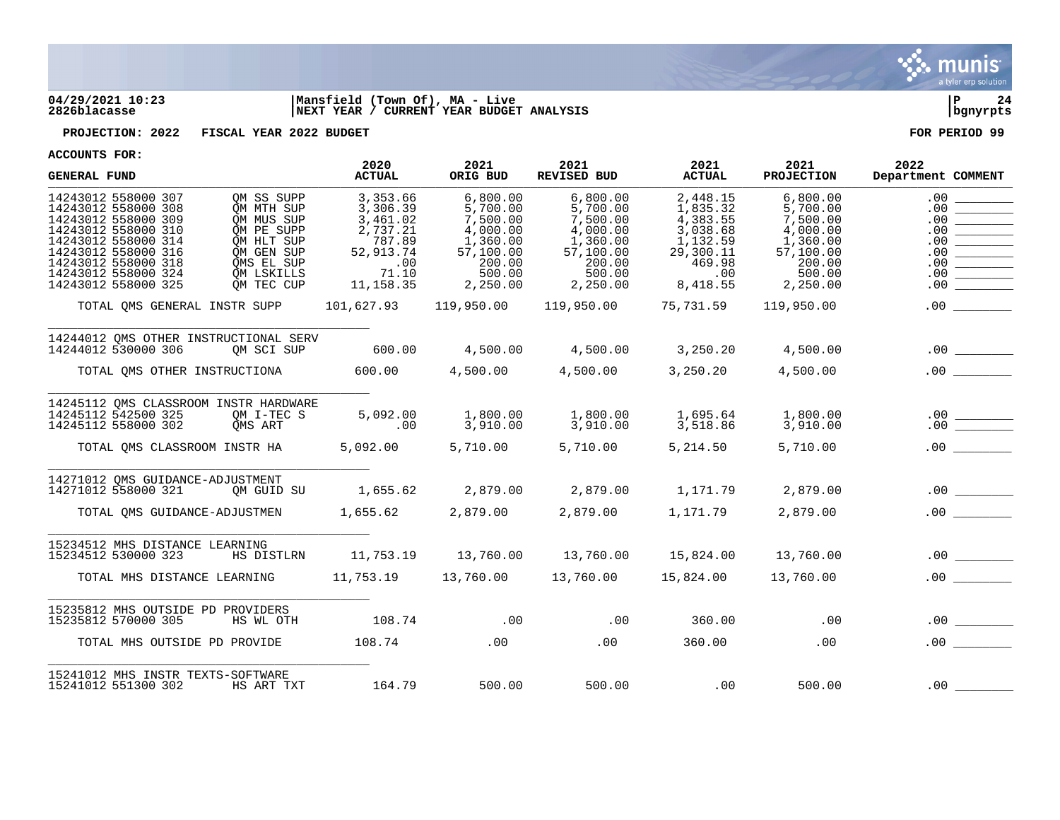

## **04/29/2021 10:23 |Mansfield (Town Of), MA - Live |P 24 2826blacasse |NEXT YEAR / CURRENT YEAR BUDGET ANALYSIS |bgnyrpts**

**PROJECTION: 2022 FISCAL YEAR 2022 BUDGET FOR PERIOD 99**

| ACCOUNIS FURI<br><b>GENERAL FUND</b>                                                                                                                                                                        |                                                                                                                            | 2020<br><b>ACTUAL</b>                                                                             | 2021<br>ORIG BUD                                                                                      | 2021<br>REVISED BUD                                                                                   | 2021<br><b>ACTUAL</b>                                                                              | 2021<br><b>PROJECTION</b>                                                                             | 2022<br>Department COMMENT                                  |
|-------------------------------------------------------------------------------------------------------------------------------------------------------------------------------------------------------------|----------------------------------------------------------------------------------------------------------------------------|---------------------------------------------------------------------------------------------------|-------------------------------------------------------------------------------------------------------|-------------------------------------------------------------------------------------------------------|----------------------------------------------------------------------------------------------------|-------------------------------------------------------------------------------------------------------|-------------------------------------------------------------|
| 14243012 558000 307<br>14243012 558000 308<br>14243012 558000 309<br>14243012 558000 310<br>14243012 558000 314<br>14243012 558000 316<br>14243012 558000 318<br>14243012 558000 324<br>14243012 558000 325 | OM SS SUPP<br>OM MTH SUP<br>OM MUS SUP<br>OM PE SUPP<br>OM HLT SUP<br>OM GEN SUP<br>OMS EL SUP<br>OM LSKILLS<br>OM TEC CUP | 3,353.66<br>3,306.39<br>3,461.02<br>2,737.21<br>787.89<br>52,913.74<br>.00<br>71.10<br>11, 158.35 | 6,800.00<br>5,700.00<br>7,500.00<br>4,000.00<br>1,360.00<br>57,100.00<br>200.00<br>500.00<br>2,250.00 | 6,800.00<br>5,700.00<br>7,500.00<br>4,000.00<br>1,360.00<br>57,100.00<br>200.00<br>500.00<br>2,250.00 | 2,448.15<br>1,835.32<br>4,383.55<br>3,038.68<br>1,132.59<br>29,300.11<br>469.98<br>.00<br>8,418.55 | 6,800.00<br>5,700.00<br>7,500.00<br>4,000.00<br>1,360.00<br>57,100.00<br>200.00<br>500.00<br>2,250.00 | .00<br>.00<br>.00<br>.00<br>.00<br>.00<br>.00<br>.00<br>.00 |
| TOTAL OMS GENERAL INSTR SUPP                                                                                                                                                                                |                                                                                                                            |                                                                                                   |                                                                                                       | $101,627.93$ $119,950.00$ $119,950.00$ $75,731.59$ $119,950.00$                                       |                                                                                                    |                                                                                                       |                                                             |
| 14244012 OMS OTHER INSTRUCTIONAL SERV<br>14244012 530000 306                                                                                                                                                | OM SCI SUP                                                                                                                 | 600.00                                                                                            |                                                                                                       | $4,500.00$ $4,500.00$ $3,250.20$ $4,500.00$                                                           |                                                                                                    |                                                                                                       |                                                             |
| TOTAL QMS OTHER INSTRUCTIONA                                                                                                                                                                                |                                                                                                                            | 600.00                                                                                            | 4,500.00                                                                                              | 4,500.00                                                                                              | 3,250.20                                                                                           | 4,500.00                                                                                              | .00                                                         |
| 14245112 QMS CLASSROOM INSTR HARDWARE<br>14245112 542500 325<br>14245112 558000 302                                                                                                                         | QM I-TEC S<br>OMS ART                                                                                                      | $5,092.00$<br>.00                                                                                 | 1,800.00<br>3,910.00                                                                                  | 1,800.00<br>3,910.00                                                                                  | 1,695.64<br>3,518.86                                                                               | 1,800.00<br>$\overline{3}'$ , 910.00                                                                  |                                                             |
| TOTAL OMS CLASSROOM INSTR HA 5,092.00 5,710.00                                                                                                                                                              |                                                                                                                            |                                                                                                   |                                                                                                       | 5,710.00                                                                                              | 5,214.50                                                                                           | 5,710.00                                                                                              |                                                             |
| 14271012 OMS GUIDANCE-ADJUSTMENT<br>14271012 558000 321<br>TOTAL QMS GUIDANCE-ADJUSTMEN 1,655.62 2,879.00                                                                                                   | OM GUID SU                                                                                                                 | 1,655.62                                                                                          |                                                                                                       |                                                                                                       | 2,879.00 1,171.79                                                                                  | 2,879.00                                                                                              | $.00$ $\qquad \qquad$                                       |
|                                                                                                                                                                                                             |                                                                                                                            |                                                                                                   |                                                                                                       |                                                                                                       |                                                                                                    |                                                                                                       |                                                             |
| 15234512 MHS DISTANCE LEARNING<br>15234512 530000 323                                                                                                                                                       |                                                                                                                            |                                                                                                   |                                                                                                       | HS DISTLRN 11,753.19 13,760.00 13,760.00 15,824.00 13,760.00                                          |                                                                                                    |                                                                                                       |                                                             |
| TOTAL MHS DISTANCE LEARNING 11,753.19 13,760.00 13,760.00 15,824.00 15,760.00                                                                                                                               |                                                                                                                            |                                                                                                   |                                                                                                       |                                                                                                       |                                                                                                    |                                                                                                       |                                                             |
| 15235812 MHS OUTSIDE PD PROVIDERS<br>15235812 570000 305                                                                                                                                                    | HS WL OTH                                                                                                                  | $108.74$ .00 .00                                                                                  |                                                                                                       |                                                                                                       | 360.00                                                                                             | $\sim$ 00                                                                                             | .00                                                         |
| TOTAL MHS OUTSIDE PD PROVIDE                                                                                                                                                                                |                                                                                                                            | 108.74                                                                                            | .00                                                                                                   | .00                                                                                                   | 360.00                                                                                             | .00                                                                                                   | .00                                                         |
| 15241012 MHS INSTR TEXTS-SOFTWARE<br>15241012 551300 302                                                                                                                                                    | HS ART TXT                                                                                                                 | 164.79                                                                                            | 500.00                                                                                                | 500.00                                                                                                | .00                                                                                                | 500.00                                                                                                |                                                             |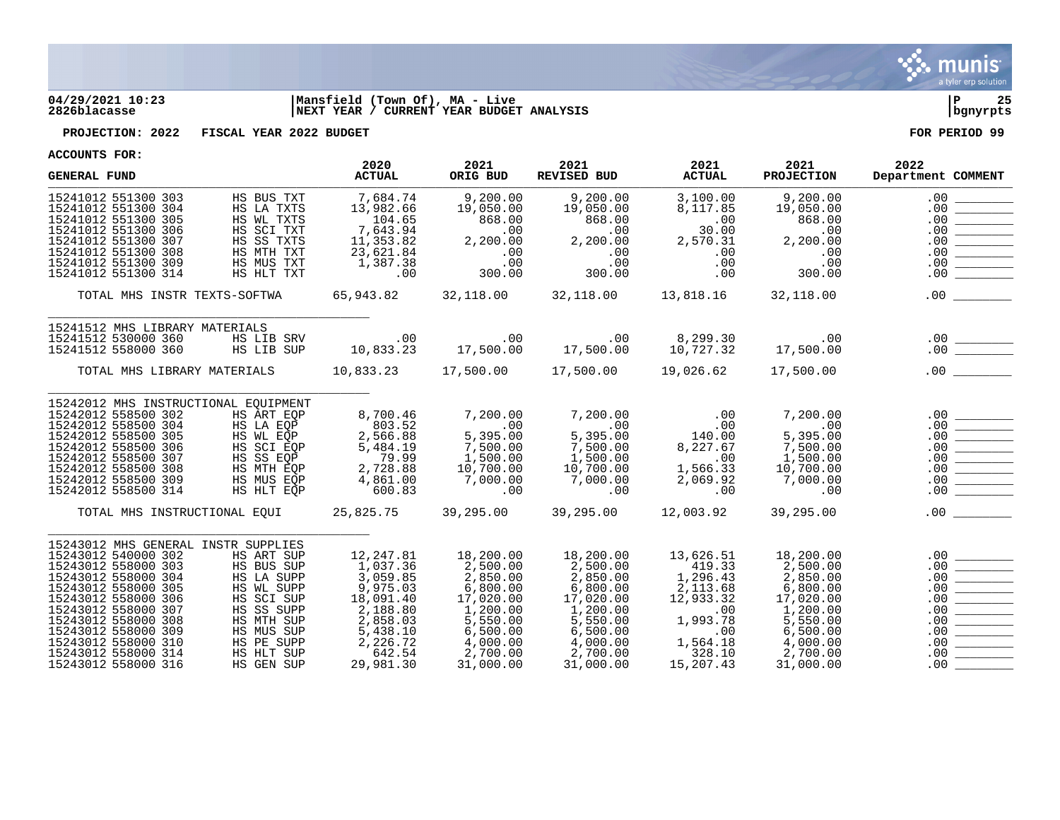

## **04/29/2021 10:23 |Mansfield (Town Of), MA - Live |P 25 2826blacasse |NEXT YEAR / CURRENT YEAR BUDGET ANALYSIS |bgnyrpts**

**PROJECTION: 2022 FISCAL YEAR 2022 BUDGET FOR PERIOD 99**

| ACCOUNTD LOW.                                                                                                                                                                                                                                                                                    |                                                                                                                                                        | 2020                                                                                                                              | 2021                                                                                                                                | 2021                                                                                                                                | 2021                                                                                                                  | 2021                                                                                                                                | 2022                                                                                                                                                                                                                                                                                                                                                                                                                                                                                                                                                                                                                                                                                                   |
|--------------------------------------------------------------------------------------------------------------------------------------------------------------------------------------------------------------------------------------------------------------------------------------------------|--------------------------------------------------------------------------------------------------------------------------------------------------------|-----------------------------------------------------------------------------------------------------------------------------------|-------------------------------------------------------------------------------------------------------------------------------------|-------------------------------------------------------------------------------------------------------------------------------------|-----------------------------------------------------------------------------------------------------------------------|-------------------------------------------------------------------------------------------------------------------------------------|--------------------------------------------------------------------------------------------------------------------------------------------------------------------------------------------------------------------------------------------------------------------------------------------------------------------------------------------------------------------------------------------------------------------------------------------------------------------------------------------------------------------------------------------------------------------------------------------------------------------------------------------------------------------------------------------------------|
| <b>GENERAL FUND</b>                                                                                                                                                                                                                                                                              |                                                                                                                                                        | <b>ACTUAL</b>                                                                                                                     | ORIG BUD                                                                                                                            | REVISED BUD                                                                                                                         | <b>ACTUAL</b>                                                                                                         | <b>PROJECTION</b>                                                                                                                   | Department COMMENT                                                                                                                                                                                                                                                                                                                                                                                                                                                                                                                                                                                                                                                                                     |
| 15241012 551300 303<br>15241012 551300 304<br>15241012 551300 305<br>15241012 551300 306<br>15241012 551300 307<br>15241012 551300 308<br>15241012 551300 309<br>15241012 551300 314                                                                                                             | HS BUS TXT<br>HS LA TXTS<br>HS WL TXTS<br>HS SCI TXT<br>HS SS TXTS<br>HS MTH TXT<br>HS MUS TXT<br>HS HLT TXT                                           | 7,684.74<br>13,982.66<br>104.65<br>7,643.94<br>11,353.82<br>23,621.84<br>1,387.38<br>.00                                          | 9,200.00<br>19,050.00<br>868.00<br>.00<br>2,200.00<br>.00<br>.00<br>300.00                                                          | 9,200.00<br>19,050.00<br>868.00<br>.00<br>2,200.00<br>.00<br>.00<br>300.00                                                          | 3,100.00<br>8,117.85<br>.00<br>30.00<br>2,570.31<br>.00<br>.00<br>.00                                                 | 9,200.00<br>19,050.00<br>868.00<br>.00<br>2,200.00<br>.00<br>.00<br>300.00                                                          | .00<br>.00<br>.00<br>.00<br>.00<br>.00<br>.00<br>.00                                                                                                                                                                                                                                                                                                                                                                                                                                                                                                                                                                                                                                                   |
| TOTAL MHS INSTR TEXTS-SOFTWA                                                                                                                                                                                                                                                                     |                                                                                                                                                        | 65,943.82                                                                                                                         | 32,118.00                                                                                                                           | 32,118.00                                                                                                                           | 13,818.16                                                                                                             | 32,118.00                                                                                                                           | .00                                                                                                                                                                                                                                                                                                                                                                                                                                                                                                                                                                                                                                                                                                    |
| 15241512 MHS LIBRARY MATERIALS<br>15241512 530000 360<br>15241512 558000 360                                                                                                                                                                                                                     | HS LIB SRV<br>HS LIB SUP                                                                                                                               | .00<br>10,833.23                                                                                                                  | $\overline{00}$<br>17,500.00                                                                                                        | .00<br>17,500.00                                                                                                                    | 8,299.30<br>10,727.32                                                                                                 | .00<br>17,500.00                                                                                                                    | .00                                                                                                                                                                                                                                                                                                                                                                                                                                                                                                                                                                                                                                                                                                    |
| TOTAL MHS LIBRARY MATERIALS                                                                                                                                                                                                                                                                      |                                                                                                                                                        |                                                                                                                                   |                                                                                                                                     |                                                                                                                                     | 19,026.62                                                                                                             | 17,500.00                                                                                                                           | .00<br>$\mathcal{L}^{\text{max}}$ , where $\mathcal{L}^{\text{max}}$                                                                                                                                                                                                                                                                                                                                                                                                                                                                                                                                                                                                                                   |
| 15242012 MHS INSTRUCTIONAL EQUIPMENT<br>15242012 558500 302<br>15242012 558500 304<br>15242012 558500 305<br>15242012 558500 306<br>15242012 558500 307<br>15242012 558500 308<br>15242012 558500 309<br>15242012 558500 314<br>TOTAL MHS INSTRUCTIONAL EQUI                                     | HS ART EOP<br>HS LA EQP<br>HS WL EQP<br>HS SCI EQP<br>HS SS EQP<br>HS MTH EOP<br>HS MUS EQP<br>HS HLT EOP                                              | 8,700.46<br>803.52<br>2,566.88<br>5,484.19<br>79.99<br>2,728.88<br>4,861.00<br>600.83<br>25,825.75                                | 7,200.00<br>.00<br>5,395.00<br>7,500.00<br>1,500.00<br>10,700.00<br>7,000.00<br>.00<br>39,295.00                                    | 7,200.00<br>.00<br>5,395.00<br>7,500.00<br>1,500.00<br>10,700.00<br>7,000.00<br>.00<br>39,295.00                                    | .00<br>.00<br>140.00<br>8,227.67<br>.00<br>1,566.33<br>2,069.92<br>.00<br>12,003.92                                   | 7,200.00<br>.00<br>5,395.00<br>7,500.00<br>1,500.00<br>10,700.00<br>7,000.00<br>.00<br>39,295.00                                    | .00<br>.00<br>.00<br>.00<br>.00<br><u> Tanzania</u><br>.00<br>.00<br>.00<br>$.00 \,$                                                                                                                                                                                                                                                                                                                                                                                                                                                                                                                                                                                                                   |
|                                                                                                                                                                                                                                                                                                  |                                                                                                                                                        |                                                                                                                                   |                                                                                                                                     |                                                                                                                                     |                                                                                                                       |                                                                                                                                     |                                                                                                                                                                                                                                                                                                                                                                                                                                                                                                                                                                                                                                                                                                        |
| 15243012 MHS GENERAL INSTR SUPPLIES<br>15243012 540000 302<br>15243012 558000 303<br>15243012 558000 304<br>15243012 558000 305<br>15243012 558000 306<br>15243012 558000 307<br>15243012 558000 308<br>15243012 558000 309<br>15243012 558000 310<br>15243012 558000 314<br>15243012 558000 316 | HS ART SUP<br>HS BUS SUP<br>HS LA SUPP<br>HS WL SUPP<br>HS SCI SUP<br>HS SS SUPP<br>HS MTH SUP<br>HS MUS SUP<br>HS PE SUPP<br>HS HLT SUP<br>HS GEN SUP | 12,247.81<br>1,037.36<br>3,059.85<br>9,975.03<br>18,091.40<br>2,188.80<br>2,858.03<br>5,438.10<br>2,226.72<br>642.54<br>29,981.30 | 18,200.00<br>2,500.00<br>2,850.00<br>6,800.00<br>17,020.00<br>1,200.00<br>5,550.00<br>6,500.00<br>4,000.00<br>2,700.00<br>31,000.00 | 18,200.00<br>2,500.00<br>2,850.00<br>6,800.00<br>17,020.00<br>1,200.00<br>5,550.00<br>6,500.00<br>4,000.00<br>2,700.00<br>31,000.00 | 13,626.51<br>419.33<br>1,296.43<br>2,113.68<br>12,933.32<br>.00<br>1,993.78<br>.00<br>1,564.18<br>328.10<br>15,207.43 | 18,200.00<br>2,500.00<br>2,850.00<br>6,800.00<br>17,020.00<br>1,200.00<br>5,550.00<br>6,500.00<br>4,000.00<br>2,700.00<br>31,000.00 | .00<br>.00<br>.00<br>.00<br>.00<br>.00<br>$\begin{tabular}{ c c c } \hline \quad \quad & \quad \quad & \quad \quad \\ \hline \quad \quad & \quad \quad & \quad \quad \\ \hline \quad \quad & \quad \quad & \quad \quad \\ \hline \quad \quad & \quad \quad & \quad \quad \\ \hline \end{tabular}$<br>.00<br>.00<br>$\begin{tabular}{ c c c c } \hline \quad \quad & \quad \quad & \quad \quad \\ \hline \quad \quad & \quad \quad & \quad \quad \\ \hline \quad \quad & \quad \quad & \quad \quad \\ \hline \quad \quad & \quad \quad & \quad \quad \\ \hline \quad \quad & \quad \quad & \quad \quad \\ \hline \quad \quad & \quad \quad & \quad \quad \\ \hline \end{tabular}$<br>.00<br>.00<br>.00. |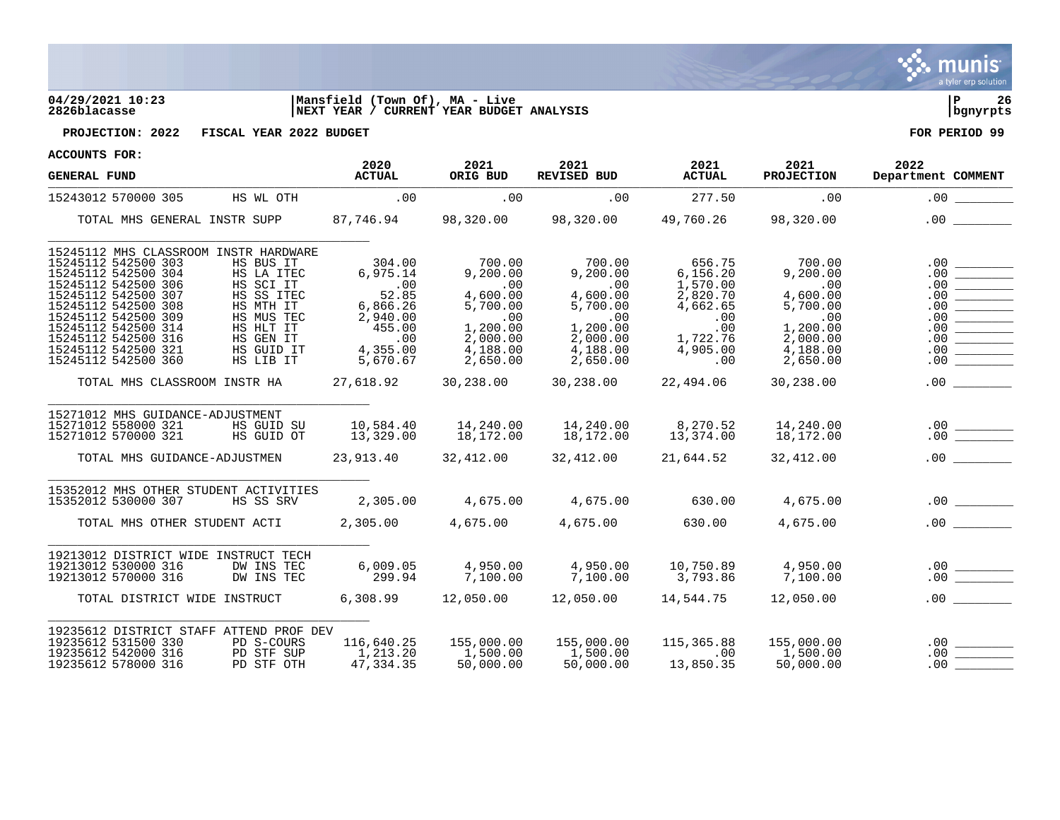

## **04/29/2021 10:23 |Mansfield (Town Of), MA - Live |P 26 2826blacasse |NEXT YEAR / CURRENT YEAR BUDGET ANALYSIS |bgnyrpts**



**PROJECTION: 2022 FISCAL YEAR 2022 BUDGET FOR PERIOD 99**

| <b>GENERAL FUND</b>                                                                                                                                                                                                                                  |                                                                                                                       | 2020<br><b>ACTUAL</b>                                                                               | 2021<br>ORIG BUD                                                                                   | 2021<br>REVISED BUD                                                                                | 2021<br><b>ACTUAL</b>                                                                         | 2021<br><b>PROJECTION</b>                                                                    | 2022<br>Department COMMENT                                                                                                                                                                                                                                                                                                                                                                                             |
|------------------------------------------------------------------------------------------------------------------------------------------------------------------------------------------------------------------------------------------------------|-----------------------------------------------------------------------------------------------------------------------|-----------------------------------------------------------------------------------------------------|----------------------------------------------------------------------------------------------------|----------------------------------------------------------------------------------------------------|-----------------------------------------------------------------------------------------------|----------------------------------------------------------------------------------------------|------------------------------------------------------------------------------------------------------------------------------------------------------------------------------------------------------------------------------------------------------------------------------------------------------------------------------------------------------------------------------------------------------------------------|
| 15243012 570000 305                                                                                                                                                                                                                                  | HS WL OTH                                                                                                             | .00                                                                                                 | .00                                                                                                | .00                                                                                                | 277.50                                                                                        | .00                                                                                          | .00                                                                                                                                                                                                                                                                                                                                                                                                                    |
| TOTAL MHS GENERAL INSTR SUPP 87,746.94 98,320.00 98,320.00 49,760.26 98,320.00                                                                                                                                                                       |                                                                                                                       |                                                                                                     |                                                                                                    |                                                                                                    |                                                                                               |                                                                                              |                                                                                                                                                                                                                                                                                                                                                                                                                        |
| 15245112 MHS CLASSROOM INSTR HARDWARE<br>15245112 542500 303<br>15245112 542500 304<br>15245112 542500 306<br>15245112 542500 307<br>15245112 542500 308<br>15245112 542500 309<br>15245112 542500 314<br>15245112 542500 316<br>15245112 542500 321 | HS BUS IT<br>HS LA ITEC<br>HS SCI IT<br>HS SS ITEC<br>HS MTH IT<br>HS MUS TEC<br>HS HLT IT<br>HS GEN IT<br>HS GUID IT | 304.00<br>6,975.14<br>.00<br>52.85<br>6,866.26<br>2,940.00<br>455.00<br>$\overline{00}$<br>4,355.00 | 700.00<br>9,200.00<br>.00<br>4,600.00<br>5,700.00<br>$\sim$ 00<br>1,200.00<br>2,000.00<br>4,188.00 | 700.00<br>9,200.00<br>$\sim 00$<br>4,600.00<br>5,700.00<br>.00<br>1,200.00<br>2,000.00<br>4,188.00 | 656.75<br>6, 156.20<br>1,570.00<br>2,820.70<br>4,662.65<br>.00<br>.00<br>1,722.76<br>4,905.00 | 700.00<br>9,200.00<br>.00<br>4,600.00<br>5,700.00<br>.00<br>1,200.00<br>2,000.00<br>4,188.00 | .00<br>.00<br>.00<br>.00<br>.00<br>.00<br>.00<br>.00<br>.00                                                                                                                                                                                                                                                                                                                                                            |
| 15245112 542500 360                                                                                                                                                                                                                                  | HS LIB IT                                                                                                             | 5,670.67                                                                                            | 2,650.00                                                                                           | 2,650.00                                                                                           | .00                                                                                           | 2,650.00                                                                                     | .00                                                                                                                                                                                                                                                                                                                                                                                                                    |
| TOTAL MHS CLASSROOM INSTR HA                                                                                                                                                                                                                         |                                                                                                                       |                                                                                                     |                                                                                                    | $27,618.92$ $30,238.00$ $30,238.00$                                                                | 22,494.06                                                                                     | 30,238.00                                                                                    | .00                                                                                                                                                                                                                                                                                                                                                                                                                    |
| 15271012 MHS GUIDANCE-ADJUSTMENT<br>15271012 558000 321<br>15271012 570000 321                                                                                                                                                                       | HS GUID SU<br>HS GUID OT                                                                                              | 10,584.40<br>13,329.00                                                                              |                                                                                                    |                                                                                                    | 13,374.00                                                                                     | 14,240.00<br>18,172.00                                                                       | $\begin{array}{c c} .00 & \rule{3cm}{2.5cm} \quad \rule{2cm}{0.5cm} \quad \rule{2cm}{0.5cm} \quad \rule{2cm}{0.5cm} \quad \rule{2cm}{0.5cm} \quad \rule{2cm}{0.5cm} \quad \rule{2cm}{0.5cm} \quad \rule{2cm}{0.5cm} \quad \rule{2cm}{0.5cm} \quad \rule{2cm}{0.5cm} \quad \rule{2cm}{0.5cm} \quad \rule{2cm}{0.5cm} \quad \rule{2cm}{0.5cm} \quad \rule{2cm}{0.5cm} \quad \rule{2cm}{0.5cm} \quad \rule{2cm}{0.5cm} \$ |
| TOTAL MHS GUIDANCE-ADJUSTMEN                                                                                                                                                                                                                         |                                                                                                                       |                                                                                                     |                                                                                                    | 23, 913.40 32, 412.00 32, 412.00                                                                   | 21,644.52                                                                                     | 32,412.00                                                                                    | .00                                                                                                                                                                                                                                                                                                                                                                                                                    |
| 15352012 MHS OTHER STUDENT ACTIVITIES<br>15352012 530000 307<br>TOTAL MHS OTHER STUDENT ACTI 2,305.00 4,675.00 4,675.00                                                                                                                              | HS SS SRV                                                                                                             | 2,305.00                                                                                            | 4,675.00                                                                                           | 4,675.00                                                                                           | 630.00<br>630.00                                                                              | 4,675.00<br>4,675.00                                                                         | $.00$ $\qquad \qquad$                                                                                                                                                                                                                                                                                                                                                                                                  |
| 19213012 DISTRICT WIDE INSTRUCT TECH<br>19213012 530000 316<br>19213012 570000 316                                                                                                                                                                   | DW INS TEC<br>DW INS TEC                                                                                              | 6,009.05<br>299.94                                                                                  | 4,950.00<br>7,100.00                                                                               |                                                                                                    |                                                                                               |                                                                                              |                                                                                                                                                                                                                                                                                                                                                                                                                        |
| TOTAL DISTRICT WIDE INSTRUCT                                                                                                                                                                                                                         |                                                                                                                       |                                                                                                     |                                                                                                    | $6,308.99$ $12,050.00$ $12,050.00$ $14,544.75$ $12,050.00$                                         |                                                                                               |                                                                                              | .00                                                                                                                                                                                                                                                                                                                                                                                                                    |
| 19235612 DISTRICT STAFF ATTEND PROF DEV<br>19235612 531500 330<br>19235612 542000 316<br>19235612 578000 316                                                                                                                                         | PD S-COURS<br>PD STF SUP<br>PD STF OTH                                                                                | 116,640.25<br>1,213.20<br>47,334.35                                                                 | 155,000.00<br>1,500.00<br>50.000.00<br>50,000.00                                                   | 155,000.00<br>1,500.00<br>50,000.00                                                                | 115,365.88<br>.00<br>13,850.35                                                                | 155,000.00<br>1,500.00<br>50,000.00                                                          | .00<br>.00<br>.00                                                                                                                                                                                                                                                                                                                                                                                                      |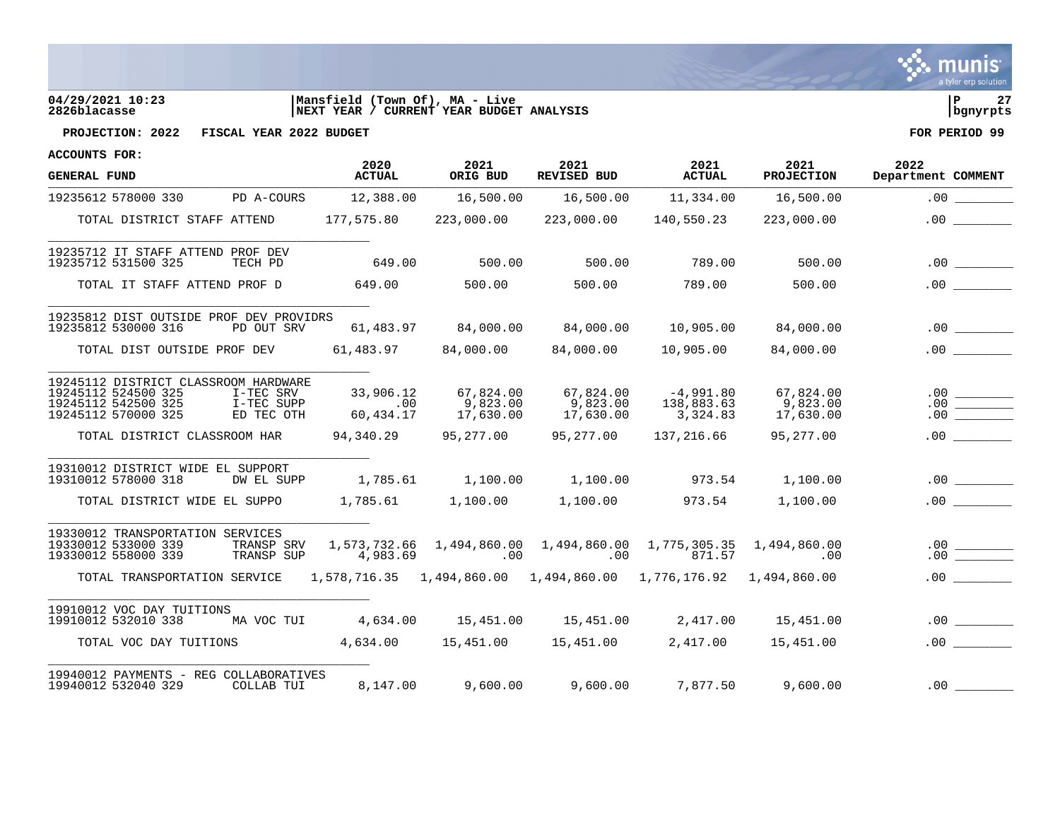

# **04/29/2021 10:23 |Mansfield (Town Of), MA - Live |P 27 2826blacasse |NEXT YEAR / CURRENT YEAR BUDGET ANALYSIS |bgnyrpts**



**PROJECTION: 2022 FISCAL YEAR 2022 BUDGET FOR PERIOD 99**

| <b>GENERAL FUND</b>                                                                                       |                                       | 2020<br><b>ACTUAL</b>         | 2021<br>ORIG BUD                                | 2021<br>REVISED BUD                                                           | 2021<br><b>ACTUAL</b>                             | 2021<br><b>PROJECTION</b>          | 2022<br>Department COMMENT                                                                                                                                                                                                                                                                                                                                                                               |
|-----------------------------------------------------------------------------------------------------------|---------------------------------------|-------------------------------|-------------------------------------------------|-------------------------------------------------------------------------------|---------------------------------------------------|------------------------------------|----------------------------------------------------------------------------------------------------------------------------------------------------------------------------------------------------------------------------------------------------------------------------------------------------------------------------------------------------------------------------------------------------------|
| 19235612 578000 330 PD A-COURS                                                                            |                                       | 12,388.00                     | 16,500.00                                       |                                                                               | 16,500.00   11,334.00                             | 16,500.00                          |                                                                                                                                                                                                                                                                                                                                                                                                          |
| TOTAL DISTRICT STAFF ATTEND                                                                               |                                       | 177,575.80                    | 223,000.00                                      | 223,000.00                                                                    | 140,550.23                                        | 223,000.00                         | .00                                                                                                                                                                                                                                                                                                                                                                                                      |
| 19235712 IT STAFF ATTEND PROF DEV<br>19235712 531500 325                                                  | TECH PD                               | 649.00                        | 500.00                                          | 500.00                                                                        | 789.00                                            | 500.00                             | .00                                                                                                                                                                                                                                                                                                                                                                                                      |
| TOTAL IT STAFF ATTEND PROF D                                                                              |                                       | 649.00                        | 500.00                                          | 500.00                                                                        | 789.00                                            | 500.00                             | .00                                                                                                                                                                                                                                                                                                                                                                                                      |
| 19235812 DIST OUTSIDE PROF DEV PROVIDRS<br>19235812 530000 316                                            | PD OUT SRV                            |                               | 61,483.97 84,000.00                             | 84,000.00                                                                     | 10,905.00                                         | 84,000.00                          | .00                                                                                                                                                                                                                                                                                                                                                                                                      |
| TOTAL DIST OUTSIDE PROF DEV                                                                               |                                       |                               | 61,483.97 84,000.00                             | 84,000.00                                                                     | 10,905.00                                         | 84,000.00                          | .00                                                                                                                                                                                                                                                                                                                                                                                                      |
| 19245112 DISTRICT CLASSROOM HARDWARE<br>19245112 524500 325<br>19245112 542500 325<br>19245112 570000 325 | I-TEC SRV<br>I-TEC SUPP<br>ED TEC OTH | 33,906.12<br>.00<br>60,434.17 | 67,824.00<br>9,823.00<br>17,630.00<br>17,630.00 | 9,823.00<br>17,630.00                                                         | $67,824.00$ $-4,991.80$<br>138,883.63<br>3,324.83 | 67,824.00<br>9,823.00<br>17,630.00 |                                                                                                                                                                                                                                                                                                                                                                                                          |
| TOTAL DISTRICT CLASSROOM HAR                                                                              |                                       |                               | 94,340.29 95,277.00                             | 95,277.00                                                                     | 137,216.66                                        | 95,277.00                          | .00                                                                                                                                                                                                                                                                                                                                                                                                      |
| 19310012 DISTRICT WIDE EL SUPPORT<br>19310012 578000 318                                                  | DW EL SUPP                            |                               | 1,785.61   1,100.00                             |                                                                               | 1,100.00 973.54 1,100.00                          |                                    | .00                                                                                                                                                                                                                                                                                                                                                                                                      |
| TOTAL DISTRICT WIDE EL SUPPO                                                                              |                                       |                               |                                                 | 1,100.00                                                                      | 973.54                                            | 1,100.00                           | .00                                                                                                                                                                                                                                                                                                                                                                                                      |
| 19330012 TRANSPORTATION SERVICES<br>19330012 533000 339<br>19330012 558000 339                            | TRANSP SRV<br>TRANSP SUP              | 1,573,732.66<br>4,983.69      |                                                 | 1,494,860.00    1,494,860.00    1,775,305.35    1,494,860.00<br>$.00$ . $.00$ | 871.57                                            | .00                                | $\begin{array}{c c} \hline \rule{0pt}{2ex} \rule[0pt]{0pt}{2ex} \rule[0pt]{0pt}{2ex} \rule[0pt]{0pt}{2ex} \rule[0pt]{0pt}{2ex} \rule[0pt]{0pt}{2ex} \rule[0pt]{0pt}{2ex} \rule[0pt]{0pt}{2ex} \rule[0pt]{0pt}{2ex} \rule[0pt]{0pt}{2ex} \rule[0pt]{0pt}{2ex} \rule[0pt]{0pt}{2ex} \rule[0pt]{0pt}{2ex} \rule[0pt]{0pt}{2ex} \rule[0pt]{0pt}{2ex} \rule[0pt]{0pt}{2ex} \rule[0pt]{0pt}{2ex} \rule[0pt]{0$ |
| TOTAL TRANSPORTATION SERVICE                                                                              |                                       |                               |                                                 | $1,578,716.35$ $1,494,860.00$ $1,494,860.00$ $1,776,176.92$ $1,494,860.00$    |                                                   |                                    | .00                                                                                                                                                                                                                                                                                                                                                                                                      |
| 19910012 VOC DAY TUITIONS<br>19910012 532010 338                                                          |                                       | MA VOC TUI 4,634.00           |                                                 | 15,451.00  15,451.00  2,417.00                                                |                                                   | 15,451.00                          |                                                                                                                                                                                                                                                                                                                                                                                                          |
| TOTAL VOC DAY TUITIONS                                                                                    |                                       |                               |                                                 | $4,634.00$ $15,451.00$ $15,451.00$                                            | 2,417.00                                          | 15,451.00                          | .00                                                                                                                                                                                                                                                                                                                                                                                                      |
| 19940012 PAYMENTS - REG COLLABORATIVES<br>19940012 532040 329                                             | COLLAB TUI                            | 8,147.00                      |                                                 | $9,600.00$ $9,600.00$ $7,877.50$                                              |                                                   | 9,600.00                           | .00                                                                                                                                                                                                                                                                                                                                                                                                      |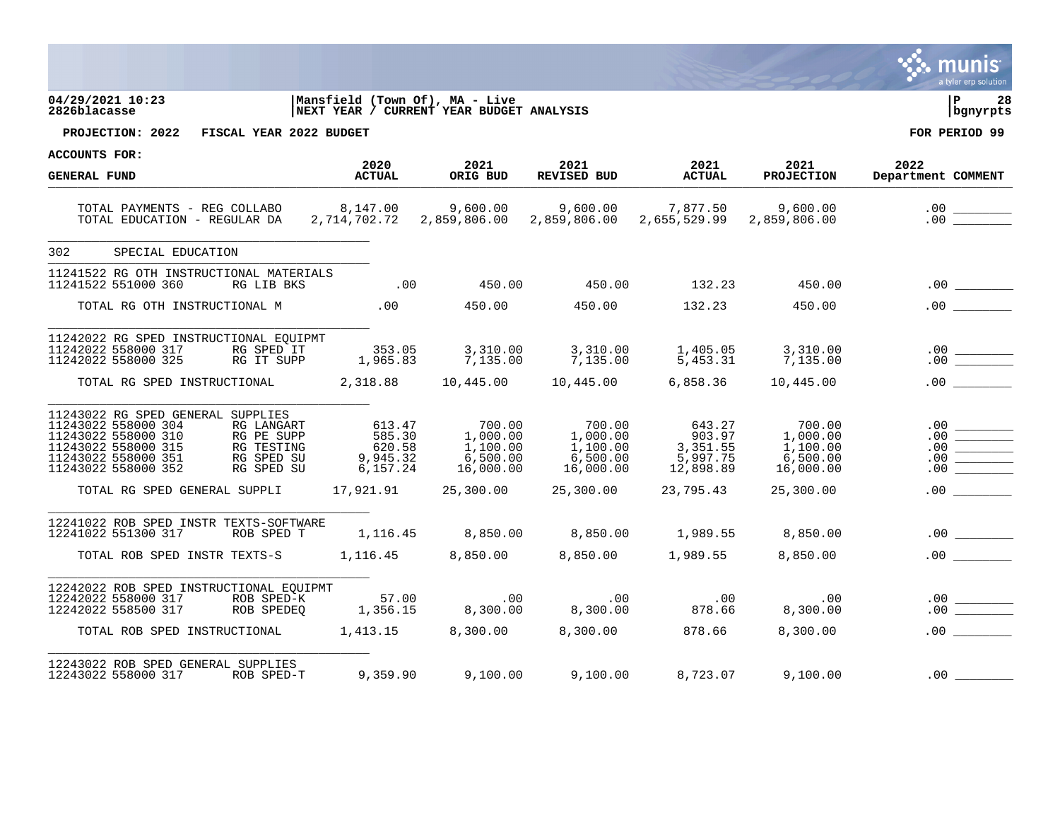|                                                                                                                                                                                                                                  |                                                                            |                                                                                                                                            |                                                                   |                                                       |                                                                                                                                | a tyler erp solution                                                                                                                                                                                                                                                                                                                                                                                                   |
|----------------------------------------------------------------------------------------------------------------------------------------------------------------------------------------------------------------------------------|----------------------------------------------------------------------------|--------------------------------------------------------------------------------------------------------------------------------------------|-------------------------------------------------------------------|-------------------------------------------------------|--------------------------------------------------------------------------------------------------------------------------------|------------------------------------------------------------------------------------------------------------------------------------------------------------------------------------------------------------------------------------------------------------------------------------------------------------------------------------------------------------------------------------------------------------------------|
| 04/29/2021 10:23<br>2826blacasse                                                                                                                                                                                                 | Mansfield (Town Of), MA - Live<br>NEXT YEAR / CURRENT YEAR BUDGET ANALYSIS |                                                                                                                                            |                                                                   |                                                       |                                                                                                                                | l P<br>28<br>bgnyrpts                                                                                                                                                                                                                                                                                                                                                                                                  |
| PROJECTION: 2022 FISCAL YEAR 2022 BUDGET                                                                                                                                                                                         |                                                                            |                                                                                                                                            |                                                                   |                                                       |                                                                                                                                | FOR PERIOD 99                                                                                                                                                                                                                                                                                                                                                                                                          |
| <b>ACCOUNTS FOR:</b>                                                                                                                                                                                                             | 2020                                                                       | 2021                                                                                                                                       | 2021                                                              |                                                       | 2021                                                                                                                           | 2022                                                                                                                                                                                                                                                                                                                                                                                                                   |
| <b>GENERAL FUND</b>                                                                                                                                                                                                              | <b>ACTUAL</b>                                                              | ORIG BUD                                                                                                                                   | REVISED BUD                                                       | 2021 <mark>2021</mark><br>אמוזידאם D<br><b>ACTUAL</b> | <b>PROJECTION</b>                                                                                                              | Department COMMENT                                                                                                                                                                                                                                                                                                                                                                                                     |
| TOTAL PAYMENTS - REG COLLABO          8,147.00        9,600.00        9,600.00        7,877.50         9,600.00<br>TOTAL EDUCATION - REGULAR DA     2,714,702.72    2,859,806.00    2,859,806.00    2,655,529.99    2,859,806.00 |                                                                            |                                                                                                                                            |                                                                   |                                                       |                                                                                                                                | .00                                                                                                                                                                                                                                                                                                                                                                                                                    |
| 302<br>SPECIAL EDUCATION                                                                                                                                                                                                         |                                                                            |                                                                                                                                            |                                                                   |                                                       |                                                                                                                                |                                                                                                                                                                                                                                                                                                                                                                                                                        |
| 11241522 RG OTH INSTRUCTIONAL MATERIALS<br>11241522 551000 360<br>RG LIB BKS                                                                                                                                                     |                                                                            |                                                                                                                                            |                                                                   |                                                       | LS<br>132.23 450.00 450.00 450.00                                                                                              |                                                                                                                                                                                                                                                                                                                                                                                                                        |
| TOTAL RG OTH INSTRUCTIONAL M .00 450.00 450.00 450.00 132.23 450.00                                                                                                                                                              |                                                                            |                                                                                                                                            |                                                                   |                                                       |                                                                                                                                | .00                                                                                                                                                                                                                                                                                                                                                                                                                    |
| 11242022 RG SPED INSTRUCTIONAL EQUIPMT<br>11242022 558000 317<br>11242022 558000 325                                                                                                                                             |                                                                            |                                                                                                                                            |                                                                   |                                                       | RG SPED IT<br>RG SPED IT 353.05 3,310.00 3,310.00 1,405.05 3,310.00<br>RG IT SUPP 1,965.83 7,135.00 7,135.00 5,453.31 7,135.00 |                                                                                                                                                                                                                                                                                                                                                                                                                        |
| TOTAL RG SPED INSTRUCTIONAL $2,318.88$ $10,445.00$ $10,445.00$ $6,858.36$ $10,445.00$                                                                                                                                            |                                                                            |                                                                                                                                            |                                                                   |                                                       |                                                                                                                                |                                                                                                                                                                                                                                                                                                                                                                                                                        |
| 11243022 RG SPED GENERAL SUPPLIES<br>11243022 558000 304<br>RG LANGART<br>11243022 558000 310<br>RG PE SUPP<br>RG TESTING<br>11243022 558000 315<br>RG SPED SU<br>11243022 558000 351<br>11243022 558000 352<br>RG SPED SU       |                                                                            | $\begin{array}{cccc} 613.47 & 700.00 \\ 585.30 & 1,000.00 \\ 620.58 & 1,100.00 \\ 9,945.32 & 6,500.00 \\ 6,157.24 & 16,000.00 \end{array}$ | $700.00$<br>$1,000.00$<br>$1,100.00$<br>$6,500.00$<br>$16,000.00$ | 903.97<br>3,351.55<br>5,997.75<br>12,898.89           | 643.27 700.00<br>903.97 1,000.00<br>3,351.55 1,100.00<br>5,997.75 6,500.00<br>16,000.00                                        | .00<br>.00<br>.00                                                                                                                                                                                                                                                                                                                                                                                                      |
| TOTAL RG SPED GENERAL SUPPLI 17,921.91 25,300.00 25,300.00 23,795.43 25,300.00                                                                                                                                                   |                                                                            |                                                                                                                                            |                                                                   |                                                       |                                                                                                                                |                                                                                                                                                                                                                                                                                                                                                                                                                        |
| 12241022 ROB SPED INSTR TEXTS-SOFTWARE<br>ROB SPED T 1,116.45 8,850.00 8,850.00 1,989.55 8,850.00<br>12241022 551300 317<br>TOTAL ROB SPED INSTR TEXTS-S 1,116.45 8,850.00 8,850.00 1,989.55 8,850.00                            |                                                                            |                                                                                                                                            |                                                                   |                                                       |                                                                                                                                |                                                                                                                                                                                                                                                                                                                                                                                                                        |
|                                                                                                                                                                                                                                  |                                                                            |                                                                                                                                            |                                                                   |                                                       |                                                                                                                                |                                                                                                                                                                                                                                                                                                                                                                                                                        |
|                                                                                                                                                                                                                                  |                                                                            |                                                                                                                                            |                                                                   |                                                       |                                                                                                                                | $\begin{array}{c c} .00 & \rule{3cm}{2.5cm} \quad \rule{2cm}{0.5cm} \quad \rule{2cm}{0.5cm} \quad \rule{2cm}{0.5cm} \quad \rule{2cm}{0.5cm} \quad \rule{2cm}{0.5cm} \quad \rule{2cm}{0.5cm} \quad \rule{2cm}{0.5cm} \quad \rule{2cm}{0.5cm} \quad \rule{2cm}{0.5cm} \quad \rule{2cm}{0.5cm} \quad \rule{2cm}{0.5cm} \quad \rule{2cm}{0.5cm} \quad \rule{2cm}{0.5cm} \quad \rule{2cm}{0.5cm} \quad \rule{2cm}{0.5cm} \$ |
| TOTAL ROB SPED INSTRUCTIONAL $1,413.15$ 8,300.00 8,300.00 878.66 8,300.00                                                                                                                                                        |                                                                            |                                                                                                                                            |                                                                   |                                                       |                                                                                                                                |                                                                                                                                                                                                                                                                                                                                                                                                                        |
|                                                                                                                                                                                                                                  |                                                                            |                                                                                                                                            |                                                                   |                                                       |                                                                                                                                | .00                                                                                                                                                                                                                                                                                                                                                                                                                    |

 $\mathcal{L}$  munis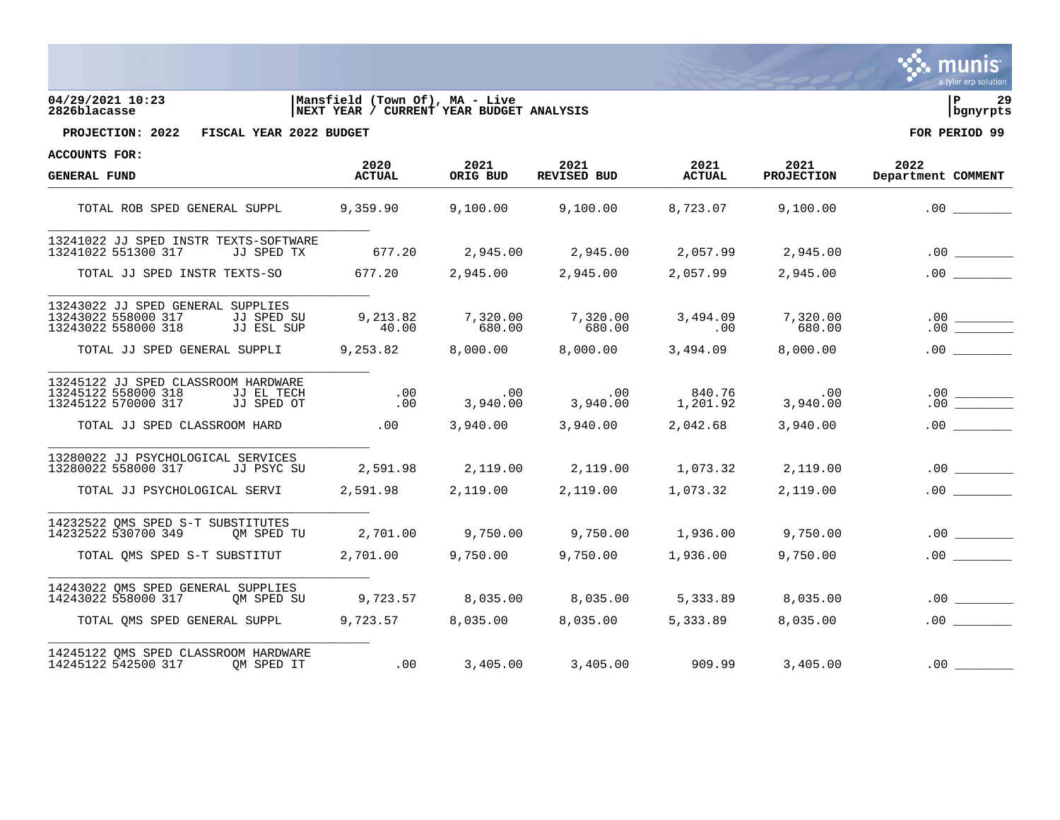

# **04/29/2021 10:23 |Mansfield (Town Of), MA - Live |P 29 2826blacasse |NEXT YEAR / CURRENT YEAR BUDGET ANALYSIS |bgnyrpts**



**PROJECTION: 2022 FISCAL YEAR 2022 BUDGET FOR PERIOD 99**

| <b>GENERAL FUND</b>                                                                                           | 2020<br><b>ACTUAL</b> | 2021<br>ORIG BUD | 2021<br>REVISED BUD                                                                                | 2021<br><b>ACTUAL</b> | 2021<br><b>PROJECTION</b>  | 2022<br>Department COMMENT                                |
|---------------------------------------------------------------------------------------------------------------|-----------------------|------------------|----------------------------------------------------------------------------------------------------|-----------------------|----------------------------|-----------------------------------------------------------|
| TOTAL ROB SPED GENERAL SUPPL                                                                                  |                       |                  | $9,359.90$ $9,100.00$ $9,100.00$                                                                   |                       | 8,723.07 9,100.00          | .00                                                       |
| 13241022 JJ SPED INSTR TEXTS-SOFTWARE<br>13241022 551300 317<br>JJ SPED TX                                    | 677.20                |                  | $2,945.00$ $2,945.00$ $2,057.99$ $2,945.00$                                                        |                       |                            | .00                                                       |
|                                                                                                               |                       |                  |                                                                                                    |                       |                            |                                                           |
| TOTAL JJ SPED INSTR TEXTS-SO                                                                                  |                       |                  | 677.20               2,945.00               2,945.00               2,057.99               2,945.00 |                       |                            | .00                                                       |
| 13243022 JJ SPED GENERAL SUPPLIES<br>13243022 558000 317<br>JJ SPED SU<br>13243022 558000 318<br>JJ ESL SUP   | 9,213.82<br>40.00     | 680.00           | 7,320.00 7,320.00 3,494.09<br>680.00                                                               | .00                   | 7,320.00<br>680.00         |                                                           |
| TOTAL JJ SPED GENERAL SUPPLI 9,253.82 8,000.00 8,000.00                                                       |                       |                  |                                                                                                    |                       | 3,494.09 8,000.00          | .00                                                       |
| 13245122 JJ SPED CLASSROOM HARDWARE<br>13245122 558000 318<br>JJ EL TECH<br>13245122 570000 317<br>JJ SPED OT |                       | .00              | 840.76 00 .00 .00<br>3,940.00 3,940.00 00 .00 .00 .00                                              | .00 840.76            | .00<br>00.<br>3 , 940 . 00 | $\begin{array}{c}\n 0.00 \\  \hline\n 0.00\n \end{array}$ |
| TOTAL JJ SPED CLASSROOM HARD                                                                                  | .00                   |                  | 3,940.00 3,940.00                                                                                  | 2,042.68              | 3,940.00                   |                                                           |
| 13280022 JJ PSYCHOLOGICAL SERVICES<br>13280022 558000 317<br>JJ PSYC SU                                       | 2,591.98              |                  | $2,119.00$ $2,119.00$ $1,073.32$ $2,119.00$                                                        |                       |                            | .00                                                       |
| TOTAL JJ PSYCHOLOGICAL SERVI                                                                                  | 2,591.98 2,119.00     |                  | 2,119.00                                                                                           | 1,073.32              | 2,119.00                   | .00                                                       |
| 14232522 OMS SPED S-T SUBSTITUTES<br>14232522 530700 349<br>OM SPED TU                                        | 2,701.00              |                  | $9,750.00$ $9,750.00$ $1,936.00$                                                                   |                       | 9,750.00                   | .00                                                       |
| TOTAL QMS SPED S-T SUBSTITUT 2,701.00                                                                         |                       |                  | 9,750.00 9,750.00 1,936.00                                                                         |                       | 9,750.00                   | $.00$ $\qquad \qquad$                                     |
| 14243022 QMS SPED GENERAL SUPPLIES                                                                            |                       |                  |                                                                                                    |                       |                            |                                                           |
| 14243022 558000 317<br>OM SPED SU                                                                             |                       |                  | 9,723.57 8,035.00 8,035.00 5,333.89                                                                |                       | 8,035.00                   | .00                                                       |
| TOTAL OMS SPED GENERAL SUPPL                                                                                  |                       |                  | $9,723.57$ $8,035.00$ $8,035.00$                                                                   | 5,333.89              | 8,035.00                   | .00                                                       |
| 14245122 QMS SPED CLASSROOM HARDWARE<br>14245122 542500 317 OM SPED IT                                        |                       |                  | $3,405.00$ $3,405.00$ $3,405.00$ $909.99$ $3,405.00$                                               |                       |                            | .00                                                       |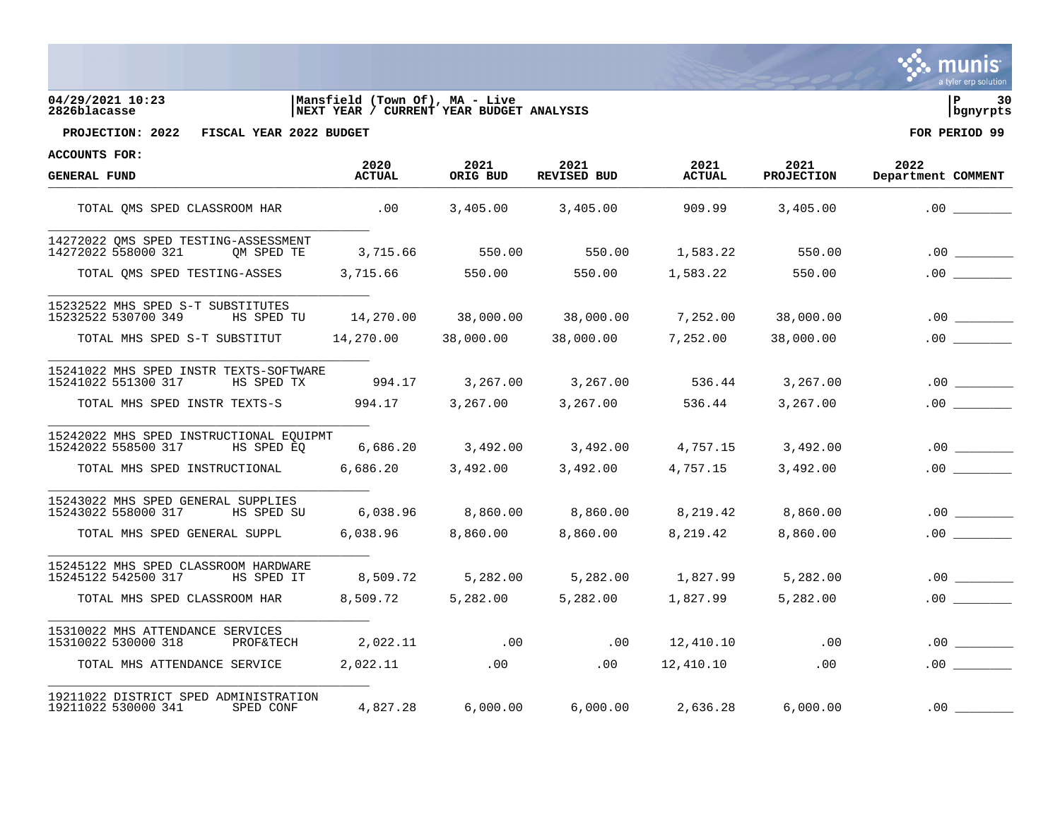

## **04/29/2021 10:23 |Mansfield (Town Of), MA - Live |P 30 2826blacasse |NEXT YEAR / CURRENT YEAR BUDGET ANALYSIS |bgnyrpts**



**PROJECTION: 2022 FISCAL YEAR 2022 BUDGET FOR PERIOD 99**

| <b>GENERAL FUND</b>                                                          | 2020<br><b>ACTUAL</b> | 2021<br>ORIG BUD | 2021<br><b>REVISED BUD</b> | 2021<br><b>ACTUAL</b> | 2021<br><b>PROJECTION</b> | 2022<br>Department COMMENT |
|------------------------------------------------------------------------------|-----------------------|------------------|----------------------------|-----------------------|---------------------------|----------------------------|
| TOTAL OMS SPED CLASSROOM HAR                                                 | .00                   | 3,405.00         | 3,405.00                   | 909.99                | 3,405.00                  | .00                        |
| 14272022 OMS SPED TESTING-ASSESSMENT<br>14272022 558000 321<br>OM SPED TE    | 3,715.66              | 550.00           | 550.00                     | 1,583.22              | 550.00                    | $.00$ $\qquad \qquad$      |
| TOTAL OMS SPED TESTING-ASSES                                                 | 3,715.66              | 550.00           | 550.00                     | 1,583.22              | 550.00                    | .00                        |
| 15232522 MHS SPED S-T SUBSTITUTES<br>15232522 530700 349<br>HS SPED TU       | 14,270.00             | 38,000.00        | 38,000.00                  | 7,252.00              | 38,000.00                 | .00                        |
| TOTAL MHS SPED S-T SUBSTITUT                                                 | 14,270.00             | 38,000.00        | 38,000.00                  | 7,252.00              | 38,000.00                 |                            |
| 15241022 MHS SPED INSTR TEXTS-SOFTWARE<br>15241022 551300 317<br>HS SPED TX  | 994.17                | 3,267.00         | 3,267.00                   | 536.44                | 3,267.00                  | .00                        |
| TOTAL MHS SPED INSTR TEXTS-S                                                 | 994.17                | 3,267.00         | 3,267.00                   | 536.44                | 3,267.00                  |                            |
| 15242022 MHS SPED INSTRUCTIONAL EOUIPMT<br>15242022 558500 317<br>HS SPED EO | 6,686.20              | 3,492.00         | 3,492.00                   | 4,757.15              | 3,492.00                  | .00                        |
| TOTAL MHS SPED INSTRUCTIONAL                                                 | 6,686.20              | 3,492.00         | 3,492.00                   | 4,757.15              | 3,492.00                  | .00                        |
| 15243022 MHS SPED GENERAL SUPPLIES<br>15243022 558000 317<br>HS SPED SU      | 6,038.96              | 8,860.00         | 8,860.00                   | 8,219.42              | 8,860.00                  | .00                        |
| TOTAL MHS SPED GENERAL SUPPL                                                 | 6,038.96              | 8,860.00         | 8,860.00                   | 8,219.42              | 8,860.00                  |                            |
| 15245122 MHS SPED CLASSROOM HARDWARE<br>15245122 542500 317<br>HS SPED IT    | 8,509.72              | 5,282.00         | 5,282.00                   | 1,827.99              | 5,282.00                  | .00                        |
| TOTAL MHS SPED CLASSROOM HAR                                                 | 8,509.72              | 5,282.00         | 5,282.00                   | 1,827.99              | 5,282.00                  | .00                        |
| 15310022 MHS ATTENDANCE SERVICES<br>15310022 530000 318<br>PROF&TECH         | 2,022.11              | .00              | .00                        | 12,410.10             | .00                       | .00                        |
| TOTAL MHS ATTENDANCE SERVICE                                                 | 2,022.11              | .00              | .00                        | 12,410.10             | .00                       | .00                        |
| 19211022 DISTRICT SPED ADMINISTRATION<br>19211022 530000 341<br>SPED CONF    | 4,827.28              | 6,000.00         | 6,000.00                   | 2,636.28              | 6,000.00                  | .00                        |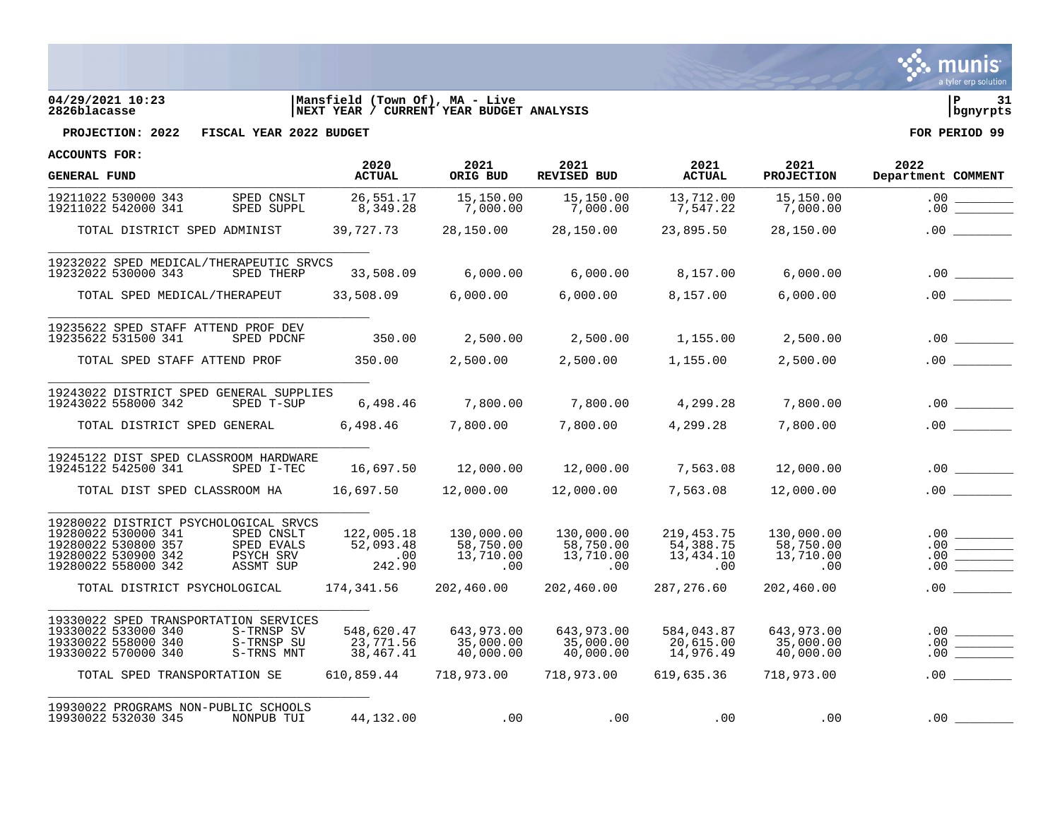

# **04/29/2021 10:23 |Mansfield (Town Of), MA - Live |P 31 2826blacasse |NEXT YEAR / CURRENT YEAR BUDGET ANALYSIS |bgnyrpts**



| <b>GENERAL FUND</b>                                                                                                                                                                     | 2020<br><b>ACTUAL</b>                                | 2021<br>ORIG BUD                                   | 2021<br>REVISED BUD                                | 2021<br><b>ACTUAL</b>                              | 2021<br><b>PROJECTION</b>                          | 2022<br>Department COMMENT            |
|-----------------------------------------------------------------------------------------------------------------------------------------------------------------------------------------|------------------------------------------------------|----------------------------------------------------|----------------------------------------------------|----------------------------------------------------|----------------------------------------------------|---------------------------------------|
| SPED CNSLT<br>19211022 530000 343<br>19211022 542000 341<br>SPED SUPPL                                                                                                                  | 26,551.17<br>8,349.28                                | 15,150.00<br>7,000.00                              | 15,150.00<br>7,000.00                              | 13,712.00<br>7,547.22                              | 15,150.00<br>7,000.00                              | $.00 \,$<br>.00                       |
| TOTAL DISTRICT SPED ADMINIST                                                                                                                                                            | 39,727.73                                            | 28,150.00                                          | 28,150.00                                          | 23,895.50                                          | 28,150.00                                          |                                       |
| 19232022 SPED MEDICAL/THERAPEUTIC SRVCS<br>19232022 530000 343<br>SPED THERP                                                                                                            | 33,508.09                                            | 6,000.00                                           | 6,000.00                                           | 8,157.00                                           | 6,000.00                                           |                                       |
| TOTAL SPED MEDICAL/THERAPEUT                                                                                                                                                            | 33,508.09                                            | 6,000.00                                           | 6,000.00                                           | 8,157.00                                           | 6,000.00                                           | .00                                   |
| 19235622 SPED STAFF ATTEND PROF DEV<br>19235622 531500 341<br>SPED PDCNF                                                                                                                | 350.00                                               |                                                    | 2,500.00  2,500.00  1,155.00                       |                                                    | 2,500.00                                           | .00                                   |
| TOTAL SPED STAFF ATTEND PROF                                                                                                                                                            | 350.00                                               |                                                    | 2,500.00 2,500.00 1,155.00                         |                                                    | 2,500.00                                           |                                       |
| 19243022 DISTRICT SPED GENERAL SUPPLIES<br>19243022 558000 342<br>SPED T-SUP                                                                                                            | 6,498.46                                             | 7,800.00                                           | 7,800.00                                           | 4,299.28                                           | 7,800.00                                           | .00                                   |
| TOTAL DISTRICT SPED GENERAL 6,498.46 7,800.00 7,800.00                                                                                                                                  |                                                      |                                                    |                                                    | 4,299.28                                           | 7,800.00                                           | .00                                   |
| 19245122 DIST SPED CLASSROOM HARDWARE<br>19245122 542500 341<br>SPED I-TEC                                                                                                              | 16,697.50                                            |                                                    |                                                    |                                                    | 12,000.00                                          |                                       |
| TOTAL DIST SPED CLASSROOM HA                                                                                                                                                            |                                                      |                                                    |                                                    | 7,563.08                                           | 12,000.00                                          |                                       |
| 19280022 DISTRICT PSYCHOLOGICAL SRVCS<br>19280022 530000 341<br>SPED CNSLT<br>19280022 530800 357<br>SPED EVALS<br>19280022 530900 342<br>PSYCH SRV<br>19280022 558000 342<br>ASSMT SUP | 122,005.18<br>52,093.48<br>$\overline{00}$<br>242.90 | 130,000.00<br>58,750.00<br>13,710.00<br>.00        | 130,000.00<br>58,750.00<br>13,710.00<br>00.<br>.00 | 219, 453. 75<br>54,388.75<br>13,434.10<br>.00      | 130,000.00<br>58,750.00<br>13,710.00<br>$.00 \,$   | $.00$ $\qquad$<br>$\frac{0.00}{0.00}$ |
| TOTAL DISTRICT PSYCHOLOGICAL                                                                                                                                                            | 174,341.56                                           | 202,460.00                                         | 202,460.00                                         | 287,276.60                                         | 202,460.00                                         |                                       |
| 19330022 SPED TRANSPORTATION SERVICES<br>19330022 533000 340<br>S-TRNSP SV<br>19330022 558000 340<br>S-TRNSP SU<br>19330022 570000 340<br>S-TRNS MNT<br>TOTAL SPED TRANSPORTATION SE    | 548,620.47<br>23,771.56<br>38,467.41<br>610,859.44   | 643,973.00<br>35,000.00<br>40,000.00<br>718,973.00 | 643,973.00<br>35,000.00<br>40,000.00<br>718,973.00 | 584,043.87<br>20,615.00<br>14,976.49<br>619,635.36 | 643,973.00<br>35,000.00<br>40,000.00<br>718,973.00 | $.00$ $\frac{$<br>.00                 |
| 19930022 PROGRAMS NON-PUBLIC SCHOOLS<br>19930022 532030 345<br>NONPUB TUI                                                                                                               | 44,132.00                                            | .00                                                |                                                    | .00<br>.00                                         | .00                                                | .00                                   |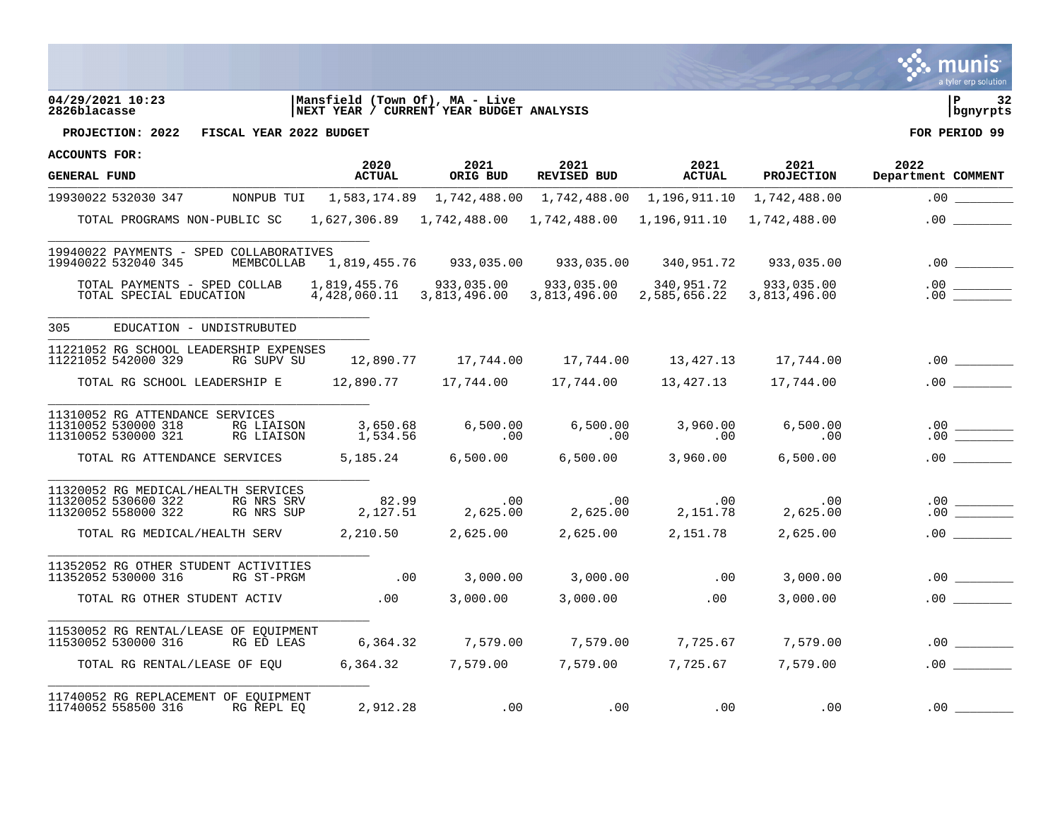

# **04/29/2021 10:23 |Mansfield (Town Of), MA - Live |P 32 2826blacasse |NEXT YEAR / CURRENT YEAR BUDGET ANALYSIS |bgnyrpts**



**PROJECTION: 2022 FISCAL YEAR 2022 BUDGET FOR PERIOD 99**

| <b>ACCOUNTS FOR:</b>                                                                                                 |                       |                                        |                                                                                                        |                       |                                                           |                                                                                                                                                                                                                                                                                                                                                                               |
|----------------------------------------------------------------------------------------------------------------------|-----------------------|----------------------------------------|--------------------------------------------------------------------------------------------------------|-----------------------|-----------------------------------------------------------|-------------------------------------------------------------------------------------------------------------------------------------------------------------------------------------------------------------------------------------------------------------------------------------------------------------------------------------------------------------------------------|
| <b>GENERAL FUND</b>                                                                                                  | 2020<br><b>ACTUAL</b> | 2021<br>ORIG BUD                       | 2021<br>REVISED BUD                                                                                    | 2021<br><b>ACTUAL</b> | 2021<br><b>PROJECTION</b>                                 | 2022<br>Department COMMENT                                                                                                                                                                                                                                                                                                                                                    |
| 19930022 532030 347 MONPUB TUI 1,583,174.89 1,742,488.00 1,742,488.00 1,196,911.10 1,742,488.00                      |                       |                                        |                                                                                                        |                       |                                                           | .00                                                                                                                                                                                                                                                                                                                                                                           |
| TOTAL PROGRAMS NON-PUBLIC SC 1,627,306.89 1,742,488.00 1,742,488.00 1,196,911.10 1,742,488.00                        |                       |                                        |                                                                                                        |                       |                                                           |                                                                                                                                                                                                                                                                                                                                                                               |
| 19940022 PAYMENTS - SPED COLLABORATIVES<br>19940022 532040 345                                                       |                       |                                        | MEMBCOLLAB 1,819,455.76 933,035.00 933,035.00 340,951.72 933,035.00                                    |                       |                                                           |                                                                                                                                                                                                                                                                                                                                                                               |
| TOTAL PAYMENTS - SPED COLLAB<br>TOTAL SPECIAL EDUCATION                                                              |                       | 4,428,060.11 3,813,496.00 3,813,496.00 |                                                                                                        | 340,951.72 933,035.00 | 2,585,656.22 3,813,496.00                                 |                                                                                                                                                                                                                                                                                                                                                                               |
| 305<br>EDUCATION - UNDISTRUBUTED                                                                                     |                       |                                        |                                                                                                        |                       |                                                           |                                                                                                                                                                                                                                                                                                                                                                               |
| 11221052 RG SCHOOL LEADERSHIP EXPENSES<br>11221052 542000 329<br>RG SUPV SU                                          |                       |                                        |                                                                                                        |                       | 12,890.77   17,744.00   17,744.00   13,427.13   17,744.00 |                                                                                                                                                                                                                                                                                                                                                                               |
| TOTAL RG SCHOOL LEADERSHIP E                                                                                         |                       |                                        | 17,744.00                                                                                              | 13,427.13             | 17,744.00                                                 | .00                                                                                                                                                                                                                                                                                                                                                                           |
| 11310052 RG ATTENDANCE SERVICES<br>11310052 530000 318<br>RG LIAISON<br>11310052 530000 321<br>RG LIAISON            | 3,650.68<br>1,534.56  | $\sim 00$                              | $6,500.00$ $6,500.00$ $3,960.00$<br>.00                                                                | $\sim$ 00             | 6,500.00<br>$\overline{00}$                               | $\begin{array}{c c} .00 & \rule{3cm}{0.2cm} \rule{2cm}{0.2cm} \rule{2cm}{0.2cm} \rule{2cm}{0.2cm} \rule{2cm}{0.2cm} \rule{2cm}{0.2cm} \rule{2cm}{0.2cm} \rule{2cm}{0.2cm} \rule{2cm}{0.2cm} \rule{2cm}{0.2cm} \rule{2cm}{0.2cm} \rule{2cm}{0.2cm} \rule{2cm}{0.2cm} \rule{2cm}{0.2cm} \rule{2cm}{0.2cm} \rule{2cm}{0.2cm} \rule{2cm}{0.2cm} \rule{2cm}{0.2cm} \rule{2cm}{0.2$ |
| TOTAL RG ATTENDANCE SERVICES                                                                                         | 5,185.24              | 6,500.00                               | 6,500.00                                                                                               | 3,960.00              | 6,500.00                                                  | .00                                                                                                                                                                                                                                                                                                                                                                           |
| 11320052 RG MEDICAL/HEALTH SERVICES<br>11320052 530600 322<br>RG NRS SRV<br>11320052 558000 322<br>RG NRS SUP        | 82.99<br>2,127.51     |                                        | $\begin{array}{cccc} 82.99 & .00 & .00 & .01 \\ 2,127.51 & 2,625.00 & 2,625.00 & 2,151.78 \end{array}$ |                       | .00<br>2,625.00                                           |                                                                                                                                                                                                                                                                                                                                                                               |
| TOTAL RG MEDICAL/HEALTH SERV                                                                                         | 2,210.50              | 2,625.00                               |                                                                                                        | 2,625.00 2,151.78     | 2,625.00                                                  | .00                                                                                                                                                                                                                                                                                                                                                                           |
| 11352052 RG OTHER STUDENT ACTIVITIES<br>11352052 530000 316<br>RG ST-PRGM                                            | $\sim$ 00             |                                        | $3,000.00$ $3,000.00$                                                                                  | .00                   | 3,000.00                                                  |                                                                                                                                                                                                                                                                                                                                                                               |
| TOTAL RG OTHER STUDENT ACTIV                                                                                         | $\sim$ 00             | 3,000.00                               | 3,000.00                                                                                               | .00                   | 3,000.00                                                  |                                                                                                                                                                                                                                                                                                                                                                               |
| 11530052 RG RENTAL/LEASE OF EQUIPMENT<br>11530052 530000 316 RG ED LEAS 6,364.32 7,579.00 7,579.00 7,725.67 7,579.00 |                       |                                        |                                                                                                        |                       |                                                           |                                                                                                                                                                                                                                                                                                                                                                               |
| TOTAL RG RENTAL/LEASE OF EOU 6,364.32 7,579.00 7,579.00 7,725.67 7,579.00                                            |                       |                                        |                                                                                                        |                       |                                                           | .00                                                                                                                                                                                                                                                                                                                                                                           |
| 11740052 RG REPLACEMENT OF EQUIPMENT<br>11740052 558500 316<br>RG REPL EO                                            | 2,912.28              | .00                                    | .00                                                                                                    | .00                   | $.00 \,$                                                  | $.00 \,$                                                                                                                                                                                                                                                                                                                                                                      |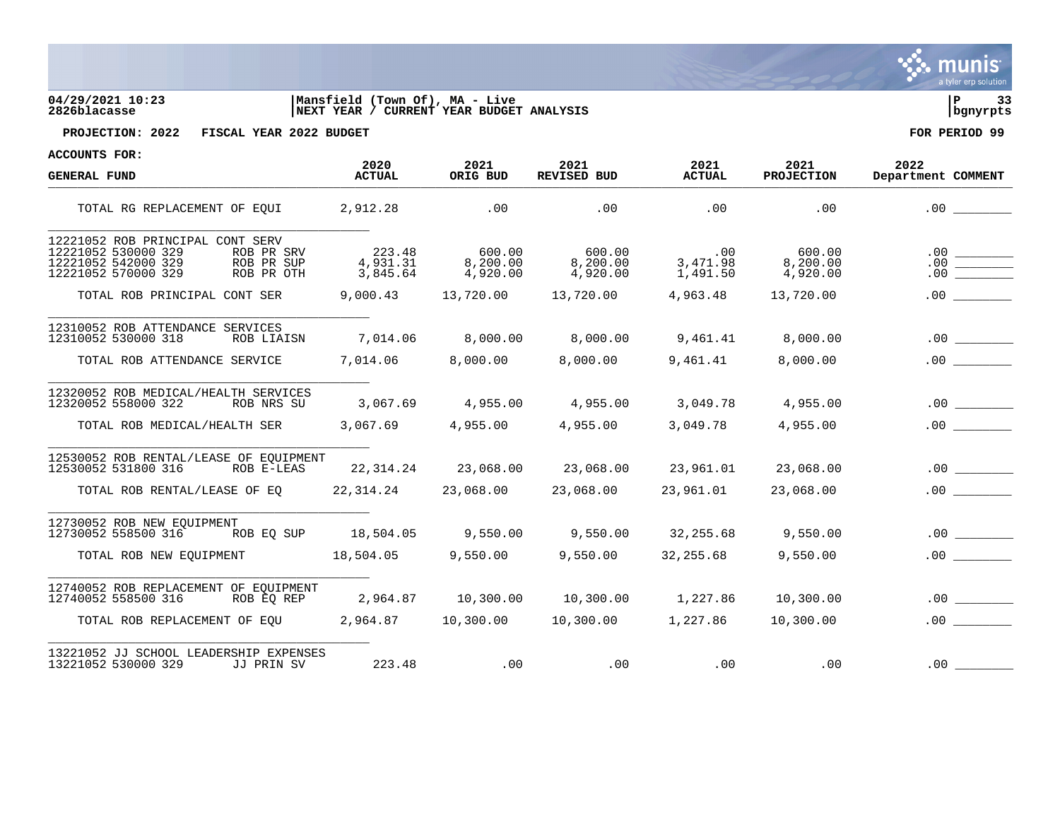

**GENERAL FUND ACTUAL ORIG BUD REVISED BUD ACTUAL PROJECTION Department COMMENT** ACTORE CONDERVER TO A REVENUE ON THE REVENUE OF A REVENUE PRODUCTION DEPERTMENT TOTAL RG REPLACEMENT OF EQUI 2,912.28 .00 .00 .00 .00 .00 \_\_\_\_\_\_\_\_ \_\_\_\_\_\_\_\_\_\_\_\_\_\_\_\_\_\_\_\_\_\_\_\_\_\_\_\_\_\_\_\_\_\_\_\_\_\_\_\_\_\_\_\_ 12221052 ROB PRINCIPAL CONT SERV<br>12221052 530000 329 ROB PR SRV 12221052 530000 329 ROB PR SRV 223.48 600.00 600.00 .00 600.00 600.00 .00 600.00<br>12221052 542000 329 ROB PR SUP 4,931.31 8,200.00 8,200.00 3,471.98 8,200.00 .00 12221052 542000 329 ROB PR SUP 4,931.31 8,200.00 8,200.00 3,471.98 8,200.00 .00 \_\_\_\_\_\_\_\_ 12221052 570000 329 TOTAL ROB PRINCIPAL CONT SER  $9,000.43$  13,720.00 13,720.00 4,963.48 13,720.00 .00 \_\_\_\_\_\_\_\_\_\_\_\_\_\_\_\_\_\_\_\_\_\_\_\_\_\_\_\_\_\_\_\_\_\_\_\_\_\_\_\_\_\_\_\_ 12310052 ROB ATTENDANCE SERVICES  $12310052$  530000 318 ROB LIAISN 7.014.06 8.000.00 8.000.00 9.461.41 8.000.00 .00 TOTAL ROB ATTENDANCE SERVICE 7,014.06 8,000.00 8,000.00 9,461.41 8,000.00 .00 00 \_\_\_\_\_\_\_\_\_\_\_\_\_\_\_\_\_\_\_\_\_\_\_\_\_\_\_\_\_\_\_\_\_\_\_\_\_\_\_\_\_\_\_\_ 12320052 ROB MEDICAL/HEALTH SERVICES  $12320052$  558000 322 ROB NRS SU  $3.067.69$   $4.955.00$   $4.955.00$   $3.049.78$   $4.955.00$   $0.00$ TOTAL ROB MEDICAL/HEALTH SER 3,067.69 4,955.00 4,955.00 3,049.78 4,955.00 .00 0 \_\_\_\_\_\_\_\_\_\_\_\_\_\_\_\_\_\_\_\_\_\_\_\_\_\_\_\_\_\_\_\_\_\_\_\_\_\_\_\_\_\_\_\_ 12530052 ROB RENTAL/LEASE OF EQUIPMENT  $12530052$  531800 316 ROB E-LEAS 22,314.24 23,068.00 23,068.00 23,961.01 23,068.00 .00 TOTAL ROB RENTAL/LEASE OF EO  $22,314.24$   $23,068.00$   $23,068.00$   $23,961.01$   $23,068.00$   $23,068.00$   $23.068.00$ \_\_\_\_\_\_\_\_\_\_\_\_\_\_\_\_\_\_\_\_\_\_\_\_\_\_\_\_\_\_\_\_\_\_\_\_\_\_\_\_\_\_\_\_ 12730052 ROB NEW EQUIPMENT 12730052 558500 316 ROB EQ SUP 18,504.05 9,550.00 9,550.00 32,255.68 9,550.00 .00 \_\_\_\_\_\_\_\_ TOTAL ROB NEW EQUIPMENT 18,504.05 9,550.00 9,550.00 32,255.68 9,550.00 .00 \_\_\_\_\_\_\_\_\_\_\_\_\_\_\_\_\_\_\_\_\_\_\_\_\_\_\_\_\_\_\_\_\_\_\_\_\_\_\_\_\_\_\_\_

**2826blacasse |NEXT YEAR / CURRENT YEAR BUDGET ANALYSIS |bgnyrpts**

**ACCOUNTS FOR:**

12740052 ROB REPLACEMENT OF EQUIPMENT  $12740052$  558500 316 ROB EQ REP 2,964.87 10,300.00 10,300.00 1,227.86 10,300.00 .00 .00 TOTAL ROB REPLACEMENT OF EQU 2,964.87 10,300.00 10,300.00 1,227.86 10,300.00 .00 0 \_\_\_\_\_\_\_\_\_\_\_\_\_\_\_\_\_\_\_\_\_\_\_\_\_\_\_\_\_\_\_\_\_\_\_\_\_\_\_\_\_\_\_\_ 13221052 JJ SCHOOL LEADERSHIP EXPENSES<br>13221052 530000 329 JJ PRIN SV 13221052 530000 329 JJ PRIN SV 223.48 .00 .00 .00 .00 .00 \_\_\_\_\_\_\_\_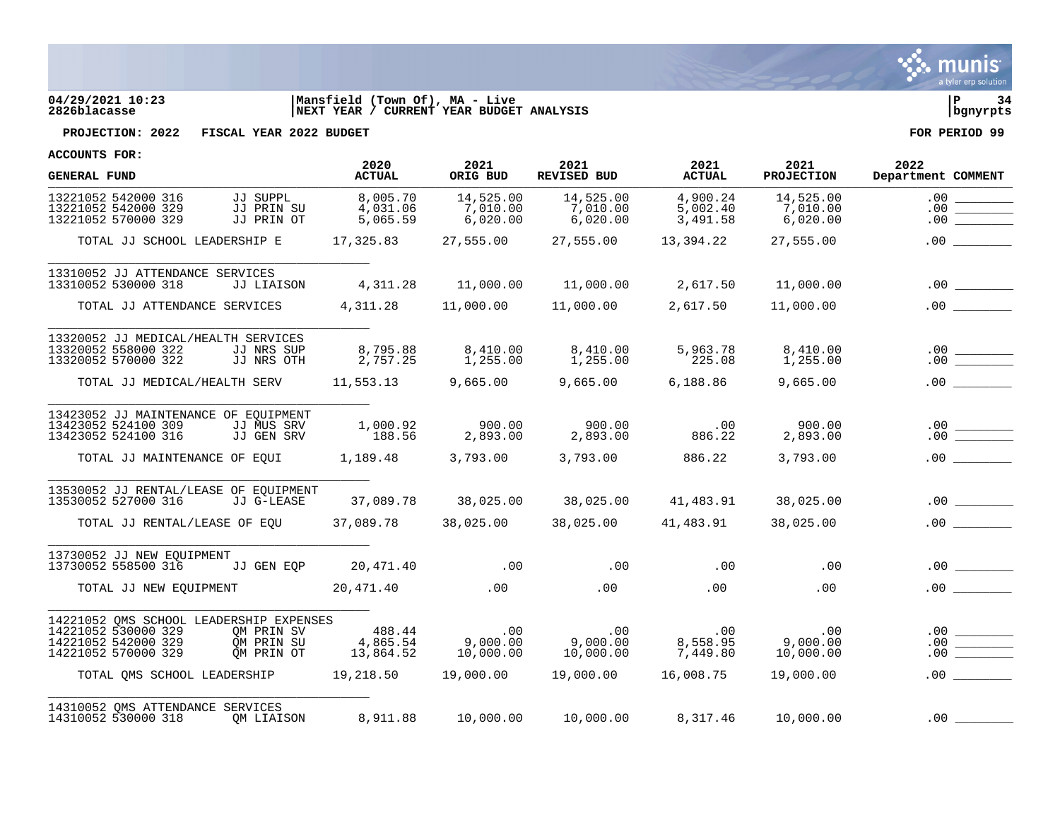

# **04/29/2021 10:23 |Mansfield (Town Of), MA - Live |P 34 2826blacasse |NEXT YEAR / CURRENT YEAR BUDGET ANALYSIS |bgnyrpts**



**PROJECTION: 2022 FISCAL YEAR 2022 BUDGET FOR PERIOD 99**

| <b>GENERAL FUND</b>                                                               |                                      | 2020<br><b>ACTUAL</b>            | 2021<br>ORIG BUD                  | 2021<br>REVISED BUD                                                                                                                                   | 2021<br><b>ACTUAL</b>            | 2021<br>PROJECTION                | 2022<br>Department COMMENT                                                                                                                                                                                                                                                                                                                                                                                             |
|-----------------------------------------------------------------------------------|--------------------------------------|----------------------------------|-----------------------------------|-------------------------------------------------------------------------------------------------------------------------------------------------------|----------------------------------|-----------------------------------|------------------------------------------------------------------------------------------------------------------------------------------------------------------------------------------------------------------------------------------------------------------------------------------------------------------------------------------------------------------------------------------------------------------------|
| 13221052 542000 316<br>13221052 542000 329<br>13221052 570000 329                 | JJ SUPPL<br>JJ PRIN SU<br>JJ PRIN OT | 8,005.70<br>4,031.06<br>5,065.59 | 14,525.00<br>7,010.00<br>6,020.00 | 14,525.00<br>7,010.00<br>6,020.00                                                                                                                     | 4,900.24<br>5,002.40<br>3,491.58 | 14,525.00<br>7,010.00<br>6,020.00 | .00<br>.00<br>.00                                                                                                                                                                                                                                                                                                                                                                                                      |
| TOTAL JJ SCHOOL LEADERSHIP E                                                      |                                      | 17,325.83 27,555.00              |                                   |                                                                                                                                                       | 27,555.00 13,394.22              | 27,555.00                         | .00                                                                                                                                                                                                                                                                                                                                                                                                                    |
| 13310052 JJ ATTENDANCE SERVICES                                                   |                                      |                                  |                                   |                                                                                                                                                       |                                  |                                   |                                                                                                                                                                                                                                                                                                                                                                                                                        |
| 13310052 530000 318                                                               | JJ LIAISON                           |                                  |                                   | $4,311.28$ $11,000.00$ $11,000.00$ $2,617.50$                                                                                                         |                                  | 11,000.00                         |                                                                                                                                                                                                                                                                                                                                                                                                                        |
| TOTAL JJ ATTENDANCE SERVICES                                                      |                                      |                                  |                                   | $4,311.28$ $11,000.00$ $11,000.00$ $2,617.50$ $11,000.00$                                                                                             |                                  |                                   |                                                                                                                                                                                                                                                                                                                                                                                                                        |
| 13320052 JJ MEDICAL/HEALTH SERVICES<br>13320052 558000 322<br>13320052 570000 322 | JJ NRS SUP<br>JJ NRS OTH             | 8,795.88<br>2,757.25             | 1,255.00                          |                                                                                                                                                       | 5,963.78<br>225.08               | 8,410.00<br>1,255.00              | $\begin{array}{c c} .00 & \rule{3cm}{2.5cm} \quad \rule{2cm}{0.5cm} \quad \rule{2cm}{0.5cm} \quad \rule{2cm}{0.5cm} \quad \rule{2cm}{0.5cm} \quad \rule{2cm}{0.5cm} \quad \rule{2cm}{0.5cm} \quad \rule{2cm}{0.5cm} \quad \rule{2cm}{0.5cm} \quad \rule{2cm}{0.5cm} \quad \rule{2cm}{0.5cm} \quad \rule{2cm}{0.5cm} \quad \rule{2cm}{0.5cm} \quad \rule{2cm}{0.5cm} \quad \rule{2cm}{0.5cm} \quad \rule{2cm}{0.5cm} \$ |
| TOTAL JJ MEDICAL/HEALTH SERV 11,553.13 9,665.00 9,665.00 6,188.86 9,665.00        |                                      |                                  |                                   |                                                                                                                                                       |                                  |                                   |                                                                                                                                                                                                                                                                                                                                                                                                                        |
| 13423052 JJ MAINTENANCE OF EOUIPMENT                                              |                                      |                                  | 900.00                            | 900.00                                                                                                                                                | .00                              | 900.00                            |                                                                                                                                                                                                                                                                                                                                                                                                                        |
| 13423052 524100 309<br>13423052 524100 316                                        | JJ MUS SRV<br>JJ GEN SRV             | 1,000.92<br>188.56               | 2,893.00                          | 2,893.00                                                                                                                                              | 886.22                           | 2,893.00                          | $\begin{array}{c c} .00 & \rule{3cm}{2.5cm} \rule{2cm}{2.5cm} \rule{2cm}{2.5cm} \rule{2cm}{2.5cm} \rule{2cm}{2.5cm} \rule{2cm}{2.5cm} \rule{2cm}{2.5cm} \rule{2cm}{2.5cm} \rule{2cm}{2.5cm} \rule{2cm}{2.5cm} \rule{2cm}{2.5cm} \rule{2cm}{2.5cm} \rule{2cm}{2.5cm} \rule{2cm}{2.5cm} \rule{2cm}{2.5cm} \rule{2cm}{2.5cm} \rule{2cm}{2.5cm} \rule{2cm}{2.5cm} \rule{2cm}{2.5$                                          |
| TOTAL JJ MAINTENANCE OF EQUI 1,189.48                                             |                                      |                                  |                                   | 3,793.00 3,793.00                                                                                                                                     | 886.22                           | 3,793.00                          |                                                                                                                                                                                                                                                                                                                                                                                                                        |
| 13530052 JJ RENTAL/LEASE OF EOUIPMENT<br>13530052 527000 316                      | JJ G-LEASE                           |                                  |                                   | $37,089.78$ $38,025.00$ $38,025.00$ $41,483.91$ $38,025.00$                                                                                           |                                  |                                   |                                                                                                                                                                                                                                                                                                                                                                                                                        |
|                                                                                   |                                      |                                  |                                   |                                                                                                                                                       |                                  |                                   |                                                                                                                                                                                                                                                                                                                                                                                                                        |
| TOTAL JJ RENTAL/LEASE OF EOU                                                      |                                      | 37,089.78    38,025.00           |                                   | 38,025.00                                                                                                                                             | 41,483.91                        | 38,025.00                         | .00                                                                                                                                                                                                                                                                                                                                                                                                                    |
| 13730052 JJ NEW EOUIPMENT<br>13730052 558500 316 JJ GEN EOP                       |                                      | 20,471.40 .00                    |                                   |                                                                                                                                                       | $.00$ . $.00$                    | .00                               | .00                                                                                                                                                                                                                                                                                                                                                                                                                    |
| TOTAL JJ NEW EOUIPMENT $20.471.40$ .00 .00                                        |                                      |                                  |                                   |                                                                                                                                                       | .00                              | $.00 \,$                          | .00                                                                                                                                                                                                                                                                                                                                                                                                                    |
|                                                                                   |                                      |                                  |                                   |                                                                                                                                                       |                                  |                                   |                                                                                                                                                                                                                                                                                                                                                                                                                        |
| 14221052 QMS SCHOOL LEADERSHIP EXPENSES                                           |                                      |                                  |                                   |                                                                                                                                                       |                                  |                                   |                                                                                                                                                                                                                                                                                                                                                                                                                        |
| 14221052 530000 329<br>14221052 542000 329                                        | QM PRIN SV<br>OM PRIN SU             |                                  |                                   | $\begin{array}{cccc} 488.44 & .00 & .00 & .00 \ 4,865.54 & 9,000.00 & 9,000.00 & 8,558.95 \ 13,864.52 & 10,000.00 & 10,000.00 & 7,449.80 \end{array}$ |                                  |                                   |                                                                                                                                                                                                                                                                                                                                                                                                                        |
| 14221052 570000 329                                                               | OM PRIN OT                           |                                  |                                   |                                                                                                                                                       |                                  |                                   | .00                                                                                                                                                                                                                                                                                                                                                                                                                    |
| TOTAL OMS SCHOOL LEADERSHIP 19,218.50 19,000.00 19,000.00 16,008.75               |                                      |                                  |                                   |                                                                                                                                                       |                                  | 19,000.00                         | .00                                                                                                                                                                                                                                                                                                                                                                                                                    |
| 14310052 OMS ATTENDANCE SERVICES<br>14310052 530000 318                           | OM LIAISON                           |                                  |                                   | $8,911.88$ $10,000.00$ $10,000.00$ $8,317.46$ $10,000.00$                                                                                             |                                  |                                   | $.00$ $\_$                                                                                                                                                                                                                                                                                                                                                                                                             |
|                                                                                   |                                      |                                  |                                   |                                                                                                                                                       |                                  |                                   |                                                                                                                                                                                                                                                                                                                                                                                                                        |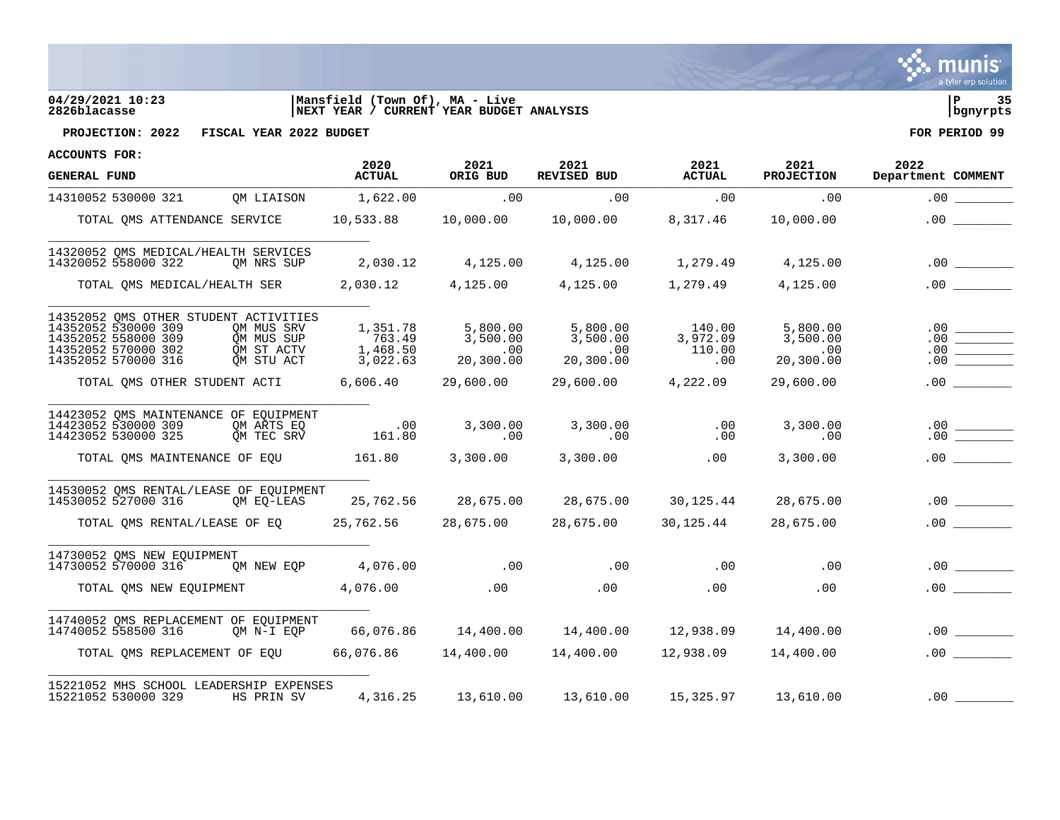

## **04/29/2021 10:23 |Mansfield (Town Of), MA - Live |P 35 2826blacasse |NEXT YEAR / CURRENT YEAR BUDGET ANALYSIS |bgnyrpts**



**PROJECTION: 2022 FISCAL YEAR 2022 BUDGET FOR PERIOD 99**

| <b>GENERAL FUND</b>                                                                      |                                                                       |                                                      | 2020<br>ACTUAL                                   | 2021<br>ORIG BUD                               | 2021<br><b>REVISED BUD</b>                                    | 2021<br><b>ACTUAL</b>                               | 2021<br><b>PROJECTION</b>                    | 2022<br>Department COMMENT |
|------------------------------------------------------------------------------------------|-----------------------------------------------------------------------|------------------------------------------------------|--------------------------------------------------|------------------------------------------------|---------------------------------------------------------------|-----------------------------------------------------|----------------------------------------------|----------------------------|
| 14310052 530000 321                                                                      |                                                                       | QM LIAISON                                           | 1,622.00                                         | $\overline{00}$                                | .00                                                           | .00                                                 | .00                                          |                            |
|                                                                                          | TOTAL OMS ATTENDANCE SERVICE                                          |                                                      |                                                  |                                                |                                                               | 8,317.46                                            | 10,000.00                                    | .00                        |
| 14320052 558000 322                                                                      | 14320052 OMS MEDICAL/HEALTH SERVICES                                  | OM NRS SUP                                           | 2,030.12                                         |                                                | 4, 125.00 4, 125.00 1, 279.49                                 |                                                     | 4,125.00                                     |                            |
|                                                                                          |                                                                       |                                                      |                                                  |                                                | TOTAL QMS MEDICAL/HEALTH SER $2,030.12$ $4,125.00$ $4,125.00$ |                                                     | 1,279.49 4,125.00                            | $.00$ $\qquad \qquad$      |
| 14352052 530000 309<br>14352052 558000 309<br>14352052 570000 302<br>14352052 570000 316 | 14352052 QMS OTHER STUDENT ACTIVITIES                                 | OM MUS SRV<br>OM MUS SUP<br>OM ST ACTV<br>OM STU ACT | 1,351.78<br>763.49<br>1,468.50<br>3,022.63       | 5,800.00<br>3,500.00<br>$\sim$ 00<br>20,300.00 | 5,800.00<br>3,500.00<br>.00<br>20, 300.00                     | 140.00<br>3,972.09<br>110.00<br>.00                 | 5,800.00<br>3,500.00<br>$.00\,$<br>20,300.00 |                            |
|                                                                                          |                                                                       |                                                      | TOTAL OMS OTHER STUDENT ACTI 6,606.40 29,600.00  |                                                | 29,600.00                                                     | 4,222.09                                            | 29,600.00                                    | .00                        |
| 14423052 530000 309<br>14423052 530000 325                                               | 14423052 QMS MAINTENANCE OF EQUIPMENT                                 | OM ARTS EQ<br>OM TEC SRV                             | .00<br>161.80                                    | 3,300.00<br>.00                                | 3,300.00<br>$\sim$ 00                                         | .00<br>.00                                          | 3,300.00<br>.00                              |                            |
|                                                                                          | TOTAL OMS MAINTENANCE OF EOU                                          |                                                      | $161.80$ 3,300.00                                |                                                | 3,300.00                                                      | .00                                                 | 3,300.00                                     | .00                        |
| 14530052 527000 316                                                                      | 14530052 OMS RENTAL/LEASE OF EQUIPMENT                                | OM EO-LEAS                                           |                                                  |                                                | 25,762.56 28,675.00 28,675.00 30,125.44                       |                                                     | 28,675.00                                    | .00                        |
|                                                                                          |                                                                       |                                                      | TOTAL QMS RENTAL/LEASE OF EQ 25,762.56 28,675.00 |                                                | 28,675.00                                                     | 30,125.44                                           | 28,675.00                                    |                            |
|                                                                                          | 14730052 QMS NEW EQUIPMENT<br>14730052 570000 316 OM NEW EQP 4,076.00 |                                                      |                                                  | $\sim$ 00                                      |                                                               | $\overline{00}$ . $\overline{00}$ . $\overline{00}$ | .00                                          | .00                        |
|                                                                                          |                                                                       |                                                      | TOTAL QMS NEW EQUIPMENT 4,076.00 00              |                                                | .00                                                           | .00                                                 | .00                                          |                            |
| 14740052 558500 316                                                                      | 14740052 QMS REPLACEMENT OF EQUIPMENT                                 |                                                      |                                                  |                                                | QM N-I EQP 66,076.86 14,400.00 14,400.00 12,938.09            |                                                     | 14,400.00                                    |                            |
|                                                                                          | TOTAL OMS REPLACEMENT OF EOU                                          |                                                      |                                                  |                                                | $66,076.86$ $14,400.00$ $14,400.00$                           | 12,938.09                                           | 14,400.00                                    | .00                        |
| 15221052 530000 329                                                                      | 15221052 MHS SCHOOL LEADERSHIP EXPENSES                               | HS PRIN SV                                           |                                                  |                                                | 4, 316.25  13, 610.00  13, 610.00  15, 325.97  13, 610.00     |                                                     |                                              |                            |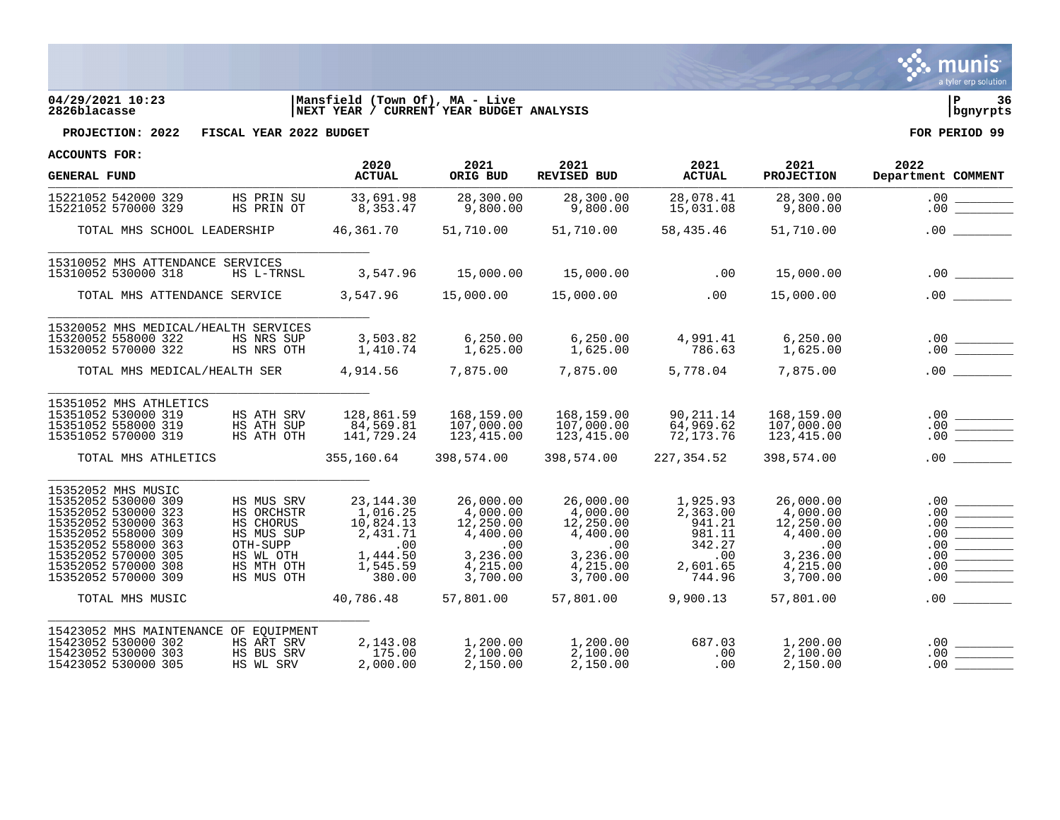

# **04/29/2021 10:23 |Mansfield (Town Of), MA - Live |P 36 2826blacasse |NEXT YEAR / CURRENT YEAR BUDGET ANALYSIS |bgnyrpts**

**PROJECTION: 2022 FISCAL YEAR 2022 BUDGET FOR PERIOD 99**

| <b>GENERAL FUND</b>                                                                                                                                                                                        |                                                                                                          | 2020<br><b>ACTUAL</b>                                                                     | 2021<br>ORIG BUD                                                                          | 2021<br>REVISED BUD                                                                       | 2021<br><b>ACTUAL</b>                                                           | 2021<br><b>PROJECTION</b>                                                                 | 2022<br>Department COMMENT                                                                                                                                                                                                                                                                                                                                                                                                                                                                                                                                                                                                                                    |
|------------------------------------------------------------------------------------------------------------------------------------------------------------------------------------------------------------|----------------------------------------------------------------------------------------------------------|-------------------------------------------------------------------------------------------|-------------------------------------------------------------------------------------------|-------------------------------------------------------------------------------------------|---------------------------------------------------------------------------------|-------------------------------------------------------------------------------------------|---------------------------------------------------------------------------------------------------------------------------------------------------------------------------------------------------------------------------------------------------------------------------------------------------------------------------------------------------------------------------------------------------------------------------------------------------------------------------------------------------------------------------------------------------------------------------------------------------------------------------------------------------------------|
| 15221052 542000 329<br>15221052 570000 329                                                                                                                                                                 | HS PRIN SU<br>HS PRIN OT                                                                                 | 33,691.98<br>8,353.47                                                                     | 28,300.00<br>9,800.00                                                                     | 28,300.00<br>9,800.00                                                                     | 28,078.41<br>15,031.08                                                          | 28,300.00<br>9,800.00                                                                     | .00<br>.00                                                                                                                                                                                                                                                                                                                                                                                                                                                                                                                                                                                                                                                    |
| TOTAL MHS SCHOOL LEADERSHIP                                                                                                                                                                                |                                                                                                          | 46,361.70                                                                                 | 51,710.00                                                                                 | 51,710.00                                                                                 | 58,435.46                                                                       | 51,710.00                                                                                 |                                                                                                                                                                                                                                                                                                                                                                                                                                                                                                                                                                                                                                                               |
| 15310052 MHS ATTENDANCE SERVICES<br>15310052 530000 318                                                                                                                                                    | HS L-TRNSL                                                                                               | 3,547.96                                                                                  | 15,000.00                                                                                 | 15,000.00                                                                                 | .00                                                                             | 15,000.00                                                                                 |                                                                                                                                                                                                                                                                                                                                                                                                                                                                                                                                                                                                                                                               |
| TOTAL MHS ATTENDANCE SERVICE                                                                                                                                                                               |                                                                                                          | 3,547.96                                                                                  | 15,000.00                                                                                 | 15,000.00                                                                                 | .00                                                                             | 15,000.00                                                                                 | .00                                                                                                                                                                                                                                                                                                                                                                                                                                                                                                                                                                                                                                                           |
| 15320052 MHS MEDICAL/HEALTH SERVICES<br>15320052 558000 322<br>15320052 570000 322                                                                                                                         | HS NRS SUP<br>HS NRS OTH                                                                                 | 3,503.82<br>1,410.74                                                                      | 6, 250.00<br>1,625.00                                                                     | 6, 250.00<br>1,625.00                                                                     | 4,991.41<br>786.63                                                              | 6, 250.00<br>1,625.00                                                                     |                                                                                                                                                                                                                                                                                                                                                                                                                                                                                                                                                                                                                                                               |
| TOTAL MHS MEDICAL/HEALTH SER                                                                                                                                                                               |                                                                                                          | 4,914.56                                                                                  | 7,875.00                                                                                  | 7,875.00                                                                                  | 5,778.04                                                                        | 7,875.00                                                                                  |                                                                                                                                                                                                                                                                                                                                                                                                                                                                                                                                                                                                                                                               |
| 15351052 MHS ATHLETICS<br>15351052 530000 319<br>15351052 558000 319<br>15351052 570000 319                                                                                                                | HS ATH SRV<br>HS ATH SUP<br>HS ATH OTH                                                                   | 128,861.59<br>84,569.81<br>141,729.24                                                     | 168,159.00<br>107,000.00<br>123,415.00                                                    | 168,159.00<br>107,000.00<br>123,415.00                                                    | 90,211.14<br>64,969.62<br>72, 173. 76                                           | 168,159.00<br>107,000.00<br>123, 415.00                                                   | $\frac{.00}{.00}$<br>.00                                                                                                                                                                                                                                                                                                                                                                                                                                                                                                                                                                                                                                      |
| TOTAL MHS ATHLETICS                                                                                                                                                                                        |                                                                                                          | 355,160.64                                                                                | 398,574.00                                                                                | 398,574.00                                                                                | 227,354.52                                                                      | 398,574.00                                                                                | .00                                                                                                                                                                                                                                                                                                                                                                                                                                                                                                                                                                                                                                                           |
| 15352052 MHS MUSIC<br>15352052 530000 309<br>15352052 530000 323<br>15352052 530000 363<br>15352052 558000 309<br>15352052 558000 363<br>15352052 570000 305<br>15352052 570000 308<br>15352052 570000 309 | HS MUS SRV<br>HS ORCHSTR<br>HS CHORUS<br>HS MUS SUP<br>OTH-SUPP<br>HS WL OTH<br>HS MTH OTH<br>HS MUS OTH | 23, 144. 30<br>1,016.25<br>10,824.13<br>2,431.71<br>.00<br>1,444.50<br>1,545.59<br>380.00 | 26,000.00<br>4,000.00<br>12,250.00<br>4,400.00<br>.00<br>3,236.00<br>4,215.00<br>3,700.00 | 26,000.00<br>4,000.00<br>12,250.00<br>4,400.00<br>.00<br>3,236.00<br>4,215.00<br>3,700.00 | 1,925.93<br>2,363.00<br>941.21<br>981.11<br>342.27<br>.00<br>2,601.65<br>744.96 | 26,000.00<br>4,000.00<br>12,250.00<br>4,400.00<br>.00<br>3,236.00<br>4,215.00<br>3,700.00 | .00<br><u> Tanzania</u><br>.00<br>.00<br>$\begin{tabular}{ c c c c } \hline \quad \quad & \quad \quad & \quad \quad & \quad \quad \\ \hline \quad \quad & \quad \quad & \quad \quad & \quad \quad \\ \hline \quad \quad & \quad \quad & \quad \quad & \quad \quad \\ \hline \quad \quad & \quad \quad & \quad \quad & \quad \quad \\ \hline \quad \quad & \quad \quad & \quad \quad & \quad \quad \\ \hline \quad \quad & \quad \quad & \quad \quad & \quad \quad \\ \hline \quad \quad & \quad \quad & \quad \quad & \quad \quad \\ \hline \quad \quad & \quad \quad & \quad \quad & \quad \quad \\ \hline \end{tabular}$<br>.00<br>.00<br>.00<br>.00<br>.00 |
| TOTAL MHS MUSIC                                                                                                                                                                                            |                                                                                                          | 40,786.48                                                                                 | 57,801.00                                                                                 | 57,801.00                                                                                 | 9,900.13                                                                        | 57,801.00                                                                                 | $.00 \,$                                                                                                                                                                                                                                                                                                                                                                                                                                                                                                                                                                                                                                                      |
| 15423052 MHS MAINTENANCE OF EQUIPMENT<br>15423052 530000 302<br>15423052 530000 303<br>15423052 530000 305                                                                                                 | HS ART SRV<br>HS BUS SRV<br>HS WL SRV                                                                    | 2,143.08<br>175.00<br>2,000.00                                                            | 1,200.00<br>2,100.00<br>2,150.00                                                          | 1,200.00<br>2,100.00<br>2,150.00                                                          | 687.03<br>.00<br>.00                                                            | 1,200.00<br>2,100.00<br>2,150.00                                                          | .00<br>.00                                                                                                                                                                                                                                                                                                                                                                                                                                                                                                                                                                                                                                                    |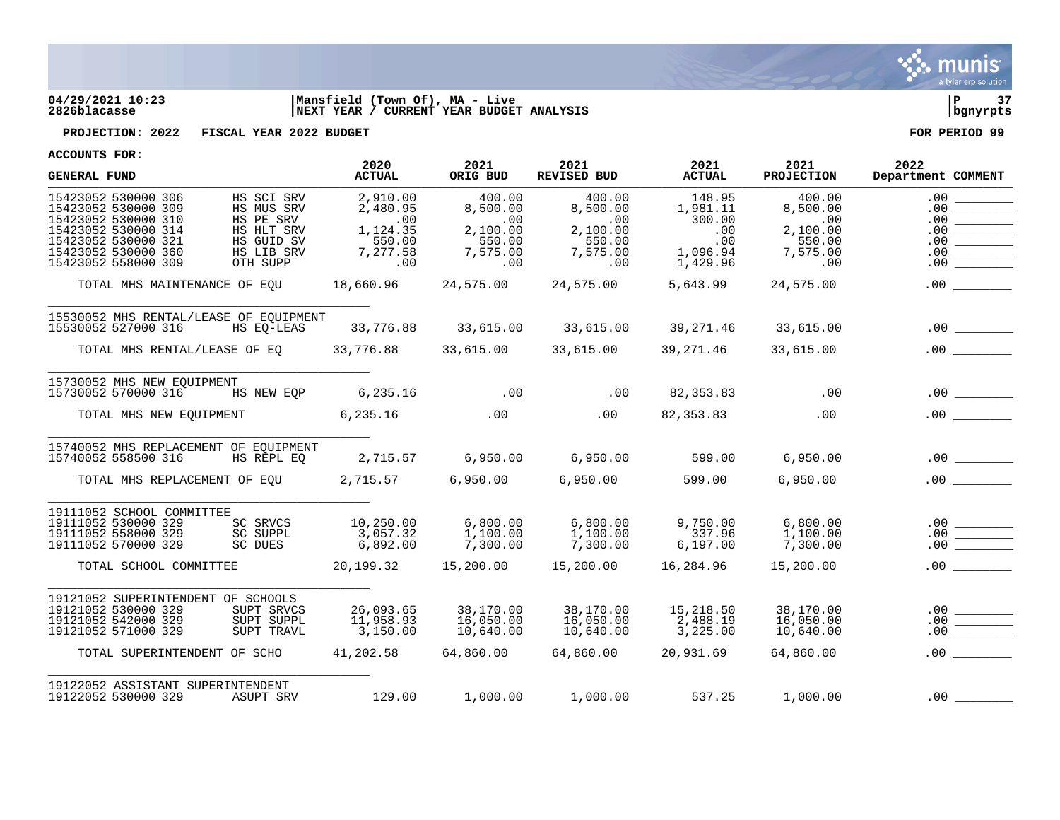

## **04/29/2021 10:23 |Mansfield (Town Of), MA - Live |P 37 2826blacasse |NEXT YEAR / CURRENT YEAR BUDGET ANALYSIS |bgnyrpts**

**PROJECTION: 2022 FISCAL YEAR 2022 BUDGET FOR PERIOD 99**

| <b>GENERAL FUND</b>                                                                                                                                                                                                                                          | 2020<br><b>ACTUAL</b>                                                | 2021<br>ORIG BUD                                                               | 2021<br>REVISED BUD                                                     | 2021<br><b>ACTUAL</b>                                              | 2021<br><b>PROJECTION</b>                                          | 2022<br>Department COMMENT                    |
|--------------------------------------------------------------------------------------------------------------------------------------------------------------------------------------------------------------------------------------------------------------|----------------------------------------------------------------------|--------------------------------------------------------------------------------|-------------------------------------------------------------------------|--------------------------------------------------------------------|--------------------------------------------------------------------|-----------------------------------------------|
| 15423052 530000 306<br>HS SCI SRV<br>15423052 530000 309<br>HS MUS SRV<br>HS PE SRV<br>15423052 530000 310<br>HS HLT SRV<br>15423052 530000 314<br>15423052 530000 321<br>HS GUID SV<br>15423052 530000 360<br>HS LIB SRV<br>15423052 558000 309<br>OTH SUPP | 2,910.00<br>2,480.95<br>.00<br>1,124.35<br>550.00<br>7,277.58<br>.00 | 400.00<br>8,500.00<br>$\sim$ 00<br>2,100.00<br>550.00<br>7,575.00<br>$\sim$ 00 | 400.00<br>8,500.00<br>$\,$ .00<br>2,100.00<br>550.00<br>7,575.00<br>.00 | 148.95<br>1,981.11<br>300.00<br>.00<br>.00<br>1,096.94<br>1,429.96 | 400.00<br>8,500.00<br>.00<br>2,100.00<br>550.00<br>7,575.00<br>.00 | .00<br>.00<br>.00<br>.00<br>.00<br>.00<br>.00 |
| TOTAL MHS MAINTENANCE OF EOU                                                                                                                                                                                                                                 | 18,660.96 24,575.00                                                  |                                                                                | 24,575.00                                                               | 5,643.99                                                           | 24,575.00                                                          | .00                                           |
| 15530052 MHS RENTAL/LEASE OF EQUIPMENT<br>15530052 527000 316<br>HS EO-LEAS                                                                                                                                                                                  |                                                                      |                                                                                | 33,776.88 33,615.00 33,615.00 39,271.46                                 |                                                                    | 33,615.00                                                          |                                               |
| TOTAL MHS RENTAL/LEASE OF EQ 33,776.88 33,615.00 33,615.00                                                                                                                                                                                                   |                                                                      |                                                                                |                                                                         | 39,271.46                                                          | 33,615.00                                                          | .00                                           |
| 15730052 MHS NEW EQUIPMENT<br>HS NEW EQP 6,235.16 00 00<br>15730052 570000 316                                                                                                                                                                               |                                                                      |                                                                                |                                                                         | 82,353.83 .00                                                      |                                                                    |                                               |
|                                                                                                                                                                                                                                                              |                                                                      |                                                                                |                                                                         | 82,353.83                                                          | .00                                                                | .00                                           |
| 15740052 MHS REPLACEMENT OF EOUIPMENT<br>15740052 558500 316<br>HS REPL EO                                                                                                                                                                                   |                                                                      |                                                                                | 2,715.57 6,950.00 6,950.00 599.00                                       |                                                                    | 6,950.00                                                           |                                               |
| TOTAL MHS REPLACEMENT OF EQU 2,715.57 6,950.00 6,950.00                                                                                                                                                                                                      |                                                                      |                                                                                |                                                                         | 599.00                                                             | 6,950.00                                                           | .00                                           |
| 19111052 SCHOOL COMMITTEE<br>19111052 530000 329<br>SC SRVCS<br>19111052 558000 329<br>SC SUPPL<br>19111052 570000 329<br>SC DUES                                                                                                                            | 10,250.00<br>3,057.32<br>6,892.00                                    | 6,800.00<br>1,100.00<br>7,300.00                                               | 6,800.00<br>1,100.00<br>7,300.00                                        | 9,750.00<br>337.96<br>6, 197.00                                    | 6,800.00<br>1,100.00<br>7,300.00                                   | .00                                           |
| TOTAL SCHOOL COMMITTEE                                                                                                                                                                                                                                       |                                                                      |                                                                                | $20,199.32$ $15,200.00$ $15,200.00$ $16,284.96$                         |                                                                    | 15,200.00                                                          | .00                                           |
| 19121052 SUPERINTENDENT OF SCHOOLS<br>SUPT SRVCS<br>19121052 530000 329<br>19121052 542000 329<br>SUPT SUPPL<br>19121052 571000 329<br>SUPT TRAVL                                                                                                            | - בינש, 26<br>11,958.93<br>רופי ה<br>3,150.00                        | 38,170.00<br>16,050.00<br>10,640.00                                            | 38,170.00<br>16,050.00<br>10,640.00                                     | 15,218.50<br>$\frac{1}{2}$ , 488.19<br>3,225.00                    | 38,170.00<br>16,050.00<br>10,640.00                                | .00<br>.00                                    |
| TOTAL SUPERINTENDENT OF SCHO                                                                                                                                                                                                                                 |                                                                      |                                                                                | $41,202.58$ $64,860.00$ $64,860.00$                                     | 20,931.69                                                          | 64,860.00                                                          | .00                                           |
| 19122052 ASSISTANT SUPERINTENDENT<br>19122052 530000 329<br>ASUPT SRV                                                                                                                                                                                        | 129.00                                                               |                                                                                | 1,000.00    1,000.00    537.25                                          |                                                                    | 1,000.00                                                           |                                               |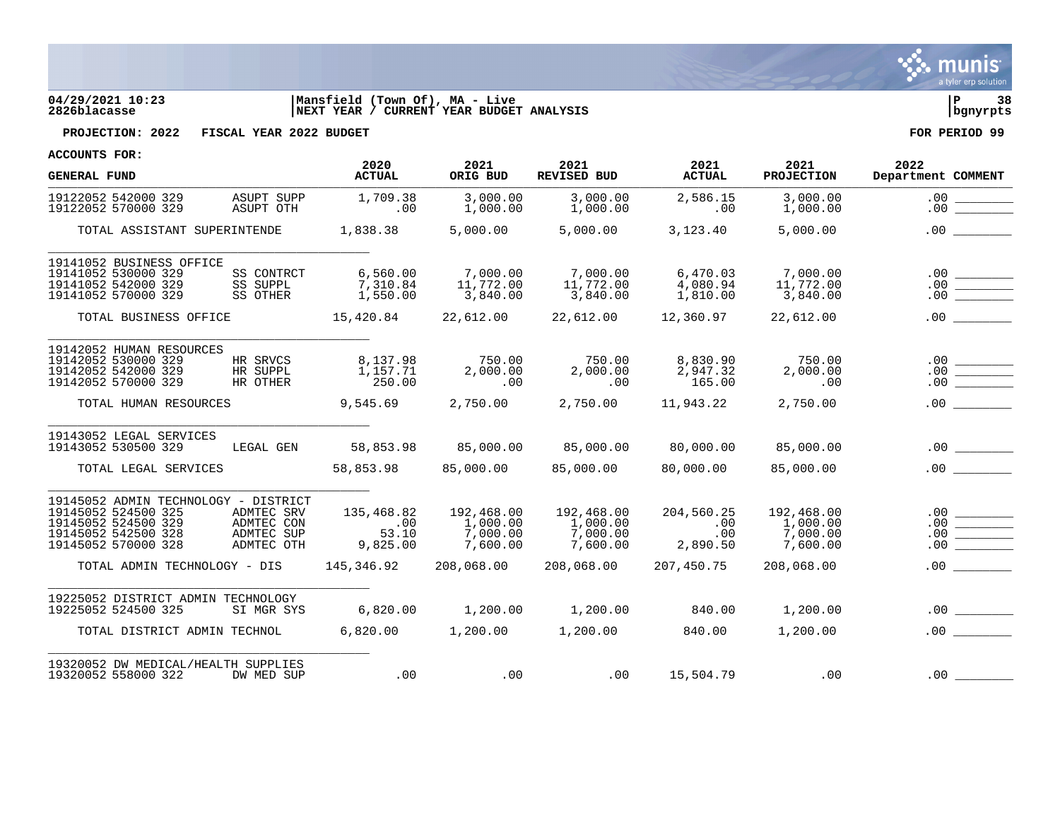

# **04/29/2021 10:23 |Mansfield (Town Of), MA - Live |P 38 2826blacasse |NEXT YEAR / CURRENT YEAR BUDGET ANALYSIS |bgnyrpts**

**PROJECTION: 2022 FISCAL YEAR 2022 BUDGET FOR PERIOD 99**

| <b>GENERAL FUND</b>                                                                                                              |                                                      | 2020<br><b>ACTUAL</b>                        | 2021<br>ORIG BUD                               | 2021<br><b>REVISED BUD</b>                     | 2021<br><b>ACTUAL</b>                | 2021<br><b>PROJECTION</b>                      | 2022<br>Department COMMENT                                                                                                                                                                                                                                                                                                                                                                                                                                                                                |
|----------------------------------------------------------------------------------------------------------------------------------|------------------------------------------------------|----------------------------------------------|------------------------------------------------|------------------------------------------------|--------------------------------------|------------------------------------------------|-----------------------------------------------------------------------------------------------------------------------------------------------------------------------------------------------------------------------------------------------------------------------------------------------------------------------------------------------------------------------------------------------------------------------------------------------------------------------------------------------------------|
| 19122052 542000 329<br>19122052 570000 329                                                                                       | ASUPT SUPP<br>ASUPT OTH                              | 1,709.38<br>.00                              | 3,000.00<br>1,000.00                           | 3,000.00<br>1,000.00                           | 2,586.15<br>.00                      | 3,000.00<br>1,000.00                           | .00<br>.00                                                                                                                                                                                                                                                                                                                                                                                                                                                                                                |
| TOTAL ASSISTANT SUPERINTENDE                                                                                                     |                                                      | 1,838.38                                     | 5,000.00                                       | 5,000.00                                       | 3,123.40                             | 5,000.00                                       | .00                                                                                                                                                                                                                                                                                                                                                                                                                                                                                                       |
| 19141052 BUSINESS OFFICE<br>19141052 530000 329<br>19141052 542000 329<br>19141052 570000 329                                    | SS CONTRCT<br>SS SUPPL<br>SS OTHER                   | 6,560.00<br>7,310.84<br>1,550.00             | 7,000.00<br>11,772.00<br>3,840.00              | 7,000.00<br>11,772.00<br>3,840.00              | 6,470.03<br>4,080.94<br>1,810.00     | 7,000.00<br>11,772.00<br>3,840.00              |                                                                                                                                                                                                                                                                                                                                                                                                                                                                                                           |
| TOTAL BUSINESS OFFICE                                                                                                            |                                                      |                                              | 15,420.84 22,612.00                            | 22,612.00                                      | 12,360.97                            | 22,612.00                                      |                                                                                                                                                                                                                                                                                                                                                                                                                                                                                                           |
| 19142052 HUMAN RESOURCES<br>19142052 530000 329<br>19142052 542000 329<br>19142052 570000 329                                    | HR SRVCS<br>HR SUPPL<br>HR OTHER                     | 8,137.98<br>1,157.71<br>250.00               | 750.00<br>2,000.00<br>.00                      | 750.00<br>2,000.00<br>.00                      | 8,830.90<br>2,947.32<br>165.00       | 750.00<br>2,000.00<br>.00                      | .00<br>$\begin{tabular}{c} \multicolumn{1}{c} {\textbf{1}}\\ \multicolumn{1}{c} {\textbf{2}}\\ \multicolumn{1}{c} {\textbf{3}}\\ \multicolumn{1}{c} {\textbf{4}}\\ \multicolumn{1}{c} {\textbf{5}}\\ \multicolumn{1}{c} {\textbf{6}}\\ \multicolumn{1}{c} {\textbf{6}}\\ \multicolumn{1}{c} {\textbf{6}}\\ \multicolumn{1}{c} {\textbf{6}}\\ \multicolumn{1}{c} {\textbf{7}}\\ \multicolumn{1}{c} {\textbf{8}}\\ \multicolumn{1}{c} {\textbf{9}}\\ \multicolumn{1}{c} {\textbf{1}}\\ \multicolumn$<br>.00 |
| TOTAL HUMAN RESOURCES                                                                                                            |                                                      | 9,545.69                                     | 2,750.00                                       | 2,750.00                                       | 11,943.22                            | 2,750.00                                       |                                                                                                                                                                                                                                                                                                                                                                                                                                                                                                           |
| 19143052 LEGAL SERVICES<br>19143052 530500 329                                                                                   | LEGAL GEN                                            | 58,853.98                                    | 85,000.00                                      | 85,000.00                                      | 80,000.00                            | 85,000.00                                      |                                                                                                                                                                                                                                                                                                                                                                                                                                                                                                           |
| TOTAL LEGAL SERVICES                                                                                                             |                                                      | 58,853.98                                    | 85,000.00                                      | 85,000.00                                      | 80,000.00                            | 85,000.00                                      | .00                                                                                                                                                                                                                                                                                                                                                                                                                                                                                                       |
| 19145052 ADMIN TECHNOLOGY - DISTRICT<br>19145052 524500 325<br>19145052 524500 329<br>19145052 542500 328<br>19145052 570000 328 | ADMTEC SRV<br>ADMTEC CON<br>ADMTEC SUP<br>ADMTEC OTH | 135,468.82<br>$\sim 00$<br>53.10<br>9,825.00 | 192,468.00<br>1,000.00<br>7,000.00<br>7,600.00 | 192,468.00<br>1,000.00<br>7,000.00<br>7,600.00 | 204,560.25<br>.00<br>.00<br>2,890.50 | 192,468.00<br>1,000.00<br>7,000.00<br>7,600.00 | .00                                                                                                                                                                                                                                                                                                                                                                                                                                                                                                       |
| TOTAL ADMIN TECHNOLOGY - DIS                                                                                                     |                                                      | 145,346.92                                   | 208,068.00                                     | 208,068.00                                     | 207,450.75                           | 208,068.00                                     | .00                                                                                                                                                                                                                                                                                                                                                                                                                                                                                                       |
| 19225052 DISTRICT ADMIN TECHNOLOGY<br>19225052 524500 325                                                                        | SI MGR SYS                                           | 6,820.00                                     | 1,200.00                                       | 1,200.00                                       | 840.00                               | 1,200.00                                       |                                                                                                                                                                                                                                                                                                                                                                                                                                                                                                           |
| TOTAL DISTRICT ADMIN TECHNOL                                                                                                     |                                                      | 6,820.00                                     | 1,200.00                                       | 1,200.00                                       | 840.00                               | 1,200.00                                       |                                                                                                                                                                                                                                                                                                                                                                                                                                                                                                           |
| 19320052 DW MEDICAL/HEALTH SUPPLIES<br>19320052 558000 322                                                                       | DW MED SUP                                           | .00                                          | .00                                            | .00                                            | 15,504.79                            | .00                                            | .00                                                                                                                                                                                                                                                                                                                                                                                                                                                                                                       |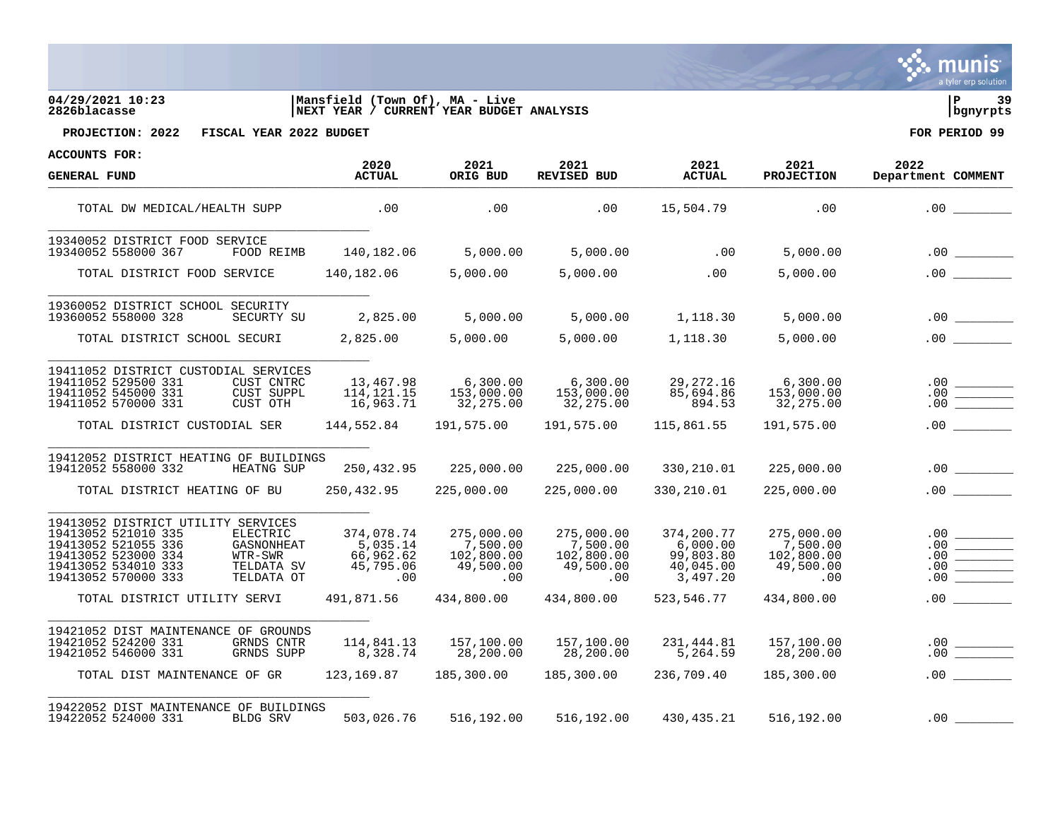**munis** a tyler erp solution

## **04/29/2021 10:23 |Mansfield (Town Of), MA - Live |P 39 2826blacasse |NEXT YEAR / CURRENT YEAR BUDGET ANALYSIS |bgnyrpts**



**PROJECTION: 2022 FISCAL YEAR 2022 BUDGET FOR PERIOD 99**

| <b>GENERAL FUND</b>                                                                                                                                                                                                                                    | 2020<br><b>ACTUAL</b>                                                 | 2021<br>ORIG BUD                                                       | 2021<br><b>REVISED BUD</b>                                             | 2021<br><b>ACTUAL</b>                                                      | 2021<br><b>PROJECTION</b>                                              | 2022<br>Department COMMENT                                           |
|--------------------------------------------------------------------------------------------------------------------------------------------------------------------------------------------------------------------------------------------------------|-----------------------------------------------------------------------|------------------------------------------------------------------------|------------------------------------------------------------------------|----------------------------------------------------------------------------|------------------------------------------------------------------------|----------------------------------------------------------------------|
| TOTAL DW MEDICAL/HEALTH SUPP                                                                                                                                                                                                                           | $\sim$ 00                                                             | .00                                                                    | .00                                                                    | 15,504.79                                                                  | .00                                                                    |                                                                      |
| 19340052 DISTRICT FOOD SERVICE<br>19340052 558000 367<br>FOOD REIMB                                                                                                                                                                                    | 140,182.06                                                            | 5,000.00                                                               | 5,000.00                                                               | $\sim$ 00                                                                  | 5,000.00                                                               |                                                                      |
| TOTAL DISTRICT FOOD SERVICE 140,182.06                                                                                                                                                                                                                 |                                                                       | 5,000.00                                                               | 5,000.00                                                               | .00                                                                        | 5,000.00                                                               |                                                                      |
| 19360052 DISTRICT SCHOOL SECURITY<br>19360052 558000 328<br>SECURTY SU                                                                                                                                                                                 | 2,825.00                                                              |                                                                        | 5,000.00 5,000.00 1,118.30                                             |                                                                            | 5,000.00                                                               |                                                                      |
| TOTAL DISTRICT SCHOOL SECURI                                                                                                                                                                                                                           | 2,825.00                                                              | 5,000.00                                                               |                                                                        | 5,000.00 1,118.30                                                          | 5,000.00                                                               |                                                                      |
| 19411052 DISTRICT CUSTODIAL SERVICES<br>19411052 529500 331<br>CUST CNTRC<br>19411052 545000 331<br>CUST SUPPL<br>19411052 570000 331<br>CUST OTH                                                                                                      | 13,467.98<br>114, 121. 15<br>16,963.71                                | 6,300.00<br>153,000.00<br>32,275.00                                    | 6,300.00<br>153,000.00<br>32,275.00                                    | 29,272.16<br>85,694.86<br>894.53                                           | 6,300.00<br>153,000.00<br>32,275.00                                    |                                                                      |
| TOTAL DISTRICT CUSTODIAL SER 144,552.84                                                                                                                                                                                                                |                                                                       |                                                                        |                                                                        | 115,861.55                                                                 | 191,575.00                                                             |                                                                      |
| 19412052 DISTRICT HEATING OF BUILDINGS<br>19412052 558000 332<br><b>HEATNG SUP</b><br>TOTAL DISTRICT HEATING OF BU                                                                                                                                     |                                                                       | 250,432.95 225,000.00                                                  | 250,432.95 225,000.00 225,000.00 330,210.01<br>225,000.00              | 330,210.01                                                                 | 225,000.00<br>225,000.00                                               |                                                                      |
| 19413052 DISTRICT UTILITY SERVICES<br>19413052 521010 335<br>ELECTRIC<br>19413052 521055 336<br>GASNONHEAT<br>19413052 523000 334<br>WTR-SWR<br>19413052 534010 333<br>TELDATA SV<br>19413052 570000 333<br>TELDATA OT<br>TOTAL DISTRICT UTILITY SERVI | 374,078.74<br>5,035.14<br>66,962.62<br>45,795.06<br>.00<br>491,871.56 | 275,000.00<br>7,500.00<br>102,800.00<br>49,500.00<br>.00<br>434,800.00 | 275,000.00<br>7,500.00<br>102,800.00<br>49,500.00<br>.00<br>434,800.00 | 374,200.77<br>6,000.00<br>99,803.80<br>40,045.00<br>3,497.20<br>523,546.77 | 275,000.00<br>7,500.00<br>102,800.00<br>49,500.00<br>.00<br>434,800.00 | .00<br>.00<br><b>Contract Contract Contract</b><br>.00<br>.00<br>.00 |
|                                                                                                                                                                                                                                                        |                                                                       |                                                                        |                                                                        |                                                                            |                                                                        |                                                                      |
| 19421052 DIST MAINTENANCE OF GROUNDS<br>19421052 524200 331<br>GRNDS CNTR<br>19421052 546000 331<br>GRNDS SUPP                                                                                                                                         | 114,841.13<br>8,328.74                                                | 157,100.00<br>28,200.00                                                | 157,100.00<br>28,200.00                                                | 231,444.81<br>5,264.59                                                     | 157,100.00<br>28,200.00                                                |                                                                      |
| TOTAL DIST MAINTENANCE OF GR                                                                                                                                                                                                                           | 123,169.87                                                            | 185,300.00                                                             | 185,300.00                                                             | 236,709.40                                                                 | 185,300.00                                                             |                                                                      |
| 19422052 DIST MAINTENANCE OF BUILDINGS<br>19422052 524000 331<br>BLDG SRV                                                                                                                                                                              | 503,026.76                                                            |                                                                        | 516,192.00 516,192.00 430,435.21                                       |                                                                            | 516,192.00                                                             | .00                                                                  |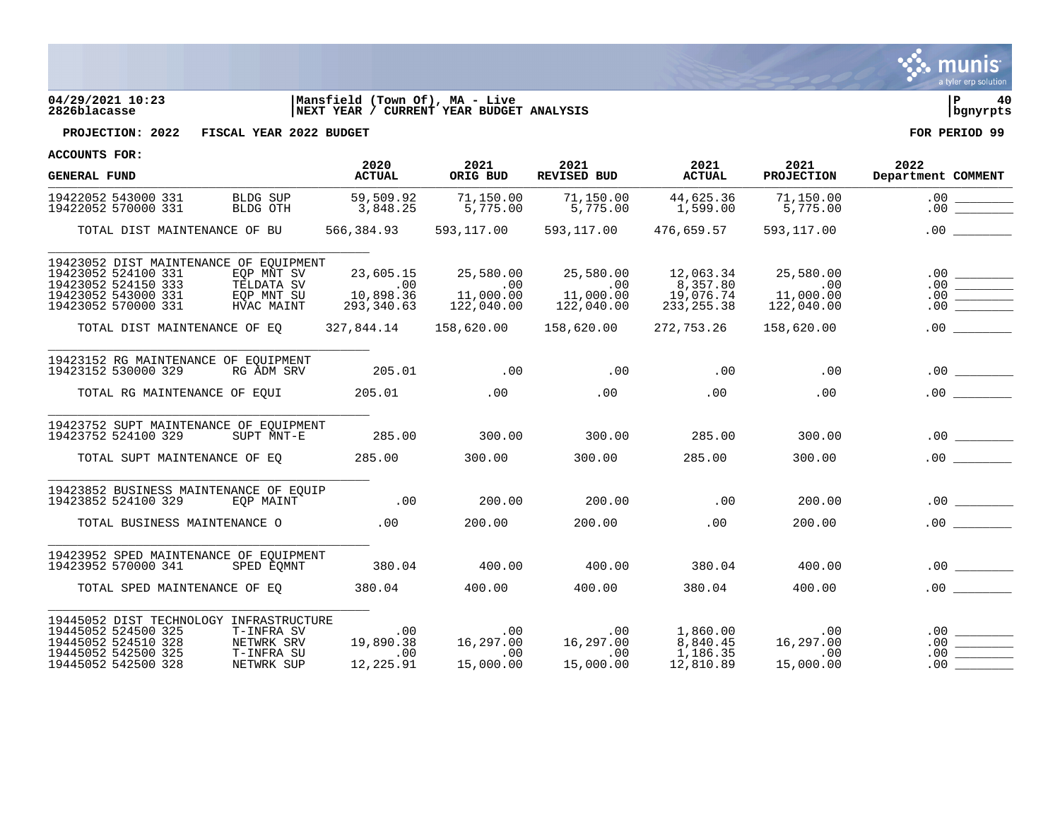

# **04/29/2021 10:23 |Mansfield (Town Of), MA - Live |P 40 2826blacasse |NEXT YEAR / CURRENT YEAR BUDGET ANALYSIS |bgnyrpts**

**PROJECTION: 2022 FISCAL YEAR 2022 BUDGET FOR PERIOD 99**

| <b>GENERAL FUND</b>                                                                                                                 |                                                      | 2020<br><b>ACTUAL</b>                       | 2021<br>ORIG BUD                                  | 2021<br><b>REVISED BUD</b>               | 2021<br><b>ACTUAL</b>                                     | 2021<br><b>PROJECTION</b>                               | 2022<br>Department COMMENT |
|-------------------------------------------------------------------------------------------------------------------------------------|------------------------------------------------------|---------------------------------------------|---------------------------------------------------|------------------------------------------|-----------------------------------------------------------|---------------------------------------------------------|----------------------------|
| 19422052 543000 331<br>19422052 570000 331                                                                                          | BLDG SUP<br>BLDG OTH                                 | 59,509.92<br>3,848.25                       | 71,150.00<br>5,775.00                             | 71,150.00<br>5,775.00                    | 44,625.36<br>1,599.00                                     | 71,150.00<br>5,775.00                                   |                            |
| TOTAL DIST MAINTENANCE OF BU                                                                                                        |                                                      | 566,384.93                                  | 593,117.00                                        | 593,117.00                               | 476,659.57                                                | 593,117.00                                              | .00                        |
| 19423052 DIST MAINTENANCE OF EOUIPMENT<br>19423052 524100 331<br>19423052 524150 333<br>19423052 543000 331<br>19423052 570000 331  | EOP MNT SV<br>TELDATA SV<br>EQP MNT SU<br>HVAC MAINT | 23,605.15<br>00.<br>10,898.36<br>293,340.63 | 25,580.00<br>$\sim 00$<br>11,000.00<br>122,040.00 | 25,580.00<br>11,000.00<br>122,040.00     | 12,063.34<br>8,357.80<br>19,076.74<br>233, 255.38         | 25,580.00<br>$.00 \,$<br>00.<br>11,000.00<br>122,040.00 |                            |
| TOTAL DIST MAINTENANCE OF EO                                                                                                        |                                                      | 327,844.14                                  | 158,620.00                                        | 158,620.00                               | 272,753.26                                                | 158,620.00                                              |                            |
| 19423152 RG MAINTENANCE OF EOUIPMENT<br>19423152 530000 329<br>TOTAL RG MAINTENANCE OF EQUI                                         | RG ADM SRV                                           | 205.01<br>205.01                            | $\sim$ 00<br>.00                                  | .00<br>.00                               | .00<br>.00                                                | .00<br>.00                                              |                            |
| 19423752 SUPT MAINTENANCE OF EOUIPMENT<br>19423752 524100 329<br>TOTAL SUPT MAINTENANCE OF EO                                       | SUPT MNT-E                                           | 285.00<br>285.00                            | 300.00<br>300.00                                  | 300.00<br>300.00                         | 285.00<br>285.00                                          | 300.00<br>300.00                                        |                            |
| 19423852 BUSINESS MAINTENANCE OF EQUIP<br>19423852 524100 329<br>TOTAL BUSINESS MAINTENANCE O                                       | EOP MAINT                                            | .00<br>.00                                  | 200.00<br>200.00                                  | 200.00<br>200.00                         | .00<br>.00                                                | 200.00<br>200.00                                        | .00<br>.00                 |
| 19423952 SPED MAINTENANCE OF EQUIPMENT<br>19423952 570000 341<br>TOTAL SPED MAINTENANCE OF EO                                       | SPED EOMNT                                           | 380.04<br>380.04                            | 400.00<br>400.00                                  | 400.00<br>400.00                         | 380.04<br>380.04                                          | 400.00<br>400.00                                        | .00                        |
| 19445052 DIST TECHNOLOGY INFRASTRUCTURE<br>19445052 524500 325<br>19445052 524510 328<br>19445052 542500 325<br>19445052 542500 328 | T-INFRA SV<br>NETWRK SRV<br>T-INFRA SU<br>NETWRK SUP | .00<br>19,890.38<br>.00<br>12,225.91        | .00<br>16,297.00<br>.00<br>15,000.00              | $.00\,$<br>16,297.00<br>.00<br>15,000.00 | 1,860.00<br>8.840.45<br>8,840.45<br>1,186.35<br>12,810.89 | .00<br>16,297.00<br>.00<br>15,000.00                    | .00<br>.00<br>.00          |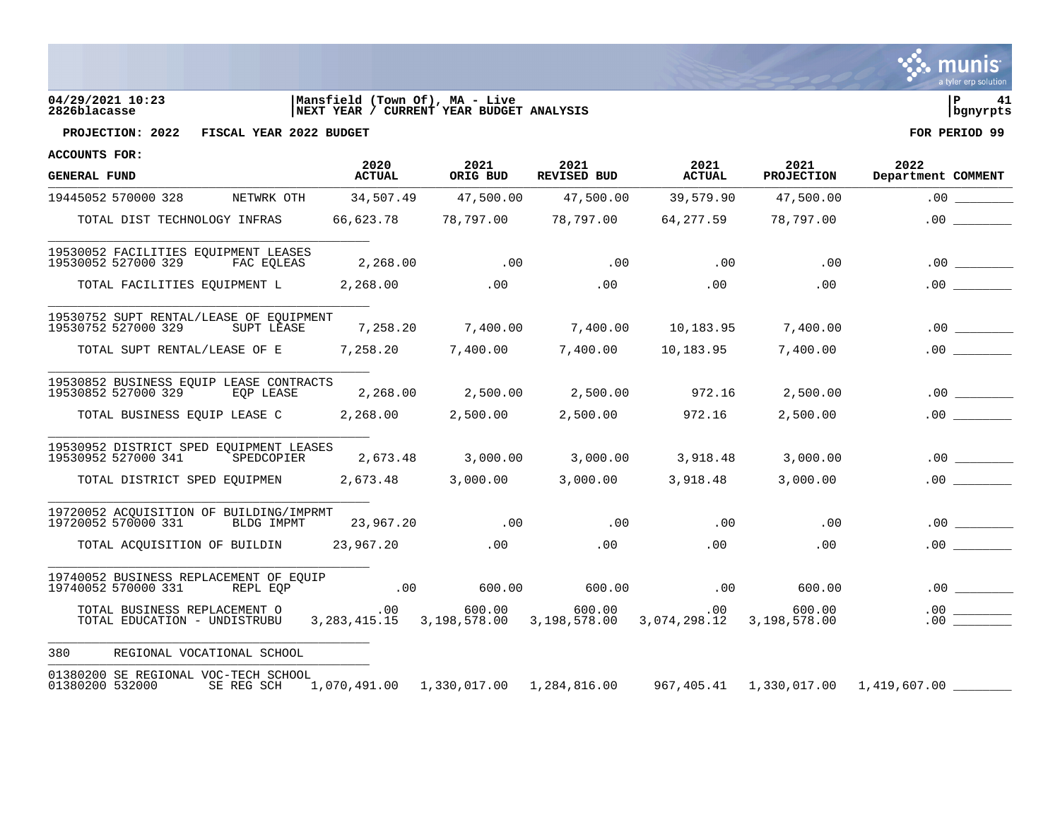| $\mathbf{\ddot{\cdot}}$ munis |  |
|-------------------------------|--|
|                               |  |
| a tyler erp solution          |  |

# **04/29/2021 10:23 |Mansfield (Town Of), MA - Live |P 41 2826blacasse |NEXT YEAR / CURRENT YEAR BUDGET ANALYSIS |bgnyrpts**



**PROJECTION: 2022 FISCAL YEAR 2022 BUDGET FOR PERIOD 99**

| <b>ACCOUNTS FOR:</b>                                                         |                                                                                   |                  |                            |                       |                           |                                                                                         |
|------------------------------------------------------------------------------|-----------------------------------------------------------------------------------|------------------|----------------------------|-----------------------|---------------------------|-----------------------------------------------------------------------------------------|
| <b>GENERAL FUND</b>                                                          | 2020<br><b>ACTUAL</b>                                                             | 2021<br>ORIG BUD | 2021<br><b>REVISED BUD</b> | 2021<br><b>ACTUAL</b> | 2021<br><b>PROJECTION</b> | 2022<br>Department COMMENT                                                              |
| NETWRK OTH<br>19445052 570000 328                                            | 34,507.49                                                                         | 47,500.00        | 47,500.00                  | 39,579.90             | 47,500.00                 | .00                                                                                     |
| TOTAL DIST TECHNOLOGY INFRAS                                                 | 66,623.78                                                                         | 78,797.00        | 78,797.00                  | 64,277.59             | 78,797.00                 | .00                                                                                     |
| 19530052 FACILITIES EQUIPMENT LEASES<br>19530052 527000 329<br>FAC EQLEAS    | 2,268.00                                                                          | .00              | .00                        | .00                   | .00                       |                                                                                         |
| TOTAL FACILITIES EOUIPMENT L                                                 | 2,268.00                                                                          | .00              | .00                        | .00                   | $.00 \,$                  | .00                                                                                     |
| 19530752 SUPT RENTAL/LEASE OF EOUIPMENT<br>19530752 527000 329<br>SUPT LEASE | 7,258.20                                                                          | 7,400.00         | 7,400.00                   | 10,183.95             | 7,400.00                  |                                                                                         |
| TOTAL SUPT RENTAL/LEASE OF E                                                 | 7,258.20                                                                          | 7,400.00         | 7,400.00                   | 10,183.95             | 7,400.00                  | .00                                                                                     |
| 19530852 BUSINESS EQUIP LEASE CONTRACTS<br>19530852 527000 329<br>EOP LEASE  | 2,268.00                                                                          | 2,500.00         | 2,500.00                   | 972.16                | 2,500.00                  | .00                                                                                     |
| TOTAL BUSINESS EQUIP LEASE C                                                 | 2,268.00                                                                          | 2,500.00         | 2,500.00                   | 972.16                | 2,500.00                  | .00                                                                                     |
| 19530952 DISTRICT SPED EQUIPMENT LEASES<br>19530952 527000 341<br>SPEDCOPIER | 2,673.48                                                                          | 3,000.00         | 3,000.00                   | 3,918.48              | 3,000.00                  | .00                                                                                     |
| TOTAL DISTRICT SPED EQUIPMEN                                                 | 2,673.48                                                                          | 3,000.00         | 3,000.00                   | 3,918.48              | 3,000.00                  | .00                                                                                     |
| 19720052 ACQUISITION OF BUILDING/IMPRMT<br>19720052 570000 331<br>BLDG IMPMT | 23,967.20                                                                         | .00              | .00                        | .00                   | .00                       | .00                                                                                     |
| TOTAL ACOUISITION OF BUILDIN                                                 | 23,967.20                                                                         | .00              | $.00 \,$                   | .00                   | .00                       |                                                                                         |
| 19740052 BUSINESS REPLACEMENT OF EQUIP<br>19740052 570000 331<br>REPL EOP    | .00                                                                               | 600.00           | 600.00                     | .00                   | 600.00                    |                                                                                         |
| TOTAL BUSINESS REPLACEMENT O<br>TOTAL EDUCATION - UNDISTRUBU                 | .00<br>3, 283, 415.15 3, 198, 578.00 3, 198, 578.00 3, 074, 298.12 3, 198, 578.00 | 600.00           | 600.00                     | $.00\,$               | 600.00                    | .00<br>.00                                                                              |
| 380<br>REGIONAL VOCATIONAL SCHOOL                                            |                                                                                   |                  |                            |                       |                           |                                                                                         |
| 01380200 SE REGIONAL VOC-TECH SCHOOL<br>SE REG SCH<br>01380200 532000        |                                                                                   |                  |                            |                       |                           | $1,070,491.00$ $1,330,017.00$ $1,284,816.00$ $967,405.41$ $1,330,017.00$ $1,419,607.00$ |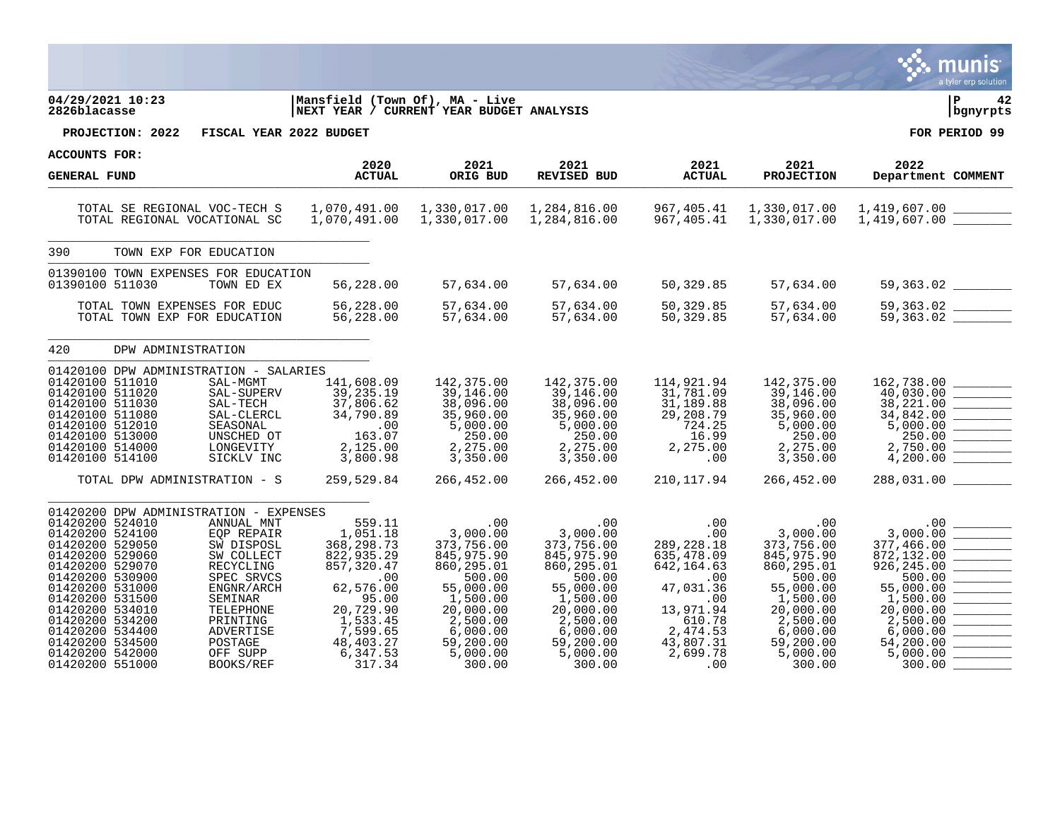|                                                                                                                                                                                                                                                                                                                  |                                                                                                                                                                                    |                                                                                                                                                                    |                                                                                                                                                                      |                                                                                                                                                                       |                                                                                                                                                       |                                                                                                                                                                           | a tyler erp solution                                                                                                                                                  |
|------------------------------------------------------------------------------------------------------------------------------------------------------------------------------------------------------------------------------------------------------------------------------------------------------------------|------------------------------------------------------------------------------------------------------------------------------------------------------------------------------------|--------------------------------------------------------------------------------------------------------------------------------------------------------------------|----------------------------------------------------------------------------------------------------------------------------------------------------------------------|-----------------------------------------------------------------------------------------------------------------------------------------------------------------------|-------------------------------------------------------------------------------------------------------------------------------------------------------|---------------------------------------------------------------------------------------------------------------------------------------------------------------------------|-----------------------------------------------------------------------------------------------------------------------------------------------------------------------|
| 04/29/2021 10:23<br>2826blacasse                                                                                                                                                                                                                                                                                 |                                                                                                                                                                                    | Mansfield (Town Of), MA - Live<br>NEXT YEAR / CURRENT YEAR BUDGET ANALYSIS                                                                                         |                                                                                                                                                                      |                                                                                                                                                                       |                                                                                                                                                       |                                                                                                                                                                           | ∣P<br>42<br>bgnyrpts                                                                                                                                                  |
| PROJECTION: 2022                                                                                                                                                                                                                                                                                                 | FISCAL YEAR 2022 BUDGET                                                                                                                                                            |                                                                                                                                                                    |                                                                                                                                                                      |                                                                                                                                                                       |                                                                                                                                                       |                                                                                                                                                                           | FOR PERIOD 99                                                                                                                                                         |
| ACCOUNTS FOR:                                                                                                                                                                                                                                                                                                    |                                                                                                                                                                                    |                                                                                                                                                                    |                                                                                                                                                                      |                                                                                                                                                                       |                                                                                                                                                       |                                                                                                                                                                           |                                                                                                                                                                       |
| <b>GENERAL FUND</b>                                                                                                                                                                                                                                                                                              |                                                                                                                                                                                    | 2020<br><b>ACTUAL</b>                                                                                                                                              | 2021<br>ORIG BUD                                                                                                                                                     | 2021<br><b>REVISED BUD</b>                                                                                                                                            | 2021<br><b>ACTUAL</b>                                                                                                                                 | 2021<br><b>PROJECTION</b>                                                                                                                                                 | 2022<br>Department COMMENT                                                                                                                                            |
| TOTAL SE REGIONAL VOC-TECH S<br>TOTAL REGIONAL VOCATIONAL SC                                                                                                                                                                                                                                                     |                                                                                                                                                                                    | 1,070,491.00<br>1,070,491.00                                                                                                                                       | 1,330,017.00<br>1,330,017.00                                                                                                                                         | 1,284,816.00<br>1,284,816.00                                                                                                                                          | 967,405.41<br>967,405.41                                                                                                                              | 1,330,017.00                                                                                                                                                              | 1,419,607.00<br>$1,330,017.00 \qquad 1,419,607.00 \qquad \qquad 1.419$                                                                                                |
| 390<br>TOWN EXP FOR EDUCATION                                                                                                                                                                                                                                                                                    |                                                                                                                                                                                    |                                                                                                                                                                    |                                                                                                                                                                      |                                                                                                                                                                       |                                                                                                                                                       |                                                                                                                                                                           |                                                                                                                                                                       |
| 01390100 TOWN EXPENSES FOR EDUCATION<br>01390100 511030                                                                                                                                                                                                                                                          | TOWN ED EX                                                                                                                                                                         | 56,228.00                                                                                                                                                          | 57,634.00                                                                                                                                                            | 57,634.00                                                                                                                                                             | 50,329.85                                                                                                                                             | 57,634.00                                                                                                                                                                 | 59,363.02                                                                                                                                                             |
| TOTAL TOWN EXPENSES FOR EDUC<br>TOTAL TOWN EXP FOR EDUCATION                                                                                                                                                                                                                                                     |                                                                                                                                                                                    | 56,228.00<br>56,228.00                                                                                                                                             | 57,634.00<br>57,634.00                                                                                                                                               | 57,634.00<br>57,634.00                                                                                                                                                | 50,329.85<br>50,329.85                                                                                                                                | 57,634.00<br>57,634.00                                                                                                                                                    | $\frac{59,363.02}{59,363.02}$                                                                                                                                         |
| DPW ADMINISTRATION<br>420                                                                                                                                                                                                                                                                                        |                                                                                                                                                                                    |                                                                                                                                                                    |                                                                                                                                                                      |                                                                                                                                                                       |                                                                                                                                                       |                                                                                                                                                                           |                                                                                                                                                                       |
| 01420100 DPW ADMINISTRATION - SALARIES<br>01420100 511010<br>01420100 511020<br>01420100 511030<br>01420100 511080<br>01420100 512010<br>01420100 513000<br>01420100 514000<br>01420100 514100                                                                                                                   | SAL-MGMT<br>SAL-SUPERV<br>SAL-TECH<br>SAL-CLERCL<br>SEASONAL<br>UNSCHED OT<br>LONGEVITY<br>SICKLV INC                                                                              | 141,608.09<br>39,235.19<br>37,806.62<br>34,790.89<br>$\frac{00}{163}$<br>163.07<br>2,125.00<br>3,800.98                                                            | 142,375.00<br>39,146.00<br>38,096.00<br>35,960.00<br>5,000.00<br>250.00<br>2,275.00<br>3,350.00                                                                      | 142,375.00<br>39,146.00<br>38,096.00<br>35,960.00<br>5,000.00<br>250.00<br>2,275.00<br>3,350.00                                                                       | 114,921.94<br>31,781.09<br>31,189.88<br>29,208.79<br>724.25<br>16.99<br>2,275.00<br>.00                                                               | 142,375.00<br>39,146.00<br>38,096.00<br>35,960.00<br>5,000.00<br>250.00<br>2,275.00<br>3,350.00                                                                           | 162,738.00<br>40,030.00<br>38,221.00<br>34,842.00<br>5,000.00<br>250.00<br>2,750.00<br>4,200.00                                                                       |
| TOTAL DPW ADMINISTRATION - S                                                                                                                                                                                                                                                                                     |                                                                                                                                                                                    | 259,529.84                                                                                                                                                         | 266,452.00                                                                                                                                                           | 266,452.00                                                                                                                                                            | 210,117.94                                                                                                                                            | 266,452.00                                                                                                                                                                | 288,031.00 _________                                                                                                                                                  |
| 01420200 DPW ADMINISTRATION - EXPENSES<br>01420200 524010<br>01420200 524100<br>01420200 529050<br>01420200 529060<br>01420200 529070<br>01420200 530900<br>01420200 531000<br>01420200 531500<br>01420200 534010<br>01420200 534200<br>01420200 534400<br>01420200 534500<br>01420200 542000<br>01420200 551000 | ANNUAL MNT<br>EQP REPAIR<br>SW DISPOSL<br>SW COLLECT<br>RECYCLING<br>SPEC SRVCS<br>ENGNR/ARCH<br>SEMINAR<br>TELEPHONE<br>PRINTING<br>ADVERTISE<br>POSTAGE<br>OFF SUPP<br>BOOKS/REF | 559.11<br>1,051.18<br>368, 298.73<br>822,935.29<br>857,320.47<br>.00<br>62,576.00<br>95.00<br>20,729.90<br>1,533.45<br>7,599.65<br>48,403.27<br>6,347.53<br>317.34 | .00<br>3,000.00<br>373,756.00<br>845,975.90<br>860,295.01<br>500.00<br>55,000.00<br>1,500.00<br>20,000.00<br>2,500.00<br>6,000.00<br>59,200.00<br>5,000.00<br>300.00 | .00<br>3,000.00<br>373,756.00<br>845, 975.90<br>860,295.01<br>500.00<br>55,000.00<br>1,500.00<br>20,000.00<br>2,500.00<br>6,000.00<br>59,200.00<br>5,000.00<br>300.00 | .00<br>.00<br>289, 228. 18<br>635,478.09<br>642, 164.63<br>.00<br>47,031.36<br>.00<br>13,971.94<br>610.78<br>2,474.53<br>43,807.31<br>2,699.78<br>.00 | $.00 \,$<br>3,000.00<br>373,756.00<br>845,975.90<br>860,295.01<br>500.00<br>55,000.00<br>1,500.00<br>20,000.00<br>2,500.00<br>6,000.00<br>59,200.00<br>5,000.00<br>300.00 | .00<br>3,000.00<br>377,466.00<br>872,132.00<br>926, 245.00<br>500.00<br>55,000.00<br>1,500.00<br>20,000.00<br>2,500.00<br>6.000.00<br>54,200.00<br>5,000.00<br>300.00 |

 $\ddot{\mathbf{w}}$  munis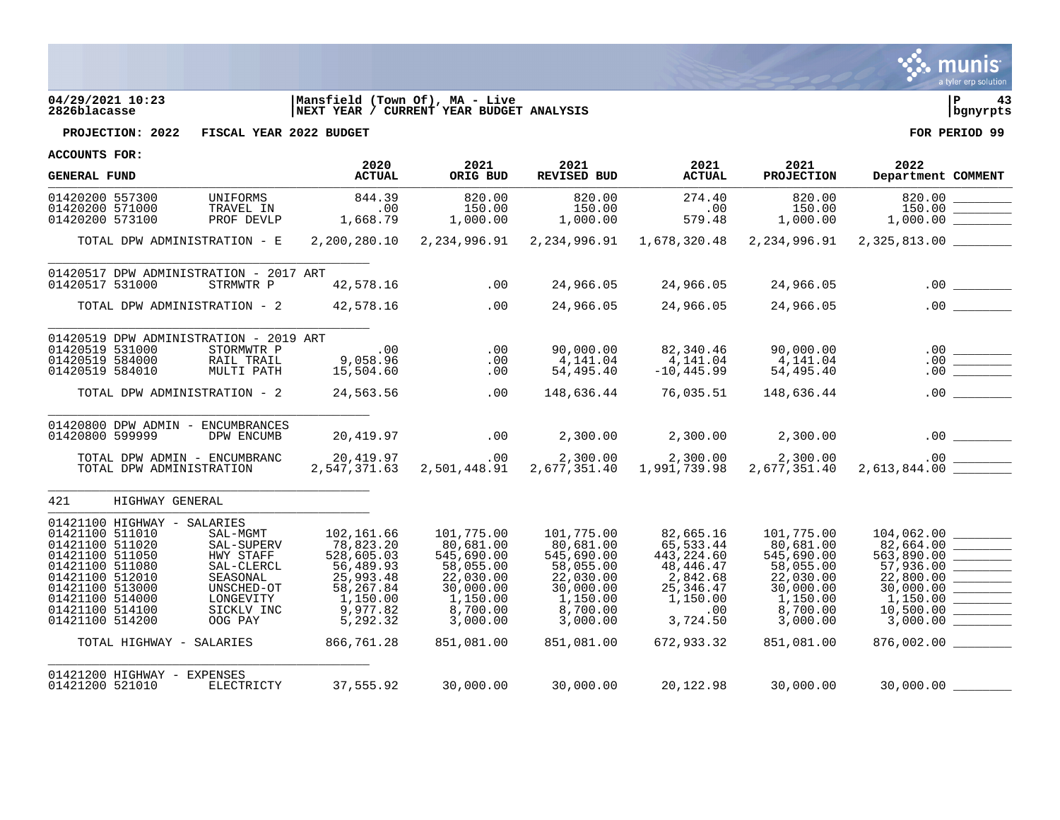

## **04/29/2021 10:23 |Mansfield (Town Of), MA - Live |P 43 2826blacasse |NEXT YEAR / CURRENT YEAR BUDGET ANALYSIS |bgnyrpts**



**PROJECTION: 2022 FISCAL YEAR 2022 BUDGET FOR PERIOD 99**

| <b>GENERAL FUND</b>                                                                                                                                                                                                                                                                                                                                     | 2020<br><b>ACTUAL</b>                                                                                                          | 2021<br>ORIG BUD                                                                                                               | 2021<br>REVISED BUD                                                                                                            | 2021<br><b>ACTUAL</b>                                                                                                        | 2021<br>PROJECTION                                                                                                             | 2022<br>Department COMMENT                                                                                                                                                                                                  |
|---------------------------------------------------------------------------------------------------------------------------------------------------------------------------------------------------------------------------------------------------------------------------------------------------------------------------------------------------------|--------------------------------------------------------------------------------------------------------------------------------|--------------------------------------------------------------------------------------------------------------------------------|--------------------------------------------------------------------------------------------------------------------------------|------------------------------------------------------------------------------------------------------------------------------|--------------------------------------------------------------------------------------------------------------------------------|-----------------------------------------------------------------------------------------------------------------------------------------------------------------------------------------------------------------------------|
| 01420200 557300<br>UNIFORMS<br>01420200 571000<br>TRAVEL IN<br>01420200 573100<br>PROF DEVLP                                                                                                                                                                                                                                                            | 844.39<br>.00<br>1,668.79                                                                                                      | 820.00<br>150.00<br>1,000.00                                                                                                   | 820.00<br>150.00<br>1,000.00                                                                                                   | 274.40<br>.00<br>579.48                                                                                                      | 820.00<br>150.00<br>1,000.00                                                                                                   | 820.00<br>$\begin{tabular}{ c c c c } \hline \quad \quad & \quad \quad & \quad \quad \\ \hline \quad \quad & \quad \quad & \quad \quad \\ \hline \quad \quad & \quad \quad & \quad \quad \\ \hline \end{tabular}$<br>150.00 |
| TOTAL DPW ADMINISTRATION - E                                                                                                                                                                                                                                                                                                                            |                                                                                                                                |                                                                                                                                | 2,200,280.10 2,234,996.91 2,234,996.91                                                                                         | 1,678,320.48                                                                                                                 | 2,234,996.91                                                                                                                   | $2,325,813.00$ _________                                                                                                                                                                                                    |
| 01420517 DPW ADMINISTRATION - 2017 ART<br>01420517 531000<br>STRMWTR P                                                                                                                                                                                                                                                                                  | 42,578.16                                                                                                                      | .00                                                                                                                            | 24,966.05                                                                                                                      | 24,966.05                                                                                                                    | 24,966.05                                                                                                                      |                                                                                                                                                                                                                             |
| TOTAL DPW ADMINISTRATION - 2                                                                                                                                                                                                                                                                                                                            | 42,578.16                                                                                                                      | .00                                                                                                                            | 24,966.05                                                                                                                      | 24,966.05                                                                                                                    | 24,966.05                                                                                                                      |                                                                                                                                                                                                                             |
| 01420519 DPW ADMINISTRATION - 2019 ART<br>01420519 531000<br>STORMWTR P<br>01420519 584000<br>RAIL TRAIL<br>01420519 584010<br>MULTI PATH<br>TOTAL DPW ADMINISTRATION - 2                                                                                                                                                                               | .00<br>9,058.96<br>15,504.60<br>24,563.56                                                                                      | .00<br>.00<br>.00<br>.00                                                                                                       | 90,000.00<br>4,141.04<br>54,495.40<br>148,636.44                                                                               | 82,340.46<br>4,141.04<br>$-10, 445.99$<br>76,035.51                                                                          | 90,000.00<br>4,141.04<br>54,495.40<br>148,636.44                                                                               | .00<br>.00                                                                                                                                                                                                                  |
| 01420800 DPW ADMIN - ENCUMBRANCES<br>01420800 599999<br>DPW ENCUMB                                                                                                                                                                                                                                                                                      | 20,419.97                                                                                                                      | .00                                                                                                                            | 2,300.00                                                                                                                       | 2,300.00                                                                                                                     | 2,300.00                                                                                                                       |                                                                                                                                                                                                                             |
| TOTAL DPW ADMIN - ENCUMBRANC<br>TOTAL DPW ADMINISTRATION                                                                                                                                                                                                                                                                                                | 20,419.97<br>2,547,371.63                                                                                                      | .00<br>2,501,448.91                                                                                                            | 2,300.00<br>2,677,351.40                                                                                                       | 2,300.00<br>1,991,739.98                                                                                                     | 2,300.00<br>2,677,351.40                                                                                                       |                                                                                                                                                                                                                             |
| 421<br>HIGHWAY GENERAL                                                                                                                                                                                                                                                                                                                                  |                                                                                                                                |                                                                                                                                |                                                                                                                                |                                                                                                                              |                                                                                                                                |                                                                                                                                                                                                                             |
| 01421100 HIGHWAY - SALARIES<br>01421100 511010<br>SAL-MGMT<br>01421100 511020<br>SAL-SUPERV<br>01421100 511050<br>HWY STAFF<br>01421100 511080<br>SAL-CLERCL<br>01421100 512010<br>SEASONAL<br>01421100 513000<br>UNSCHED-OT<br>01421100 514000<br>LONGEVITY<br>01421100 514100<br>SICKLV INC<br>01421100 514200<br>OOG PAY<br>TOTAL HIGHWAY - SALARIES | 102,161.66<br>78,823.20<br>528,605.03<br>56,489.93<br>25,993.48<br>58,267.84<br>1,150.00<br>9,977.82<br>5,292.32<br>866,761.28 | 101,775.00<br>80,681.00<br>545,690.00<br>58,055.00<br>22,030.00<br>30,000.00<br>1,150.00<br>8,700.00<br>3,000.00<br>851,081.00 | 101,775.00<br>80,681.00<br>545,690.00<br>58,055.00<br>22,030.00<br>30,000.00<br>1,150.00<br>8,700.00<br>3,000.00<br>851,081.00 | 82,665.16<br>65,533.44<br>443,224.60<br>48,446.47<br>2,842.68<br>25,346.47<br>1,150.00<br>$.00 \,$<br>3,724.50<br>672,933.32 | 101,775.00<br>80,681.00<br>545,690.00<br>58,055.00<br>22,030.00<br>30,000.00<br>1,150.00<br>8,700.00<br>3,000.00<br>851,081.00 | 104,062.00<br>82,664.00<br>563,890.00<br>57,936.00<br>22,800.00<br>30,000.00<br>1,150.00<br>10,500.00<br>3,000.00<br>876,002.00                                                                                             |
| 01421200 HIGHWAY - EXPENSES<br>01421200 521010<br>ELECTRICTY                                                                                                                                                                                                                                                                                            | 37,555.92                                                                                                                      | 30,000.00                                                                                                                      | 30,000.00                                                                                                                      | 20,122.98                                                                                                                    | 30,000.00                                                                                                                      | 30,000.00                                                                                                                                                                                                                   |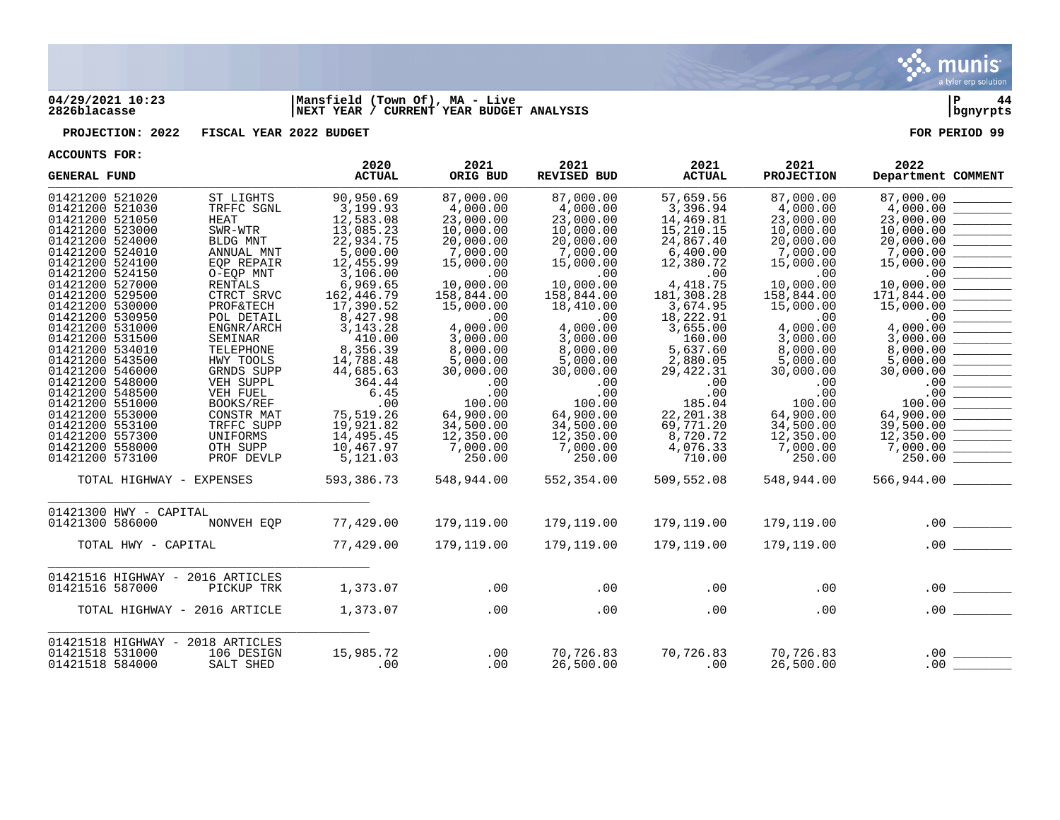

## **04/29/2021 10:23 |Mansfield (Town Of), MA - Live |P 44 2826blacasse |NEXT YEAR / CURRENT YEAR BUDGET ANALYSIS |bgnyrpts**

**PROJECTION: 2022 FISCAL YEAR 2022 BUDGET FOR PERIOD 99**

| ACCOUNTD LOV.                                                                                                                                                                                                                                                                                                                                                                                                                                                    |                                                                                                                                                                                                                                                                                                              | 2020                                                                                                                                                                                                                                                                               | 2021                                                                                                                                                                                                                                                                    | 2021                                                                                                                                                                                                                                                                    | 2021                                                                                                                                                                                                                                                                       | 2021                                                                                                                                                                                                                                                                    | 2022                                                                                                                                                                                                                                                                                                                                                                                                                                                                                                                                                                                 |
|------------------------------------------------------------------------------------------------------------------------------------------------------------------------------------------------------------------------------------------------------------------------------------------------------------------------------------------------------------------------------------------------------------------------------------------------------------------|--------------------------------------------------------------------------------------------------------------------------------------------------------------------------------------------------------------------------------------------------------------------------------------------------------------|------------------------------------------------------------------------------------------------------------------------------------------------------------------------------------------------------------------------------------------------------------------------------------|-------------------------------------------------------------------------------------------------------------------------------------------------------------------------------------------------------------------------------------------------------------------------|-------------------------------------------------------------------------------------------------------------------------------------------------------------------------------------------------------------------------------------------------------------------------|----------------------------------------------------------------------------------------------------------------------------------------------------------------------------------------------------------------------------------------------------------------------------|-------------------------------------------------------------------------------------------------------------------------------------------------------------------------------------------------------------------------------------------------------------------------|--------------------------------------------------------------------------------------------------------------------------------------------------------------------------------------------------------------------------------------------------------------------------------------------------------------------------------------------------------------------------------------------------------------------------------------------------------------------------------------------------------------------------------------------------------------------------------------|
| <b>GENERAL FUND</b>                                                                                                                                                                                                                                                                                                                                                                                                                                              |                                                                                                                                                                                                                                                                                                              | <b>ACTUAL</b>                                                                                                                                                                                                                                                                      | ORIG BUD                                                                                                                                                                                                                                                                | <b>REVISED BUD</b>                                                                                                                                                                                                                                                      | <b>ACTUAL</b>                                                                                                                                                                                                                                                              | <b>PROJECTION</b>                                                                                                                                                                                                                                                       | Department COMMENT                                                                                                                                                                                                                                                                                                                                                                                                                                                                                                                                                                   |
| 01421200 521020<br>01421200 521030<br>01421200 521050<br><b>HEAT</b><br>01421200 523000<br>01421200 524000<br>01421200 524010<br>01421200 524100<br>01421200 524150<br>01421200 527000<br>01421200 529500<br>01421200 530000<br>01421200 530950<br>01421200 531000<br>01421200 531500<br>01421200 534010<br>01421200 543500<br>01421200 546000<br>01421200 548000<br>01421200 548500<br>01421200 551000<br>01421200 553000<br>01421200 553100<br>01421200 557300 | ST LIGHTS<br>TRFFC SGNL<br>SWR-WTR<br>BLDG MNT<br>ANNUAL MNT<br>EOP REPAIR<br>O-EQP MNT<br><b>RENTALS</b><br>CTRCT SRVC<br><b>PROF&amp;TECH</b><br>POL DETAIL<br>ENGNR/ARCH<br>SEMINAR<br>TELEPHONE<br>HWY TOOLS<br>GRNDS SUPP<br>VEH SUPPL<br>VEH FUEL<br>BOOKS/REF<br>CONSTR MAT<br>TRFFC SUPP<br>UNIFORMS | 90,950.69<br>3,199.93<br>12,583.08<br>13,085.23<br>22,934.75<br>5.000.00<br>12,455.99<br>3,106.00<br>6,969.65<br>162,446.79<br>17,390.52<br>8,427.98<br>3, 143. 28<br>410.00<br>8,356.39<br>14,788.48<br>44,685.63<br>364.44<br>6.45<br>.00<br>75,519.26<br>19,921.82<br>14,495.45 | 87,000.00<br>4,000.00<br>23,000.00<br>10,000.00<br>20,000.00<br>7,000.00<br>15,000.00<br>.00<br>10,000.00<br>158,844.00<br>15,000.00<br>.00<br>4,000.00<br>3,000.00<br>8,000.00<br>5,000.00<br>30,000.00<br>.00<br>.00<br>100.00<br>64,900.00<br>34,500.00<br>12,350.00 | 87,000.00<br>4,000.00<br>23,000.00<br>10,000.00<br>20,000.00<br>7,000.00<br>15,000.00<br>.00<br>10,000.00<br>158,844.00<br>18,410.00<br>.00<br>4,000.00<br>3,000.00<br>8,000.00<br>5,000.00<br>30,000.00<br>.00<br>.00<br>100.00<br>64,900.00<br>34,500.00<br>12,350.00 | 57,659.56<br>3,396.94<br>14,469.81<br>15,210.15<br>24,867.40<br>6,400.00<br>12,380.72<br>.00<br>4, 418.75<br>181,308.28<br>3,674.95<br>18,222.91<br>3,655.00<br>160.00<br>5,637.60<br>2,880.05<br>29,422.31<br>.00<br>.00<br>185.04<br>22, 201.38<br>69,771.20<br>8,720.72 | 87,000.00<br>4,000.00<br>23,000.00<br>10,000.00<br>20,000.00<br>7,000.00<br>15,000.00<br>.00<br>10,000.00<br>158,844.00<br>15,000.00<br>.00<br>4,000.00<br>3,000.00<br>8,000.00<br>5,000.00<br>30,000.00<br>.00<br>.00<br>100.00<br>64,900.00<br>34,500.00<br>12,350.00 | 87,000.00<br>4,000.00<br>23,000.00<br>10,000.00<br>20,000.00<br>7,000.00<br>15,000.00<br>.00<br>10,000.00<br>171,844.00<br>15,000.00<br>.00<br>4,000.00<br>3,000.00<br>8,000.00<br>5,000.00<br>30,000.00<br>.00<br>.00<br>100.00<br>64,900.00<br>$\begin{tabular}{ c c c } \hline \quad \quad & \quad \quad & \quad \quad \\ \hline \quad \quad & \quad \quad & \quad \quad \\ \hline \quad \quad & \quad \quad & \quad \quad \\ \hline \quad \quad & \quad \quad & \quad \quad \\ \hline \quad \quad & \quad \quad & \quad \quad \\ \hline \end{tabular}$<br>39,500.00<br>12,350.00 |
| 01421200 558000<br>01421200 573100                                                                                                                                                                                                                                                                                                                                                                                                                               | OTH SUPP<br>PROF DEVLP                                                                                                                                                                                                                                                                                       | 10,467.97<br>5,121.03                                                                                                                                                                                                                                                              | 7,000.00<br>250.00                                                                                                                                                                                                                                                      | 7,000.00<br>250.00                                                                                                                                                                                                                                                      | 4,076.33<br>710.00                                                                                                                                                                                                                                                         | 7,000.00<br>250.00                                                                                                                                                                                                                                                      | 7,000.00<br>250.00                                                                                                                                                                                                                                                                                                                                                                                                                                                                                                                                                                   |
| TOTAL HIGHWAY - EXPENSES                                                                                                                                                                                                                                                                                                                                                                                                                                         |                                                                                                                                                                                                                                                                                                              | 593,386.73                                                                                                                                                                                                                                                                         | 548,944.00                                                                                                                                                                                                                                                              | 552,354.00                                                                                                                                                                                                                                                              | 509,552.08                                                                                                                                                                                                                                                                 | 548,944.00                                                                                                                                                                                                                                                              | 566,944.00                                                                                                                                                                                                                                                                                                                                                                                                                                                                                                                                                                           |
| 01421300 HWY - CAPITAL<br>01421300 586000                                                                                                                                                                                                                                                                                                                                                                                                                        | NONVEH EQP                                                                                                                                                                                                                                                                                                   | 77,429.00                                                                                                                                                                                                                                                                          | 179,119.00                                                                                                                                                                                                                                                              | 179,119.00                                                                                                                                                                                                                                                              | 179,119.00                                                                                                                                                                                                                                                                 | 179,119.00                                                                                                                                                                                                                                                              | .00<br>$\mathcal{L}^{\text{max}}_{\text{max}}$ and $\mathcal{L}^{\text{max}}_{\text{max}}$                                                                                                                                                                                                                                                                                                                                                                                                                                                                                           |
| TOTAL HWY - CAPITAL                                                                                                                                                                                                                                                                                                                                                                                                                                              |                                                                                                                                                                                                                                                                                                              | 77,429.00                                                                                                                                                                                                                                                                          | 179,119.00                                                                                                                                                                                                                                                              | 179,119.00                                                                                                                                                                                                                                                              | 179,119.00                                                                                                                                                                                                                                                                 | 179,119.00                                                                                                                                                                                                                                                              | .00                                                                                                                                                                                                                                                                                                                                                                                                                                                                                                                                                                                  |
| 01421516 HIGHWAY - 2016 ARTICLES<br>01421516 587000                                                                                                                                                                                                                                                                                                                                                                                                              | PICKUP TRK                                                                                                                                                                                                                                                                                                   | 1,373.07                                                                                                                                                                                                                                                                           | .00                                                                                                                                                                                                                                                                     | .00                                                                                                                                                                                                                                                                     | .00                                                                                                                                                                                                                                                                        | .00                                                                                                                                                                                                                                                                     | .00                                                                                                                                                                                                                                                                                                                                                                                                                                                                                                                                                                                  |
| TOTAL HIGHWAY - 2016 ARTICLE                                                                                                                                                                                                                                                                                                                                                                                                                                     |                                                                                                                                                                                                                                                                                                              | 1,373.07                                                                                                                                                                                                                                                                           | .00                                                                                                                                                                                                                                                                     | .00                                                                                                                                                                                                                                                                     | .00                                                                                                                                                                                                                                                                        | .00                                                                                                                                                                                                                                                                     | .00                                                                                                                                                                                                                                                                                                                                                                                                                                                                                                                                                                                  |
| 01421518 HIGHWAY - 2018 ARTICLES<br>01421518 531000<br>01421518 584000                                                                                                                                                                                                                                                                                                                                                                                           | 106 DESIGN<br>SALT SHED                                                                                                                                                                                                                                                                                      | 15,985.72<br>.00                                                                                                                                                                                                                                                                   | .00<br>.00                                                                                                                                                                                                                                                              | 70,726.83<br>26,500.00                                                                                                                                                                                                                                                  | 70,726.83<br>.00                                                                                                                                                                                                                                                           | 70,726.83<br>26,500.00                                                                                                                                                                                                                                                  | .00<br>.00                                                                                                                                                                                                                                                                                                                                                                                                                                                                                                                                                                           |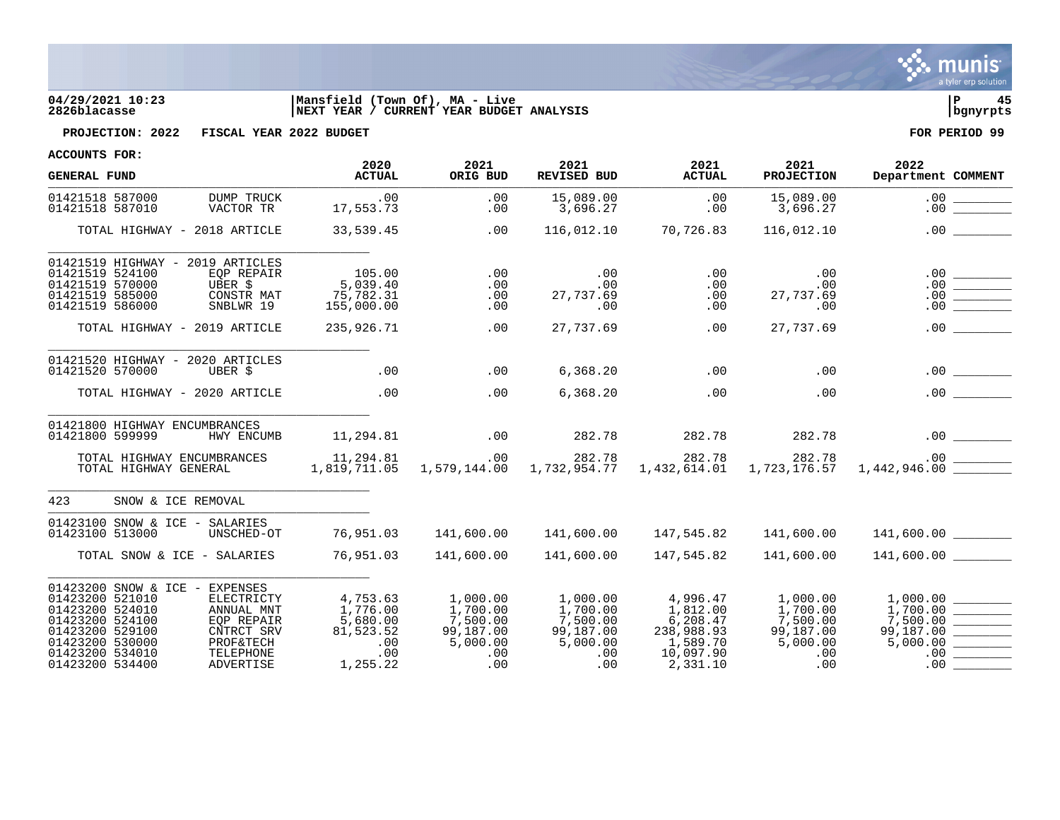

## **04/29/2021 10:23 |Mansfield (Town Of), MA - Live |P 45 2826blacasse |NEXT YEAR / CURRENT YEAR BUDGET ANALYSIS |bgnyrpts**



**PROJECTION: 2022 FISCAL YEAR 2022 BUDGET FOR PERIOD 99**

| <b>GENERAL FUND</b>                                                                                                                                                                                                                                                                  | 2020<br><b>ACTUAL</b>                                                   | 2021<br>ORIG BUD                                                        | 2021<br>REVISED BUD                                                     | 2021<br><b>ACTUAL</b>                                                               | 2021<br><b>PROJECTION</b>                                               | 2022<br>Department COMMENT                                              |
|--------------------------------------------------------------------------------------------------------------------------------------------------------------------------------------------------------------------------------------------------------------------------------------|-------------------------------------------------------------------------|-------------------------------------------------------------------------|-------------------------------------------------------------------------|-------------------------------------------------------------------------------------|-------------------------------------------------------------------------|-------------------------------------------------------------------------|
| 01421518 587000<br>DUMP TRUCK<br>01421518 587010<br>VACTOR TR                                                                                                                                                                                                                        | .00<br>17,553.73                                                        | .00<br>.00                                                              | 15,089.00<br>3,696.27                                                   | .00<br>.00                                                                          | 15,089.00<br>3,696.27                                                   | .00<br>.00                                                              |
| TOTAL HIGHWAY - 2018 ARTICLE                                                                                                                                                                                                                                                         | 33,539.45                                                               | .00                                                                     | 116,012.10                                                              | 70,726.83                                                                           | 116,012.10                                                              | .00                                                                     |
| 01421519 HIGHWAY - 2019 ARTICLES<br>01421519 524100<br>EOP REPAIR<br>01421519 570000<br>UBER \$<br>01421519 585000<br>CONSTR MAT<br>01421519 586000<br>SNBLWR 19                                                                                                                     | 105.00<br>5,039.40<br>75,782.31<br>155,000.00                           | .00<br>.00<br>.00<br>.00                                                | .00<br>.00<br>27,737.69<br>.00                                          | .00<br>.00<br>.00<br>.00                                                            | .00<br>.00<br>27,737.69<br>.00                                          | .00<br>.00<br>.00<br>.00                                                |
| TOTAL HIGHWAY - 2019 ARTICLE                                                                                                                                                                                                                                                         | 235,926.71                                                              | .00                                                                     | 27,737.69                                                               | .00                                                                                 | 27,737.69                                                               | .00                                                                     |
| 01421520 HIGHWAY - 2020 ARTICLES<br>01421520 570000<br>UBER \$                                                                                                                                                                                                                       | .00                                                                     | .00                                                                     | 6,368.20                                                                | .00                                                                                 | .00                                                                     | .00<br><u> 1989 - John Barnett, fransk konge</u>                        |
| TOTAL HIGHWAY - 2020 ARTICLE                                                                                                                                                                                                                                                         | .00                                                                     | .00                                                                     | 6,368.20                                                                | .00                                                                                 | .00                                                                     | .00                                                                     |
| 01421800 HIGHWAY ENCUMBRANCES<br>01421800 599999<br>HWY ENCUMB                                                                                                                                                                                                                       | 11,294.81                                                               | .00                                                                     | 282.78                                                                  | 282.78                                                                              | 282.78                                                                  |                                                                         |
| TOTAL HIGHWAY ENCUMBRANCES<br>TOTAL HIGHWAY GENERAL                                                                                                                                                                                                                                  | 11,294.81<br>1,819,711.05                                               | .00                                                                     | 282.78<br>1,579,144.00 1,732,954.77                                     | 282.78<br>1,432,614.01                                                              | 282.78<br>1,723,176.57                                                  | 1,442,946.00                                                            |
| 423<br>SNOW & ICE REMOVAL                                                                                                                                                                                                                                                            |                                                                         |                                                                         |                                                                         |                                                                                     |                                                                         |                                                                         |
| 01423100 SNOW & ICE - SALARIES<br>01423100 513000<br>UNSCHED-OT                                                                                                                                                                                                                      | 76,951.03                                                               | 141,600.00                                                              | 141,600.00                                                              | 147,545.82                                                                          | 141,600.00                                                              | 141,600.00                                                              |
| TOTAL SNOW & ICE - SALARIES                                                                                                                                                                                                                                                          | 76,951.03                                                               | 141,600.00                                                              | 141,600.00                                                              | 147,545.82                                                                          | 141,600.00                                                              | 141,600.00                                                              |
| 01423200 SNOW & ICE - EXPENSES<br>01423200 521010<br>ELECTRICTY<br>01423200 524010<br>ANNUAL MNT<br>01423200 524100<br>EOP REPAIR<br>01423200 529100<br>CNTRCT SRV<br>01423200 530000<br><b>PROF&amp;TECH</b><br>01423200 534010<br>TELEPHONE<br>01423200 534400<br><b>ADVERTISE</b> | 4,753.63<br>1,776.00<br>5,680.00<br>81,523.52<br>.00<br>.00<br>1,255.22 | 1,000.00<br>1,700.00<br>7,500.00<br>99,187.00<br>5,000.00<br>.00<br>.00 | 1,000.00<br>1,700.00<br>7,500.00<br>99,187.00<br>5,000.00<br>.00<br>.00 | 4,996.47<br>1,812.00<br>6,208.47<br>238,988.93<br>1,589.70<br>10,097.90<br>2,331.10 | 1,000.00<br>1,700.00<br>7,500.00<br>99,187.00<br>5,000.00<br>.00<br>.00 | 1,000.00<br>1,700.00<br>7,500.00<br>99,187.00<br>5,000.00<br>.00<br>.00 |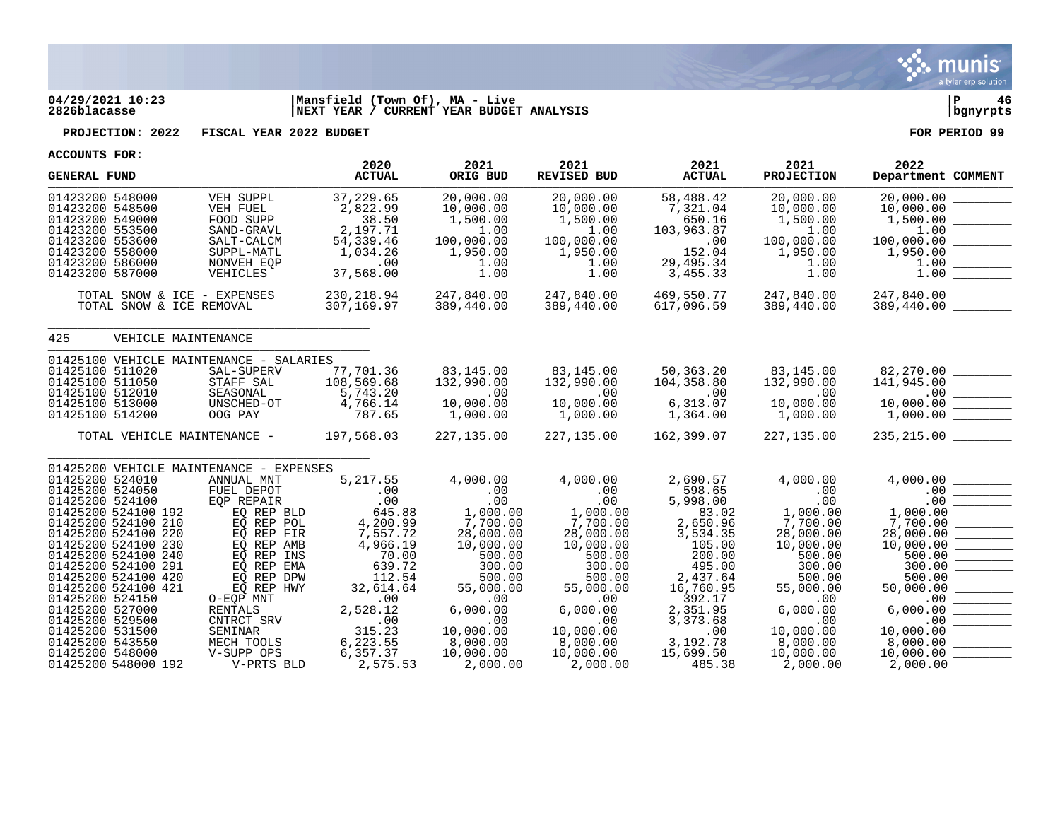

## **04/29/2021 10:23 |Mansfield (Town Of), MA - Live |P 46 2826blacasse |NEXT YEAR / CURRENT YEAR BUDGET ANALYSIS |bgnyrpts**

**PROJECTION: 2022 FISCAL YEAR 2022 BUDGET FOR PERIOD 99**

| ACCOUNTS FOR:                                                                                                                                        |                                                                                                                                        |                                                                                                              | 2020                                                                                          | 2021                                                                                              | 2021                                                                                  | 2021                                                                                    | 2021                                                                                  | 2022                                                                                                                                                                                                                                                                                                                                                                                                                                                                     |
|------------------------------------------------------------------------------------------------------------------------------------------------------|----------------------------------------------------------------------------------------------------------------------------------------|--------------------------------------------------------------------------------------------------------------|-----------------------------------------------------------------------------------------------|---------------------------------------------------------------------------------------------------|---------------------------------------------------------------------------------------|-----------------------------------------------------------------------------------------|---------------------------------------------------------------------------------------|--------------------------------------------------------------------------------------------------------------------------------------------------------------------------------------------------------------------------------------------------------------------------------------------------------------------------------------------------------------------------------------------------------------------------------------------------------------------------|
| <b>GENERAL FUND</b>                                                                                                                                  |                                                                                                                                        |                                                                                                              | <b>ACTUAL</b>                                                                                 | ORIG BUD                                                                                          | REVISED BUD                                                                           | <b>ACTUAL</b>                                                                           | <b>PROJECTION</b>                                                                     | Department COMMENT                                                                                                                                                                                                                                                                                                                                                                                                                                                       |
| 01423200 548000<br>01423200 548500<br>01423200 549000<br>01423200 553500<br>01423200 553600<br>01423200 558000<br>01423200 586000<br>01423200 587000 |                                                                                                                                        | VEH SUPPL<br>VEH FUEL<br>FOOD SUPP<br>SAND-GRAVL<br>SALT-CALCM<br>SUPPL-MATL<br>NONVEH EQP<br>VEHICLES       | 37,229.65<br>2,822.99<br>38.50<br>2,197.71<br>54,339.46<br>1,034.26<br>.00<br>37,568.00       | 20,000.00<br>10,000.00<br>1,500.00<br>1.00<br>100,000.00<br>1,950.00<br>1.00<br>1.00              | 20,000.00<br>10,000.00<br>1,500.00<br>1.00<br>100,000.00<br>1,950.00<br>1.00<br>1.00  | 58,488.42<br>7,321.04<br>650.16<br>103,963.87<br>.00<br>152.04<br>29,495.34<br>3,455.33 | 20,000.00<br>10,000.00<br>1,500.00<br>1.00<br>100,000.00<br>1,950.00<br>1.00<br>1.00  | 20,000.00<br>10,000.00<br>1,500.00<br>1.00<br>100,000.00<br>1,950.00<br>1.00<br>1.00                                                                                                                                                                                                                                                                                                                                                                                     |
|                                                                                                                                                      | TOTAL SNOW & ICE REMOVAL                                                                                                               | TOTAL SNOW & ICE - EXPENSES                                                                                  | 230, 218.94<br>307,169.97                                                                     | 247,840.00<br>389,440.00                                                                          | 247,840.00<br>389,440.00                                                              | 469,550.77<br>617,096.59                                                                | 247,840.00<br>389,440.00                                                              | 247,840.00 _________<br>389,440.00 _________                                                                                                                                                                                                                                                                                                                                                                                                                             |
| 425                                                                                                                                                  | VEHICLE MAINTENANCE                                                                                                                    |                                                                                                              |                                                                                               |                                                                                                   |                                                                                       |                                                                                         |                                                                                       |                                                                                                                                                                                                                                                                                                                                                                                                                                                                          |
| 01425100 511020<br>01425100 511050<br>01425100 512010<br>01425100 513000<br>01425100 514200                                                          |                                                                                                                                        | 01425100 VEHICLE MAINTENANCE - SALARIES<br>SAL-SUPERV<br>STAFF SAL<br>SEASONAL<br>UNSCHED-OT<br>OOG PAY      | 77,701.36<br>108,569.68<br>5,743.20<br>4,766.14<br>787.65                                     | 83,145.00<br>132,990.00<br>.00<br>10,000.00<br>1,000.00                                           | 83,145.00<br>132,990.00<br>.00<br>10,000.00<br>1,000.00                               | 50,363.20<br>104,358.80<br>.00<br>6,313.07<br>1,364.00                                  | 83,145.00<br>132,990.00<br>.00<br>10,000.00<br>1,000.00                               | $\begin{array}{r} 82,270.00 \\ 141,945.00 \\ 10,000.00 \\ 1,000.00 \end{array} \begin{array}{r} \begin{array}{c} \begin{array}{c} \begin{array}{c} \begin{array}{c} \end{array} \\ \begin{array}{c} \end{array} \\ \begin{array}{c} \end{array} \\ \begin{array}{c} \end{array} \\ \begin{array}{c} \end{array} \\ \begin{array}{c} \end{array} \\ \begin{array}{c} \end{array} \\ \begin{array}{c} \end{array} \\ \begin{array}{c} \end{array} \end{array} \end{array}$ |
|                                                                                                                                                      |                                                                                                                                        | TOTAL VEHICLE MAINTENANCE -                                                                                  | 197,568.03                                                                                    | 227,135.00                                                                                        | 227,135.00                                                                            | 162,399.07                                                                              | 227,135.00                                                                            | 235,215.00                                                                                                                                                                                                                                                                                                                                                                                                                                                               |
| 01425200 524010<br>01425200 524050<br>01425200 524100                                                                                                | 01425200 524100 192                                                                                                                    | 01425200 VEHICLE MAINTENANCE - EXPENSES<br>ANNUAL MNT<br>FUEL DEPOT<br>EOP REPAIR<br>EQ REP BLD              | 5,217.55<br>.00<br>.00<br>645.88                                                              | 4,000.00<br>.00<br>.00<br>1,000.00                                                                | 4,000.00<br>.00<br>.00<br>1,000.00                                                    | 2,690.57<br>598.65<br>5,998.00<br>83.02                                                 | 4,000.00<br>.00<br>.00<br>1,000.00                                                    | 4,000.00<br>.00<br>.00<br>1,000.00                                                                                                                                                                                                                                                                                                                                                                                                                                       |
|                                                                                                                                                      | 01425200 524100 210<br>01425200 524100 220<br>01425200 524100 230<br>01425200 524100 240<br>01425200 524100 291<br>01425200 524100 420 | EO REP POL<br>EQ REP FIR<br>EO REP AMB<br>EQ REP INS<br>EO REP EMA<br>EO REP DPW                             | 4,200.99<br>7,557.72<br>4,966.19<br>70.00<br>639.72<br>112.54                                 | 7,700.00<br>28,000.00<br>10,000.00<br>500.00<br>300.00<br>500.00                                  | 7,700.00<br>28,000.00<br>10,000.00<br>500.00<br>300.00<br>500.00                      | 2,650.96<br>3,534.35<br>105.00<br>200.00<br>495.00<br>2,437.64                          | 7,700.00<br>28,000.00<br>10,000.00<br>500.00<br>300.00<br>500.00                      | $7,700.00$<br>28,000.00<br>10,000.00<br>500.00<br>$\begin{tabular}{ c c c c } \hline \quad \quad & \quad \quad & \quad \quad \\ \hline \quad \quad & \quad \quad & \quad \quad \\ \hline \quad \quad & \quad \quad & \quad \quad \\ \hline \quad \quad & \quad \quad & \quad \quad \\ \hline \end{tabular}$<br>300.00<br>500.00                                                                                                                                          |
| 01425200 524150<br>01425200 527000<br>01425200 529500<br>01425200 531500<br>01425200 543550<br>01425200 548000                                       | 01425200 524100 421<br>01425200 548000 192                                                                                             | EO REP HWY<br>O-EOP MNT<br><b>RENTALS</b><br>CNTRCT SRV<br>SEMINAR<br>MECH TOOLS<br>V-SUPP OPS<br>V-PRTS BLD | 32,614.64<br>.00<br>2,528.12<br>$\overline{00}$<br>315.23<br>6,223.55<br>6,357.37<br>2,575.53 | 55,000.00<br>$\overline{00}$<br>6,000.00<br>.00<br>10,000.00<br>8,000.00<br>10,000.00<br>2,000.00 | 55,000.00<br>.00<br>6,000.00<br>.00<br>10,000.00<br>8,000.00<br>10,000.00<br>2,000.00 | 16,760.95<br>392.17<br>2,351.95<br>3,373.68<br>.00<br>3,192.78<br>15,699.50<br>485.38   | 55,000.00<br>.00<br>6,000.00<br>.00<br>10,000.00<br>8,000.00<br>10,000.00<br>2,000.00 | 50,000.00<br>.00<br>6,000.00<br>.00<br>10,000.00<br>$\begin{tabular}{ c c c c } \hline \quad \quad & \quad \quad & \quad \quad & \quad \quad \\ \hline \quad \quad & \quad \quad & \quad \quad & \quad \quad \\ \hline \quad \quad & \quad \quad & \quad \quad & \quad \quad \\ \hline \end{tabular}$<br>8,000.00<br>10,000.00<br>2,000.00                                                                                                                               |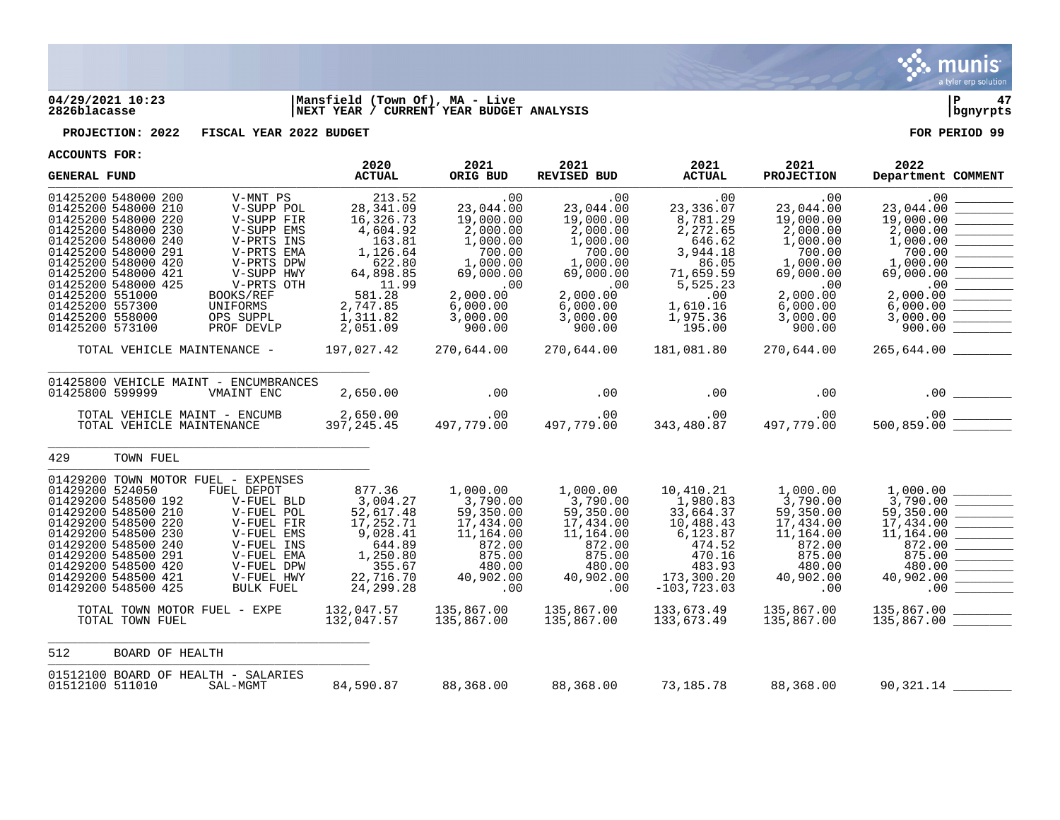

## **04/29/2021 10:23 |Mansfield (Town Of), MA - Live |P 47 2826blacasse |NEXT YEAR / CURRENT YEAR BUDGET ANALYSIS |bgnyrpts**

**PROJECTION: 2022 FISCAL YEAR 2022 BUDGET FOR PERIOD 99**

| ACCOUNIS FURI<br><b>GENERAL FUND</b>                                                                                                                                                                                                                                                    |                                                                                                                                                                                                                        | 2020<br><b>ACTUAL</b>                                                                                                                             | 2021<br>ORIG BUD                                                                                                                                                             | 2021<br>REVISED BUD                                                                                                                                 | 2021<br><b>ACTUAL</b>                                                                                                                                   | 2021<br><b>PROJECTION</b>                                                                                                                                   | 2022<br>Department COMMENT                                                                                                                                                                                                                                                                                                                                                                                                                                                                                                                                                                                                                                                                                                                                                                                                                                                                                                                                                                                                                                             |
|-----------------------------------------------------------------------------------------------------------------------------------------------------------------------------------------------------------------------------------------------------------------------------------------|------------------------------------------------------------------------------------------------------------------------------------------------------------------------------------------------------------------------|---------------------------------------------------------------------------------------------------------------------------------------------------|------------------------------------------------------------------------------------------------------------------------------------------------------------------------------|-----------------------------------------------------------------------------------------------------------------------------------------------------|---------------------------------------------------------------------------------------------------------------------------------------------------------|-------------------------------------------------------------------------------------------------------------------------------------------------------------|------------------------------------------------------------------------------------------------------------------------------------------------------------------------------------------------------------------------------------------------------------------------------------------------------------------------------------------------------------------------------------------------------------------------------------------------------------------------------------------------------------------------------------------------------------------------------------------------------------------------------------------------------------------------------------------------------------------------------------------------------------------------------------------------------------------------------------------------------------------------------------------------------------------------------------------------------------------------------------------------------------------------------------------------------------------------|
| 01425200 548000 200<br>01425200 548000 210<br>01425200 548000 220<br>01425200 548000 230<br>01425200 548000 240<br>01425200 548000 291<br>01425200 548000 420<br>01425200 548000 421<br>01425200 548000 425<br>01425200 551000<br>01425200 557300<br>01425200 558000<br>01425200 573100 | V-MNT PS<br>V-SUPP POL<br>V-SUPP FIR<br>V-SUPP EMS<br>V-PRTS INS<br>V-PRTS EMA<br>V-PRTS DPW<br>V-SUPP HWY<br>V-PRTS OTH<br>BOOKS/REF<br>UNIFORMS<br>OPS SUPPL<br>PROF DEVLP<br>TOTAL VEHICLE MAINTENANCE - 197,027.42 | 213.52<br>28, 341.09<br>16,326.73<br>4,604.92<br>163.81<br>1,126.64<br>622.80<br>64,898.85<br>11.99<br>581.28<br>2,747.85<br>1,311.82<br>2,051.09 | .00<br>23,044.00<br>19,000.00<br>2,000.00<br>1,000.00<br>700.00<br>1,000.00<br>69,000.00<br>$\sim 00$<br>2,000.00<br>6,000.00<br>3,000.00<br>900.00<br>270,644.00 270,644.00 | .00<br>23,044.00<br>19,000.00<br>2,000.00<br>1,000.00<br>700.00<br>1,000.00<br>69,000.00<br>$\sim$ 00<br>2,000.00<br>6,000.00<br>3,000.00<br>900.00 | .00<br>23,336.07<br>8,781.29<br>2,272.65<br>646.62<br>3,944.18<br>86.05<br>71,659.59<br>5,525.23<br>.00<br>1,610.16<br>1,975.36<br>195.00<br>181,081.80 | .00<br>23,044.00<br>19,000.00<br>2,000.00<br>1,000.00<br>700.00<br>1,000.00<br>69,000.00<br>.00<br>2,000.00<br>6,000.00<br>3,000.00<br>900.00<br>270,644.00 | .00<br>23,044.00<br>$\begin{tabular}{ll} \multicolumn{3}{c} {\textbf{1}} & \multicolumn{3}{c} {\textbf{1}} & \multicolumn{3}{c} {\textbf{1}} \\ \multicolumn{3}{c} {\textbf{2}} & \multicolumn{3}{c} {\textbf{2}} & \multicolumn{3}{c} {\textbf{3}} \\ \multicolumn{3}{c} {\textbf{3}} & \multicolumn{3}{c} {\textbf{4}} & \multicolumn{3}{c} {\textbf{5}} \\ \multicolumn{3}{c} {\textbf{4}} & \multicolumn{3}{c} {\textbf{5}} & \multicolumn{3}{c} {\textbf{6}} \\ \multicolumn{3}{c} {\textbf{5}} & \multicolumn$<br>19,000.00<br><u> De Carlos de Ca</u><br>2,000.00<br>1,000.00<br>700.00<br>$\begin{array}{r} 69,000.00 \ \hline 2,000.00 \ \hline \end{array}$<br>6,000.00<br>3,000.00<br>900.00<br>265,644.00                                                                                                                                                                                                                                                                                                                                                  |
| 01425800 599999                                                                                                                                                                                                                                                                         | 01425800 VEHICLE MAINT - ENCUMBRANCES<br>VMAINT ENC                                                                                                                                                                    | 2,650.00                                                                                                                                          | $\sim$ 00                                                                                                                                                                    | .00                                                                                                                                                 | .00                                                                                                                                                     | .00                                                                                                                                                         |                                                                                                                                                                                                                                                                                                                                                                                                                                                                                                                                                                                                                                                                                                                                                                                                                                                                                                                                                                                                                                                                        |
|                                                                                                                                                                                                                                                                                         | TOTAL VEHICLE MAINT - ENCUMB<br>TOTAL VEHICLE MAINTENANCE                                                                                                                                                              | 4B 2,650.00<br>397,245.45                                                                                                                         |                                                                                                                                                                              | 00.<br>497,779.00 497,779.00 497,779.00                                                                                                             |                                                                                                                                                         | $00$ . $00$<br>343,480.87 497,779.00<br>.00                                                                                                                 |                                                                                                                                                                                                                                                                                                                                                                                                                                                                                                                                                                                                                                                                                                                                                                                                                                                                                                                                                                                                                                                                        |
| 429<br>TOWN FUEL                                                                                                                                                                                                                                                                        |                                                                                                                                                                                                                        |                                                                                                                                                   |                                                                                                                                                                              |                                                                                                                                                     |                                                                                                                                                         |                                                                                                                                                             |                                                                                                                                                                                                                                                                                                                                                                                                                                                                                                                                                                                                                                                                                                                                                                                                                                                                                                                                                                                                                                                                        |
| 01429200 524050<br>01429200 548500 192<br>01429200 548500 210<br>01429200 548500 220<br>01429200 548500 230<br>01429200 548500 240<br>01429200 548500 291<br>01429200 548500 420<br>01429200 548500 421<br>01429200 548500 425                                                          | 01429200 TOWN MOTOR FUEL - EXPENSES<br>FUEL DEPOT<br>V-FUEL BLD<br>V-FUEL POL<br>V-FUEL FIR<br>V-FUEL EMS<br>V-FUEL INS<br>V-FUEL EMA<br>V-FUEL DPW<br>V-FUEL HWY<br>BULK FUEL                                         | 877.36<br>3,004.27<br>52,617.48<br>17,252.71<br>9,028.41<br>644.89<br>1,250.80<br>355.67<br>22,716.70<br>24, 299.28                               | 1,000.00<br>3,790.00<br>59,350.00<br>17,434.00<br>11,164.00<br>872.00<br>875.00<br>480.00<br>40,902.00<br>$\sim 00$                                                          | 1,000.00<br>3,790.00<br>59,350.00<br>17,434.00<br>11,164.00<br>872.00<br>875.00<br>480.00<br>40,902.00<br>.00                                       | 10,410.21<br>1,980.83<br>33,664.37<br>10,488.43<br>6,123.87<br>474.52<br>470.16<br>483.93<br>173,300.20<br>$-103, 723.03$                               | 1,000.00<br>3,790.00<br>59,350.00<br>17,434.00<br>11,164.00<br>872.00<br>875.00<br>480.00<br>40,902.00<br>.00                                               | 3,790.00<br>59,350.00<br><u>a matangan sa ka</u><br>17,434.00<br>$\begin{array}{c} 17,434.00 \\ 11,164.00 \end{array} \begin{array}{c} \begin{array}{c} \begin{array}{c} \begin{array}{c} \begin{array}{c} \end{array} \end{array} \end{array} \end{array} \end{array}$<br>872.00<br>$\begin{tabular}{ c c c c } \hline \quad \quad & \quad \quad & \quad \quad \\ \hline \quad \quad & \quad \quad & \quad \quad \\ \hline \quad \quad & \quad \quad & \quad \quad \\ \hline \quad \quad & \quad \quad & \quad \quad \\ \hline \end{tabular}$<br>875.00<br>480.00<br>40,902.00<br><u> Albanya di Barat di Barat di Barat di Barat di Barat di Barat di Barat di Barat di Barat di Barat di Barat di Barat di Barat di Barat di Barat di Barat di Barat di Barat di Barat di Barat di Barat di Barat di Barat di Ba</u><br>.00<br><u> Louis Communication de la propincia de la propincia de la propincia de la propincia de la propincia de la propincia de la propincia de la propincia de la propincia de la propincia de la propincia de la propincia de la pr</u> |
| TOTAL TOWN FUEL                                                                                                                                                                                                                                                                         | TOTAL TOWN MOTOR FUEL - EXPE                                                                                                                                                                                           | 132,047.57<br>132,047.57                                                                                                                          | 135,867.00<br>135,867.00                                                                                                                                                     | 135,867.00<br>135,867.00                                                                                                                            | 133,673.49<br>133,673.49                                                                                                                                | 135,867.00<br>135,867.00                                                                                                                                    | 135,867.00                                                                                                                                                                                                                                                                                                                                                                                                                                                                                                                                                                                                                                                                                                                                                                                                                                                                                                                                                                                                                                                             |
| 512                                                                                                                                                                                                                                                                                     | BOARD OF HEALTH                                                                                                                                                                                                        |                                                                                                                                                   |                                                                                                                                                                              |                                                                                                                                                     |                                                                                                                                                         |                                                                                                                                                             |                                                                                                                                                                                                                                                                                                                                                                                                                                                                                                                                                                                                                                                                                                                                                                                                                                                                                                                                                                                                                                                                        |
| 01512100 511010                                                                                                                                                                                                                                                                         | 01512100 BOARD OF HEALTH - SALARIES<br>SAL-MGMT                                                                                                                                                                        | 84,590.87                                                                                                                                         | 88,368.00                                                                                                                                                                    | 88,368.00                                                                                                                                           | 73,185.78                                                                                                                                               | 88,368.00                                                                                                                                                   | $90,321.14$ $\_$                                                                                                                                                                                                                                                                                                                                                                                                                                                                                                                                                                                                                                                                                                                                                                                                                                                                                                                                                                                                                                                       |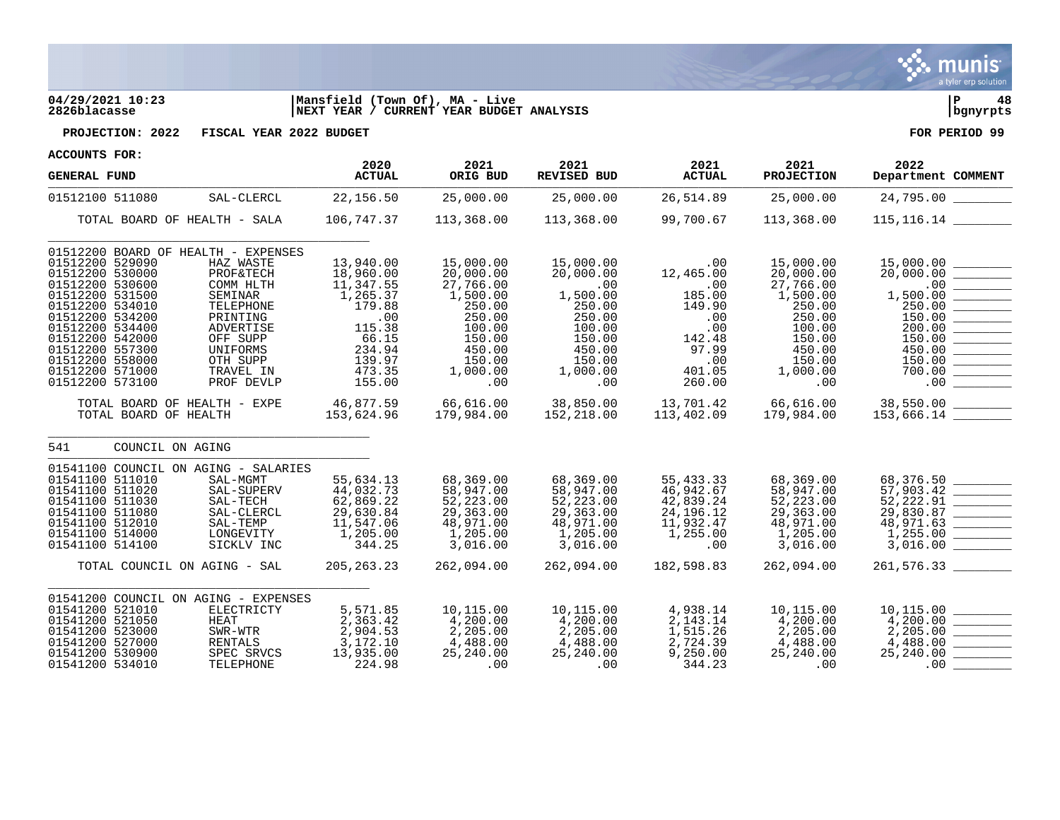

## **04/29/2021 10:23 |Mansfield (Town Of), MA - Live |P 48 2826blacasse |NEXT YEAR / CURRENT YEAR BUDGET ANALYSIS |bgnyrpts**



**PROJECTION: 2022 FISCAL YEAR 2022 BUDGET FOR PERIOD 99**

| <b>GENERAL FUND</b>                                                                                                                                                                                                                                                     |                                                                                                                                                                | 2020<br><b>ACTUAL</b>                                                                                                       | 2021<br>ORIG BUD                                                                                                               | 2021<br>REVISED BUD                                                                                                      | 2021<br><b>ACTUAL</b>                                                                                   | 2021<br><b>PROJECTION</b>                                                                                                      | 2022<br>Department COMMENT                                                                                                                                                                                                                                                                                                                                                          |
|-------------------------------------------------------------------------------------------------------------------------------------------------------------------------------------------------------------------------------------------------------------------------|----------------------------------------------------------------------------------------------------------------------------------------------------------------|-----------------------------------------------------------------------------------------------------------------------------|--------------------------------------------------------------------------------------------------------------------------------|--------------------------------------------------------------------------------------------------------------------------|---------------------------------------------------------------------------------------------------------|--------------------------------------------------------------------------------------------------------------------------------|-------------------------------------------------------------------------------------------------------------------------------------------------------------------------------------------------------------------------------------------------------------------------------------------------------------------------------------------------------------------------------------|
| 01512100 511080                                                                                                                                                                                                                                                         | SAL-CLERCL                                                                                                                                                     | 22,156.50                                                                                                                   | 25,000.00                                                                                                                      | 25,000.00                                                                                                                | 26,514.89                                                                                               | 25,000.00                                                                                                                      | 24,795.00                                                                                                                                                                                                                                                                                                                                                                           |
| TOTAL BOARD OF HEALTH - SALA                                                                                                                                                                                                                                            |                                                                                                                                                                | 106,747.37                                                                                                                  | 113,368.00                                                                                                                     | 113,368.00                                                                                                               | 99,700.67                                                                                               | 113,368.00                                                                                                                     | 115, 116. 14                                                                                                                                                                                                                                                                                                                                                                        |
| 01512200 BOARD OF HEALTH - EXPENSES<br>01512200 529090<br>01512200 530000<br>01512200 530600<br>01512200 531500<br>01512200 534010<br>01512200 534200<br>01512200 534400<br>01512200 542000<br>01512200 557300<br>01512200 558000<br>01512200 571000<br>01512200 573100 | HAZ WASTE<br><b>PROF&amp;TECH</b><br>COMM HLTH<br>SEMINAR<br>TELEPHONE<br>PRINTING<br>ADVERTISE<br>OFF SUPP<br>UNIFORMS<br>OTH SUPP<br>TRAVEL IN<br>PROF DEVLP | 13,940.00<br>18,960.00<br>11,347.55<br>1,265.37<br>179.88<br>.00<br>115.38<br>66.15<br>234.94<br>139.97<br>473.35<br>155.00 | 15,000.00<br>20,000.00<br>27,766.00<br>1,500.00<br>250.00<br>250.00<br>100.00<br>150.00<br>450.00<br>150.00<br>1,000.00<br>.00 | 15,000.00<br>20,000.00<br>.00<br>1,500.00<br>250.00<br>250.00<br>100.00<br>150.00<br>450.00<br>150.00<br>1,000.00<br>.00 | .00<br>12,465.00<br>.00<br>185.00<br>149.90<br>.00<br>.00<br>142.48<br>97.99<br>.00<br>401.05<br>260.00 | 15,000.00<br>20,000.00<br>27,766.00<br>1,500.00<br>250.00<br>250.00<br>100.00<br>150.00<br>450.00<br>150.00<br>1,000.00<br>.00 | 15,000.00<br>20,000.00<br>.00<br>1,500.00<br>250.00<br>150.00<br>200.00<br>150.00<br>$\begin{tabular}{ c c c c } \hline \quad \quad & \quad \quad & \quad \quad \\ \hline \quad \quad & \quad \quad & \quad \quad \\ \hline \quad \quad & \quad \quad & \quad \quad \\ \hline \quad \quad & \quad \quad & \quad \quad \\ \hline \end{tabular}$<br>450.00<br>150.00<br>700.00<br>.00 |
| TOTAL BOARD OF HEALTH - EXPE<br>TOTAL BOARD OF HEALTH                                                                                                                                                                                                                   |                                                                                                                                                                | 46,877.59<br>153,624.96                                                                                                     | 66,616.00<br>179,984.00                                                                                                        | 38,850.00<br>152,218.00                                                                                                  | 13,701.42<br>113,402.09                                                                                 | 66,616.00<br>179,984.00                                                                                                        |                                                                                                                                                                                                                                                                                                                                                                                     |
| 541<br>COUNCIL ON AGING                                                                                                                                                                                                                                                 |                                                                                                                                                                |                                                                                                                             |                                                                                                                                |                                                                                                                          |                                                                                                         |                                                                                                                                |                                                                                                                                                                                                                                                                                                                                                                                     |
| 01541100 COUNCIL ON AGING - SALARIES<br>01541100 511010<br>01541100 511020<br>01541100 511030<br>01541100 511080<br>01541100 512010<br>01541100 514000<br>01541100 514100                                                                                               | SAL-MGMT<br>SAL-SUPERV<br>SAL-TECH<br>SAL-CLERCL<br>SAL-TEMP<br>LONGEVITY<br>SICKLV INC                                                                        | 55,634.13<br>44,032.73<br>62,869.22<br>29,630.84<br>11,547.06<br>1,205.00<br>344.25                                         | 68,369.00<br>58,947.00<br>52,223.00<br>29,363.00<br>48,971.00<br>1,205.00<br>3,016.00                                          | 68,369.00<br>58,947.00<br>52,223.00<br>29,363.00<br>48,971.00<br>1,205.00<br>3,016.00                                    | 55,433.33<br>46,942.67<br>42,839.24<br>24, 196. 12<br>11,932.47<br>1,255.00<br>.00                      | 68,369.00<br>58,947.00<br>52, 223.00<br>29,363.00<br>48,971.00<br>1,205.00<br>3,016.00                                         | 68,376.50<br>$\frac{52,222.91}{29,830.87}$<br>3,016.00                                                                                                                                                                                                                                                                                                                              |
| TOTAL COUNCIL ON AGING - SAL                                                                                                                                                                                                                                            |                                                                                                                                                                | 205, 263. 23                                                                                                                | 262,094.00                                                                                                                     | 262,094.00                                                                                                               | 182,598.83                                                                                              | 262,094.00                                                                                                                     | 261,576.33                                                                                                                                                                                                                                                                                                                                                                          |
| 01541200 COUNCIL ON AGING - EXPENSES<br>01541200 521010<br>01541200 521050<br>01541200 523000<br>01541200 527000<br>01541200 530900<br>01541200 534010                                                                                                                  | ELECTRICTY<br>HEAT<br>SWR-WTR<br>RENTALS<br>SPEC SRVCS<br>TELEPHONE                                                                                            | 5,571.85<br>2,363.42<br>2,904.53<br>3,172.10<br>13,935.00<br>224.98                                                         | 10,115.00<br>4,200.00<br>2,205.00<br>4,488.00<br>25,240.00<br>.00                                                              | 10,115.00<br>4,200.00<br>2,205.00<br>4,488.00<br>25,240.00<br>$\sim$ 00                                                  | 4,938.14<br>2,143.14<br>1,515.26<br>2,724.39<br>9,250.00<br>344.23                                      | 10,115.00<br>4,200.00<br>2,205.00<br>4,488.00<br>25,240.00<br>.00                                                              | 10,115.00<br>2,205.00<br>4,488.00<br>25,240.00<br>.00                                                                                                                                                                                                                                                                                                                               |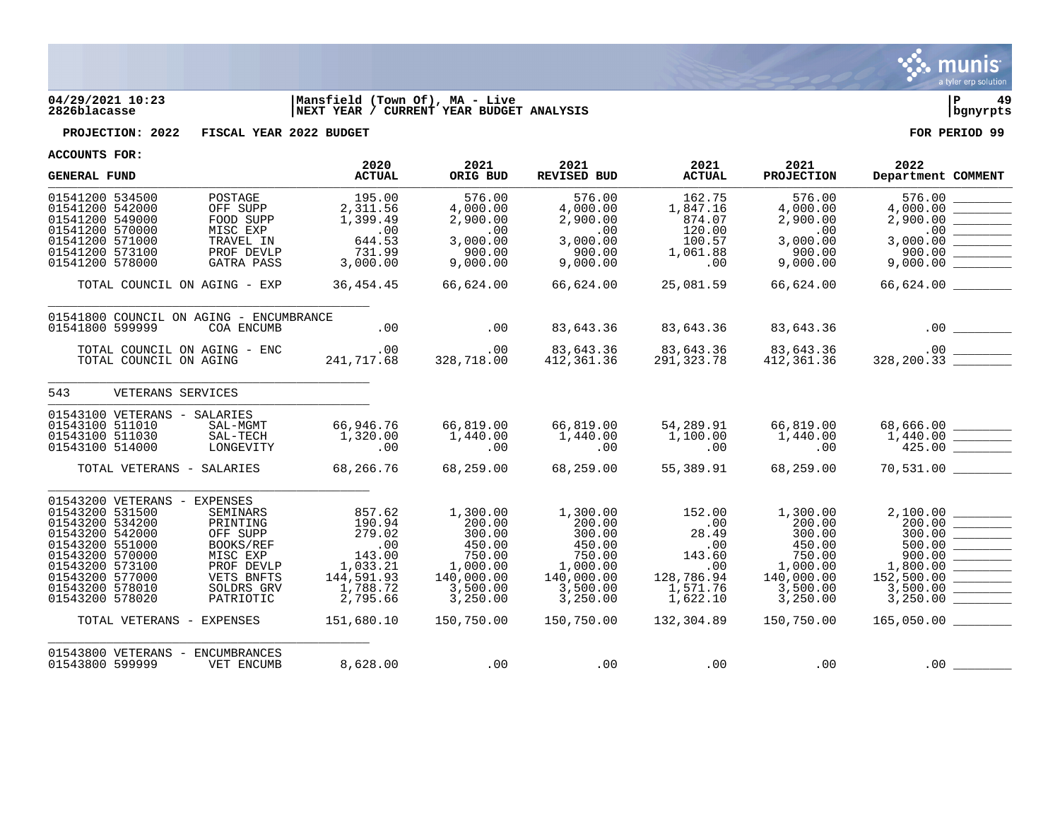

## **04/29/2021 10:23 |Mansfield (Town Of), MA - Live |P 49 2826blacasse |NEXT YEAR / CURRENT YEAR BUDGET ANALYSIS |bgnyrpts**

**PROJECTION: 2022 FISCAL YEAR 2022 BUDGET FOR PERIOD 99**

| <b>GENERAL FUND</b>                                                                                                                                                                                                                  |                                                                                                                         | 2020<br><b>ACTUAL</b>                                                                                       | 2021<br>ORIG BUD                                                                                                 | 2021<br><b>REVISED BUD</b>                                                                                       | 2021<br><b>ACTUAL</b>                                                                              | 2021<br><b>PROJECTION</b>                                                                                        | 2022<br>Department COMMENT                                                                                                                                                                                                                                                                                                                                                                                                                                                                                                                                                                                                                                                                                                   |
|--------------------------------------------------------------------------------------------------------------------------------------------------------------------------------------------------------------------------------------|-------------------------------------------------------------------------------------------------------------------------|-------------------------------------------------------------------------------------------------------------|------------------------------------------------------------------------------------------------------------------|------------------------------------------------------------------------------------------------------------------|----------------------------------------------------------------------------------------------------|------------------------------------------------------------------------------------------------------------------|------------------------------------------------------------------------------------------------------------------------------------------------------------------------------------------------------------------------------------------------------------------------------------------------------------------------------------------------------------------------------------------------------------------------------------------------------------------------------------------------------------------------------------------------------------------------------------------------------------------------------------------------------------------------------------------------------------------------------|
| 01541200 534500<br>01541200 542000<br>01541200 549000                                                                                                                                                                                | POSTAGE<br>OFF SUPP<br>FOOD SUPP                                                                                        | 195.00<br>2,311.56<br>1,399.49                                                                              | 576.00<br>4,000.00<br>2,900.00                                                                                   | 576.00<br>4,000.00<br>2,900.00                                                                                   | 162.75<br>1,847.16<br>874.07                                                                       | 576.00<br>4,000.00<br>2,900.00                                                                                   | 576.00<br>4,000.00<br>2,900.00                                                                                                                                                                                                                                                                                                                                                                                                                                                                                                                                                                                                                                                                                               |
| 01541200 570000<br>01541200 571000<br>01541200 573100<br>01541200 578000                                                                                                                                                             | MISC EXP<br>TRAVEL IN<br>PROF DEVLP<br>GATRA PASS                                                                       | .00<br>644.53<br>731.99<br>3,000.00                                                                         | .00<br>3,000.00<br>900.00<br>9,000.00                                                                            | .00<br>3,000.00<br>900.00<br>9,000.00                                                                            | 120.00<br>100.57<br>1,061.88<br>.00                                                                | .00<br>3,000.00<br>900.00<br>9,000.00                                                                            | .00<br>$\begin{tabular}{ c c c c } \hline \quad \quad & \quad \quad & \quad \quad \\ \hline \quad \quad & \quad \quad & \quad \quad \\ \hline \quad \quad & \quad \quad & \quad \quad \\ \hline \quad \quad & \quad \quad & \quad \quad \\ \hline \end{tabular}$<br>3,000.00<br>900.00                                                                                                                                                                                                                                                                                                                                                                                                                                       |
| TOTAL COUNCIL ON AGING - EXP                                                                                                                                                                                                         |                                                                                                                         | 36, 454. 45                                                                                                 | 66,624.00                                                                                                        | 66,624.00                                                                                                        | 25,081.59                                                                                          | 66,624.00                                                                                                        |                                                                                                                                                                                                                                                                                                                                                                                                                                                                                                                                                                                                                                                                                                                              |
| 01541800 COUNCIL ON AGING - ENCUMBRANCE<br>01541800 599999                                                                                                                                                                           | COA ENCUMB                                                                                                              | .00                                                                                                         | .00                                                                                                              | 83,643.36                                                                                                        | 83,643.36                                                                                          | 83,643.36                                                                                                        |                                                                                                                                                                                                                                                                                                                                                                                                                                                                                                                                                                                                                                                                                                                              |
| TOTAL COUNCIL ON AGING - ENC<br>TOTAL COUNCIL ON AGING                                                                                                                                                                               | $\frac{1}{2}$                                                                                                           | $\sim$ 00<br>241,717.68                                                                                     | .00<br>328,718.00                                                                                                | 83,643.36<br>412,361.36                                                                                          | 83,643.36<br>291,323.78                                                                            | 83,643.36<br>412,361.36                                                                                          |                                                                                                                                                                                                                                                                                                                                                                                                                                                                                                                                                                                                                                                                                                                              |
| 543<br>VETERANS SERVICES                                                                                                                                                                                                             |                                                                                                                         |                                                                                                             |                                                                                                                  |                                                                                                                  |                                                                                                    |                                                                                                                  |                                                                                                                                                                                                                                                                                                                                                                                                                                                                                                                                                                                                                                                                                                                              |
| 01543100 VETERANS - SALARIES<br>01543100 511010<br>01543100 511030<br>01543100 514000                                                                                                                                                | SAL-MGMT<br>SAL-TECH<br>LONGEVITY                                                                                       | 66,946.76<br>1,320.00<br>.00                                                                                | 66,819.00<br>1,440.00<br>.00                                                                                     | 66,819.00<br>1,440.00<br>.00                                                                                     | 54,289.91<br>1,100.00<br>.00                                                                       | 66,819.00<br>1,440.00<br>.00                                                                                     | $68,666.00$<br>1,440.00<br>425.00                                                                                                                                                                                                                                                                                                                                                                                                                                                                                                                                                                                                                                                                                            |
| TOTAL VETERANS - SALARIES                                                                                                                                                                                                            |                                                                                                                         | 68,266.76                                                                                                   | 68,259.00                                                                                                        | 68,259.00                                                                                                        | 55,389.91                                                                                          | 68,259.00                                                                                                        | 70,531.00                                                                                                                                                                                                                                                                                                                                                                                                                                                                                                                                                                                                                                                                                                                    |
| 01543200 VETERANS - EXPENSES<br>01543200 531500<br>01543200 534200<br>01543200 542000<br>01543200 551000<br>01543200 570000<br>01543200 573100<br>01543200 577000<br>01543200 578010<br>01543200 578020<br>TOTAL VETERANS - EXPENSES | <b>SEMINARS</b><br>PRINTING<br>OFF SUPP<br>BOOKS/REF<br>MISC EXP<br>PROF DEVLP<br>VETS BNFTS<br>SOLDRS GRV<br>PATRIOTIC | 857.62<br>190.94<br>279.02<br>.00<br>143.00<br>1,033.21<br>144,591.93<br>1,788.72<br>2,795.66<br>151,680.10 | 1,300.00<br>200.00<br>300.00<br>450.00<br>750.00<br>1,000.00<br>140,000.00<br>3,500.00<br>3,250.00<br>150,750.00 | 1,300.00<br>200.00<br>300.00<br>450.00<br>750.00<br>1,000.00<br>140,000.00<br>3,500.00<br>3,250.00<br>150,750.00 | 152.00<br>.00<br>28.49<br>.00<br>143.60<br>.00<br>128,786.94<br>1,571.76<br>1,622.10<br>132,304.89 | 1,300.00<br>200.00<br>300.00<br>450.00<br>750.00<br>1,000.00<br>140,000.00<br>3,500.00<br>3,250.00<br>150,750.00 | 2,100.00<br>$\begin{array}{ c c } \hline 200.00 & \hline 300.00 & \hline 300.00 & \hline 500.00 & \hline 500.00 & \hline 500.00 & \hline 1,800.00 & \hline \end{array}$<br>152,500.00<br>$\begin{tabular}{c} \multicolumn{1}{c} {\textbf{1}} & \multicolumn{1}{c} {\textbf{2}} & \multicolumn{1}{c} {\textbf{3}} & \multicolumn{1}{c} {\textbf{4}} \\ \multicolumn{1}{c} {\textbf{1}} & \multicolumn{1}{c} {\textbf{2}} & \multicolumn{1}{c} {\textbf{3}} & \multicolumn{1}{c} {\textbf{4}} & \multicolumn{1}{c} {\textbf{5}} \\ \multicolumn{1}{c} {\textbf{1}} & \multicolumn{1}{c} {\textbf{1}} & \multicolumn{1}{c} {\textbf{1}} & \multicolumn{1}{c} {\textbf{1}} & \multicolumn$<br>3,500.00<br>3,250.00<br>165,050.00 |
| 01543800 VETERANS - ENCUMBRANCES<br>01543800 599999                                                                                                                                                                                  | VET ENCUMB                                                                                                              | 8,628.00                                                                                                    | .00                                                                                                              | .00                                                                                                              | .00                                                                                                | .00                                                                                                              | .00                                                                                                                                                                                                                                                                                                                                                                                                                                                                                                                                                                                                                                                                                                                          |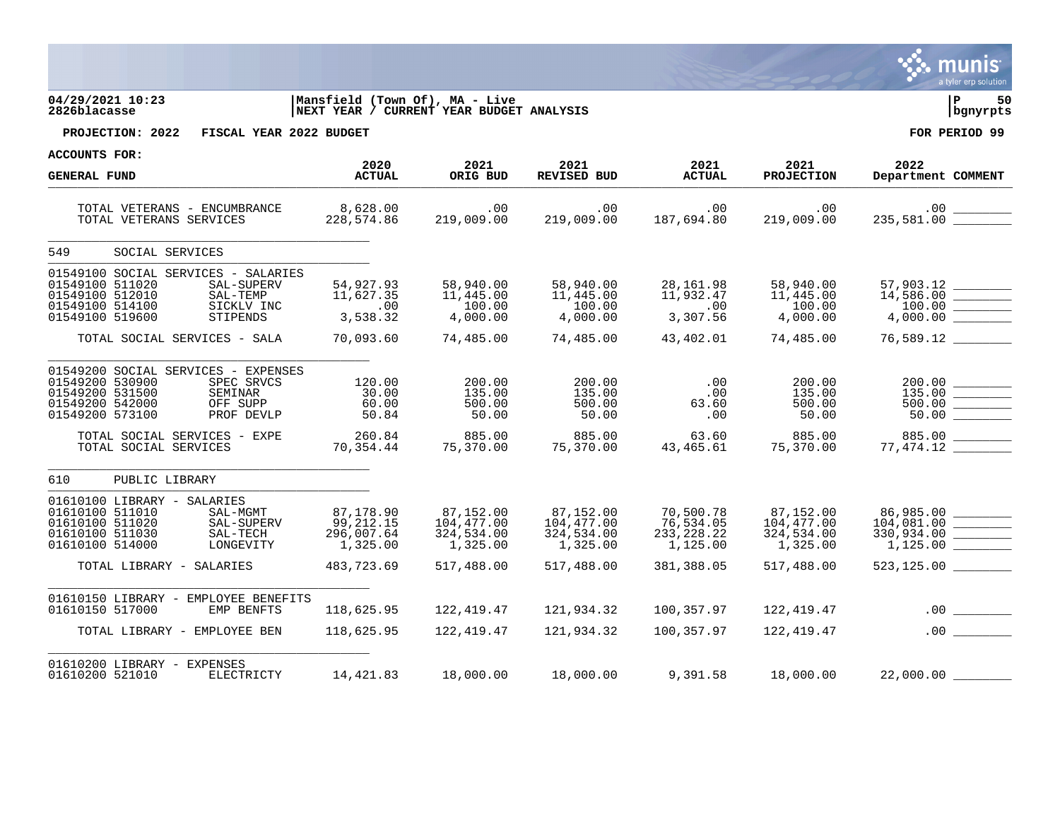|                                                                                                                                                                                        |                                                                |                                                                            |                                                                 |                                                                 |                                                                 | a tyler erp solution                                                                   |
|----------------------------------------------------------------------------------------------------------------------------------------------------------------------------------------|----------------------------------------------------------------|----------------------------------------------------------------------------|-----------------------------------------------------------------|-----------------------------------------------------------------|-----------------------------------------------------------------|----------------------------------------------------------------------------------------|
| 04/29/2021 10:23<br>2826blacasse                                                                                                                                                       |                                                                | Mansfield (Town Of), MA - Live<br>NEXT YEAR / CURRENT YEAR BUDGET ANALYSIS |                                                                 |                                                                 |                                                                 | 50<br>bgnyrpts                                                                         |
| PROJECTION: 2022<br>FISCAL YEAR 2022 BUDGET                                                                                                                                            |                                                                |                                                                            |                                                                 |                                                                 |                                                                 | FOR PERIOD 99                                                                          |
| <b>ACCOUNTS FOR:</b>                                                                                                                                                                   | 2020                                                           | 2021                                                                       | 2021                                                            | 2021                                                            | 2021                                                            | 2022                                                                                   |
| <b>GENERAL FUND</b>                                                                                                                                                                    | <b>ACTUAL</b>                                                  | ORIG BUD                                                                   | <b>REVISED BUD</b>                                              | <b>ACTUAL</b>                                                   | <b>PROJECTION</b>                                               | Department COMMENT                                                                     |
| TOTAL VETERANS - ENCUMBRANCE<br>TOTAL VETERANS SERVICES                                                                                                                                | 8,628.00<br>228,574.86                                         | .00<br>219,009.00                                                          | .00<br>219,009.00                                               | .00<br>187,694.80                                               | .00<br>219,009.00                                               | $.00 \,$                                                                               |
| 549<br>SOCIAL SERVICES                                                                                                                                                                 |                                                                |                                                                            |                                                                 |                                                                 |                                                                 |                                                                                        |
| 01549100 SOCIAL SERVICES - SALARIES<br>01549100 511020<br>SAL-SUPERV<br>01549100 512010<br>SAL-TEMP<br>01549100 514100<br>SICKLV INC<br>01549100 519600<br>STIPENDS                    | 54,927.93<br>11,627.35<br>$\sim 00$<br>3,538.32                | 58,940.00<br>11,445.00<br>100.00<br>4,000.00                               | 58,940.00<br>11,445.00<br>100.00<br>4,000.00                    | 28,161.98<br>11,932.47<br>.00<br>3,307.56                       | 58,940.00<br>11,445.00<br>100.00<br>4,000.00                    | $14,586.00$ 100.00<br>4,000.00                                                         |
| TOTAL SOCIAL SERVICES - SALA                                                                                                                                                           | 70,093.60                                                      | 74,485.00                                                                  | 74,485.00                                                       | 43,402.01                                                       | 74,485.00                                                       | 76,589.12                                                                              |
| 01549200 SOCIAL SERVICES - EXPENSES<br>01549200 530900<br>SPEC SRVCS<br>01549200 531500<br>SEMINAR<br>01549200 542000<br>OFF SUPP<br>01549200 573100<br>PROF DEVLP                     | 120.00<br>30.00<br>60.00<br>50.84                              | 200.00<br>135.00<br>500.00<br>50.00                                        | 200.00<br>135.00<br>500.00<br>50.00                             | .00<br>.00<br>63.60<br>.00                                      | 200.00<br>135.00<br>500.00<br>50.00                             | 135.00<br>$\mathcal{L}^{\text{max}}$ and $\mathcal{L}^{\text{max}}$<br>500.00<br>50.00 |
| TOTAL SOCIAL SERVICES - EXPE<br>TOTAL SOCIAL SERVICES                                                                                                                                  | 260.84<br>70,354.44                                            | 885.00<br>טט.כאא<br>370.00, 75                                             | 885.00<br>75,370.00                                             | 63.60<br>43,465.61                                              | 885.00<br>75,370.00                                             | 885.00                                                                                 |
| 610<br>PUBLIC LIBRARY                                                                                                                                                                  |                                                                |                                                                            |                                                                 |                                                                 |                                                                 |                                                                                        |
| 01610100 LIBRARY - SALARIES<br>01610100 511010<br>SAL-MGMT<br>01610100 511020<br>SAL-SUPERV<br>01610100 511030<br>SAL-TECH<br>01610100 514000<br>LONGEVITY<br>TOTAL LIBRARY - SALARIES | 87,178.90<br>99,212.15<br>296,007.64<br>1,325.00<br>483,723.69 | 87,152.00<br>104,477.00<br>324,534.00<br>1,325.00<br>517,488.00            | 87,152.00<br>104,477.00<br>324,534.00<br>1,325.00<br>517,488.00 | 70,500.78<br>76,534.05<br>233, 228.22<br>1,125.00<br>381,388.05 | 87,152.00<br>104,477.00<br>324,534.00<br>1,325.00<br>517,488.00 | 86,985.00<br>104,081.00<br>330,934.00<br>1,125.00<br>$523, 125.00$ ___                 |
| 01610150 LIBRARY - EMPLOYEE BENEFITS<br>01610150 517000<br>EMP BENFTS                                                                                                                  | 118,625.95                                                     | 122,419.47                                                                 | 121,934.32                                                      | 100,357.97                                                      | 122,419.47                                                      |                                                                                        |
| TOTAL LIBRARY - EMPLOYEE BEN                                                                                                                                                           | 118,625.95                                                     | 122,419.47                                                                 | 121,934.32                                                      | 100,357.97                                                      | 122,419.47                                                      | .00                                                                                    |
| 01610200 LIBRARY - EXPENSES<br>ELECTRICTY<br>01610200 521010                                                                                                                           | 14,421.83                                                      | 18,000.00                                                                  | 18,000.00                                                       | 9,391.58                                                        | 18,000.00                                                       | 22,000.00                                                                              |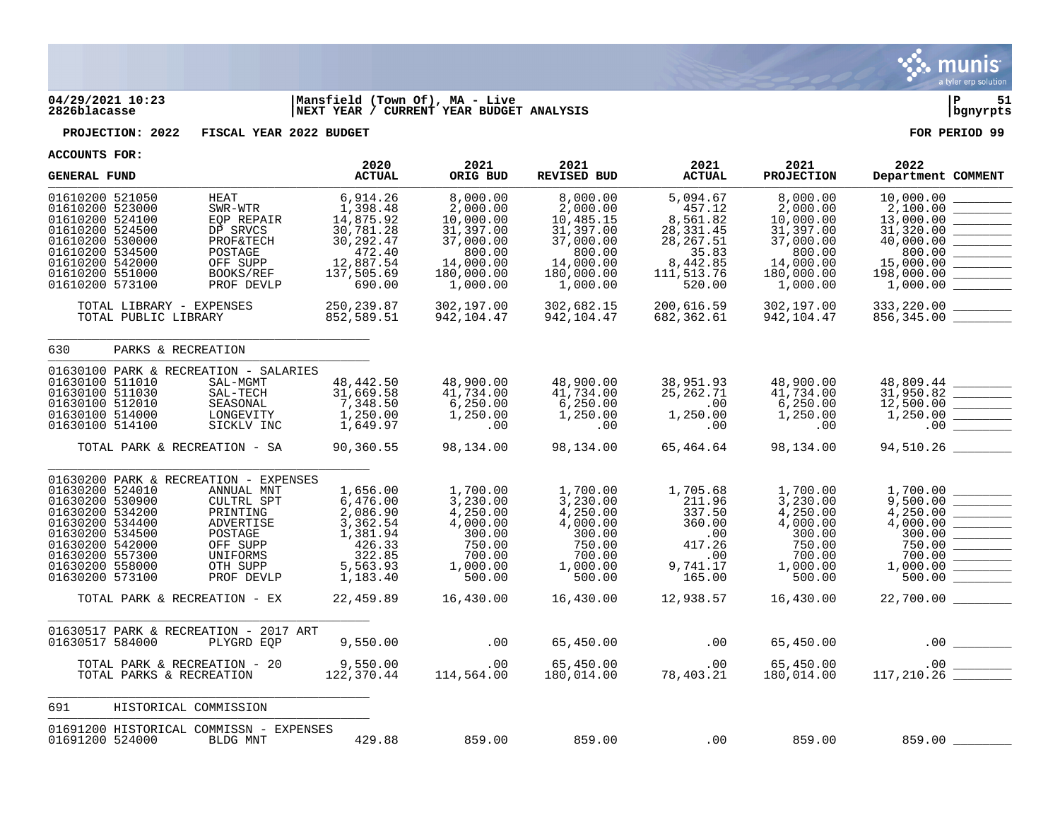

## **04/29/2021 10:23 |Mansfield (Town Of), MA - Live |P 51 2826blacasse |NEXT YEAR / CURRENT YEAR BUDGET ANALYSIS |bgnyrpts**

**PROJECTION: 2022 FISCAL YEAR 2022 BUDGET FOR PERIOD 99**

| ACCOUNIS FURI<br><b>GENERAL FUND</b>                                                                                                                                                                                                                                                                                               | 2020<br><b>ACTUAL</b>                                                                                       | 2021<br>ORIG BUD                                                                                             | 2021<br><b>REVISED BUD</b>                                                                                   | 2021<br><b>ACTUAL</b>                                                                                   | 2021<br><b>PROJECTION</b>                                                                                    | 2022<br>Department COMMENT                                                                                                                                                                                                                                                                                                                                                                                                                                                                |
|------------------------------------------------------------------------------------------------------------------------------------------------------------------------------------------------------------------------------------------------------------------------------------------------------------------------------------|-------------------------------------------------------------------------------------------------------------|--------------------------------------------------------------------------------------------------------------|--------------------------------------------------------------------------------------------------------------|---------------------------------------------------------------------------------------------------------|--------------------------------------------------------------------------------------------------------------|-------------------------------------------------------------------------------------------------------------------------------------------------------------------------------------------------------------------------------------------------------------------------------------------------------------------------------------------------------------------------------------------------------------------------------------------------------------------------------------------|
| 01610200 521050<br>HEAT<br>SWR-WTR<br>01610200 523000<br>01610200 524100<br>EOP REPAIR<br>01610200 524500<br>DP SRVCS<br>01610200 530000<br>PROF&TECH<br>01610200 534500<br>POSTAGE<br>01610200 542000<br>OFF SUPP<br>01610200 551000<br>BOOKS/REF<br>01610200 573100<br>PROF DEVLP                                                | 6,914.26<br>1,398.48<br>14,875.92<br>30,781.28<br>30, 292.47<br>472.40<br>12,887.54<br>137,505.69<br>690.00 | 8,000.00<br>2,000.00<br>10,000.00<br>31,397.00<br>37,000.00<br>800.00<br>14,000.00<br>180,000.00<br>1,000.00 | 8,000.00<br>2,000.00<br>10,485.15<br>31,397.00<br>37,000.00<br>800.00<br>14,000.00<br>180,000.00<br>1,000.00 | 5,094.67<br>457.12<br>8,561.82<br>28, 331.45<br>28, 267.51<br>35.83<br>8,442.85<br>111,513.76<br>520.00 | 8,000.00<br>2,000.00<br>10,000.00<br>31,397.00<br>37,000.00<br>800.00<br>14,000.00<br>180,000.00<br>1,000.00 | 10,000.00<br>2,100.00<br>13,000.00<br>31,320.00<br>40,000.00<br><u> 1990 - Jan James Barnett, p</u><br>800.00<br>15,000.00<br>198,000.00<br>1,000.00<br>$\mathcal{L}^{\text{max}}_{\text{max}}$ and $\mathcal{L}^{\text{max}}_{\text{max}}$                                                                                                                                                                                                                                               |
| TOTAL LIBRARY - EXPENSES<br>TOTAL PUBLIC LIBRARY                                                                                                                                                                                                                                                                                   | 250, 239.87<br>852,589.51                                                                                   | 302,197.00<br>942,104.47                                                                                     | 302,682.15<br>942,104.47                                                                                     | 200,616.59<br>682,362.61                                                                                | 302,197.00<br>942,104.47                                                                                     | 333,220.00<br>856,345.00                                                                                                                                                                                                                                                                                                                                                                                                                                                                  |
| PARKS & RECREATION<br>630                                                                                                                                                                                                                                                                                                          |                                                                                                             |                                                                                                              |                                                                                                              |                                                                                                         |                                                                                                              |                                                                                                                                                                                                                                                                                                                                                                                                                                                                                           |
| 01630100 PARK & RECREATION - SALARIES<br>01630100 511010<br>SAL-MGMT<br>01630100 511030<br>SAL-TECH<br>01630100 512010<br>SEASONAL<br>01630100 514000<br>LONGEVITY<br>01630100 514100<br>SICKLV INC                                                                                                                                | 48, 442.50<br>31,669.58<br>7,348.50<br>1,250.00<br>1,649.97                                                 | 48,900.00<br>41,734.00<br>6, 250.00<br>1,250.00<br>.00                                                       | 48,900.00<br>41,734.00<br>6, 250.00<br>1,250.00<br>$\overline{\phantom{0}}$ .00                              | 38,951.93<br>25, 262. 71<br>$\sim 00$<br>$1,250.\overline{00}$<br>$\sim 00$                             | 48,900.00<br>41,734.00<br>6,250.00<br>1,250.00<br>.00                                                        | $48,809.44$<br>31,950.82<br>12,500.00<br>$\frac{1}{2} \left( \frac{1}{2} \frac{1}{2} \left( \frac{1}{2} \frac{1}{2} \frac{1}{2} \frac{1}{2} \frac{1}{2} \frac{1}{2} \frac{1}{2} \frac{1}{2} \frac{1}{2} \frac{1}{2} \frac{1}{2} \frac{1}{2} \frac{1}{2} \frac{1}{2} \frac{1}{2} \frac{1}{2} \frac{1}{2} \frac{1}{2} \frac{1}{2} \frac{1}{2} \frac{1}{2} \frac{1}{2} \frac{1}{2} \frac{1}{2} \frac{1}{2} \frac{1}{2} \frac{1}{2} \frac{1$<br>1,250.00<br><u> Liberatura de la c</u><br>.00 |
| TOTAL PARK & RECREATION - SA                                                                                                                                                                                                                                                                                                       | 90,360.55                                                                                                   | 98,134.00                                                                                                    | 98,134.00                                                                                                    | 65,464.64                                                                                               | 98,134.00                                                                                                    | 94,510.26 ________                                                                                                                                                                                                                                                                                                                                                                                                                                                                        |
| 01630200 PARK & RECREATION - EXPENSES<br>01630200 524010<br>ANNUAL MNT<br>01630200 530900<br>CULTRL SPT<br>01630200 534200<br>PRINTING<br>01630200 534400<br>ADVERTISE<br>01630200 534500<br>POSTAGE<br>01630200 542000<br>OFF SUPP<br>01630200 557300<br>UNIFORMS<br>01630200 558000<br>OTH SUPP<br>01630200 573100<br>PROF DEVLP | 1,656.00<br>6,476.00<br>2,086.90<br>3,362.54<br>1,381.94<br>426.33<br>322.85<br>5,563.93<br>1,183.40        | 1,700.00<br>3,230.00<br>4,250.00<br>4,000.00<br>300.00<br>750.00<br>700.00<br>1,000.00<br>500.00             | 1,700.00<br>3,230.00<br>4,250.00<br>4,000.00<br>300.00<br>750.00<br>700.00<br>1,000.00<br>500.00             | 1,705.68<br>211.96<br>337.50<br>360.00<br>.00<br>417.26<br>.00<br>9,741.17<br>165.00                    | 1,700.00<br>3,230.00<br>4,250.00<br>4,000.00<br>300.00<br>750.00<br>700.00<br>1,000.00<br>500.00             | 1,700.00<br>9,500.00<br>4,250.00<br>4,000.00<br>300.00<br>750.00<br>700.00<br>1,000.00<br>500.00                                                                                                                                                                                                                                                                                                                                                                                          |
| TOTAL PARK & RECREATION - EX                                                                                                                                                                                                                                                                                                       | 22,459.89                                                                                                   | 16,430.00                                                                                                    | 16,430.00                                                                                                    | 12,938.57                                                                                               | 16,430.00                                                                                                    |                                                                                                                                                                                                                                                                                                                                                                                                                                                                                           |
| 01630517 PARK & RECREATION - 2017 ART<br>01630517 584000<br>PLYGRD EOP                                                                                                                                                                                                                                                             | 9,550.00                                                                                                    | .00                                                                                                          | 65,450.00                                                                                                    | .00                                                                                                     | 65,450.00                                                                                                    |                                                                                                                                                                                                                                                                                                                                                                                                                                                                                           |
| TOTAL PARK & RECREATION - 20<br>TOTAL PARKS & RECREATION                                                                                                                                                                                                                                                                           | 9,550.00<br>122,370.44                                                                                      | $.00 \,$<br>114,564.00                                                                                       | 65,450.00<br>180,014.00                                                                                      | $78,403.21$ $65,450.00$<br>$78,403.21$ $180,014.00$                                                     |                                                                                                              | $65,450.00$ .00<br>180,014.00 117,210.26                                                                                                                                                                                                                                                                                                                                                                                                                                                  |
| 691<br>HISTORICAL COMMISSION                                                                                                                                                                                                                                                                                                       |                                                                                                             |                                                                                                              |                                                                                                              |                                                                                                         |                                                                                                              |                                                                                                                                                                                                                                                                                                                                                                                                                                                                                           |
| 01691200 HISTORICAL COMMISSN - EXPENSES<br>01691200 524000<br>BLDG MNT                                                                                                                                                                                                                                                             | 429.88                                                                                                      | 859.00                                                                                                       | 859.00                                                                                                       | $\sim$ 00                                                                                               | 859.00                                                                                                       |                                                                                                                                                                                                                                                                                                                                                                                                                                                                                           |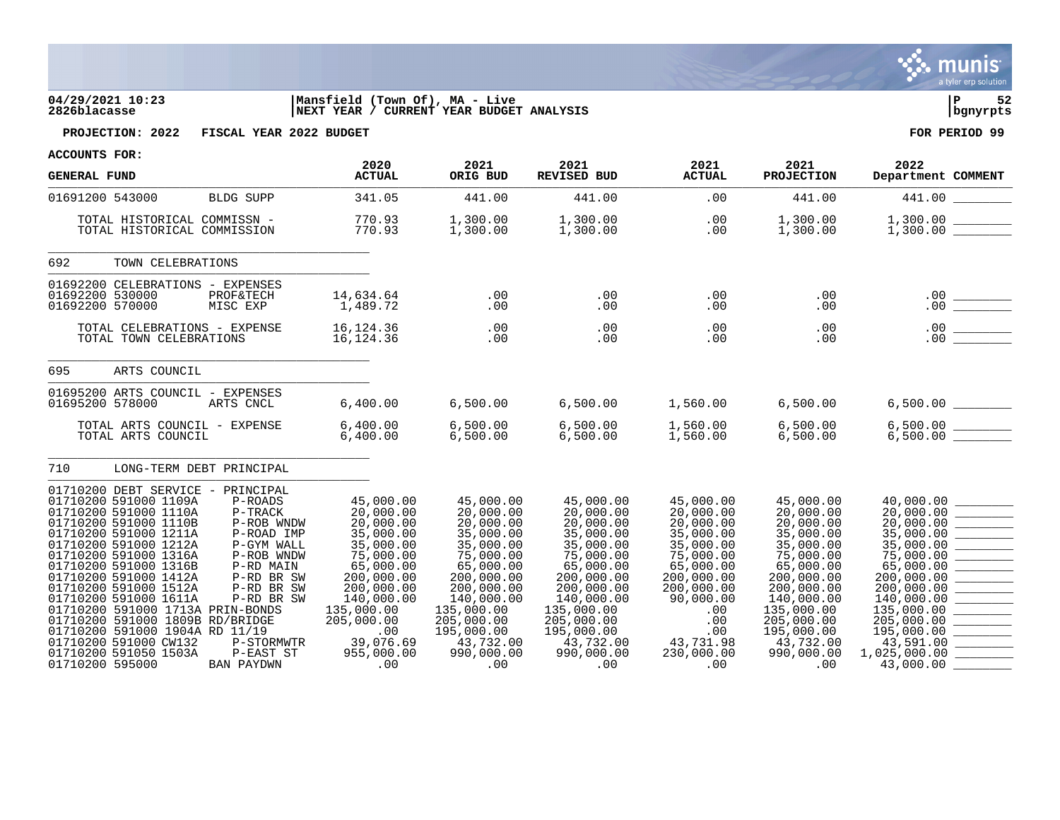|                                                                                                                                                                                                                                                                                                                                                                                                                                                                                                                                                                                                                                               |                                                                                                                                                               |                                                                                                                                                                                                        |                                                                                                                                                                                                                                                                                                                                                                                                                                                                                |                                                                                                                                  |                                                                                                                                                                                                                                | a tyler erp solution                                                                                                                                                                                                           |
|-----------------------------------------------------------------------------------------------------------------------------------------------------------------------------------------------------------------------------------------------------------------------------------------------------------------------------------------------------------------------------------------------------------------------------------------------------------------------------------------------------------------------------------------------------------------------------------------------------------------------------------------------|---------------------------------------------------------------------------------------------------------------------------------------------------------------|--------------------------------------------------------------------------------------------------------------------------------------------------------------------------------------------------------|--------------------------------------------------------------------------------------------------------------------------------------------------------------------------------------------------------------------------------------------------------------------------------------------------------------------------------------------------------------------------------------------------------------------------------------------------------------------------------|----------------------------------------------------------------------------------------------------------------------------------|--------------------------------------------------------------------------------------------------------------------------------------------------------------------------------------------------------------------------------|--------------------------------------------------------------------------------------------------------------------------------------------------------------------------------------------------------------------------------|
| 04/29/2021 10:23<br>2826blacasse                                                                                                                                                                                                                                                                                                                                                                                                                                                                                                                                                                                                              | Mansfield (Town Of), MA - Live<br>NEXT YEAR / CURRENT YEAR BUDGET ANALYSIS                                                                                    |                                                                                                                                                                                                        |                                                                                                                                                                                                                                                                                                                                                                                                                                                                                |                                                                                                                                  |                                                                                                                                                                                                                                | l P<br>52<br>bgnyrpts                                                                                                                                                                                                          |
| FISCAL YEAR 2022 BUDGET<br>PROJECTION: 2022                                                                                                                                                                                                                                                                                                                                                                                                                                                                                                                                                                                                   |                                                                                                                                                               |                                                                                                                                                                                                        |                                                                                                                                                                                                                                                                                                                                                                                                                                                                                |                                                                                                                                  |                                                                                                                                                                                                                                | FOR PERIOD 99                                                                                                                                                                                                                  |
| ACCOUNTS FOR:<br><b>GENERAL FUND</b>                                                                                                                                                                                                                                                                                                                                                                                                                                                                                                                                                                                                          | 2020<br><b>ACTUAL</b>                                                                                                                                         | 2021<br>ORIG BUD                                                                                                                                                                                       | 2021<br>REVISED BUD                                                                                                                                                                                                                                                                                                                                                                                                                                                            | 2021<br><b>ACTUAL</b>                                                                                                            | 2021<br><b>PROJECTION</b>                                                                                                                                                                                                      | 2022<br>Department COMMENT                                                                                                                                                                                                     |
| BLDG SUPP<br>01691200 543000                                                                                                                                                                                                                                                                                                                                                                                                                                                                                                                                                                                                                  | 341.05                                                                                                                                                        | 441.00                                                                                                                                                                                                 | 441.00                                                                                                                                                                                                                                                                                                                                                                                                                                                                         | .00                                                                                                                              |                                                                                                                                                                                                                                | 441.00  441.00  141.00                                                                                                                                                                                                         |
| TOTAL HISTORICAL COMMISSN -<br>TOTAL HISTORICAL COMMISSION                                                                                                                                                                                                                                                                                                                                                                                                                                                                                                                                                                                    | 770.93<br>770.93                                                                                                                                              |                                                                                                                                                                                                        |                                                                                                                                                                                                                                                                                                                                                                                                                                                                                |                                                                                                                                  |                                                                                                                                                                                                                                | $\begin{array}{cccc} .\,0\,0 & \quad & 1\,, 3\,0\,0\,.00 & \quad & 1\,, 3\,0\,0\,.00 & \ \end{array} \hspace{1cm} \begin{array}{cccc} 1\,, 3\,0\,0\,.00 & \quad & 1\,, 3\,0\,0\,.00 & \ \end{array}$                           |
| 692 — 10<br>TOWN CELEBRATIONS                                                                                                                                                                                                                                                                                                                                                                                                                                                                                                                                                                                                                 |                                                                                                                                                               |                                                                                                                                                                                                        |                                                                                                                                                                                                                                                                                                                                                                                                                                                                                |                                                                                                                                  |                                                                                                                                                                                                                                |                                                                                                                                                                                                                                |
| 01692200 CELEBRATIONS - EXPENSES<br>01692200 530000<br>PROF&TECH<br>01692200 570000<br>MISC EXP                                                                                                                                                                                                                                                                                                                                                                                                                                                                                                                                               | 14,634.64<br>1,489.72                                                                                                                                         | .00<br>.00                                                                                                                                                                                             | .00<br>.00                                                                                                                                                                                                                                                                                                                                                                                                                                                                     | .00<br>.00                                                                                                                       | .00<br>.00                                                                                                                                                                                                                     | $\begin{array}{c}\n 0.00 \\  \hline\n 0.00\n \end{array}$                                                                                                                                                                      |
| TOTAL CELEBRATIONS - EXPENSE<br>TOTAL TOWN CELEBRATIONS                                                                                                                                                                                                                                                                                                                                                                                                                                                                                                                                                                                       | INSE 16,124.36<br>16,124.36                                                                                                                                   | .00<br>.00                                                                                                                                                                                             | $\begin{array}{c} 0.00 \\ -0.00 \end{array}$                                                                                                                                                                                                                                                                                                                                                                                                                                   | .00<br>.00                                                                                                                       | $\begin{array}{c} .00 \\ .00 \end{array}$<br>$.00$ .                                                                                                                                                                           |                                                                                                                                                                                                                                |
| 695<br>ARTS COUNCIL                                                                                                                                                                                                                                                                                                                                                                                                                                                                                                                                                                                                                           |                                                                                                                                                               |                                                                                                                                                                                                        |                                                                                                                                                                                                                                                                                                                                                                                                                                                                                |                                                                                                                                  |                                                                                                                                                                                                                                |                                                                                                                                                                                                                                |
| 01695200 ARTS COUNCIL - EXPENSES<br>01695200 578000<br>ARTS CNCL                                                                                                                                                                                                                                                                                                                                                                                                                                                                                                                                                                              | 6,400.00                                                                                                                                                      |                                                                                                                                                                                                        | $6,500.00$ $6,500.00$ $1,560.00$ $6,500.00$                                                                                                                                                                                                                                                                                                                                                                                                                                    |                                                                                                                                  |                                                                                                                                                                                                                                |                                                                                                                                                                                                                                |
| TOTAL ARTS COUNCIL - EXPENSE<br>TOTAL ARTS COUNCIL                                                                                                                                                                                                                                                                                                                                                                                                                                                                                                                                                                                            | EXPENSE 6,400.00<br>6,400.00                                                                                                                                  |                                                                                                                                                                                                        | 6,500.00    6,500.00    1,560.00    6,500.00<br>6,500.00    6,500.00    1,560.00    6,500.00                                                                                                                                                                                                                                                                                                                                                                                   |                                                                                                                                  |                                                                                                                                                                                                                                | $6,500.00$ _________<br>6,500.00 _________                                                                                                                                                                                     |
| 710<br>LONG-TERM DEBT PRINCIPAL                                                                                                                                                                                                                                                                                                                                                                                                                                                                                                                                                                                                               |                                                                                                                                                               |                                                                                                                                                                                                        |                                                                                                                                                                                                                                                                                                                                                                                                                                                                                |                                                                                                                                  |                                                                                                                                                                                                                                |                                                                                                                                                                                                                                |
| 01710200 DEBT SERVICE - PRINCIPAL<br>01710200 591000 1109A<br>P-ROADS<br>01710200 591000 1110A<br>P-TRACK<br>01710200 591000 1110B<br>P-ROB WNDW<br>01710200 591000 1211A<br>P-ROAD IMP<br>01710200 591000 1212A<br>P-GYM WALL<br>01710200 591000 1316A<br>P-ROB WNDW<br>01710200 591000 1316B<br>P-RD MAIN<br>01710200 591000 1412A<br>P-RD BR SW<br>01710200 591000 1512A<br>P-RD BR SW<br>01710200 591000 1611A<br>P-RD BR SW<br>01710200 591000 1713A PRIN-BONDS<br>01710200 591000 1809B RD/BRIDGE<br>01710200 591000 CW132 P-STORMWTR 39,076.69<br>01710200 591000 CW132 P-STORMWTR 39,076.69<br>01710200 595000 PAN PANT ST 955,000.00 | 45,000.00<br>20,000.00<br>20,000.00<br>35,000.00<br>35,000.00<br>75,000.00<br>65,000.00<br>200,000.00<br>200,000.00<br>140,000.00<br>135,000.00<br>205,000.00 | 45,000.00<br>20,000.00<br>20,000.00<br>35,000.00<br>35,000.00<br>75,000.00<br>65,000.00<br>200,000.00<br>200,000.00<br>140,000.00<br>135,000.00<br>205,000.00<br>195,000.00<br>43,732.00<br>990,000.00 | 45,000.00<br>20,000.00<br>20,000.00<br>35,000.00<br>35,000.00<br>75,000.00<br>65,000.00<br>200,000.00<br>200,000.00<br>140,000.00<br>$205,000.00$<br>$195,000.00$<br>$43,732.00$<br>$990,000,00$<br>$230,000$<br>$230,000,00$<br>$230,000,00$<br>$00$ . $00$ . $00$ . $00$ . $00$ . $00$ . $00$ . $00$ . $00$ . $00$ . $00$ . $00$ . $00$ . $00$ . $00$ . $00$ . $00$ . $00$ . $00$ . $00$ . $00$ . $00$ . $00$ . $00$ . $00$ . $00$ . $00$ . $00$ . $00$ . $00$ . $00$ . $00$ | 45,000.00<br>20,000.00<br>20,000.00<br>35,000.00<br>35,000.00<br>75,000.00<br>65,000.00<br>200,000.00<br>200,000.00<br>90,000.00 | 45,000.00<br>20,000.00<br>20,000.00<br>35,000.00<br>35,000.00<br>75,000.00<br>65,000.00<br>200,000.00<br>200,000.00<br>140,000.00<br>135,000.00<br>205,000.00<br>195,000.00<br>43,732.00<br>43,732.00<br>990.000<br>990,000.00 | $\frac{40,000.00}{20,000.00}$<br>$20,000.00$<br>$35,000.00$<br>$35,000.00$<br>$75,000.00$<br>$65,000.00$<br>$200,000.00$<br>$200,000.00$<br>$140,000.00$<br>135,000.00<br>205,000.00<br>43,591.00<br>1,025,000.00<br>43,000.00 |

**Execution**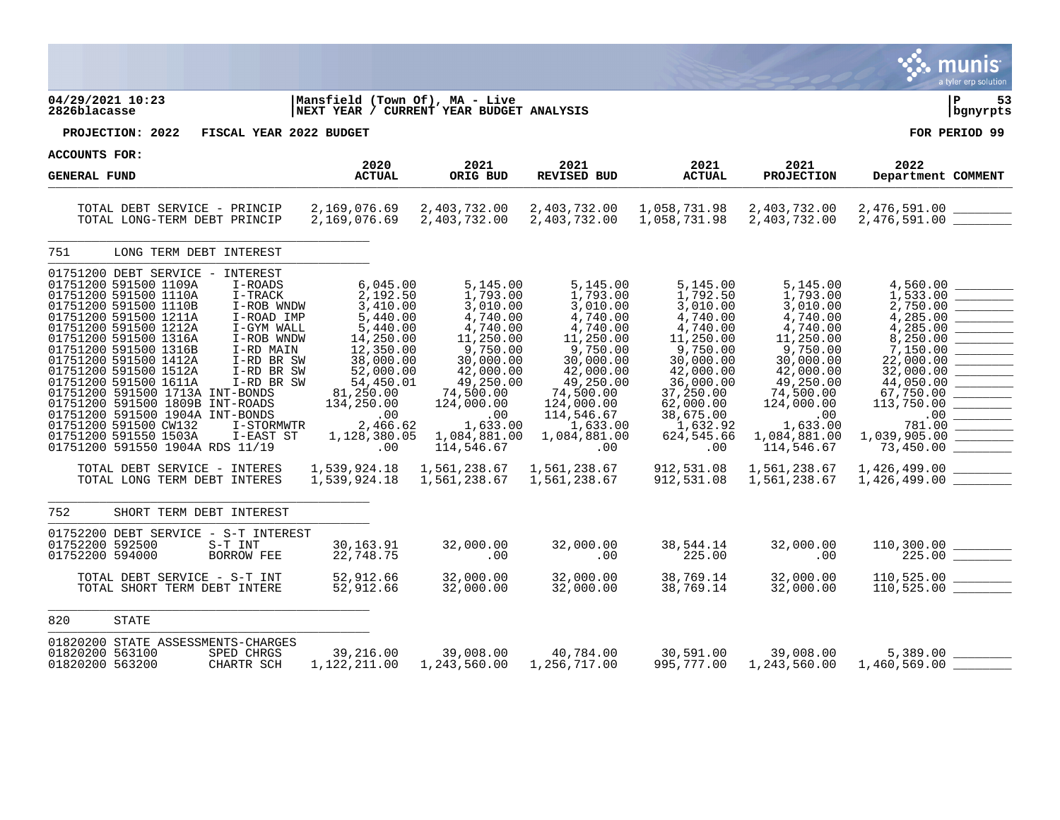|                                                                                                                                                                                                                                                                                                                                                                                                                                                                                                                                                          |                                                                                                                                                                                                                                                                                                                                                                                                |                                                                                                                                                                                                                                                                             |                                                                                                                                                                                                                                           |                                                                                                                                                                                                                              |                                                                                                                                                                                                                                      | a tyler erp solution                                                                                                                                                                                                             |
|----------------------------------------------------------------------------------------------------------------------------------------------------------------------------------------------------------------------------------------------------------------------------------------------------------------------------------------------------------------------------------------------------------------------------------------------------------------------------------------------------------------------------------------------------------|------------------------------------------------------------------------------------------------------------------------------------------------------------------------------------------------------------------------------------------------------------------------------------------------------------------------------------------------------------------------------------------------|-----------------------------------------------------------------------------------------------------------------------------------------------------------------------------------------------------------------------------------------------------------------------------|-------------------------------------------------------------------------------------------------------------------------------------------------------------------------------------------------------------------------------------------|------------------------------------------------------------------------------------------------------------------------------------------------------------------------------------------------------------------------------|--------------------------------------------------------------------------------------------------------------------------------------------------------------------------------------------------------------------------------------|----------------------------------------------------------------------------------------------------------------------------------------------------------------------------------------------------------------------------------|
| 04/29/2021 10:23<br>2826blacasse                                                                                                                                                                                                                                                                                                                                                                                                                                                                                                                         | Mansfield (Town Of), MA - Live                                                                                                                                                                                                                                                                                                                                                                 | NEXT YEAR / CURRENT YEAR BUDGET ANALYSIS                                                                                                                                                                                                                                    |                                                                                                                                                                                                                                           |                                                                                                                                                                                                                              |                                                                                                                                                                                                                                      | l P<br>53<br>bgnyrpts                                                                                                                                                                                                            |
| PROJECTION: 2022                                                                                                                                                                                                                                                                                                                                                                                                                                                                                                                                         | FISCAL YEAR 2022 BUDGET                                                                                                                                                                                                                                                                                                                                                                        |                                                                                                                                                                                                                                                                             |                                                                                                                                                                                                                                           |                                                                                                                                                                                                                              |                                                                                                                                                                                                                                      | FOR PERIOD 99                                                                                                                                                                                                                    |
| ACCOUNTS FOR:                                                                                                                                                                                                                                                                                                                                                                                                                                                                                                                                            | 2020                                                                                                                                                                                                                                                                                                                                                                                           | 2021                                                                                                                                                                                                                                                                        | 2021                                                                                                                                                                                                                                      | 2021                                                                                                                                                                                                                         | 2021                                                                                                                                                                                                                                 | 2022                                                                                                                                                                                                                             |
| <b>GENERAL FUND</b>                                                                                                                                                                                                                                                                                                                                                                                                                                                                                                                                      | <b>ACTUAL</b>                                                                                                                                                                                                                                                                                                                                                                                  | ORIG BUD                                                                                                                                                                                                                                                                    | REVISED BUD                                                                                                                                                                                                                               | <b>ACTUAL</b>                                                                                                                                                                                                                | <b>PROJECTION</b>                                                                                                                                                                                                                    | Department COMMENT                                                                                                                                                                                                               |
| TOTAL DEBT SERVICE - PRINCIP<br>TOTAL LONG-TERM DEBT PRINCIP                                                                                                                                                                                                                                                                                                                                                                                                                                                                                             | 2,169,076.69<br>2,169,076.69                                                                                                                                                                                                                                                                                                                                                                   | 2,403,732.00<br>2,403,732.00                                                                                                                                                                                                                                                | 2,403,732.00<br>2,403,732.00                                                                                                                                                                                                              | 1,058,731.98<br>1,058,731.98                                                                                                                                                                                                 | 2,403,732.00<br>2,403,732.00                                                                                                                                                                                                         |                                                                                                                                                                                                                                  |
| 751<br>LONG TERM DEBT INTEREST                                                                                                                                                                                                                                                                                                                                                                                                                                                                                                                           |                                                                                                                                                                                                                                                                                                                                                                                                |                                                                                                                                                                                                                                                                             |                                                                                                                                                                                                                                           |                                                                                                                                                                                                                              |                                                                                                                                                                                                                                      |                                                                                                                                                                                                                                  |
| 01751200 DEBT SERVICE - INTEREST<br>01751200 591500 1109A<br>01751200 591500 1110A<br>01751200 591500 1110B<br>01751200 591500 1211A<br>01751200 591500 1212A<br>01751200 591500 1316A<br>01751200 591500 1316B<br>01751200 591500 1412A<br>01751200 591500 1512A<br>01751200 591500 1611A<br>01751200 591500 1713A INT-BONDS<br>01751200 591500 1809B INT-ROADS<br>01751200 591500 1904A INT-BONDS<br>01751200 591500 CW132<br>01751200 591550 1503A<br>01751200 591550 1904A RDS 11/19<br>TOTAL DEBT SERVICE - INTERES<br>TOTAL LONG TERM DEBT INTERES | 6,045.00<br>I-ROADS<br>I-TRACK<br>2,192.50<br>3,410.00<br>I-ROB WNDW<br>I-ROAD IMP<br>5,440.00<br>I-GYM WALL<br>5,440.00<br>I-ROB WNDW<br>14,250.00<br>I-RD MAIN<br>12,350.00<br>38,000.00<br>I-RD BR SW<br>I-RD BR SW<br>52,000.00<br>I-RD BR SW<br>54,450.01<br>81,250.00<br>134,250.00<br>.00<br>2,466.62<br>I-STORMWTR<br>I-EAST ST<br>1,128,380.05<br>.00<br>1,539,924.18<br>1,539,924.18 | 5,145.00<br>1,793.00<br>3,010.00<br>4,740.00<br>4,740.00<br>11,250.00<br>9,750.00<br>30,000.00<br>42,000.00<br>49,250.00<br>74,500.00<br>124,000.00<br>$\begin{matrix} .00 \\ 1 & 0 \end{matrix}$<br>1,633.00<br>1,084,881.00<br>114,546.67<br>1,561,238.67<br>1,561,238.67 | 5,145.00<br>1,793.00<br>3,010.00<br>4,740.00<br>4,740.00<br>11,250.00<br>9,750.00<br>30,000.00<br>42,000.00<br>49,250.00<br>74,500.00<br>124,000.00<br>114,546.67<br>1,633.00<br>1,084,881.00<br>$.00 \,$<br>1,561,238.67<br>1,561,238.67 | 5,145.00<br>1,792.50<br>3,010.00<br>4,740.00<br>4,740.00<br>11,250.00<br>9,750.00<br>30,000.00<br>42,000.00<br>36,000.00<br>37,250.00<br>62,000.00<br>38,675.00<br>1,632.92<br>624,545.66<br>.00<br>912,531.08<br>912,531.08 | 5,145.00<br>1,793.00<br>3,010.00<br>4,740.00<br>4,740.00<br>11,250.00<br>9,750.00<br>30,000.00<br>42,000.00<br>49,250.00<br>74,500.00<br>124,000.00<br>.00<br>1,633.00<br>1,084,881.00<br>114,546.67<br>1,561,238.67<br>1,561,238.67 | 4,560.00<br>1,533.00<br>2,750.00<br>4,285.00<br>4,285.00<br>8,250.00<br>7,150.00<br>22,000.00<br>32,000.00<br>44,050.00<br>67,750.00<br>113,750.00<br>.00<br>781.00<br>1,039,905.00<br>73,450.00<br>1,426,499.00<br>1,426,499.00 |
| 752<br>SHORT TERM DEBT INTEREST                                                                                                                                                                                                                                                                                                                                                                                                                                                                                                                          |                                                                                                                                                                                                                                                                                                                                                                                                |                                                                                                                                                                                                                                                                             |                                                                                                                                                                                                                                           |                                                                                                                                                                                                                              |                                                                                                                                                                                                                                      |                                                                                                                                                                                                                                  |
| 01752200 DEBT SERVICE - S-T INTEREST<br>01752200 592500<br>S-T INT<br>01752200 594000<br>BORROW FEE                                                                                                                                                                                                                                                                                                                                                                                                                                                      | 30,163.91<br>22,748.75                                                                                                                                                                                                                                                                                                                                                                         | 32,000.00<br>.00                                                                                                                                                                                                                                                            | 32,000.00<br>.00                                                                                                                                                                                                                          | 38,544.14<br>225.00                                                                                                                                                                                                          | 32,000.00<br>.00                                                                                                                                                                                                                     | 110,300.00<br>$\frac{300.00}{225.00} \ \frac{\ \ }{ \ \ }$                                                                                                                                                                       |
| TOTAL DEBT SERVICE - S-T INT<br>TOTAL SHORT TERM DEBT INTERE                                                                                                                                                                                                                                                                                                                                                                                                                                                                                             | 52,912.66<br>52,912.66                                                                                                                                                                                                                                                                                                                                                                         | 32,000.00<br>32,000.00                                                                                                                                                                                                                                                      | 32,000.00<br>32,000.00                                                                                                                                                                                                                    | 38,769.14<br>38,769.14                                                                                                                                                                                                       | 32,000.00<br>32,000.00                                                                                                                                                                                                               | 110,525.00<br>110, 525.00                                                                                                                                                                                                        |
| 820<br><b>STATE</b>                                                                                                                                                                                                                                                                                                                                                                                                                                                                                                                                      |                                                                                                                                                                                                                                                                                                                                                                                                |                                                                                                                                                                                                                                                                             |                                                                                                                                                                                                                                           |                                                                                                                                                                                                                              |                                                                                                                                                                                                                                      |                                                                                                                                                                                                                                  |
| 01820200 STATE ASSESSMENTS-CHARGES<br>01820200 563100<br>SPED CHRGS<br>CHARTR SCH<br>01820200 563200                                                                                                                                                                                                                                                                                                                                                                                                                                                     | 39,216.00<br>1, 122, 211.00                                                                                                                                                                                                                                                                                                                                                                    | 39,008.00<br>1,243,560.00                                                                                                                                                                                                                                                   | 40,784.00<br>1,256,717.00                                                                                                                                                                                                                 | 30,591.00<br>995,777.00                                                                                                                                                                                                      | 39,008.00<br>1,243,560.00                                                                                                                                                                                                            | 5,389.00<br>1,460,569.00                                                                                                                                                                                                         |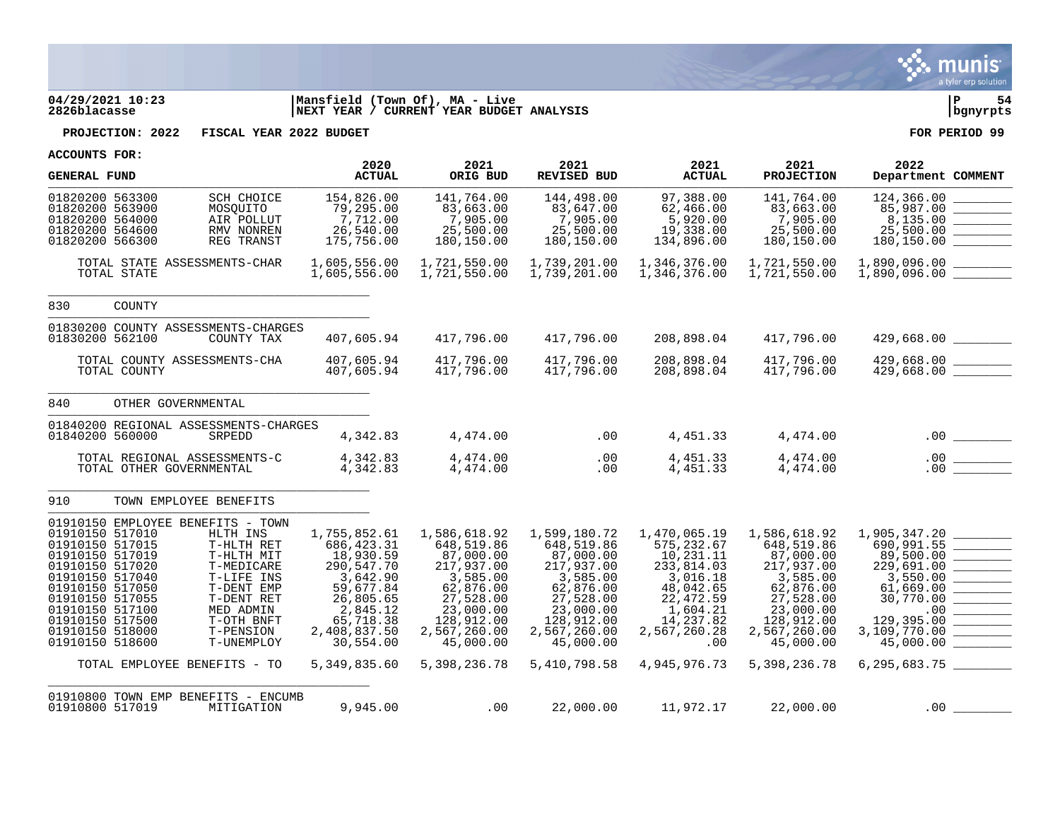

## **04/29/2021 10:23 |Mansfield (Town Of), MA - Live |P 54 2826blacasse |NEXT YEAR / CURRENT YEAR BUDGET ANALYSIS |bgnyrpts**

**PROJECTION: 2022 FISCAL YEAR 2022 BUDGET FOR PERIOD 99**

| <b>GENERAL FUND</b>                                                                                                                                                                                           |                          |                                                                                                                                                                                                                         | 2020<br><b>ACTUAL</b>                                                                                                                                              | 2021<br>ORIG BUD                                                                                                                                                    | 2021<br>REVISED BUD                                                                                                                                                 | 2021<br><b>ACTUAL</b>                                                                                                                                             | 2021<br><b>PROJECTION</b>                                                                                                                                           | 2022<br>Department COMMENT                                                                                                                                                                |
|---------------------------------------------------------------------------------------------------------------------------------------------------------------------------------------------------------------|--------------------------|-------------------------------------------------------------------------------------------------------------------------------------------------------------------------------------------------------------------------|--------------------------------------------------------------------------------------------------------------------------------------------------------------------|---------------------------------------------------------------------------------------------------------------------------------------------------------------------|---------------------------------------------------------------------------------------------------------------------------------------------------------------------|-------------------------------------------------------------------------------------------------------------------------------------------------------------------|---------------------------------------------------------------------------------------------------------------------------------------------------------------------|-------------------------------------------------------------------------------------------------------------------------------------------------------------------------------------------|
| 01820200 563300<br>01820200 563900<br>01820200 564000<br>01820200 564600<br>01820200 566300                                                                                                                   |                          | SCH CHOICE<br>MOSQUITO<br>AIR POLLUT<br>RMV NONREN<br>REG TRANST                                                                                                                                                        | 154,826.00<br>79,295.00<br>7,712.00<br>26,540.00<br>175,756.00                                                                                                     | 141,764.00<br>83,663.00<br>7,905.00<br>25,500.00<br>180,150.00                                                                                                      | 144,498.00<br>83,647.00<br>7,905.00<br>25,500.00<br>180,150.00                                                                                                      | 97,388.00<br>62,466.00<br>5,920.00<br>19,338.00<br>134,896.00                                                                                                     | 141,764.00<br>83,663.00<br>7,905.00<br>25,500.00<br>180,150.00                                                                                                      | 124,366.00<br>85,987.00<br>8,135.00<br>25,500.00<br>180,150.00                                                                                                                            |
|                                                                                                                                                                                                               | TOTAL STATE              | TOTAL STATE ASSESSMENTS-CHAR                                                                                                                                                                                            | 1,605,556.00<br>1,605,556.00                                                                                                                                       | 1,721,550.00<br>1,721,550.00                                                                                                                                        | 1,739,201.00<br>1,739,201.00                                                                                                                                        | 1,346,376.00<br>1,346,376.00                                                                                                                                      | 1,721,550.00<br>1,721,550.00                                                                                                                                        | 1,890,096.00<br>$1,890,096.00$ ________<br>1,890,096.00 ________                                                                                                                          |
| 830                                                                                                                                                                                                           | COUNTY                   |                                                                                                                                                                                                                         |                                                                                                                                                                    |                                                                                                                                                                     |                                                                                                                                                                     |                                                                                                                                                                   |                                                                                                                                                                     |                                                                                                                                                                                           |
| 01830200 562100                                                                                                                                                                                               |                          | 01830200 COUNTY ASSESSMENTS-CHARGES<br>COUNTY TAX                                                                                                                                                                       | 407,605.94                                                                                                                                                         | 417,796.00                                                                                                                                                          | 417,796.00                                                                                                                                                          | 208,898.04                                                                                                                                                        | 417,796.00                                                                                                                                                          | 429,668.00 _________                                                                                                                                                                      |
|                                                                                                                                                                                                               | TOTAL COUNTY             | TOTAL COUNTY ASSESSMENTS-CHA                                                                                                                                                                                            | 407,605.94<br>407,605.94                                                                                                                                           | 417,796.00<br>417,796.00                                                                                                                                            | 417,796.00<br>417,796.00                                                                                                                                            | 208,898.04<br>208,898.04                                                                                                                                          | 417,796.00<br>417,796.00                                                                                                                                            |                                                                                                                                                                                           |
| 840                                                                                                                                                                                                           | OTHER GOVERNMENTAL       |                                                                                                                                                                                                                         |                                                                                                                                                                    |                                                                                                                                                                     |                                                                                                                                                                     |                                                                                                                                                                   |                                                                                                                                                                     |                                                                                                                                                                                           |
| 01840200 560000                                                                                                                                                                                               |                          | 01840200 REGIONAL ASSESSMENTS-CHARGES<br>SRPEDD                                                                                                                                                                         | 4,342.83                                                                                                                                                           | 4,474.00                                                                                                                                                            | .00                                                                                                                                                                 | 4,451.33                                                                                                                                                          | 4,474.00                                                                                                                                                            |                                                                                                                                                                                           |
|                                                                                                                                                                                                               | TOTAL OTHER GOVERNMENTAL | TOTAL REGIONAL ASSESSMENTS-C                                                                                                                                                                                            | 4,342.83<br>4,342.83                                                                                                                                               | 4,474.00<br>4,474.00                                                                                                                                                | .00<br>.00                                                                                                                                                          | 4,451.33<br>4,451.33                                                                                                                                              | 4,474.00<br>4,474.00                                                                                                                                                | .00<br>$\frac{1}{\sqrt{1-\frac{1}{2}}\left(1-\frac{1}{2}\right)}\left(\frac{1}{2}-\frac{1}{2}\right)$<br>.00                                                                              |
| 910                                                                                                                                                                                                           |                          | TOWN EMPLOYEE BENEFITS                                                                                                                                                                                                  |                                                                                                                                                                    |                                                                                                                                                                     |                                                                                                                                                                     |                                                                                                                                                                   |                                                                                                                                                                     |                                                                                                                                                                                           |
| 01910150 517010<br>01910150 517015<br>01910150 517019<br>01910150 517020<br>01910150 517040<br>01910150 517050<br>01910150 517055<br>01910150 517100<br>01910150 517500<br>01910150 518000<br>01910150 518600 |                          | 01910150 EMPLOYEE BENEFITS - TOWN<br>HLTH INS<br>T-HLTH RET<br>T-HLTH MIT<br>T-MEDICARE<br>T-LIFE INS<br>T-DENT EMP<br>T-DENT RET<br>MED ADMIN<br>T-OTH BNFT<br>T-PENSION<br>T-UNEMPLOY<br>TOTAL EMPLOYEE BENEFITS - TO | 1,755,852.61<br>686, 423.31<br>18,930.59<br>290,547.70<br>3,642.90<br>59,677.84<br>26,805.65<br>2,845.12<br>65,718.38<br>2,408,837.50<br>30,554.00<br>5,349,835.60 | 1,586,618.92<br>648,519.86<br>87,000.00<br>217,937.00<br>3,585.00<br>62,876.00<br>27,528.00<br>23,000.00<br>128,912.00<br>2,567,260.00<br>45,000.00<br>5,398,236.78 | 1,599,180.72<br>648,519.86<br>87,000.00<br>217,937.00<br>3,585.00<br>62,876.00<br>27,528.00<br>23,000.00<br>128,912.00<br>2,567,260.00<br>45,000.00<br>5,410,798.58 | 1,470,065.19<br>575, 232.67<br>10,231.11<br>233,814.03<br>3,016.18<br>48,042.65<br>22,472.59<br>1,604.21<br>14,237.82<br>2,567,260.28<br>$.00 \,$<br>4,945,976.73 | 1,586,618.92<br>648,519.86<br>87,000.00<br>217,937.00<br>3,585.00<br>62,876.00<br>27,528.00<br>23,000.00<br>128,912.00<br>2,567,260.00<br>45,000.00<br>5,398,236.78 | 1,905,347.20<br>690,991.55<br><b>Contract Contract</b><br>89,500.00<br>229,691.00<br>3,550.00<br>61,669.00<br>30,770.00<br>.00<br>129,395.00<br>3,109,770.00<br>45,000.00<br>6,295,683.75 |
| 01910800 517019                                                                                                                                                                                               |                          | 01910800 TOWN EMP BENEFITS - ENCUMB<br>MITIGATION                                                                                                                                                                       | 9,945.00                                                                                                                                                           | .00                                                                                                                                                                 | 22,000.00                                                                                                                                                           | 11,972.17                                                                                                                                                         | 22,000.00                                                                                                                                                           | .00                                                                                                                                                                                       |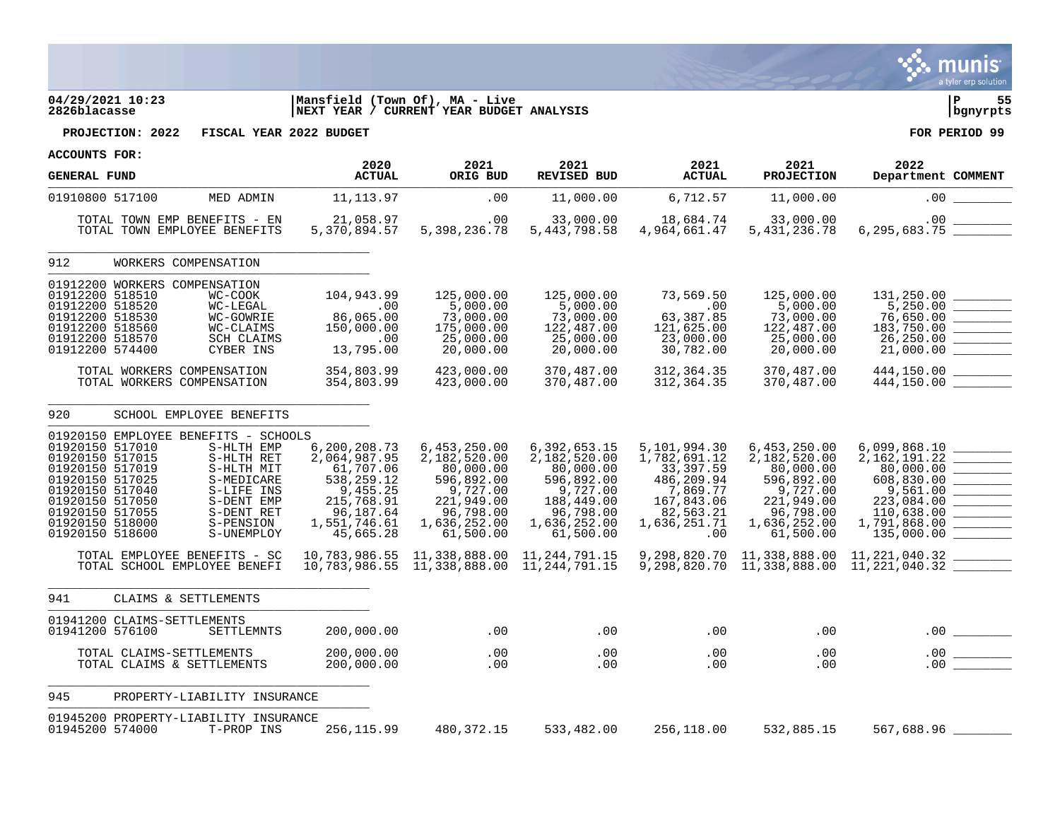

## **04/29/2021 10:23 |Mansfield (Town Of), MA - Live |P 55 2826blacasse |NEXT YEAR / CURRENT YEAR BUDGET ANALYSIS |bgnyrpts**

**PROJECTION: 2022 FISCAL YEAR 2022 BUDGET FOR PERIOD 99**

| <b>GENERAL FUND</b>                                                                                                                                                            |                                                                                                                                                                                                                                                               | 2020<br><b>ACTUAL</b>                                                                                                                                         | 2021<br>ORIG BUD                                                                                                                                              | 2021<br><b>REVISED BUD</b>                                                                                                                                    | 2021<br><b>ACTUAL</b>                                                                                                                                 | 2021<br><b>PROJECTION</b>                                                                                                                                     | 2022<br>Department COMMENT                                                                                                                                                                                                                                                                                                                                                                             |
|--------------------------------------------------------------------------------------------------------------------------------------------------------------------------------|---------------------------------------------------------------------------------------------------------------------------------------------------------------------------------------------------------------------------------------------------------------|---------------------------------------------------------------------------------------------------------------------------------------------------------------|---------------------------------------------------------------------------------------------------------------------------------------------------------------|---------------------------------------------------------------------------------------------------------------------------------------------------------------|-------------------------------------------------------------------------------------------------------------------------------------------------------|---------------------------------------------------------------------------------------------------------------------------------------------------------------|--------------------------------------------------------------------------------------------------------------------------------------------------------------------------------------------------------------------------------------------------------------------------------------------------------------------------------------------------------------------------------------------------------|
| 01910800 517100                                                                                                                                                                | MED ADMIN                                                                                                                                                                                                                                                     | 11, 113.97                                                                                                                                                    | .00                                                                                                                                                           | 11,000.00                                                                                                                                                     | 6,712.57                                                                                                                                              | 11,000.00                                                                                                                                                     | .00                                                                                                                                                                                                                                                                                                                                                                                                    |
|                                                                                                                                                                                | TOTAL TOWN EMP BENEFITS - EN<br>TOTAL TOWN EMPLOYEE BENEFITS                                                                                                                                                                                                  | 21,058.97<br>5,370,894.57                                                                                                                                     | .00<br>5,398,236.78                                                                                                                                           | 33,000.00<br>5, 443, 798.58                                                                                                                                   | 18,684.74<br>4,964,661.47                                                                                                                             | 33,000.00<br>5, 431, 236.78                                                                                                                                   | .00<br>6,295,683.75                                                                                                                                                                                                                                                                                                                                                                                    |
| 912                                                                                                                                                                            | WORKERS COMPENSATION                                                                                                                                                                                                                                          |                                                                                                                                                               |                                                                                                                                                               |                                                                                                                                                               |                                                                                                                                                       |                                                                                                                                                               |                                                                                                                                                                                                                                                                                                                                                                                                        |
| 01912200 518510<br>01912200 518520<br>01912200 518530<br>01912200 518560<br>01912200 518570<br>01912200 574400                                                                 | 01912200 WORKERS COMPENSATION<br>WC-COOK<br>WC-LEGAL<br>WC-GOWRIE<br>WC-CLAIMS<br><b>SCH CLAIMS</b><br>CYBER INS<br>TOTAL WORKERS COMPENSATION                                                                                                                | 104,943.99<br>.00<br>86,065.00<br>150,000.00<br>.00<br>13,795.00<br>354,803.99                                                                                | 125,000.00<br>5,000.00<br>73,000.00<br>175,000.00<br>25,000.00<br>20,000.00<br>423,000.00                                                                     | 125,000.00<br>5,000.00<br>73,000.00<br>122,487.00<br>25,000.00<br>20,000.00<br>370,487.00                                                                     | 73,569.50<br>.00<br>63,387.85<br>121,625.00<br>23,000.00<br>30,782.00<br>312, 364.35                                                                  | 125,000.00<br>5,000.00<br>73,000.00<br>122,487.00<br>25,000.00<br>20,000.00<br>370,487.00                                                                     | 131,250.00<br>5,250.00<br>$\begin{tabular}{ c c c } \hline \quad \quad & \quad \quad & \quad \quad \\ \hline \quad \quad & \quad \quad & \quad \quad \\ \hline \quad \quad & \quad \quad & \quad \quad \\ \hline \quad \quad & \quad \quad & \quad \quad \\ \hline \quad \quad & \quad \quad & \quad \quad \\ \hline \end{tabular}$<br>76,650.00<br>183,750.00<br>26,250.00<br>21,000.00<br>444,150.00 |
|                                                                                                                                                                                | TOTAL WORKERS COMPENSATION                                                                                                                                                                                                                                    | 354,803.99                                                                                                                                                    | 423,000.00                                                                                                                                                    | 370,487.00                                                                                                                                                    | 312, 364. 35                                                                                                                                          | 370,487.00                                                                                                                                                    | 444,150.00                                                                                                                                                                                                                                                                                                                                                                                             |
| 920<br>01920150 517010<br>01920150 517015<br>01920150 517019<br>01920150 517025<br>01920150 517040<br>01920150 517050<br>01920150 517055<br>01920150 518000<br>01920150 518600 | SCHOOL EMPLOYEE BENEFITS<br>01920150 EMPLOYEE BENEFITS - SCHOOLS<br>S-HLTH EMP<br>S-HLTH RET<br>S-HLTH MIT<br>S-MEDICARE<br>S-LIFE INS<br>S-DENT EMP<br>S-DENT RET<br>S-PENSION<br>S-UNEMPLOY<br>TOTAL EMPLOYEE BENEFITS - SC<br>TOTAL SCHOOL EMPLOYEE BENEFI | 6,200,208.73<br>2,064,987.95<br>61,707.06<br>538,259.12<br>9,455.25<br>215,768.91<br>96,187.64<br>1,551,746.61<br>45,665.28<br>10,783,986.55<br>10,783,986.55 | 6,453,250.00<br>2,182,520.00<br>80,000.00<br>596,892.00<br>9,727.00<br>221,949.00<br>96,798.00<br>1,636,252.00<br>61,500.00<br>11,338,888.00<br>11,338,888.00 | 6,392,653.15<br>2,182,520.00<br>80,000.00<br>596,892.00<br>9,727.00<br>188,449.00<br>96,798.00<br>1,636,252.00<br>61,500.00<br>11,244,791.15<br>11,244,791.15 | 5,101,994.30<br>1,782,691.12<br>33,397.59<br>486,209.94<br>7,869.77<br>167,843.06<br>82,563.21<br>1,636,251.71<br>.00<br>9,298,820.70<br>9,298,820.70 | 6,453,250.00<br>2,182,520.00<br>80,000.00<br>596,892.00<br>9,727.00<br>221,949.00<br>96,798.00<br>1,636,252.00<br>61,500.00<br>11,338,888.00<br>11,338,888.00 | 6,099,868.10<br>2, 162, 191. 22<br>80,000.00<br>608,830.00<br>9,561.00<br>223,084.00<br>110,638.00<br>1,791,868.00<br>135,000.00<br>11,221,040.32<br>11,221,040.32                                                                                                                                                                                                                                     |
| 941                                                                                                                                                                            | CLAIMS & SETTLEMENTS                                                                                                                                                                                                                                          |                                                                                                                                                               |                                                                                                                                                               |                                                                                                                                                               |                                                                                                                                                       |                                                                                                                                                               |                                                                                                                                                                                                                                                                                                                                                                                                        |
| 01941200 576100                                                                                                                                                                | 01941200 CLAIMS-SETTLEMENTS<br>SETTLEMNTS                                                                                                                                                                                                                     | 200,000.00                                                                                                                                                    | .00                                                                                                                                                           | .00                                                                                                                                                           | .00                                                                                                                                                   | .00                                                                                                                                                           | $.00 \,$<br><u>Contractor and the contractor</u>                                                                                                                                                                                                                                                                                                                                                       |
|                                                                                                                                                                                | TOTAL CLAIMS-SETTLEMENTS<br>TOTAL CLAIMS & SETTLEMENTS                                                                                                                                                                                                        | 200,000.00<br>200,000.00                                                                                                                                      | .00<br>.00                                                                                                                                                    | .00<br>.00                                                                                                                                                    | .00<br>.00                                                                                                                                            | .00<br>.00                                                                                                                                                    | .00<br>.00                                                                                                                                                                                                                                                                                                                                                                                             |
| 945                                                                                                                                                                            | PROPERTY-LIABILITY INSURANCE                                                                                                                                                                                                                                  |                                                                                                                                                               |                                                                                                                                                               |                                                                                                                                                               |                                                                                                                                                       |                                                                                                                                                               |                                                                                                                                                                                                                                                                                                                                                                                                        |
| 01945200 574000                                                                                                                                                                | 01945200 PROPERTY-LIABILITY INSURANCE<br>T-PROP INS                                                                                                                                                                                                           | 256, 115.99                                                                                                                                                   | 480, 372. 15                                                                                                                                                  | 533,482.00                                                                                                                                                    | 256,118.00                                                                                                                                            | 532,885.15                                                                                                                                                    | 567,688.96                                                                                                                                                                                                                                                                                                                                                                                             |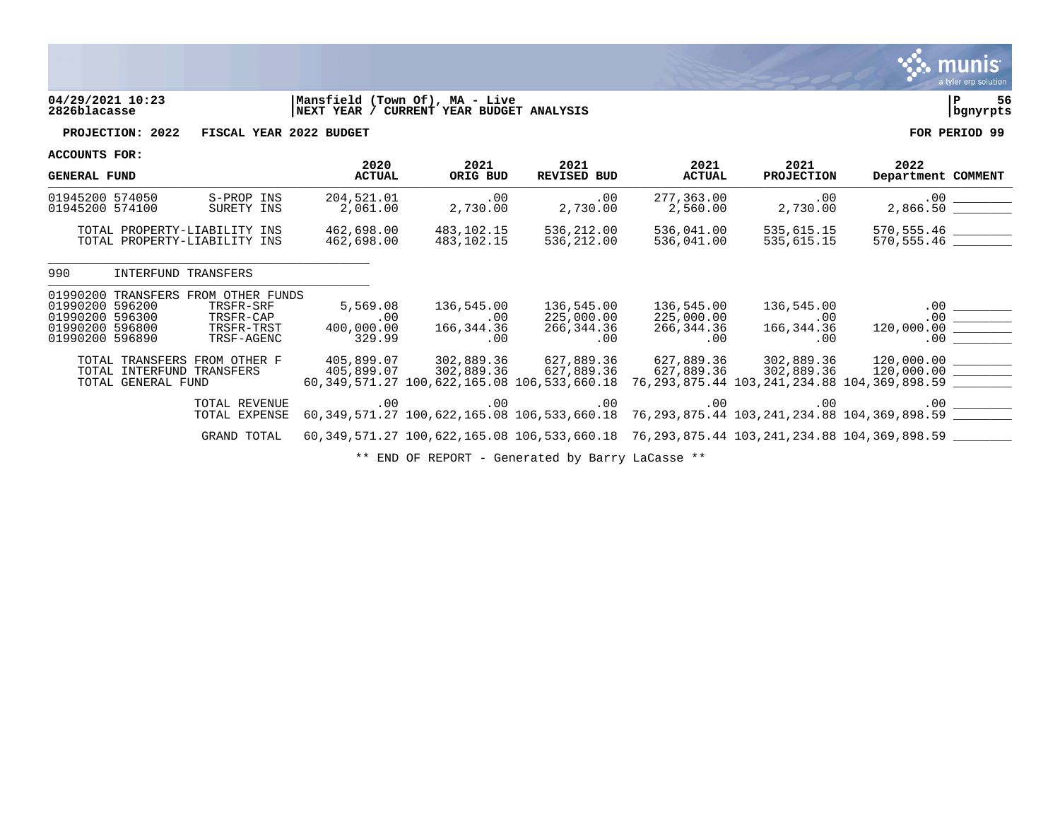

# **04/29/2021 10:23 |Mansfield (Town Of), MA - Live |P 56 2826blacasse |NEXT YEAR / CURRENT YEAR BUDGET ANALYSIS |bgnyrpts**

**PROJECTION: 2022 FISCAL YEAR 2022 BUDGET FOR PERIOD 99**

\_\_\_\_\_\_\_\_\_\_\_\_\_\_\_\_\_\_\_\_\_\_\_\_\_\_\_\_\_\_\_\_\_\_\_\_\_\_\_\_\_\_\_\_

**ACCOUNTS FOR:**

| <b>GENERAL FUND</b>          |            | 2020<br><b>ACTUAL</b> | 2021<br>ORIG BUD | 2021<br>REVISED BUD | 2021<br><b>ACTUAL</b> | 2021<br><b>PROJECTION</b> | 2022<br>Department COMMENT |
|------------------------------|------------|-----------------------|------------------|---------------------|-----------------------|---------------------------|----------------------------|
| 01945200 574050              | S-PROP INS | 204,521.01            | . 00             | .00                 | 277.363.00            | . 00                      | 2,866.50                   |
| 01945200 574100              | SURETY INS | 2,061.00              | 2,730.00         | 2,730.00            | 2,560.00              | 2,730.00                  |                            |
| TOTAL PROPERTY-LIABILITY INS |            | 462,698.00            | 483,102.15       | 536,212.00          | 536,041.00            | 535,615.15                | 570.555.46                 |
| TOTAL PROPERTY-LIABILITY INS |            | 462,698.00            | 483,102.15       | 536,212.00          | 536,041.00            | 535,615.15                | 570,555.46                 |

990 INTERFUND TRANSFERS \_\_\_\_\_\_\_\_\_\_\_\_\_\_\_\_\_\_\_\_\_\_\_\_\_\_\_\_\_\_\_\_\_\_\_\_\_\_\_\_\_\_\_\_

|                 | 01990200 TRANSFERS | FROM OTHER FUNDS          |            |            |                                             |            |            |                                                                                         |  |
|-----------------|--------------------|---------------------------|------------|------------|---------------------------------------------|------------|------------|-----------------------------------------------------------------------------------------|--|
| 01990200 596200 |                    | TRSFR-SRF                 | 5,569.08   | 136,545.00 | 136,545.00                                  | 136,545.00 | 136,545.00 | .00                                                                                     |  |
| 01990200 596300 |                    | TRSFR-CAP                 | .00        | .00        | 225,000.00                                  | 225,000.00 | .00        | $.00 \,$                                                                                |  |
| 01990200 596800 |                    | TRSFR-TRST                | 400,000.00 | 166,344.36 | 266,344.36                                  | 266,344.36 | 166,344.36 | 120,000.00                                                                              |  |
| 01990200 596890 |                    | TRSF-AGENC                | 329.99     | .00        | .00                                         | .00        | $.00 \,$   | .00                                                                                     |  |
|                 |                    |                           |            |            |                                             |            |            |                                                                                         |  |
| TOTAL           |                    | TRANSFERS FROM OTHER F    | 405,899.07 | 302,889.36 | 627,889.36                                  | 627.889.36 | 302,889.36 | 120,000.00                                                                              |  |
|                 |                    | TOTAL INTERFUND TRANSFERS | 405,899.07 | 302,889.36 | 627,889.36                                  | 627,889.36 | 302,889.36 | 120,000.00                                                                              |  |
|                 | TOTAL GENERAL FUND |                           |            |            | 60,349,571.27 100,622,165.08 106,533,660.18 |            |            | 76,293,875.44 103,241,234.88 104,369,898.59                                             |  |
|                 |                    |                           |            |            |                                             |            |            |                                                                                         |  |
|                 |                    | TOTAL REVENUE             | $.00 \,$   | .00        | $.00\,$                                     | .00        | .00        | .00                                                                                     |  |
|                 |                    | TOTAL EXPENSE             |            |            |                                             |            |            | 60,349,571.27 100,622,165.08 106,533,660.18 76,293,875.44 103,241,234.88 104,369,898.59 |  |
|                 |                    |                           |            |            |                                             |            |            |                                                                                         |  |
|                 |                    | GRAND TOTAL               |            |            |                                             |            |            | 60,349,571.27 100,622,165.08 106,533,660.18 76,293,875.44 103,241,234.88 104,369,898.59 |  |
|                 |                    |                           |            |            |                                             |            |            |                                                                                         |  |

\*\* END OF REPORT - Generated by Barry LaCasse \*\*